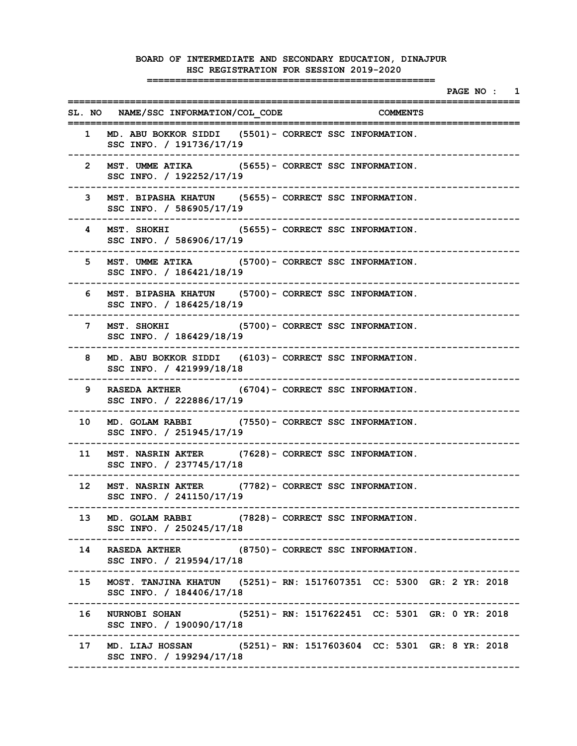**BOARD OF INTERMEDIATE AND SECONDARY EDUCATION, DINAJPUR HSC REGISTRATION FOR SESSION 2019-2020** 

 **===================================================** 

|              | =========================                                                                                         | ================== | PAGE NO : 1 |  |
|--------------|-------------------------------------------------------------------------------------------------------------------|--------------------|-------------|--|
|              | SL. NO NAME/SSC INFORMATION/COL CODE<br><b>COMMENTS</b><br>_____________________________<br>:==================== |                    |             |  |
|              | 1 MD. ABU BOKKOR SIDDI (5501) – CORRECT SSC INFORMATION.<br>SSC INFO. / 191736/17/19                              |                    |             |  |
| $\mathbf{2}$ | MST. UMME ATIKA (5655) – CORRECT SSC INFORMATION.<br>SSC INFO. / 192252/17/19<br>-------------                    |                    |             |  |
|              | 3 MST. BIPASHA KHATUN (5655) - CORRECT SSC INFORMATION.<br>SSC INFO. / 586905/17/19                               |                    |             |  |
|              | 4 MST. SHOKHI (5655) - CORRECT SSC INFORMATION.<br>SSC INFO. / 586906/17/19                                       |                    |             |  |
| 5.           | MST. UMME ATIKA (5700) – CORRECT SSC INFORMATION.<br>SSC INFO. / 186421/18/19                                     |                    |             |  |
|              | 6 MST. BIPASHA KHATUN (5700) - CORRECT SSC INFORMATION.<br>SSC INFO. / 186425/18/19                               |                    |             |  |
|              | 7 MST. SHOKHI (5700) - CORRECT SSC INFORMATION.<br>SSC INFO. / 186429/18/19                                       |                    |             |  |
|              | 8 MD. ABU BOKKOR SIDDI (6103) - CORRECT SSC INFORMATION.<br>SSC INFO. / 421999/18/18                              |                    |             |  |
| 9            | RASEDA AKTHER (6704) - CORRECT SSC INFORMATION.<br>SSC INFO. / 222886/17/19                                       |                    |             |  |
| 10           | MD. GOLAM RABBI (7550) - CORRECT SSC INFORMATION.<br>SSC INFO. / 251945/17/19                                     |                    |             |  |
|              | 11 MST. NASRIN AKTER (7628) - CORRECT SSC INFORMATION.<br>SSC INFO. / 237745/17/18                                |                    |             |  |
|              | 12 MST. NASRIN AKTER (7782) - CORRECT SSC INFORMATION.<br>SSC INFO. / 241150/17/19                                |                    |             |  |
|              | 13 MD. GOLAM RABBI (7828) - CORRECT SSC INFORMATION.<br>SSC INFO. / 250245/17/18                                  |                    |             |  |
|              | 14 RASEDA AKTHER (8750) - CORRECT SSC INFORMATION.<br>SSC INFO. / 219594/17/18                                    |                    |             |  |
|              | 15 MOST. TANJINA KHATUN (5251)- RN: 1517607351 CC: 5300 GR: 2 YR: 2018<br>SSC INFO. / 184406/17/18                |                    |             |  |
|              | 16 NURNOBI SOHAN (5251) - RN: 1517622451 CC: 5301 GR: 0 YR: 2018<br>SSC INFO. / 190090/17/18                      |                    |             |  |
|              | 17 MD. LIAJ HOSSAN (5251) - RN: 1517603604 CC: 5301 GR: 8 YR: 2018<br>SSC INFO. / 199294/17/18                    |                    |             |  |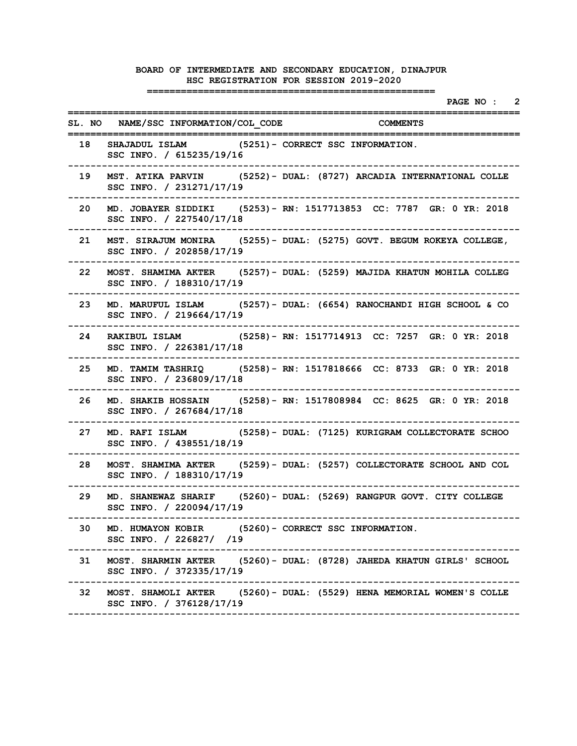|      |                                                                                 | PAGE NO : 2<br>:=====================<br>--------                     |  |
|------|---------------------------------------------------------------------------------|-----------------------------------------------------------------------|--|
|      | SL. NO NAME/SSC INFORMATION/COL CODE                                            | <b>COMMENTS</b>                                                       |  |
|      | 18 SHAJADUL ISLAM (5251) - CORRECT SSC INFORMATION.<br>SSC INFO. / 615235/19/16 |                                                                       |  |
| 19   | SSC INFO. / 231271/17/19                                                        | MST. ATIKA PARVIN (5252) - DUAL: (8727) ARCADIA INTERNATIONAL COLLE   |  |
| 20   | SSC INFO. / 227540/17/18                                                        | MD. JOBAYER SIDDIKI (5253) - RN: 1517713853 CC: 7787 GR: 0 YR: 2018   |  |
| 21   | SSC INFO. / 202858/17/19                                                        | MST. SIRAJUM MONIRA (5255) - DUAL: (5275) GOVT. BEGUM ROKEYA COLLEGE, |  |
| 22   | SSC INFO. / 188310/17/19                                                        | MOST. SHAMIMA AKTER (5257) - DUAL: (5259) MAJIDA KHATUN MOHILA COLLEG |  |
| 23   | SSC INFO. / 219664/17/19<br>. _ _ _ _ _ _ _ _ _ _                               | MD. MARUFUL ISLAM (5257) - DUAL: (6654) RANOCHANDI HIGH SCHOOL & CO   |  |
| 24   | SSC INFO. / 226381/17/18                                                        | RAKIBUL ISLAM (5258) - RN: 1517714913 CC: 7257 GR: 0 YR: 2018         |  |
| 25   | SSC INFO. / 236809/17/18                                                        | MD. TAMIM TASHRIQ (5258) - RN: 1517818666 CC: 8733 GR: 0 YR: 2018     |  |
| 26   | SSC INFO. / 267684/17/18                                                        | MD. SHAKIB HOSSAIN (5258) - RN: 1517808984 CC: 8625 GR: 0 YR: 2018    |  |
| 27   | SSC INFO. / 438551/18/19                                                        | MD. RAFI ISLAM (5258) - DUAL: (7125) KURIGRAM COLLECTORATE SCHOO      |  |
| 28   | SSC INFO. / 188310/17/19                                                        | MOST. SHAMIMA AKTER (5259) - DUAL: (5257) COLLECTORATE SCHOOL AND COL |  |
| 29   | SSC INFO. / 220094/17/19                                                        | MD. SHANEWAZ SHARIF (5260) - DUAL: (5269) RANGPUR GOVT. CITY COLLEGE  |  |
| 30 — | MD. HUMAYON KOBIR (5260) - CORRECT SSC INFORMATION.<br>SSC INFO. / 226827/ /19  |                                                                       |  |
| 31   | SSC INFO. / 372335/17/19                                                        | MOST. SHARMIN AKTER (5260) - DUAL: (8728) JAHEDA KHATUN GIRLS' SCHOOL |  |
| 32   | SSC INFO. / 376128/17/19                                                        | MOST. SHAMOLI AKTER (5260) - DUAL: (5529) HENA MEMORIAL WOMEN'S COLLE |  |
|      |                                                                                 |                                                                       |  |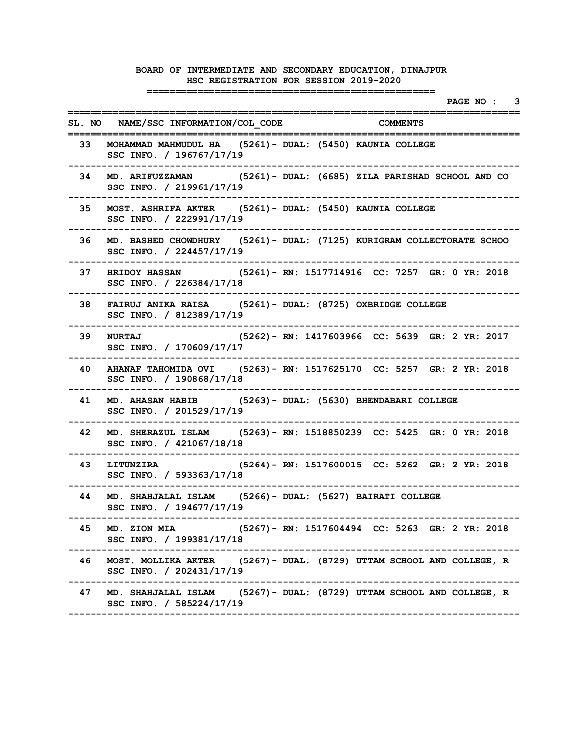|      |                                                                                                    | PAGE NO : 3<br>===================================     |  |
|------|----------------------------------------------------------------------------------------------------|--------------------------------------------------------|--|
|      | SL. NO NAME/SSC INFORMATION/COL CODE<br>===================                                        | <b>COMMENTS</b><br>----------------------------------- |  |
| 33   | MOHAMMAD MAHMUDUL HA (5261) - DUAL: (5450) KAUNIA COLLEGE<br>SSC INFO. / 196767/17/19              |                                                        |  |
| 34   | MD. ARIFUZZAMAN (5261) - DUAL: (6685) ZILA PARISHAD SCHOOL AND CO<br>SSC INFO. / 219961/17/19      |                                                        |  |
| 35   | MOST. ASHRIFA AKTER (5261) - DUAL: (5450) KAUNIA COLLEGE<br>SSC INFO. / 222991/17/19               |                                                        |  |
| 36   | MD. BASHED CHOWDHURY (5261) - DUAL: (7125) KURIGRAM COLLECTORATE SCHOO<br>SSC INFO. / 224457/17/19 |                                                        |  |
| 37   | HRIDOY HASSAN (5261) - RN: 1517714916 CC: 7257 GR: 0 YR: 2018<br>SSC INFO. / 226384/17/18          |                                                        |  |
| 38 - | FAIRUJ ANIKA RAISA (5261) - DUAL: (8725) OXBRIDGE COLLEGE<br>SSC INFO. / 812389/17/19              |                                                        |  |
| 39   | <b>NURTAJ</b><br>SSC INFO. / 170609/17/17                                                          | (5262)- RN: 1417603966 CC: 5639 GR: 2 YR: 2017         |  |
|      | 40 AHANAF TAHOMIDA OVI (5263) - RN: 1517625170 CC: 5257 GR: 2 YR: 2018<br>SSC INFO. / 190868/17/18 |                                                        |  |
| 41   | -----<br>MD. AHASAN HABIB (5263) - DUAL: (5630) BHENDABARI COLLEGE<br>SSC INFO. / 201529/17/19     |                                                        |  |
| 42   | MD. SHERAZUL ISLAM (5263) - RN: 1518850239 CC: 5425 GR: 0 YR: 2018<br>SSC INFO. / 421067/18/18     |                                                        |  |
| 43   | LITUNZIRA (5264) - RN: 1517600015 CC: 5262 GR: 2 YR: 2018<br>SSC INFO. / 593363/17/18              |                                                        |  |
| 44   | MD. SHAHJALAL ISLAM (5266) - DUAL: (5627) BAIRATI COLLEGE<br>SSC INFO. / 194677/17/19              |                                                        |  |
| 45   | MD. ZION MIA (5267) - RN: 1517604494 CC: 5263 GR: 2 YR: 2018<br>SSC INFO. / 199381/17/18           |                                                        |  |
| 46   | MOST. MOLLIKA AKTER (5267) - DUAL: (8729) UTTAM SCHOOL AND COLLEGE, R<br>SSC INFO. / 202431/17/19  |                                                        |  |
| 47   | MD. SHAHJALAL ISLAM (5267) - DUAL: (8729) UTTAM SCHOOL AND COLLEGE, R<br>SSC INFO. / 585224/17/19  |                                                        |  |
|      |                                                                                                    |                                                        |  |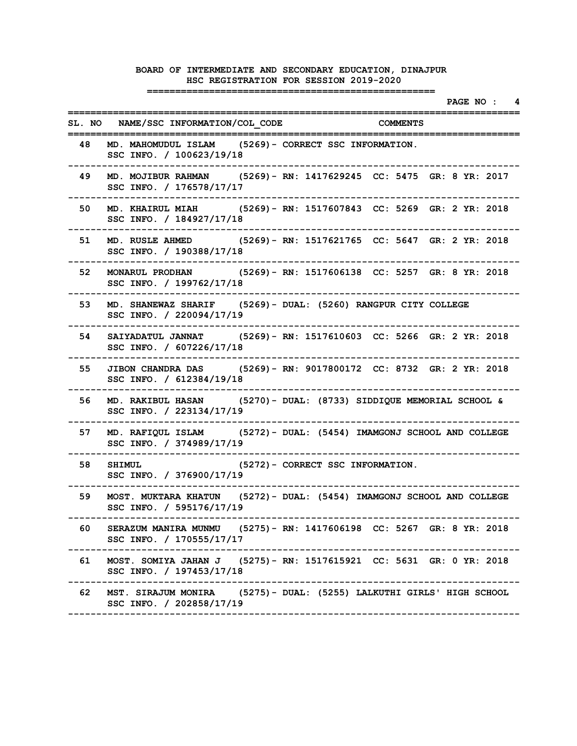|      | ========                                                                                           | ------------------------          | PAGE NO : 4 |
|------|----------------------------------------------------------------------------------------------------|-----------------------------------|-------------|
|      | SL. NO NAME/SSC INFORMATION/COL CODE COMMENTS                                                      |                                   |             |
| 48   | MD. MAHOMUDUL ISLAM (5269) - CORRECT SSC INFORMATION.<br>SSC INFO. / 100623/19/18                  |                                   |             |
| 49   | MD. MOJIBUR RAHMAN (5269) - RN: 1417629245 CC: 5475 GR: 8 YR: 2017<br>SSC INFO. / 176578/17/17     |                                   |             |
| 50   | MD. KHAIRUL MIAH (5269) - RN: 1517607843 CC: 5269 GR: 2 YR: 2018<br>SSC INFO. / 184927/17/18       |                                   |             |
| 51 — | MD. RUSLE AHMED (5269) - RN: 1517621765 CC: 5647 GR: 2 YR: 2018<br>SSC INFO. / 190388/17/18        |                                   |             |
| 52   | MONARUL PRODHAN (5269) - RN: 1517606138 CC: 5257 GR: 8 YR: 2018<br>SSC INFO. / 199762/17/18        |                                   |             |
| 53   | MD. SHANEWAZ SHARIF (5269) - DUAL: (5260) RANGPUR CITY COLLEGE<br>SSC INFO. / 220094/17/19         |                                   |             |
| 54   | SAIYADATUL JANNAT (5269) - RN: 1517610603 CC: 5266 GR: 2 YR: 2018<br>SSC INFO. / 607226/17/18      |                                   |             |
| 55   | JIBON CHANDRA DAS (5269) - RN: 9017800172 CC: 8732 GR: 2 YR: 2018<br>SSC INFO. / 612384/19/18      |                                   |             |
| 56   | MD. RAKIBUL HASAN (5270) - DUAL: (8733) SIDDIQUE MEMORIAL SCHOOL &<br>SSC INFO. / 223134/17/19     |                                   |             |
| 57   | MD. RAFIQUL ISLAM (5272) - DUAL: (5454) IMAMGONJ SCHOOL AND COLLEGE<br>SSC INFO. / 374989/17/19    |                                   |             |
| 58   | SHIMUL<br>SSC INFO. / 376900/17/19                                                                 | (5272) - CORRECT SSC INFORMATION. |             |
| 59   | MOST. MUKTARA KHATUN (5272) - DUAL: (5454) IMAMGONJ SCHOOL AND COLLEGE<br>SSC INFO. / 595176/17/19 |                                   |             |
| 60.  | SERAZUM MANIRA MUNMU (5275) - RN: 1417606198 CC: 5267 GR: 8 YR: 2018<br>SSC INFO. / 170555/17/17   |                                   |             |
| 61   | MOST. SOMIYA JAHAN J (5275) - RN: 1517615921 CC: 5631 GR: 0 YR: 2018<br>SSC INFO. / 197453/17/18   |                                   |             |
| 62   | MST. SIRAJUM MONIRA (5275) - DUAL: (5255) LALKUTHI GIRLS' HIGH SCHOOL<br>SSC INFO. / 202858/17/19  |                                   |             |
|      |                                                                                                    |                                   |             |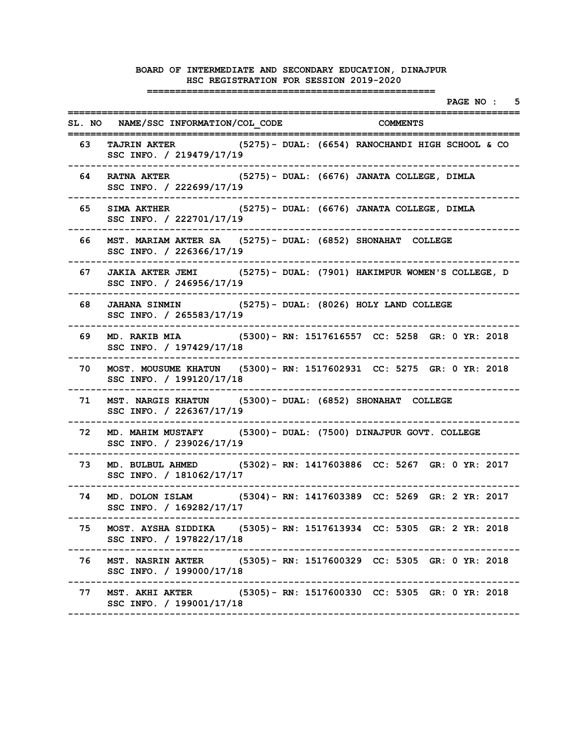|      |                                                                                                                       |  | --------------------------                                | PAGE NO : | 5 |
|------|-----------------------------------------------------------------------------------------------------------------------|--|-----------------------------------------------------------|-----------|---|
|      | SL. NO NAME/SSC INFORMATION/COL CODE                                                                                  |  | <b>COMMENTS</b><br>====================================== |           |   |
| 63 — | TAJRIN AKTER (5275) - DUAL: (6654) RANOCHANDI HIGH SCHOOL & CO<br>SSC INFO. / 219479/17/19                            |  |                                                           |           |   |
| 64 — | RATNA AKTER (5275) - DUAL: (6676) JANATA COLLEGE, DIMLA<br>SSC INFO. / 222699/17/19                                   |  |                                                           |           |   |
| 65 — | SIMA AKTHER (5275) - DUAL: (6676) JANATA COLLEGE, DIMLA<br>SSC INFO. / 222701/17/19                                   |  |                                                           |           |   |
| 66   | MST. MARIAM AKTER SA (5275) - DUAL: (6852) SHONAHAT COLLEGE<br>SSC INFO. / 226366/17/19                               |  |                                                           |           |   |
| 67 - | JAKIA AKTER JEMI (5275) - DUAL: (7901) HAKIMPUR WOMEN'S COLLEGE, D<br>SSC INFO. / 246956/17/19                        |  |                                                           |           |   |
| 68 - | JAHANA SINMIN               (5275) - DUAL: (8026) HOLY LAND COLLEGE<br>SSC INFO. / 265583/17/19                       |  |                                                           |           |   |
| 69   | MD. RAKIB MIA (5300) - RN: 1517616557 CC: 5258 GR: 0 YR: 2018<br>SSC INFO. / 197429/17/18                             |  |                                                           |           |   |
| 70 — | MOST. MOUSUME KHATUN (5300) - RN: 1517602931 CC: 5275 GR: 0 YR: 2018<br>SSC INFO. / 199120/17/18                      |  |                                                           |           |   |
| 71   | MST. NARGIS KHATUN (5300) - DUAL: (6852) SHONAHAT COLLEGE<br>SSC INFO. / 226367/17/19                                 |  |                                                           |           |   |
| 72   | MD. MAHIM MUSTAFY (5300) - DUAL: (7500) DINAJPUR GOVT. COLLEGE<br>SSC INFO. / 239026/17/19                            |  |                                                           |           |   |
| 73 — | MD. BULBUL AHMED (5302) - RN: 1417603886 CC: 5267 GR: 0 YR: 2017<br>SSC INFO. / 181062/17/17                          |  |                                                           |           |   |
| 74   | MD. DOLON ISLAM (5304) - RN: 1417603389 CC: 5269 GR: 2 YR: 2017<br>SSC INFO. / 169282/17/17                           |  |                                                           |           |   |
| 75   | MOST. AYSHA SIDDIKA     (5305)- RN: 1517613934  CC: 5305  GR: 2 YR: 2018<br>SSC INFO. / 197822/17/18                  |  |                                                           |           |   |
| 76 — | MST. NASRIN AKTER (5305) - RN: 1517600329 CC: 5305 GR: 0 YR: 2018<br>SSC INFO. / 199000/17/18                         |  |                                                           |           |   |
| 77 — | MST. AKHI AKTER (5305) - RN: 1517600330 CC: 5305 GR: 0 YR: 2018<br>SSC INFO. / 199001/17/18<br>---------------------- |  |                                                           |           |   |
|      |                                                                                                                       |  |                                                           |           |   |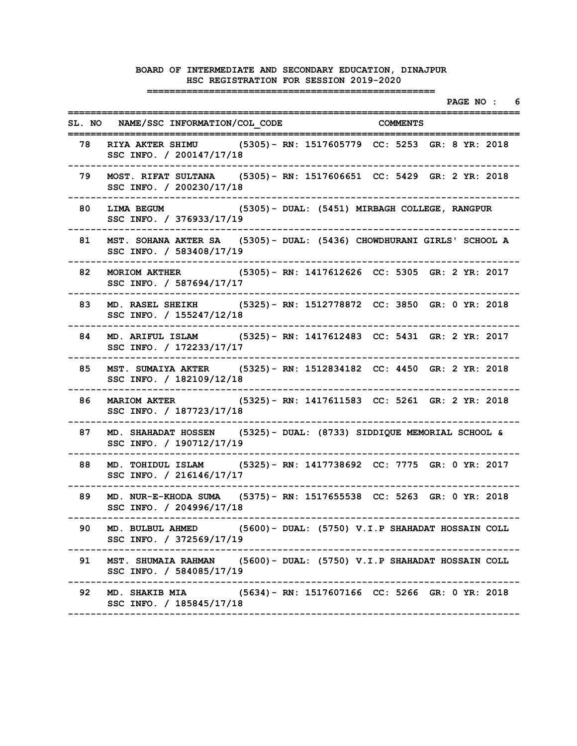|      |                                                                                                                          | ;================================== | PAGE NO : 6 |
|------|--------------------------------------------------------------------------------------------------------------------------|-------------------------------------|-------------|
|      | SL. NO NAME/SSC INFORMATION/COL CODE COMMENTS                                                                            |                                     |             |
|      | 78 RIYA AKTER SHIMU (5305) - RN: 1517605779 CC: 5253 GR: 8 YR: 2018<br>SSC INFO. / 200147/17/18                          |                                     |             |
| 79 — | ---------------------<br>MOST. RIFAT SULTANA (5305) - RN: 1517606651 CC: 5429 GR: 2 YR: 2018<br>SSC INFO. / 200230/17/18 |                                     |             |
| 80.  | LIMA BEGUM (5305) - DUAL: (5451) MIRBAGH COLLEGE, RANGPUR<br>SSC INFO. / 376933/17/19                                    |                                     |             |
| 81   | MST. SOHANA AKTER SA (5305) - DUAL: (5436) CHOWDHURANI GIRLS' SCHOOL A<br>SSC INFO. / 583408/17/19                       |                                     |             |
| 82   | MORIOM AKTHER (5305) - RN: 1417612626 CC: 5305 GR: 2 YR: 2017<br>SSC INFO. / 587694/17/17                                |                                     |             |
| 83   | MD. RASEL SHEIKH (5325) - RN: 1512778872 CC: 3850 GR: 0 YR: 2018<br>SSC INFO. / 155247/12/18                             |                                     |             |
| 84   | MD. ARIFUL ISLAM (5325) - RN: 1417612483 CC: 5431 GR: 2 YR: 2017<br>SSC INFO. / 172233/17/17                             |                                     |             |
| 85   | ----------------------<br>MST. SUMAIYA AKTER (5325) - RN: 1512834182 CC: 4450 GR: 2 YR: 2018<br>SSC INFO. / 182109/12/18 |                                     |             |
| 86   | MARIOM AKTER (5325) - RN: 1417611583 CC: 5261 GR: 2 YR: 2018<br>SSC INFO. / 187723/17/18                                 |                                     |             |
| 87   | MD. SHAHADAT HOSSEN (5325) - DUAL: (8733) SIDDIQUE MEMORIAL SCHOOL &<br>SSC INFO. / 190712/17/19                         |                                     |             |
| 88   | MD. TOHIDUL ISLAM (5325) - RN: 1417738692 CC: 7775 GR: 0 YR: 2017<br>SSC INFO. / 216146/17/17                            |                                     |             |
| 89   | MD. NUR-E-KHODA SUMA (5375) - RN: 1517655538 CC: 5263 GR: 0 YR: 2018<br>SSC INFO. / 204996/17/18                         |                                     |             |
| 90.  | MD. BULBUL AHMED (5600) - DUAL: (5750) V.I.P SHAHADAT HOSSAIN COLL<br>SSC INFO. / 372569/17/19                           |                                     |             |
| 91   | MST. SHUMAIA RAHMAN (5600) - DUAL: (5750) V.I.P SHAHADAT HOSSAIN COLL<br>SSC INFO. / 584085/17/19                        |                                     |             |
| 92   | MD. SHAKIB MIA (5634) - RN: 1517607166 CC: 5266 GR: 0 YR: 2018<br>SSC INFO. / 185845/17/18                               |                                     |             |
|      |                                                                                                                          |                                     |             |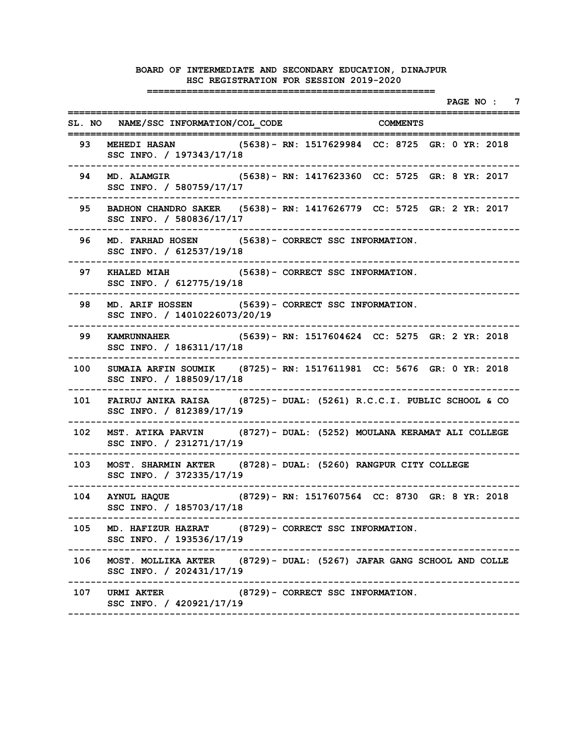|       | PAGE NO : 7<br>----------------------------------                                                                             |
|-------|-------------------------------------------------------------------------------------------------------------------------------|
|       | SL. NO NAME/SSC INFORMATION/COL CODE<br><b>COMMENTS</b><br>==================<br>======================                       |
| 93    | <b>MEHEDI HASAN</b><br>(5638) – RN: 1517629984 CC: 8725 GR: 0 YR: 2018<br>SSC INFO. / 197343/17/18                            |
| 94    | MD. ALAMGIR (5638) - RN: 1417623360 CC: 5725 GR: 8 YR: 2017<br>SSC INFO. / 580759/17/17<br>-------------------                |
| 95    | BADHON CHANDRO SAKER (5638) - RN: 1417626779 CC: 5725 GR: 2 YR: 2017<br>SSC INFO. / 580836/17/17<br>--------------------      |
| 96    | MD. FARHAD HOSEN (5638) - CORRECT SSC INFORMATION.<br>SSC INFO. / 612537/19/18                                                |
| 97    | KHALED MIAH (5638) - CORRECT SSC INFORMATION.<br>SSC INFO. / 612775/19/18                                                     |
| 98.   | MD. ARIF HOSSEN (5639) - CORRECT SSC INFORMATION.<br>SSC INFO. / 14010226073/20/19                                            |
| 99    | (5639)- RN: 1517604624 CC: 5275 GR: 2 YR: 2018<br><b>KAMRUNNAHER</b><br>SSC INFO. / 186311/17/18                              |
|       | 100 SUMAIA ARFIN SOUMIK (8725) - RN: 1517611981 CC: 5676 GR: 0 YR: 2018<br>SSC INFO. / 188509/17/18                           |
|       | ---------------------<br>101 FAIRUJ ANIKA RAISA (8725) - DUAL: (5261) R.C.C.I. PUBLIC SCHOOL & CO<br>SSC INFO. / 812389/17/19 |
| 102   | MST. ATIKA PARVIN (8727) - DUAL: (5252) MOULANA KERAMAT ALI COLLEGE<br>SSC INFO. / 231271/17/19                               |
| 103   | MOST. SHARMIN AKTER (8728) - DUAL: (5260) RANGPUR CITY COLLEGE<br>SSC INFO. / 372335/17/19                                    |
| 104   | AYNUL HAQUE (8729) - RN: 1517607564 CC: 8730 GR: 8 YR: 2018<br>SSC INFO. / 185703/17/18                                       |
|       | 105 MD. HAFIZUR HAZRAT (8729) - CORRECT SSC INFORMATION.<br>SSC INFO. / 193536/17/19                                          |
| 106 — | MOST. MOLLIKA AKTER (8729) - DUAL: (5267) JAFAR GANG SCHOOL AND COLLE<br>SSC INFO. / 202431/17/19                             |
|       | 107 URMI AKTER<br>(8729) - CORRECT SSC INFORMATION.<br>SSC INFO. / 420921/17/19                                               |
|       |                                                                                                                               |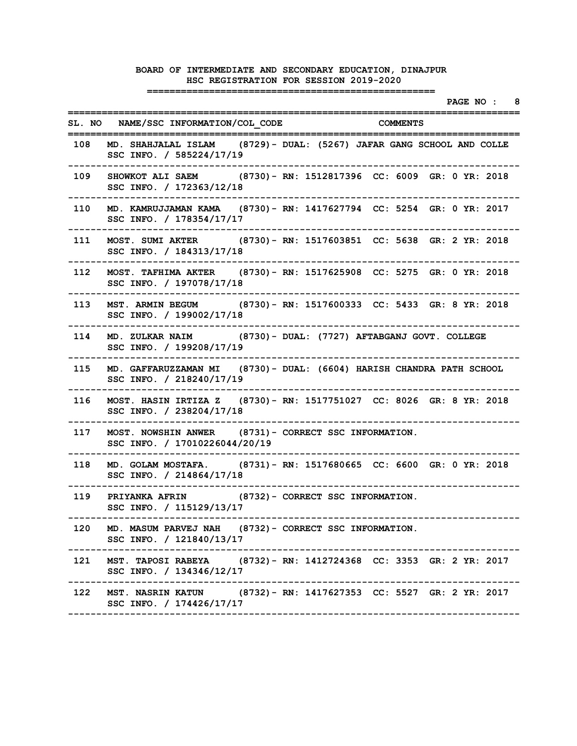|     |                                                                                                       | =====================<br>========== | PAGE NO : 8 |
|-----|-------------------------------------------------------------------------------------------------------|-------------------------------------|-------------|
|     | SL. NO NAME/SSC INFORMATION/COL CODE COMMENTS                                                         |                                     |             |
|     | 108 MD. SHAHJALAL ISLAM (8729) - DUAL: (5267) JAFAR GANG SCHOOL AND COLLE<br>SSC INFO. / 585224/17/19 |                                     |             |
| 109 | SHOWKOT ALI SAEM (8730) - RN: 1512817396 CC: 6009 GR: 0 YR: 2018<br>SSC INFO. / 172363/12/18          |                                     |             |
| 110 | MD. KAMRUJJAMAN KAMA (8730)- RN: 1417627794 CC: 5254 GR: 0 YR: 2017<br>SSC INFO. / 178354/17/17       |                                     |             |
| 111 | MOST. SUMI AKTER (8730) - RN: 1517603851 CC: 5638 GR: 2 YR: 2018<br>SSC INFO. / 184313/17/18          |                                     |             |
| 112 | MOST. TAFHIMA AKTER (8730) - RN: 1517625908 CC: 5275 GR: 0 YR: 2018<br>SSC INFO. / 197078/17/18       |                                     |             |
| 113 | MST. ARMIN BEGUM (8730) - RN: 1517600333 CC: 5433 GR: 8 YR: 2018<br>SSC INFO. / 199002/17/18          |                                     |             |
|     | 114 MD. ZULKAR NAIM (8730) - DUAL: (7727) AFTABGANJ GOVT. COLLEGE<br>SSC INFO. / 199208/17/19         |                                     |             |
|     | 115 MD. GAFFARUZZAMAN MI (8730) - DUAL: (6604) HARISH CHANDRA PATH SCHOOL<br>SSC INFO. / 218240/17/19 |                                     |             |
| 116 | MOST. HASIN IRTIZA Z (8730) - RN: 1517751027 CC: 8026 GR: 8 YR: 2018<br>SSC INFO. / 238204/17/18      |                                     |             |
| 117 | MOST. NOWSHIN ANWER (8731) - CORRECT SSC INFORMATION.<br>SSC INFO. / 17010226044/20/19                |                                     |             |
| 118 | MD. GOLAM MOSTAFA. (8731) - RN: 1517680665 CC: 6600 GR: 0 YR: 2018<br>SSC INFO. / 214864/17/18        |                                     |             |
| 119 | PRIYANKA AFRIN (8732) - CORRECT SSC INFORMATION.<br>SSC INFO. / 115129/13/17                          |                                     |             |
|     | 120 MD. MASUM PARVEJ NAH (8732) - CORRECT SSC INFORMATION.<br>SSC INFO. / 121840/13/17                |                                     |             |
| 121 | MST. TAPOSI RABEYA (8732) - RN: 1412724368 CC: 3353 GR: 2 YR: 2017<br>SSC INFO. / 134346/12/17        |                                     |             |
|     | 122 MST. NASRIN KATUN (8732) - RN: 1417627353 CC: 5527 GR: 2 YR: 2017<br>SSC INFO. / 174426/17/17     |                                     |             |
|     |                                                                                                       |                                     |             |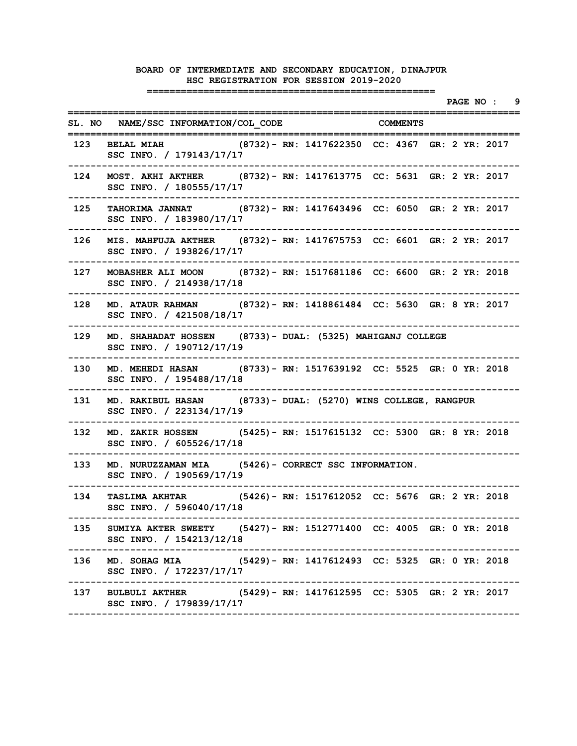|     |                                                                                                                          |  |  | PAGE NO : 9 |
|-----|--------------------------------------------------------------------------------------------------------------------------|--|--|-------------|
|     | SL. NO NAME/SSC INFORMATION/COL CODE COMMENTS<br>===========                                                             |  |  |             |
|     | 123 BELAL MIAH (8732) - RN: 1417622350 CC: 4367 GR: 2 YR: 2017<br>SSC INFO. / 179143/17/17                               |  |  |             |
| 124 | MOST. AKHI AKTHER (8732) - RN: 1417613775 CC: 5631 GR: 2 YR: 2017<br>SSC INFO. / 180555/17/17                            |  |  |             |
| 125 | TAHORIMA JANNAT (8732) - RN: 1417643496 CC: 6050 GR: 2 YR: 2017<br>SSC INFO. / 183980/17/17                              |  |  |             |
| 126 | MIS. MAHFUJA AKTHER (8732) - RN: 1417675753 CC: 6601 GR: 2 YR: 2017<br>SSC INFO. / 193826/17/17                          |  |  |             |
| 127 | MOBASHER ALI MOON (8732) - RN: 1517681186 CC: 6600 GR: 2 YR: 2018<br>SSC INFO. / 214938/17/18                            |  |  |             |
| 128 | MD. ATAUR RAHMAN (8732) - RN: 1418861484 CC: 5630 GR: 8 YR: 2017<br>SSC INFO. / 421508/18/17                             |  |  |             |
| 129 | MD. SHAHADAT HOSSEN (8733) - DUAL: (5325) MAHIGANJ COLLEGE<br>SSC INFO. / 190712/17/19                                   |  |  |             |
| 130 | MD. MEHEDI HASAN (8733) - RN: 1517639192 CC: 5525 GR: 0 YR: 2018<br>SSC INFO. / 195488/17/18                             |  |  |             |
| 131 | MD. RAKIBUL HASAN (8733) - DUAL: (5270) WINS COLLEGE, RANGPUR<br>SSC INFO. / 223134/17/19                                |  |  |             |
| 132 | MD. ZAKIR HOSSEN (5425) - RN: 1517615132 CC: 5300 GR: 8 YR: 2018<br>SSC INFO. / 605526/17/18                             |  |  |             |
| 133 | MD. NURUZZAMAN MIA (5426) - CORRECT SSC INFORMATION.<br>SSC INFO. / 190569/17/19                                         |  |  |             |
| 134 | TASLIMA AKHTAR (5426) - RN: 1517612052 CC: 5676 GR: 2 YR: 2018<br>SSC INFO. / 596040/17/18                               |  |  |             |
| 135 | SUMIYA AKTER SWEETY (5427) - RN: 1512771400 CC: 4005 GR: 0 YR: 2018<br>SSC INFO. / 154213/12/18                          |  |  |             |
| 136 | MD. SOHAG MIA (5429) - RN: 1417612493 CC: 5325 GR: 0 YR: 2018<br>SSC INFO. / 172237/17/17<br>--------------------------- |  |  |             |
|     | 137 BULBULI AKTHER (5429) - RN: 1417612595 CC: 5305 GR: 2 YR: 2017<br>SSC INFO. / 179839/17/17                           |  |  |             |
|     |                                                                                                                          |  |  |             |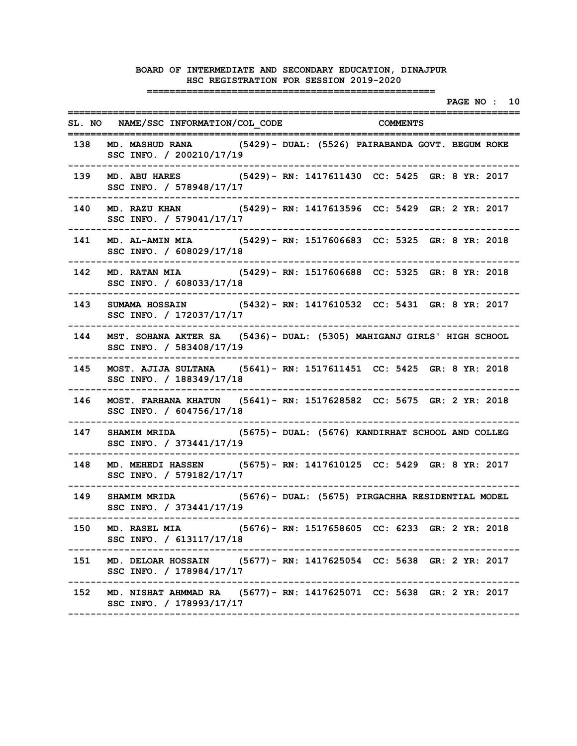|     |                                                                                                                             |  |  |                 |  | PAGE NO : 10 |  |
|-----|-----------------------------------------------------------------------------------------------------------------------------|--|--|-----------------|--|--------------|--|
|     | SL. NO NAME/SSC INFORMATION/COL CODE COMMENTS                                                                               |  |  |                 |  |              |  |
| 138 | MD. MASHUD RANA (5429) - DUAL: (5526) PAIRABANDA GOVT. BEGUM ROKE<br>SSC INFO. / 200210/17/19                               |  |  |                 |  |              |  |
| 139 | MD. ABU HARES (5429) - RN: 1417611430 CC: 5425 GR: 8 YR: 2017<br>SSC INFO. / 578948/17/17                                   |  |  |                 |  |              |  |
| 140 | MD. RAZU KHAN (5429) - RN: 1417613596 CC: 5429 GR: 2 YR: 2017<br>SSC INFO. / 579041/17/17                                   |  |  |                 |  |              |  |
| 141 | MD. AL-AMIN MIA (5429) - RN: 1517606683 CC: 5325 GR: 8 YR: 2018<br>SSC INFO. / 608029/17/18                                 |  |  |                 |  |              |  |
| 142 | MD. RATAN MIA (5429) - RN: 1517606688 CC: 5325 GR: 8 YR: 2018<br>SSC INFO. / 608033/17/18                                   |  |  |                 |  |              |  |
| 143 | SUMAMA HOSSAIN (5432) - RN: 1417610532 CC: 5431 GR: 8 YR: 2017<br>SSC INFO. / 172037/17/17                                  |  |  |                 |  |              |  |
| 144 | MST. SOHANA AKTER SA (5436) - DUAL: (5305) MAHIGANJ GIRLS' HIGH SCHOOL<br>SSC INFO. / 583408/17/19                          |  |  |                 |  |              |  |
| 145 | MOST. AJIJA SULTANA (5641) - RN: 1517611451 CC: 5425 GR: 8 YR: 2018<br>SSC INFO. / 188349/17/18                             |  |  |                 |  |              |  |
| 146 | MOST. FARHANA KHATUN (5641)- RN: 1517628582 CC: 5675 GR: 2 YR: 2018<br>SSC INFO. / 604756/17/18                             |  |  |                 |  |              |  |
| 147 | SHAMIM MRIDA (5675) - DUAL: (5676) KANDIRHAT SCHOOL AND COLLEG<br>SSC INFO. / 373441/17/19                                  |  |  |                 |  |              |  |
| 148 | MD. MEHEDI HASSEN (5675) - RN: 1417610125 CC: 5429 GR: 8 YR: 2017<br>SSC INFO. / 579182/17/17                               |  |  |                 |  |              |  |
| 149 | SHAMIM MRIDA (5676) - DUAL: (5675) PIRGACHHA RESIDENTIAL MODEL<br>SSC INFO. / 373441/17/19                                  |  |  |                 |  |              |  |
|     | 150 MD. RASEL MIA (5676) - RN: 1517658605 CC: 6233 GR: 2 YR: 2018<br>SSC INFO. / 613117/17/18                               |  |  | --------------- |  |              |  |
|     | ---------------------<br>151 MD. DELOAR HOSSAIN (5677) - RN: 1417625054 CC: 5638 GR: 2 YR: 2017<br>SSC INFO. / 178984/17/17 |  |  |                 |  |              |  |
| 152 | MD. NISHAT AHMMAD RA (5677) - RN: 1417625071 CC: 5638 GR: 2 YR: 2017<br>SSC INFO. / 178993/17/17                            |  |  |                 |  |              |  |
|     |                                                                                                                             |  |  |                 |  |              |  |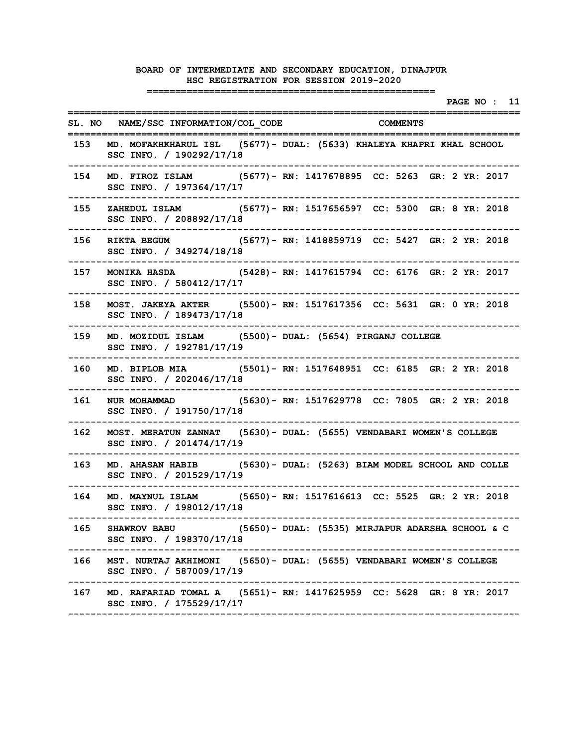|       |                                                                                                      | . <u>___________________________</u> ________          | PAGE NO : 11 |
|-------|------------------------------------------------------------------------------------------------------|--------------------------------------------------------|--------------|
|       | SL. NO NAME/SSC INFORMATION/COL CODE<br>=================                                            | <b>COMMENTS</b><br>----------------------------------- |              |
|       | 153 MD. MOFAKHKHARUL ISL (5677)- DUAL: (5633) KHALEYA KHAPRI KHAL SCHOOL<br>SSC INFO. / 190292/17/18 |                                                        |              |
| 154   | MD. FIROZ ISLAM (5677) - RN: 1417678895 CC: 5263 GR: 2 YR: 2017<br>SSC INFO. / 197364/17/17          |                                                        |              |
| 155   | ZAHEDUL ISLAM (5677) - RN: 1517656597 CC: 5300 GR: 8 YR: 2018<br>SSC INFO. / 208892/17/18            |                                                        |              |
| 156   | RIKTA BEGUM (5677) - RN: 1418859719 CC: 5427 GR: 2 YR: 2018<br>SSC INFO. / 349274/18/18              |                                                        |              |
| 157 — | MONIKA HASDA (5428) - RN: 1417615794 CC: 6176 GR: 2 YR: 2017<br>SSC INFO. / 580412/17/17             |                                                        |              |
| 158 — | MOST. JAKEYA AKTER (5500) - RN: 1517617356 CC: 5631 GR: 0 YR: 2018<br>SSC INFO. / 189473/17/18       |                                                        |              |
|       | 159 MD. MOZIDUL ISLAM (5500) - DUAL: (5654) PIRGANJ COLLEGE<br>SSC INFO. / 192781/17/19              |                                                        |              |
| 160 - | MD. BIPLOB MIA (5501) - RN: 1517648951 CC: 6185 GR: 2 YR: 2018<br>SSC INFO. / 202046/17/18           |                                                        |              |
| 161 - | NUR MOHAMMAD (5630) - RN: 1517629778 CC: 7805 GR: 2 YR: 2018<br>SSC INFO. / 191750/17/18             |                                                        |              |
| 162   | MOST. MERATUN ZANNAT (5630) - DUAL: (5655) VENDABARI WOMEN'S COLLEGE<br>SSC INFO. / 201474/17/19     |                                                        |              |
| 163   | MD. AHASAN HABIB (5630) - DUAL: (5263) BIAM MODEL SCHOOL AND COLLE<br>SSC INFO. / 201529/17/19       |                                                        |              |
| 164   | MD. MAYNUL ISLAM (5650) - RN: 1517616613 CC: 5525 GR: 2 YR: 2018<br>SSC INFO. / 198012/17/18         |                                                        |              |
|       | 165 SHAWROV BABU (5650) - DUAL: (5535) MIRJAPUR ADARSHA SCHOOL & C<br>SSC INFO. / 198370/17/18       |                                                        |              |
|       | 166 MST. NURTAJ AKHIMONI (5650)- DUAL: (5655) VENDABARI WOMEN'S COLLEGE<br>SSC INFO. / 587009/17/19  |                                                        |              |
|       | 167 MD. RAFARIAD TOMAL A (5651) - RN: 1417625959 CC: 5628 GR: 8 YR: 2017<br>SSC INFO. / 175529/17/17 |                                                        |              |
|       |                                                                                                      |                                                        |              |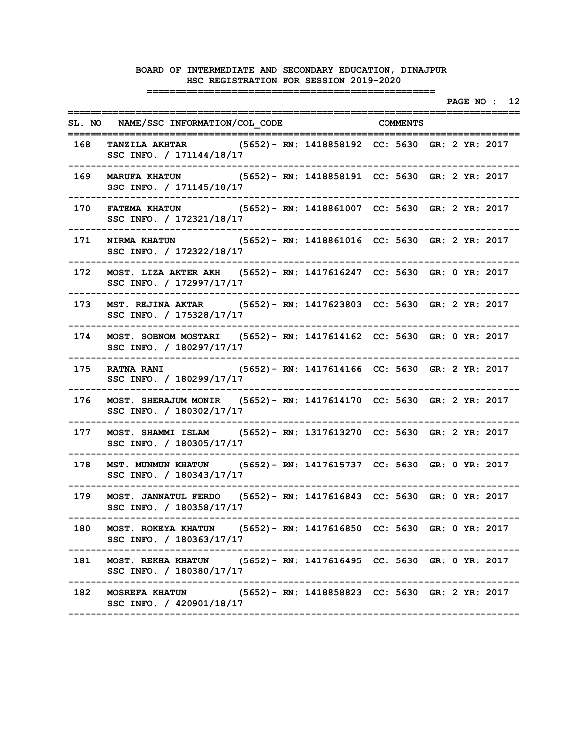|     |                                                                                                     |  |  |  |  | PAGE NO : 12 |  |
|-----|-----------------------------------------------------------------------------------------------------|--|--|--|--|--------------|--|
|     | SL. NO NAME/SSC INFORMATION/COL CODE COMMENTS<br>:==========                                        |  |  |  |  |              |  |
| 168 | TANZILA AKHTAR (5652) - RN: 1418858192 CC: 5630 GR: 2 YR: 2017<br>SSC INFO. / 171144/18/17          |  |  |  |  |              |  |
| 169 | MARUFA KHATUN (5652) - RN: 1418858191 CC: 5630 GR: 2 YR: 2017<br>SSC INFO. / 171145/18/17           |  |  |  |  |              |  |
| 170 | FATEMA KHATUN (5652) - RN: 1418861007 CC: 5630 GR: 2 YR: 2017<br>SSC INFO. / 172321/18/17           |  |  |  |  |              |  |
| 171 | NIRMA KHATUN (5652) - RN: 1418861016 CC: 5630 GR: 2 YR: 2017<br>SSC INFO. / 172322/18/17            |  |  |  |  |              |  |
| 172 | MOST. LIZA AKTER AKH (5652) - RN: 1417616247 CC: 5630 GR: 0 YR: 2017<br>SSC INFO. / 172997/17/17    |  |  |  |  |              |  |
| 173 | MST. REJINA AKTAR (5652) - RN: 1417623803 CC: 5630 GR: 2 YR: 2017<br>SSC INFO. / 175328/17/17       |  |  |  |  |              |  |
| 174 | MOST. SOBNOM MOSTARI (5652) - RN: 1417614162 CC: 5630 GR: 0 YR: 2017<br>SSC INFO. / 180297/17/17    |  |  |  |  |              |  |
| 175 | RATNA RANI (5652) – RN: 1417614166 CC: 5630 GR: 2 YR: 2017<br>SSC INFO. / 180299/17/17              |  |  |  |  |              |  |
| 176 | MOST. SHERAJUM MONIR (5652) - RN: 1417614170 CC: 5630 GR: 2 YR: 2017<br>SSC INFO. / 180302/17/17    |  |  |  |  |              |  |
| 177 | MOST. SHAMMI ISLAM (5652) - RN: 1317613270 CC: 5630 GR: 2 YR: 2017<br>SSC INFO. / 180305/17/17      |  |  |  |  |              |  |
| 178 | MST. MUNMUN KHATUN (5652) - RN: 1417615737 CC: 5630 GR: 0 YR: 2017<br>SSC INFO. / 180343/17/17      |  |  |  |  |              |  |
| 179 | MOST. JANNATUL FERDO (5652) - RN: 1417616843 CC: 5630 GR: 0 YR: 2017<br>SSC INFO. / 180358/17/17    |  |  |  |  |              |  |
|     | 180 MOST. ROKEYA KHATUN (5652) - RN: 1417616850 CC: 5630 GR: 0 YR: 2017<br>SSC INFO. / 180363/17/17 |  |  |  |  |              |  |
| 181 | MOST. REKHA KHATUN (5652) - RN: 1417616495 CC: 5630 GR: 0 YR: 2017<br>SSC INFO. / 180380/17/17      |  |  |  |  |              |  |
|     | 182 MOSREFA KHATUN (5652) - RN: 1418858823 CC: 5630 GR: 2 YR: 2017<br>SSC INFO. / 420901/18/17      |  |  |  |  |              |  |
|     |                                                                                                     |  |  |  |  |              |  |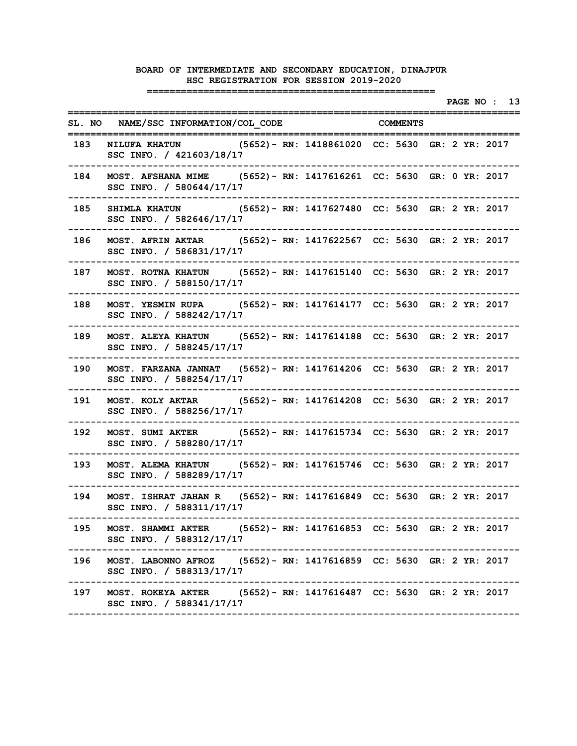|       |                                                                                                      |  | --------------------------------- |  |  | PAGE NO : 13 |  |
|-------|------------------------------------------------------------------------------------------------------|--|-----------------------------------|--|--|--------------|--|
|       | SL. NO NAME/SSC INFORMATION/COL CODE THE COMMENTS                                                    |  |                                   |  |  |              |  |
|       | 183 NILUFA KHATUN (5652) - RN: 1418861020 CC: 5630 GR: 2 YR: 2017<br>SSC INFO. / 421603/18/17        |  |                                   |  |  |              |  |
|       | 184 MOST. AFSHANA MIME (5652) - RN: 1417616261 CC: 5630 GR: 0 YR: 2017<br>SSC INFO. / 580644/17/17   |  |                                   |  |  |              |  |
| 185   | SHIMLA KHATUN (5652) - RN: 1417627480 CC: 5630 GR: 2 YR: 2017<br>SSC INFO. / 582646/17/17            |  |                                   |  |  |              |  |
| 186   | MOST. AFRIN AKTAR (5652) - RN: 1417622567 CC: 5630 GR: 2 YR: 2017<br>SSC INFO. / 586831/17/17        |  |                                   |  |  |              |  |
| 187 - | MOST. ROTNA KHATUN (5652) - RN: 1417615140 CC: 5630 GR: 2 YR: 2017<br>SSC INFO. / 588150/17/17       |  |                                   |  |  |              |  |
| 188   | MOST. YESMIN RUPA (5652) - RN: 1417614177 CC: 5630 GR: 2 YR: 2017<br>SSC INFO. / 588242/17/17        |  |                                   |  |  |              |  |
| 189   | MOST. ALEYA KHATUN (5652) - RN: 1417614188 CC: 5630 GR: 2 YR: 2017<br>SSC INFO. / 588245/17/17       |  |                                   |  |  |              |  |
|       | 190 MOST. FARZANA JANNAT (5652) - RN: 1417614206 CC: 5630 GR: 2 YR: 2017<br>SSC INFO. / 588254/17/17 |  |                                   |  |  |              |  |
| 191   | MOST. KOLY AKTAR (5652) - RN: 1417614208 CC: 5630 GR: 2 YR: 2017<br>SSC INFO. / 588256/17/17         |  |                                   |  |  |              |  |
| 192   | MOST. SUMI AKTER (5652) - RN: 1417615734 CC: 5630 GR: 2 YR: 2017<br>SSC INFO. / 588280/17/17         |  |                                   |  |  |              |  |
| 193   | MOST. ALEMA KHATUN (5652) - RN: 1417615746 CC: 5630 GR: 2 YR: 2017<br>SSC INFO. / 588289/17/17       |  |                                   |  |  |              |  |
| 194   | MOST. ISHRAT JAHAN R (5652) - RN: 1417616849 CC: 5630 GR: 2 YR: 2017<br>SSC INFO. / 588311/17/17     |  |                                   |  |  |              |  |
|       | 195 MOST. SHAMMI AKTER (5652) - RN: 1417616853 CC: 5630 GR: 2 YR: 2017<br>SSC INFO. / 588312/17/17   |  |                                   |  |  |              |  |
| 196   | MOST. LABONNO AFROZ (5652) - RN: 1417616859 CC: 5630 GR: 2 YR: 2017<br>SSC INFO. / 588313/17/17      |  |                                   |  |  |              |  |
|       | 197 MOST. ROKEYA AKTER (5652) - RN: 1417616487 CC: 5630 GR: 2 YR: 2017<br>SSC INFO. / 588341/17/17   |  |                                   |  |  |              |  |
|       |                                                                                                      |  |                                   |  |  |              |  |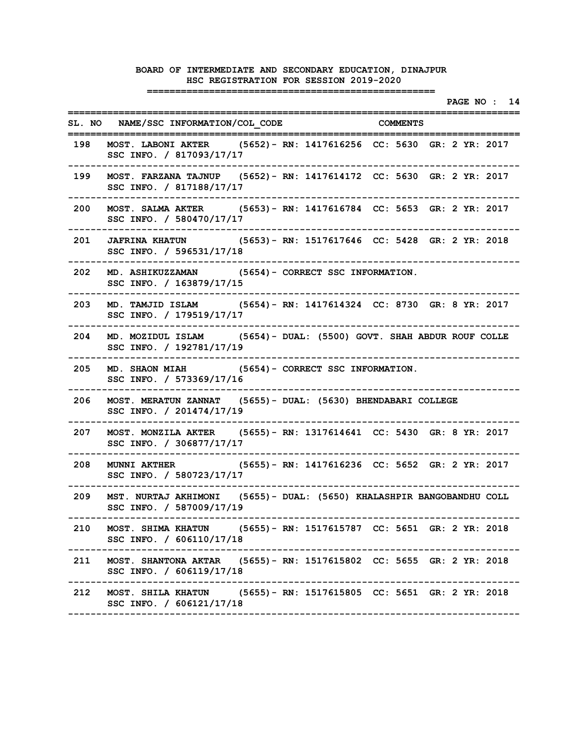|     |                                                                                                                                   |  |                                 |  |  | PAGE NO : 14 |  |
|-----|-----------------------------------------------------------------------------------------------------------------------------------|--|---------------------------------|--|--|--------------|--|
|     | SL. NO NAME/SSC INFORMATION/COL CODE COMMENTS<br>==========                                                                       |  |                                 |  |  |              |  |
| 198 | MOST. LABONI AKTER (5652) - RN: 1417616256 CC: 5630 GR: 2 YR: 2017<br>SSC INFO. / 817093/17/17                                    |  |                                 |  |  |              |  |
| 199 | MOST. FARZANA TAJNUP (5652)- RN: 1417614172 CC: 5630 GR: 2 YR: 2017<br>SSC INFO. / 817188/17/17                                   |  |                                 |  |  |              |  |
| 200 | MOST. SALMA AKTER (5653) - RN: 1417616784 CC: 5653 GR: 2 YR: 2017<br>SSC INFO. / 580470/17/17                                     |  |                                 |  |  |              |  |
| 201 | JAFRINA KHATUN (5653) - RN: 1517617646 CC: 5428 GR: 2 YR: 2018<br>SSC INFO. / 596531/17/18                                        |  |                                 |  |  |              |  |
| 202 | MD. ASHIKUZZAMAN (5654) - CORRECT SSC INFORMATION.<br>SSC INFO. / 163879/17/15                                                    |  |                                 |  |  |              |  |
| 203 | MD. TAMJID ISLAM (5654) - RN: 1417614324 CC: 8730 GR: 8 YR: 2017<br>SSC INFO. / 179519/17/17                                      |  |                                 |  |  |              |  |
| 204 | MD. MOZIDUL ISLAM (5654) - DUAL: (5500) GOVT. SHAH ABDUR ROUF COLLE<br>SSC INFO. / 192781/17/19                                   |  |                                 |  |  |              |  |
| 205 | MD. SHAON MIAH (5654) - CORRECT SSC INFORMATION.<br>SSC INFO. / 573369/17/16                                                      |  |                                 |  |  |              |  |
| 206 | MOST. MERATUN ZANNAT (5655) - DUAL: (5630) BHENDABARI COLLEGE<br>SSC INFO. / 201474/17/19                                         |  |                                 |  |  |              |  |
| 207 | MOST. MONZILA AKTER (5655) - RN: 1317614641 CC: 5430 GR: 8 YR: 2017<br>SSC INFO. / 306877/17/17                                   |  |                                 |  |  |              |  |
| 208 | (5655)- RN: 1417616236 CC: 5652 GR: 2 YR: 2017<br><b>MUNNI AKTHER</b><br>SSC INFO. / 580723/17/17                                 |  |                                 |  |  |              |  |
| 209 | MST. NURTAJ AKHIMONI (5655)- DUAL: (5650) KHALASHPIR BANGOBANDHU COLL<br>SSC INFO. / 587009/17/19                                 |  |                                 |  |  |              |  |
|     | ---------------------------<br>210 MOST. SHIMA KHATUN (5655) - RN: 1517615787 CC: 5651 GR: 2 YR: 2018<br>SSC INFO. / 606110/17/18 |  | ------------------------------- |  |  |              |  |
| 211 | MOST. SHANTONA AKTAR (5655) - RN: 1517615802 CC: 5655 GR: 2 YR: 2018<br>SSC INFO. / 606119/17/18                                  |  |                                 |  |  |              |  |
|     | 212 MOST. SHILA KHATUN (5655) - RN: 1517615805 CC: 5651 GR: 2 YR: 2018<br>SSC INFO. / 606121/17/18                                |  |                                 |  |  |              |  |
|     |                                                                                                                                   |  |                                 |  |  |              |  |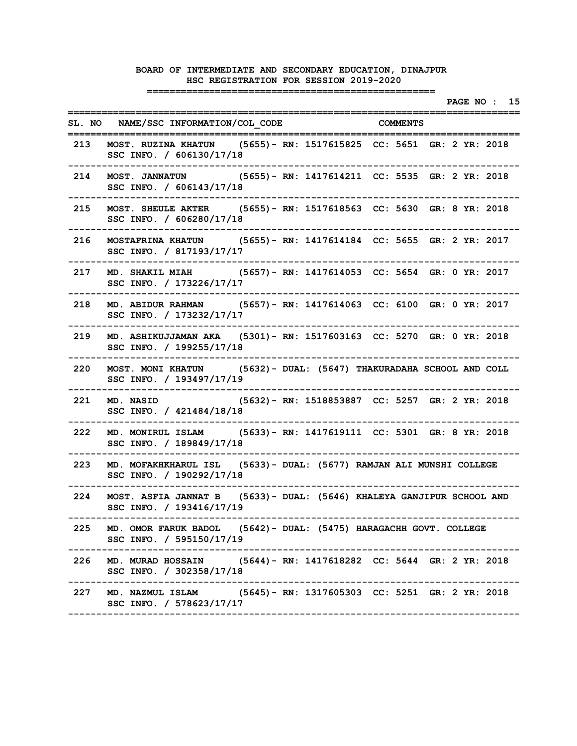|     |                                                                                                    | PAGE NO : 15 |
|-----|----------------------------------------------------------------------------------------------------|--------------|
|     | SL. NO NAME/SSC INFORMATION/COL CODE COMMENTS                                                      |              |
| 213 | MOST. RUZINA KHATUN (5655)- RN: 1517615825 CC: 5651 GR: 2 YR: 2018<br>SSC INFO. / 606130/17/18     |              |
| 214 | MOST. JANNATUN (5655) - RN: 1417614211 CC: 5535 GR: 2 YR: 2018<br>SSC INFO. / 606143/17/18         |              |
| 215 | MOST. SHEULE AKTER (5655) - RN: 1517618563 CC: 5630 GR: 8 YR: 2018<br>SSC INFO. / 606280/17/18     |              |
| 216 | MOSTAFRINA KHATUN (5655) - RN: 1417614184 CC: 5655 GR: 2 YR: 2017<br>SSC INFO. / 817193/17/17      |              |
| 217 | MD. SHAKIL MIAH (5657) - RN: 1417614053 CC: 5654 GR: 0 YR: 2017<br>SSC INFO. / 173226/17/17        |              |
| 218 | MD. ABIDUR RAHMAN (5657) - RN: 1417614063 CC: 6100 GR: 0 YR: 2017<br>SSC INFO. / 173232/17/17      |              |
| 219 | MD. ASHIKUJJAMAN AKA (5301)- RN: 1517603163 CC: 5270 GR: 0 YR: 2018<br>SSC INFO. / 199255/17/18    |              |
| 220 | MOST. MONI KHATUN (5632) - DUAL: (5647) THAKURADAHA SCHOOL AND COLL<br>SSC INFO. / 193497/17/19    |              |
| 221 | MD. NASID (5632) - RN: 1518853887 CC: 5257 GR: 2 YR: 2018<br>SSC INFO. / 421484/18/18              |              |
| 222 | MD. MONIRUL ISLAM (5633) - RN: 1417619111 CC: 5301 GR: 8 YR: 2018<br>SSC INFO. / 189849/17/18      |              |
| 223 | MD. MOFAKHKHARUL ISL (5633) - DUAL: (5677) RAMJAN ALI MUNSHI COLLEGE<br>SSC INFO. / 190292/17/18   |              |
| 224 | MOST. ASFIA JANNAT B (5633) - DUAL: (5646) KHALEYA GANJIPUR SCHOOL AND<br>SSC INFO. / 193416/17/19 |              |
| 225 | MD. OMOR FARUK BADOL (5642) - DUAL: (5475) HARAGACHH GOVT. COLLEGE<br>SSC INFO. / 595150/17/19     |              |
| 226 | MD. MURAD HOSSAIN (5644) - RN: 1417618282 CC: 5644 GR: 2 YR: 2018<br>SSC INFO. / 302358/17/18      |              |
|     | 227 MD. NAZMUL ISLAM (5645) - RN: 1317605303 CC: 5251 GR: 2 YR: 2018<br>SSC INFO. / 578623/17/17   |              |
|     |                                                                                                    |              |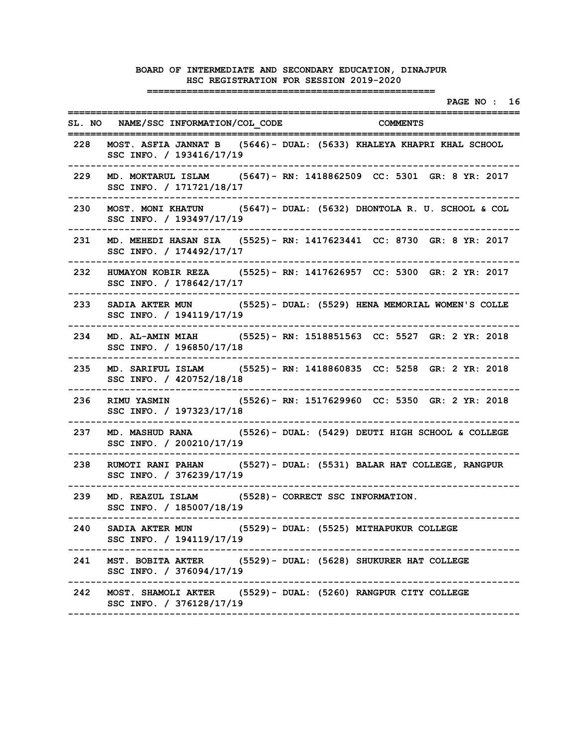|     |                                                                                      | PAGE NO : 16                                                              |
|-----|--------------------------------------------------------------------------------------|---------------------------------------------------------------------------|
|     | SL. NO NAME/SSC INFORMATION/COL CODE COMMENTS<br>===========                         |                                                                           |
|     | SSC INFO. / 193416/17/19                                                             | 228 MOST. ASFIA JANNAT B (5646) - DUAL: (5633) KHALEYA KHAPRI KHAL SCHOOL |
| 229 | SSC INFO. / 171721/18/17                                                             | MD. MOKTARUL ISLAM (5647) - RN: 1418862509 CC: 5301 GR: 8 YR: 2017        |
| 230 | SSC INFO. / 193497/17/19                                                             | MOST. MONI KHATUN (5647) - DUAL: (5632) DHONTOLA R. U. SCHOOL & COL       |
| 231 | SSC INFO. / 174492/17/17                                                             | MD. MEHEDI HASAN SIA (5525)- RN: 1417623441 CC: 8730 GR: 8 YR: 2017       |
| 232 | SSC INFO. / 178642/17/17                                                             | HUMAYON KOBIR REZA (5525) - RN: 1417626957 CC: 5300 GR: 2 YR: 2017        |
| 233 | SSC INFO. / 194119/17/19                                                             | SADIA AKTER MUN (5525) - DUAL: (5529) HENA MEMORIAL WOMEN'S COLLE         |
| 234 | SSC INFO. / 196850/17/18                                                             | MD. AL-AMIN MIAH (5525) - RN: 1518851563 CC: 5527 GR: 2 YR: 2018          |
| 235 | SSC INFO. / 420752/18/18                                                             | MD. SARIFUL ISLAM (5525) - RN: 1418860835 CC: 5258 GR: 2 YR: 2018         |
| 236 | SSC INFO. / 197323/17/18                                                             | RIMU YASMIN (5526) - RN: 1517629960 CC: 5350 GR: 2 YR: 2018               |
| 237 | SSC INFO. / 200210/17/19                                                             | MD. MASHUD RANA (5526) - DUAL: (5429) DEUTI HIGH SCHOOL & COLLEGE         |
| 238 | SSC INFO. / 376239/17/19                                                             | RUMOTI RANI PAHAN (5527) - DUAL: (5531) BALAR HAT COLLEGE, RANGPUR        |
| 239 | MD. REAZUL ISLAM (5528) - CORRECT SSC INFORMATION.<br>SSC INFO. / 185007/18/19       |                                                                           |
| 240 | SADIA AKTER MUN (5529) - DUAL: (5525) MITHAPUKUR COLLEGE<br>SSC INFO. / 194119/17/19 |                                                                           |
| 241 | SSC INFO. / 376094/17/19                                                             | MST. BOBITA AKTER (5529) - DUAL: (5628) SHUKURER HAT COLLEGE              |
|     | SSC INFO. / 376128/17/19                                                             | 242 MOST. SHAMOLI AKTER (5529) - DUAL: (5260) RANGPUR CITY COLLEGE        |
|     |                                                                                      |                                                                           |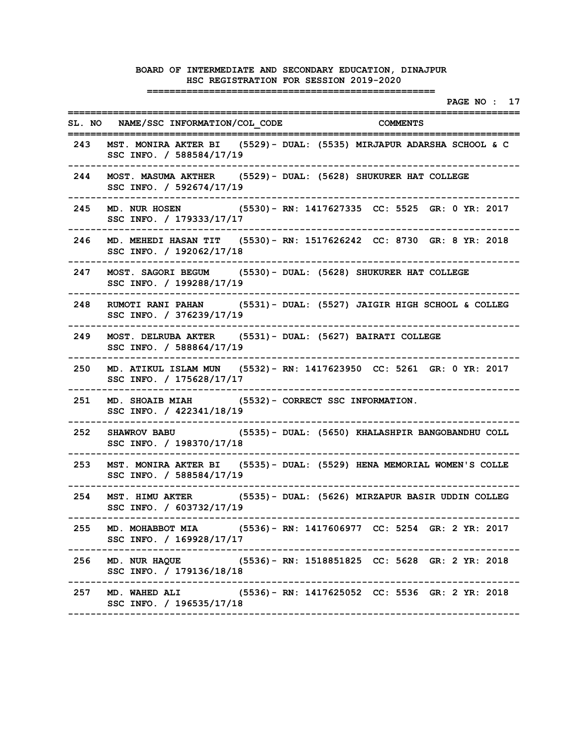|       |                                                                                                        | ========================                               | PAGE NO : 17 |
|-------|--------------------------------------------------------------------------------------------------------|--------------------------------------------------------|--------------|
|       | SL. NO NAME/SSC INFORMATION/COL CODE<br>==========================                                     | <b>COMMENTS</b><br>----------------------------------- |              |
|       | 243 MST. MONIRA AKTER BI (5529) - DUAL: (5535) MIRJAPUR ADARSHA SCHOOL & C<br>SSC INFO. / 588584/17/19 |                                                        |              |
| 244   | MOST. MASUMA AKTHER (5529) - DUAL: (5628) SHUKURER HAT COLLEGE<br>SSC INFO. / 592674/17/19             |                                                        |              |
| 245   | MD. NUR HOSEN (5530) - RN: 1417627335 CC: 5525 GR: 0 YR: 2017<br>SSC INFO. / 179333/17/17              |                                                        |              |
| 246   | MD. MEHEDI HASAN TIT (5530) - RN: 1517626242 CC: 8730 GR: 8 YR: 2018<br>SSC INFO. / 192062/17/18       |                                                        |              |
| 247   | MOST. SAGORI BEGUM (5530) - DUAL: (5628) SHUKURER HAT COLLEGE<br>SSC INFO. / 199288/17/19              |                                                        |              |
| 248   | RUMOTI RANI PAHAN (5531) - DUAL: (5527) JAIGIR HIGH SCHOOL & COLLEG<br>SSC INFO. / 376239/17/19        |                                                        |              |
| 249   | MOST. DELRUBA AKTER (5531) - DUAL: (5627) BAIRATI COLLEGE<br>SSC INFO. / 588864/17/19                  |                                                        |              |
| 250 — | MD. ATIKUL ISLAM MUN (5532) - RN: 1417623950 CC: 5261 GR: 0 YR: 2017<br>SSC INFO. / 175628/17/17       |                                                        |              |
| 251   | MD. SHOAIB MIAH (5532) - CORRECT SSC INFORMATION.<br>SSC INFO. / 422341/18/19                          | -------------                                          |              |
| 252   | SHAWROV BABU (5535) - DUAL: (5650) KHALASHPIR BANGOBANDHU COLL<br>SSC INFO. / 198370/17/18             |                                                        |              |
| 253   | MST. MONIRA AKTER BI (5535) - DUAL: (5529) HENA MEMORIAL WOMEN'S COLLE<br>SSC INFO. / 588584/17/19     |                                                        |              |
| 254   | MST. HIMU AKTER (5535) - DUAL: (5626) MIRZAPUR BASIR UDDIN COLLEG<br>SSC INFO. / 603732/17/19          |                                                        |              |
|       | 255 MD. MOHABBOT MIA (5536) - RN: 1417606977 CC: 5254 GR: 2 YR: 2017<br>SSC INFO. / 169928/17/17       |                                                        |              |
| 256 — | MD. NUR HAQUE (5536) - RN: 1518851825 CC: 5628 GR: 2 YR: 2018<br>SSC INFO. / 179136/18/18              |                                                        |              |
|       | 257 MD. WAHED ALI (5536) - RN: 1417625052 CC: 5536 GR: 2 YR: 2018<br>SSC INFO. / 196535/17/18          |                                                        |              |
|       |                                                                                                        |                                                        |              |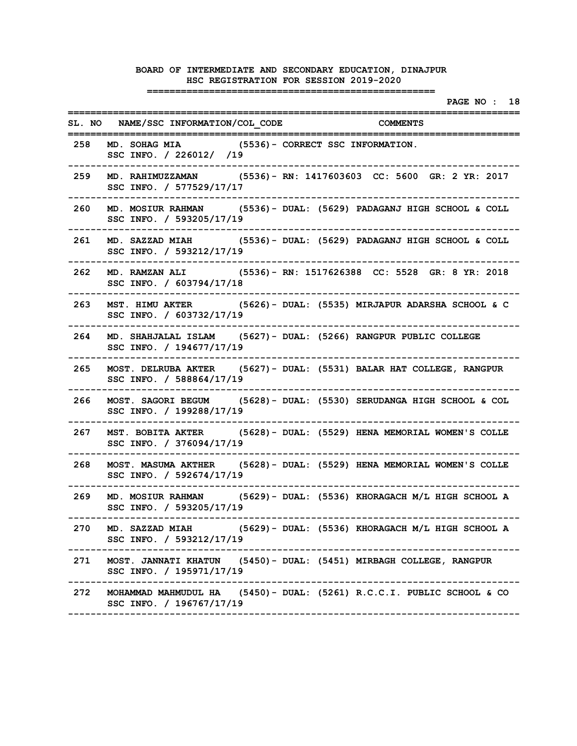|     | PAGE NO : 18                                                                                           |
|-----|--------------------------------------------------------------------------------------------------------|
|     | SL. NO NAME/SSC INFORMATION/COL CODE<br><b>COMMENTS</b><br>======                                      |
| 258 | MD. SOHAG MIA (5536) - CORRECT SSC INFORMATION.<br>SSC INFO. / 226012/ /19                             |
| 259 | MD. RAHIMUZZAMAN (5536) - RN: 1417603603 CC: 5600 GR: 2 YR: 2017<br>SSC INFO. / 577529/17/17           |
| 260 | MD. MOSIUR RAHMAN (5536) - DUAL: (5629) PADAGANJ HIGH SCHOOL & COLL<br>SSC INFO. / 593205/17/19        |
| 261 | MD. SAZZAD MIAH (5536) - DUAL: (5629) PADAGANJ HIGH SCHOOL & COLL<br>SSC INFO. / 593212/17/19          |
| 262 | MD. RAMZAN ALI (5536) - RN: 1517626388 CC: 5528 GR: 8 YR: 2018<br>SSC INFO. / 603794/17/18             |
| 263 | MST. HIMU AKTER (5626) - DUAL: (5535) MIRJAPUR ADARSHA SCHOOL & C<br>SSC INFO. / 603732/17/19          |
| 264 | MD. SHAHJALAL ISLAM (5627) - DUAL: (5266) RANGPUR PUBLIC COLLEGE<br>SSC INFO. / 194677/17/19           |
| 265 | MOST. DELRUBA AKTER (5627) - DUAL: (5531) BALAR HAT COLLEGE, RANGPUR<br>SSC INFO. / 588864/17/19       |
| 266 | MOST. SAGORI BEGUM (5628) - DUAL: (5530) SERUDANGA HIGH SCHOOL & COL<br>SSC INFO. / 199288/17/19       |
| 267 | MST. BOBITA AKTER (5628) - DUAL: (5529) HENA MEMORIAL WOMEN'S COLLE<br>SSC INFO. / 376094/17/19        |
| 268 | MOST. MASUMA AKTHER (5628) - DUAL: (5529) HENA MEMORIAL WOMEN'S COLLE<br>SSC INFO. / 592674/17/19      |
| 269 | MD. MOSIUR RAHMAN (5629) - DUAL: (5536) KHORAGACH M/L HIGH SCHOOL A<br>SSC INFO. / 593205/17/19        |
|     | 270 MD. SAZZAD MIAH (5629) - DUAL: (5536) KHORAGACH M/L HIGH SCHOOL A<br>SSC INFO. / 593212/17/19      |
| 271 | MOST. JANNATI KHATUN (5450) - DUAL: (5451) MIRBAGH COLLEGE, RANGPUR<br>SSC INFO. / 195971/17/19        |
|     | 272 MOHAMMAD MAHMUDUL HA (5450) - DUAL: (5261) R.C.C.I. PUBLIC SCHOOL & CO<br>SSC INFO. / 196767/17/19 |
|     |                                                                                                        |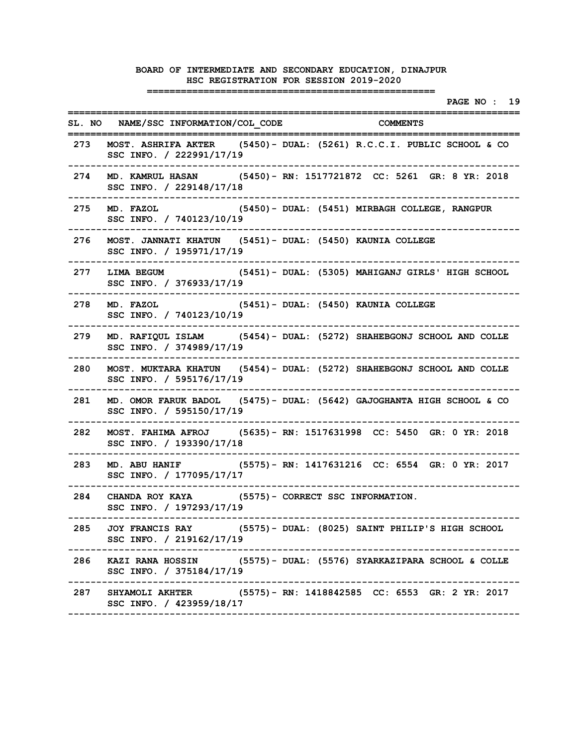|     |                                                                                                                     | ---------------------- | PAGE NO : 19 |
|-----|---------------------------------------------------------------------------------------------------------------------|------------------------|--------------|
|     | SL. NO NAME/SSC INFORMATION/COL CODE COMMENTS                                                                       | ---------              |              |
|     | 273 MOST. ASHRIFA AKTER (5450) - DUAL: (5261) R.C.C.I. PUBLIC SCHOOL & CO<br>SSC INFO. / 222991/17/19               |                        |              |
| 274 | MD. KAMRUL HASAN (5450) - RN: 1517721872 CC: 5261 GR: 8 YR: 2018<br>SSC INFO. / 229148/17/18                        |                        |              |
| 275 | MD. FAZOL (5450) - DUAL: (5451) MIRBAGH COLLEGE, RANGPUR<br>SSC INFO. / 740123/10/19                                |                        |              |
| 276 | MOST. JANNATI KHATUN (5451)- DUAL: (5450) KAUNIA COLLEGE<br>SSC INFO. / 195971/17/19                                |                        |              |
| 277 | LIMA BEGUM (5451) - DUAL: (5305) MAHIGANJ GIRLS' HIGH SCHOOL<br>SSC INFO. / 376933/17/19                            |                        |              |
| 278 | MD. FAZOL (5451) - DUAL: (5450) KAUNIA COLLEGE<br>SSC INFO. / 740123/10/19                                          |                        |              |
| 279 | MD. RAFIQUL ISLAM (5454) - DUAL: (5272) SHAHEBGONJ SCHOOL AND COLLE<br>SSC INFO. / 374989/17/19                     |                        |              |
| 280 | --------------<br>MOST. MUKTARA KHATUN (5454)- DUAL: (5272) SHAHEBGONJ SCHOOL AND COLLE<br>SSC INFO. / 595176/17/19 |                        |              |
| 281 | MD. OMOR FARUK BADOL (5475) - DUAL: (5642) GAJOGHANTA HIGH SCHOOL & CO<br>SSC INFO. / 595150/17/19                  |                        |              |
| 282 | MOST. FAHIMA AFROJ (5635) - RN: 1517631998 CC: 5450 GR: 0 YR: 2018<br>SSC INFO. / 193390/17/18                      |                        |              |
| 283 | MD. ABU HANIF (5575) - RN: 1417631216 CC: 6554 GR: 0 YR: 2017<br>SSC INFO. / 177095/17/17                           |                        |              |
| 284 | CHANDA ROY KAYA (5575) - CORRECT SSC INFORMATION.<br>SSC INFO. / 197293/17/19                                       |                        |              |
|     | 285 JOY FRANCIS RAY (5575) - DUAL: (8025) SAINT PHILIP'S HIGH SCHOOL<br>SSC INFO. / 219162/17/19                    |                        |              |
|     | 286 KAZI RANA HOSSIN (5575) - DUAL: (5576) SYARKAZIPARA SCHOOL & COLLE<br>SSC INFO. / 375184/17/19                  |                        |              |
| 287 | SHYAMOLI AKHTER (5575) - RN: 1418842585 CC: 6553 GR: 2 YR: 2017<br>SSC INFO. / 423959/18/17                         |                        |              |
|     |                                                                                                                     |                        |              |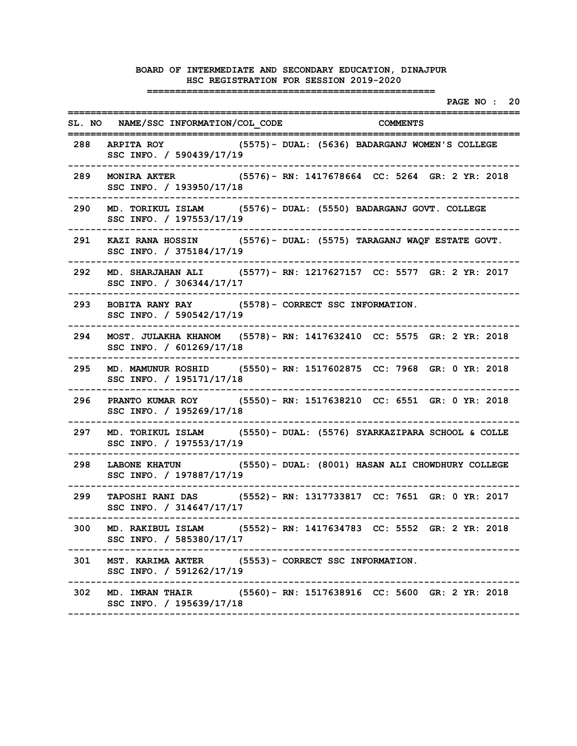|     |                                                                                                   |  |  |  | PAGE NO : 20 |  |
|-----|---------------------------------------------------------------------------------------------------|--|--|--|--------------|--|
|     | SL. NO NAME/SSC INFORMATION/COL CODE COMMENTS                                                     |  |  |  |              |  |
| 288 | (5575)- DUAL: (5636) BADARGANJ WOMEN'S COLLEGE<br><b>ARPITA ROY</b><br>SSC INFO. / 590439/17/19   |  |  |  |              |  |
| 289 | MONIRA AKTER (5576) - RN: 1417678664 CC: 5264 GR: 2 YR: 2018<br>SSC INFO. / 193950/17/18          |  |  |  |              |  |
| 290 | MD. TORIKUL ISLAM (5576) - DUAL: (5550) BADARGANJ GOVT. COLLEGE<br>SSC INFO. / 197553/17/19       |  |  |  |              |  |
| 291 | KAZI RANA HOSSIN (5576) - DUAL: (5575) TARAGANJ WAQF ESTATE GOVT.<br>SSC INFO. / 375184/17/19     |  |  |  |              |  |
| 292 | MD. SHARJAHAN ALI (5577) - RN: 1217627157 CC: 5577 GR: 2 YR: 2017<br>SSC INFO. / 306344/17/17     |  |  |  |              |  |
| 293 | BOBITA RANY RAY (5578) - CORRECT SSC INFORMATION.<br>SSC INFO. / 590542/17/19                     |  |  |  |              |  |
| 294 | MOST. JULAKHA KHANOM (5578) - RN: 1417632410 CC: 5575 GR: 2 YR: 2018<br>SSC INFO. / 601269/17/18  |  |  |  |              |  |
| 295 | MD. MAMUNUR ROSHID (5550) - RN: 1517602875 CC: 7968 GR: 0 YR: 2018<br>SSC INFO. / 195171/17/18    |  |  |  |              |  |
| 296 | PRANTO KUMAR ROY (5550) - RN: 1517638210 CC: 6551 GR: 0 YR: 2018<br>SSC INFO. / 195269/17/18      |  |  |  |              |  |
| 297 | MD. TORIKUL ISLAM (5550) - DUAL: (5576) SYARKAZIPARA SCHOOL & COLLE<br>SSC INFO. / 197553/17/19   |  |  |  |              |  |
| 298 | LABONE KHATUN (5550) - DUAL: (8001) HASAN ALI CHOWDHURY COLLEGE<br>SSC INFO. / 197887/17/19       |  |  |  |              |  |
| 299 | TAPOSHI RANI DAS (5552) - RN: 1317733817 CC: 7651 GR: 0 YR: 2017<br>SSC INFO. / 314647/17/17      |  |  |  |              |  |
|     | 300 MD. RAKIBUL ISLAM (5552) - RN: 1417634783 CC: 5552 GR: 2 YR: 2018<br>SSC INFO. / 585380/17/17 |  |  |  |              |  |
| 301 | MST. KARIMA AKTER (5553) - CORRECT SSC INFORMATION.<br>SSC INFO. / 591262/17/19                   |  |  |  |              |  |
|     | 302 MD. IMRAN THAIR (5560) - RN: 1517638916 CC: 5600 GR: 2 YR: 2018<br>SSC INFO. / 195639/17/18   |  |  |  |              |  |
|     |                                                                                                   |  |  |  |              |  |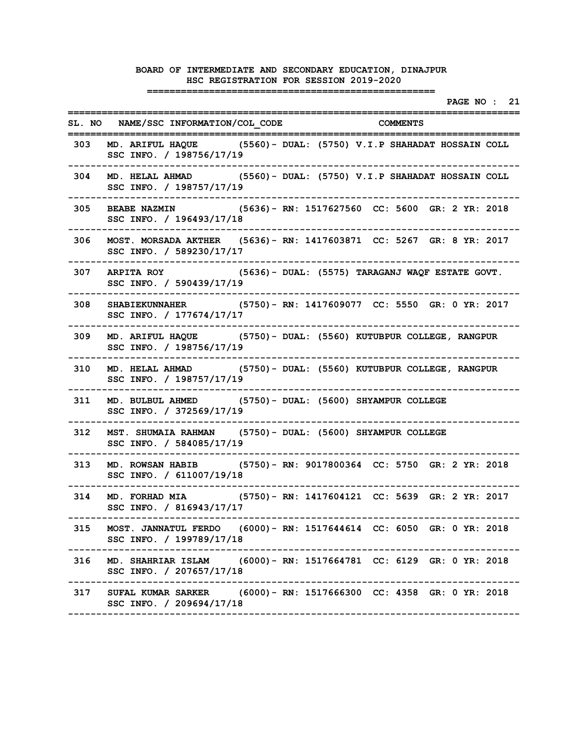|     |                                                                                                      | PAGE NO : 21 |
|-----|------------------------------------------------------------------------------------------------------|--------------|
|     | SL. NO NAME/SSC INFORMATION/COL CODE COMMENTS<br>========                                            |              |
|     | 303 MD. ARIFUL HAQUE (5560) - DUAL: (5750) V.I.P SHAHADAT HOSSAIN COLL<br>SSC INFO. / 198756/17/19   |              |
| 304 | MD. HELAL AHMAD (5560) - DUAL: (5750) V.I.P SHAHADAT HOSSAIN COLL<br>SSC INFO. / 198757/17/19        |              |
| 305 | BEABE NAZMIN (5636) - RN: 1517627560 CC: 5600 GR: 2 YR: 2018<br>SSC INFO. / 196493/17/18             |              |
| 306 | MOST. MORSADA AKTHER (5636) - RN: 1417603871 CC: 5267 GR: 8 YR: 2017<br>SSC INFO. / 589230/17/17     |              |
| 307 | ARPITA ROY (5636) - DUAL: (5575) TARAGANJ WAQF ESTATE GOVT.<br>SSC INFO. / 590439/17/19              |              |
| 308 | SHABIEKUNNAHER (5750) - RN: 1417609077 CC: 5550 GR: 0 YR: 2017<br>SSC INFO. / 177674/17/17           |              |
| 309 | MD. ARIFUL HAQUE (5750) - DUAL: (5560) KUTUBPUR COLLEGE, RANGPUR<br>SSC INFO. / 198756/17/19         |              |
| 310 | MD. HELAL AHMAD (5750) - DUAL: (5560) KUTUBPUR COLLEGE, RANGPUR<br>SSC INFO. / 198757/17/19          |              |
| 311 | MD. BULBUL AHMED (5750) - DUAL: (5600) SHYAMPUR COLLEGE<br>SSC INFO. / 372569/17/19                  |              |
| 312 | MST. SHUMAIA RAHMAN (5750) - DUAL: (5600) SHYAMPUR COLLEGE<br>SSC INFO. / 584085/17/19               |              |
| 313 | MD. ROWSAN HABIB (5750) - RN: 9017800364 CC: 5750 GR: 2 YR: 2018<br>SSC INFO. / 611007/19/18         |              |
| 314 | MD. FORHAD MIA (5750) - RN: 1417604121 CC: 5639 GR: 2 YR: 2017<br>SSC INFO. / 816943/17/17           |              |
|     | 315 MOST. JANNATUL FERDO (6000) - RN: 1517644614 CC: 6050 GR: 0 YR: 2018<br>SSC INFO. / 199789/17/18 |              |
| 316 | MD. SHAHRIAR ISLAM (6000) - RN: 1517664781 CC: 6129 GR: 0 YR: 2018<br>SSC INFO. / 207657/17/18       |              |
|     | 317 SUFAL KUMAR SARKER (6000) - RN: 1517666300 CC: 4358 GR: 0 YR: 2018<br>SSC INFO. / 209694/17/18   |              |
|     |                                                                                                      |              |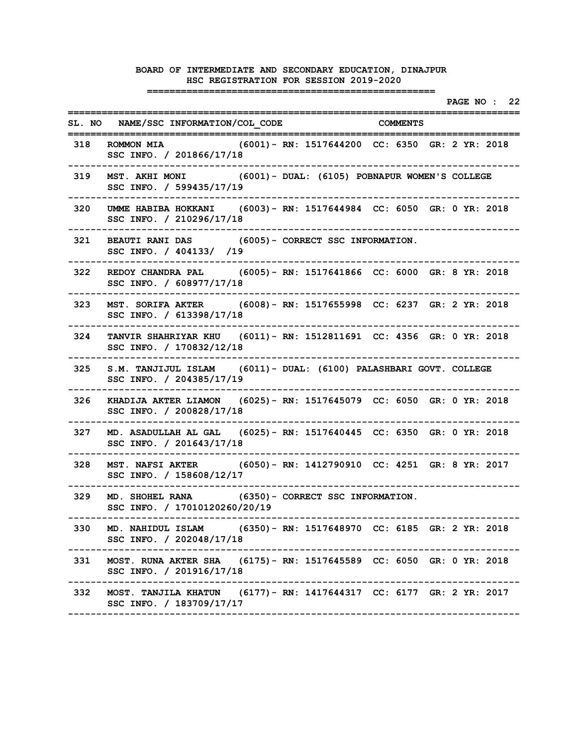|     |                                                                                    | PAGE NO : 22                                                                                        |
|-----|------------------------------------------------------------------------------------|-----------------------------------------------------------------------------------------------------|
|     | SL. NO NAME/SSC INFORMATION/COL CODE COMMENTS<br>=============                     | :================================                                                                   |
|     | 318 ROMMON MIA<br>SSC INFO. / 201866/17/18                                         | (6001)- RN: 1517644200 CC: 6350 GR: 2 YR: 2018                                                      |
| 319 | SSC INFO. / 599435/17/19                                                           | MST. AKHI MONI (6001) - DUAL: (6105) POBNAPUR WOMEN'S COLLEGE                                       |
| 320 | SSC INFO. / 210296/17/18                                                           | UMME HABIBA HOKKANI (6003) - RN: 1517644984 CC: 6050 GR: 0 YR: 2018                                 |
| 321 | BEAUTI RANI DAS (6005) - CORRECT SSC INFORMATION.<br>SSC INFO. / 404133/ /19       |                                                                                                     |
| 322 | SSC INFO. / 608977/17/18                                                           | REDOY CHANDRA PAL (6005) - RN: 1517641866 CC: 6000 GR: 8 YR: 2018                                   |
| 323 | SSC INFO. / 613398/17/18                                                           | MST. SORIFA AKTER (6008) - RN: 1517655998 CC: 6237 GR: 2 YR: 2018                                   |
| 324 | SSC INFO. / 170832/12/18                                                           | TANVIR SHAHRIYAR KHU (6011) - RN: 1512811691 CC: 4356 GR: 0 YR: 2018                                |
| 325 | ---------------------<br>SSC INFO. / 204385/17/19                                  | . _ _ _ _ _ _ _ _ _ _ _ _ _ _<br>S.M. TANJIJUL ISLAM (6011) - DUAL: (6100) PALASHBARI GOVT. COLLEGE |
| 326 | SSC INFO. / 200828/17/18                                                           | KHADIJA AKTER LIAMON (6025) - RN: 1517645079 CC: 6050 GR: 0 YR: 2018                                |
| 327 | SSC INFO. / 201643/17/18                                                           | MD. ASADULLAH AL GAL (6025) - RN: 1517640445 CC: 6350 GR: 0 YR: 2018                                |
| 328 | SSC INFO. / 158608/12/17                                                           | MST. NAFSI AKTER (6050) - RN: 1412790910 CC: 4251 GR: 8 YR: 2017                                    |
| 329 | MD. SHOHEL RANA (6350) - CORRECT SSC INFORMATION.<br>SSC INFO. / 17010120260/20/19 |                                                                                                     |
|     | SSC INFO. / 202048/17/18                                                           | 330 MD. NAHIDUL ISLAM (6350) - RN: 1517648970 CC: 6185 GR: 2 YR: 2018                               |
| 331 | SSC INFO. / 201916/17/18<br>-----------------                                      | MOST. RUNA AKTER SHA (6175) - RN: 1517645589 CC: 6050 GR: 0 YR: 2018                                |
| 332 | SSC INFO. / 183709/17/17                                                           | MOST. TANJILA KHATUN (6177) - RN: 1417644317 CC: 6177 GR: 2 YR: 2017                                |
|     |                                                                                    |                                                                                                     |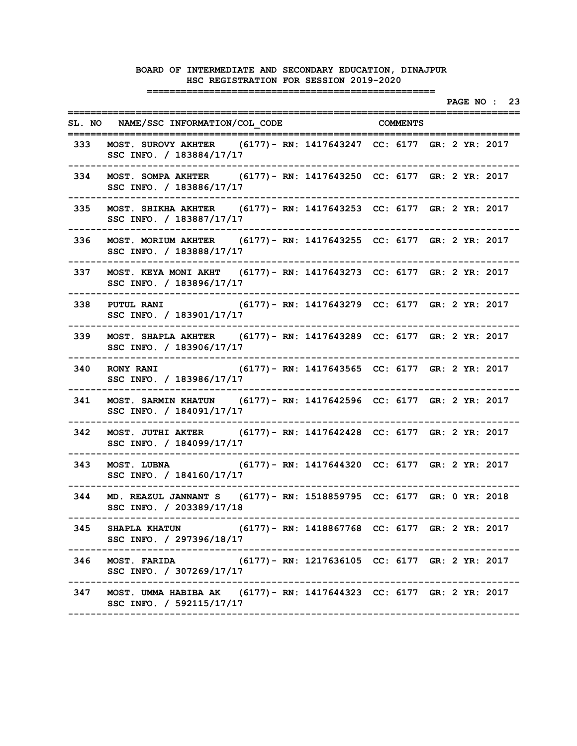|     |                                                                                                      |  |                                                 |  |  | PAGE NO : 23 |  |
|-----|------------------------------------------------------------------------------------------------------|--|-------------------------------------------------|--|--|--------------|--|
|     | SL. NO NAME/SSC INFORMATION/COL CODE COMMENTS                                                        |  |                                                 |  |  |              |  |
| 333 | MOST. SUROVY AKHTER (6177) - RN: 1417643247 CC: 6177 GR: 2 YR: 2017<br>SSC INFO. / 183884/17/17      |  |                                                 |  |  |              |  |
| 334 | MOST. SOMPA AKHTER (6177) - RN: 1417643250 CC: 6177 GR: 2 YR: 2017<br>SSC INFO. / 183886/17/17       |  |                                                 |  |  |              |  |
| 335 | MOST. SHIKHA AKHTER (6177) - RN: 1417643253 CC: 6177 GR: 2 YR: 2017<br>SSC INFO. / 183887/17/17      |  |                                                 |  |  |              |  |
| 336 | MOST. MORIUM AKHTER (6177) - RN: 1417643255 CC: 6177 GR: 2 YR: 2017<br>SSC INFO. / 183888/17/17      |  |                                                 |  |  |              |  |
| 337 | MOST. KEYA MONI AKHT (6177) - RN: 1417643273 CC: 6177 GR: 2 YR: 2017<br>SSC INFO. / 183896/17/17     |  |                                                 |  |  |              |  |
| 338 | <b>PUTUL RANI</b><br>SSC INFO. / 183901/17/17                                                        |  | (6177) - RN: 1417643279 CC: 6177 GR: 2 YR: 2017 |  |  |              |  |
| 339 | MOST. SHAPLA AKHTER (6177) - RN: 1417643289 CC: 6177 GR: 2 YR: 2017<br>SSC INFO. / 183906/17/17      |  |                                                 |  |  |              |  |
| 340 | RONY RANI (6177) - RN: 1417643565 CC: 6177 GR: 2 YR: 2017<br>SSC INFO. / 183986/17/17                |  |                                                 |  |  |              |  |
| 341 | MOST. SARMIN KHATUN (6177) - RN: 1417642596 CC: 6177 GR: 2 YR: 2017<br>SSC INFO. / 184091/17/17      |  |                                                 |  |  |              |  |
| 342 | MOST. JUTHI AKTER (6177) - RN: 1417642428 CC: 6177 GR: 2 YR: 2017<br>SSC INFO. / 184099/17/17        |  |                                                 |  |  |              |  |
| 343 | MOST. LUBNA<br>SSC INFO. / 184160/17/17                                                              |  | (6177)– RN: 1417644320 CC: 6177 GR: 2 YR: 2017  |  |  |              |  |
| 344 | MD. REAZUL JANNANT S (6177) - RN: 1518859795 CC: 6177 GR: 0 YR: 2018<br>SSC INFO. / 203389/17/18     |  |                                                 |  |  |              |  |
|     | 345 SHAPLA KHATUN<br>SSC INFO. / 297396/18/17                                                        |  | (6177) - RN: 1418867768 CC: 6177 GR: 2 YR: 2017 |  |  |              |  |
| 346 | MOST. FARIDA (6177) - RN: 1217636105 CC: 6177 GR: 2 YR: 2017<br>SSC INFO. / 307269/17/17             |  |                                                 |  |  |              |  |
|     | 347 MOST. UMMA HABIBA AK (6177) - RN: 1417644323 CC: 6177 GR: 2 YR: 2017<br>SSC INFO. / 592115/17/17 |  |                                                 |  |  |              |  |
|     |                                                                                                      |  |                                                 |  |  |              |  |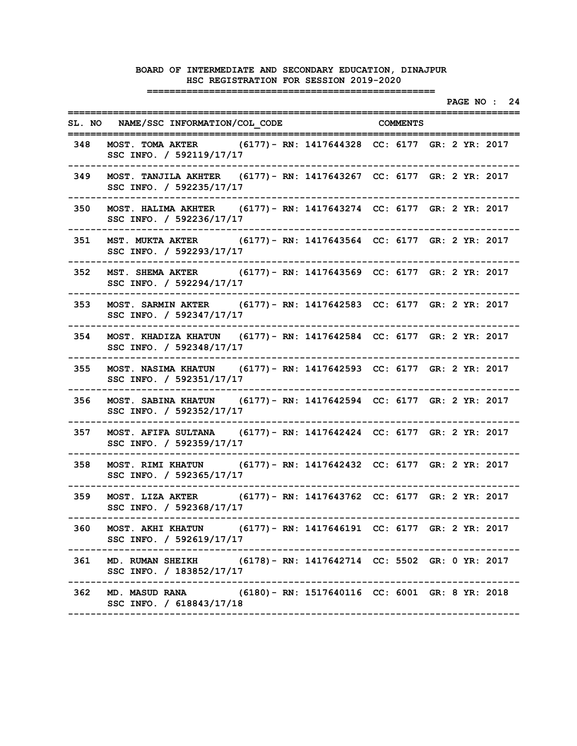**PAGE NO : 24 ================================================================================** SL. NO NAME/SSC INFORMATION/COL CODE COMMENTS **================================================================================ 348 MOST. TOMA AKTER (6177)- RN: 1417644328 CC: 6177 GR: 2 YR: 2017 SSC INFO. / 592119/17/17 -------------------------------------------------------------------------------- 349 MOST. TANJILA AKHTER (6177)- RN: 1417643267 CC: 6177 GR: 2 YR: 2017 SSC INFO. / 592235/17/17 -------------------------------------------------------------------------------- 350 MOST. HALIMA AKHTER (6177)- RN: 1417643274 CC: 6177 GR: 2 YR: 2017 SSC INFO. / 592236/17/17 -------------------------------------------------------------------------------- 351 MST. MUKTA AKTER (6177)- RN: 1417643564 CC: 6177 GR: 2 YR: 2017 SSC INFO. / 592293/17/17 -------------------------------------------------------------------------------- 352 MST. SHEMA AKTER (6177)- RN: 1417643569 CC: 6177 GR: 2 YR: 2017 SSC INFO. / 592294/17/17 -------------------------------------------------------------------------------- 353 MOST. SARMIN AKTER (6177)- RN: 1417642583 CC: 6177 GR: 2 YR: 2017 SSC INFO. / 592347/17/17 -------------------------------------------------------------------------------- 354 MOST. KHADIZA KHATUN (6177)- RN: 1417642584 CC: 6177 GR: 2 YR: 2017 SSC INFO. / 592348/17/17 -------------------------------------------------------------------------------- 355 MOST. NASIMA KHATUN (6177)- RN: 1417642593 CC: 6177 GR: 2 YR: 2017 SSC INFO. / 592351/17/17 -------------------------------------------------------------------------------- 356 MOST. SABINA KHATUN (6177)- RN: 1417642594 CC: 6177 GR: 2 YR: 2017 SSC INFO. / 592352/17/17 -------------------------------------------------------------------------------- 357 MOST. AFIFA SULTANA (6177)- RN: 1417642424 CC: 6177 GR: 2 YR: 2017 SSC INFO. / 592359/17/17 -------------------------------------------------------------------------------- 358 MOST. RIMI KHATUN (6177)- RN: 1417642432 CC: 6177 GR: 2 YR: 2017 SSC INFO. / 592365/17/17 -------------------------------------------------------------------------------- 359 MOST. LIZA AKTER (6177)- RN: 1417643762 CC: 6177 GR: 2 YR: 2017 SSC INFO. / 592368/17/17 -------------------------------------------------------------------------------- 360 MOST. AKHI KHATUN (6177)- RN: 1417646191 CC: 6177 GR: 2 YR: 2017 SSC INFO. / 592619/17/17 -------------------------------------------------------------------------------- 361 MD. RUMAN SHEIKH (6178)- RN: 1417642714 CC: 5502 GR: 0 YR: 2017 SSC INFO. / 183852/17/17 -------------------------------------------------------------------------------- 362 MD. MASUD RANA (6180)- RN: 1517640116 CC: 6001 GR: 8 YR: 2018 SSC INFO. / 618843/17/18 --------------------------------------------------------------------------------**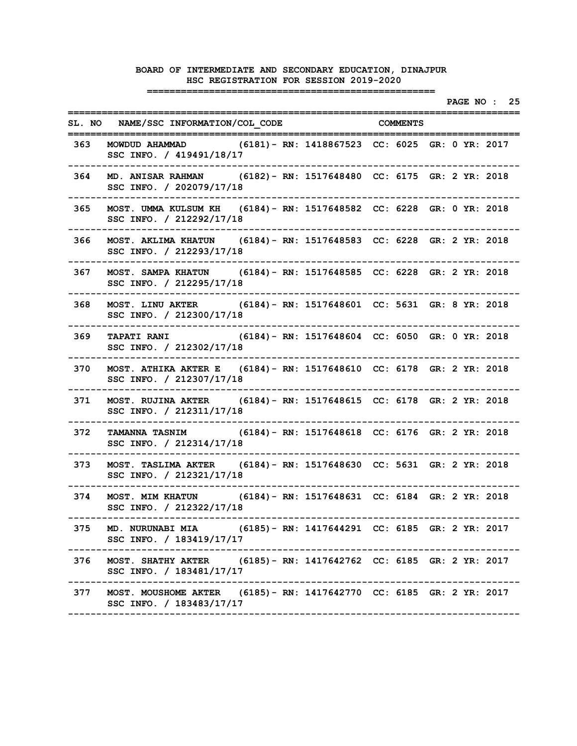|     |                                                                                                                                          |  |  | PAGE NO : 25 |  |
|-----|------------------------------------------------------------------------------------------------------------------------------------------|--|--|--------------|--|
|     | SL. NO NAME/SSC INFORMATION/COL CODE COMMENTS<br>===========                                                                             |  |  |              |  |
| 363 | MOWDUD AHAMMAD (6181) - RN: 1418867523 CC: 6025 GR: 0 YR: 2017<br>SSC INFO. / 419491/18/17                                               |  |  |              |  |
| 364 | MD. ANISAR RAHMAN (6182) - RN: 1517648480 CC: 6175 GR: 2 YR: 2018<br>SSC INFO. / 202079/17/18                                            |  |  |              |  |
| 365 | MOST. UMMA KULSUM KH (6184) - RN: 1517648582 CC: 6228 GR: 0 YR: 2018<br>SSC INFO. / 212292/17/18                                         |  |  |              |  |
| 366 | MOST. AKLIMA KHATUN (6184)- RN: 1517648583 CC: 6228 GR: 2 YR: 2018<br>SSC INFO. / 212293/17/18                                           |  |  |              |  |
| 367 | MOST. SAMPA KHATUN (6184) - RN: 1517648585 CC: 6228 GR: 2 YR: 2018<br>SSC INFO. / 212295/17/18                                           |  |  |              |  |
| 368 | MOST. LINU AKTER (6184) - RN: 1517648601 CC: 5631 GR: 8 YR: 2018<br>SSC INFO. / 212300/17/18                                             |  |  |              |  |
| 369 | TAPATI RANI (6184) - RN: 1517648604 CC: 6050 GR: 0 YR: 2018<br>SSC INFO. / 212302/17/18                                                  |  |  |              |  |
| 370 | MOST. ATHIKA AKTER E (6184) - RN: 1517648610 CC: 6178 GR: 2 YR: 2018<br>SSC INFO. / 212307/17/18                                         |  |  |              |  |
| 371 | MOST. RUJINA AKTER (6184) - RN: 1517648615 CC: 6178 GR: 2 YR: 2018<br>SSC INFO. / 212311/17/18                                           |  |  |              |  |
| 372 | TAMANNA TASNIM (6184) - RN: 1517648618 CC: 6176 GR: 2 YR: 2018<br>SSC INFO. / 212314/17/18                                               |  |  |              |  |
| 373 | MOST. TASLIMA AKTER (6184) - RN: 1517648630 CC: 5631 GR: 2 YR: 2018<br>SSC INFO. / 212321/17/18                                          |  |  |              |  |
| 374 | MOST. MIM KHATUN (6184) - RN: 1517648631 CC: 6184 GR: 2 YR: 2018<br>SSC INFO. / 212322/17/18                                             |  |  |              |  |
|     | 375 MD. NURUNABI MIA (6185) - RN: 1417644291 CC: 6185 GR: 2 YR: 2017<br>SSC INFO. / 183419/17/17<br>----------------                     |  |  |              |  |
| 376 | MOST. SHATHY AKTER (6185) - RN: 1417642762 CC: 6185 GR: 2 YR: 2017<br>SSC INFO. / 183481/17/17                                           |  |  |              |  |
|     | --------------------------------<br>377 MOST. MOUSHOME AKTER (6185) - RN: 1417642770 CC: 6185 GR: 2 YR: 2017<br>SSC INFO. / 183483/17/17 |  |  |              |  |
|     |                                                                                                                                          |  |  |              |  |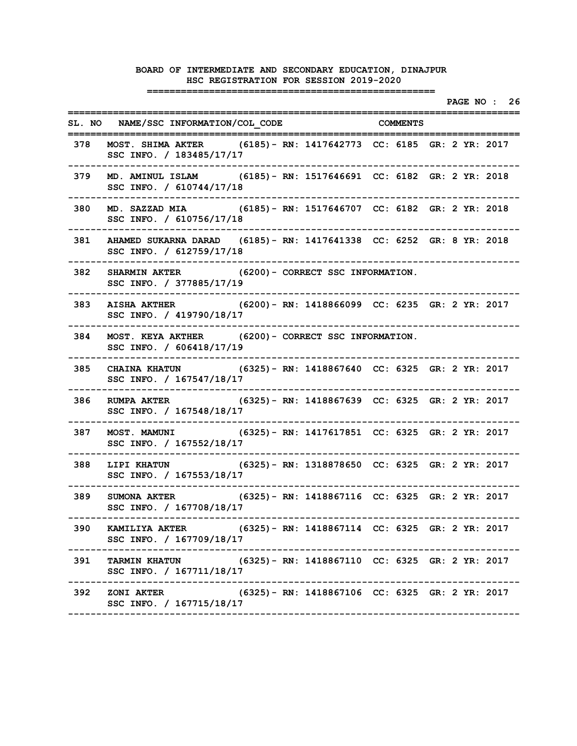|     |                                                                                                                         |  |                                                |  |  | PAGE NO : 26 |  |
|-----|-------------------------------------------------------------------------------------------------------------------------|--|------------------------------------------------|--|--|--------------|--|
|     | SL. NO NAME/SSC INFORMATION/COL CODE COMMENTS                                                                           |  |                                                |  |  |              |  |
| 378 | MOST. SHIMA AKTER (6185) - RN: 1417642773 CC: 6185 GR: 2 YR: 2017<br>SSC INFO. / 183485/17/17                           |  |                                                |  |  |              |  |
| 379 | MD. AMINUL ISLAM (6185) - RN: 1517646691 CC: 6182 GR: 2 YR: 2018<br>SSC INFO. / 610744/17/18                            |  |                                                |  |  |              |  |
| 380 | MD. SAZZAD MIA (6185) - RN: 1517646707 CC: 6182 GR: 2 YR: 2018<br>SSC INFO. / 610756/17/18                              |  |                                                |  |  |              |  |
| 381 | AHAMED SUKARNA DARAD (6185) - RN: 1417641338 CC: 6252 GR: 8 YR: 2018<br>SSC INFO. / 612759/17/18                        |  |                                                |  |  |              |  |
| 382 | SHARMIN AKTER (6200) - CORRECT SSC INFORMATION.<br>SSC INFO. / 377885/17/19                                             |  |                                                |  |  |              |  |
| 383 | AISHA AKTHER (6200) - RN: 1418866099 CC: 6235 GR: 2 YR: 2017<br>SSC INFO. / 419790/18/17                                |  |                                                |  |  |              |  |
| 384 | MOST. KEYA AKTHER (6200) - CORRECT SSC INFORMATION.<br>SSC INFO. / 606418/17/19                                         |  |                                                |  |  |              |  |
| 385 | CHAINA KHATUN (6325) - RN: 1418867640 CC: 6325 GR: 2 YR: 2017<br>SSC INFO. / 167547/18/17                               |  |                                                |  |  |              |  |
| 386 | RUMPA AKTER (6325) - RN: 1418867639 CC: 6325 GR: 2 YR: 2017<br>SSC INFO. / 167548/18/17                                 |  |                                                |  |  |              |  |
| 387 | MOST. MAMUNI (6325) - RN: 1417617851 CC: 6325 GR: 2 YR: 2017<br>SSC INFO. / 167552/18/17                                |  |                                                |  |  |              |  |
| 388 | <b>LIPI KHATUN</b><br>SSC INFO. / 167553/18/17                                                                          |  | (6325)– RN: 1318878650 CC: 6325 GR: 2 YR: 2017 |  |  |              |  |
| 389 | <b>SUMONA AKTER</b><br>SSC INFO. / 167708/18/17                                                                         |  | (6325)– RN: 1418867116 CC: 6325 GR: 2 YR: 2017 |  |  |              |  |
|     | 390 KAMILIYA AKTER (6325) - RN: 1418867114 CC: 6325 GR: 2 YR: 2017<br>SSC INFO. / 167709/18/17                          |  |                                                |  |  |              |  |
| 391 | <b>TARMIN KHATUN (6325) - RN: 1418867110 CC: 6325 GR: 2 YR: 2017</b><br>SSC INFO. / 167711/18/17                        |  |                                                |  |  |              |  |
|     | -------------------------<br>392 ZONI AKTER (6325) - RN: 1418867106 CC: 6325 GR: 2 YR: 2017<br>SSC INFO. / 167715/18/17 |  |                                                |  |  |              |  |
|     |                                                                                                                         |  |                                                |  |  |              |  |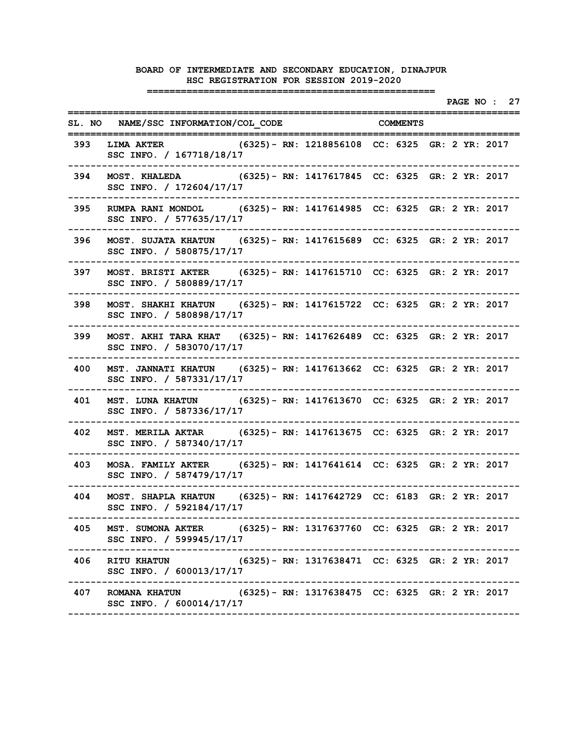|       |                                                                                                                         |  |  |  |  | PAGE NO : 27 |  |
|-------|-------------------------------------------------------------------------------------------------------------------------|--|--|--|--|--------------|--|
|       | SL. NO NAME/SSC INFORMATION/COL CODE COMMENTS<br>========                                                               |  |  |  |  |              |  |
|       | 393 LIMA AKTER (6325) - RN: 1218856108 CC: 6325 GR: 2 YR: 2017<br>SSC INFO. / 167718/18/17                              |  |  |  |  |              |  |
| 394   | MOST. KHALEDA (6325) - RN: 1417617845 CC: 6325 GR: 2 YR: 2017<br>SSC INFO. / 172604/17/17                               |  |  |  |  |              |  |
| 395   | RUMPA RANI MONDOL (6325) - RN: 1417614985 CC: 6325 GR: 2 YR: 2017<br>SSC INFO. / 577635/17/17                           |  |  |  |  |              |  |
| 396   | MOST. SUJATA KHATUN (6325) - RN: 1417615689 CC: 6325 GR: 2 YR: 2017<br>SSC INFO. / 580875/17/17                         |  |  |  |  |              |  |
| 397   | MOST. BRISTI AKTER (6325) - RN: 1417615710 CC: 6325 GR: 2 YR: 2017<br>SSC INFO. / 580889/17/17                          |  |  |  |  |              |  |
| 398   | MOST. SHAKHI KHATUN (6325) - RN: 1417615722 CC: 6325 GR: 2 YR: 2017<br>SSC INFO. / 580898/17/17                         |  |  |  |  |              |  |
| 399   | MOST. AKHI TARA KHAT (6325) - RN: 1417626489 CC: 6325 GR: 2 YR: 2017<br>SSC INFO. / 583070/17/17                        |  |  |  |  |              |  |
| 400   | --------------------<br>MST. JANNATI KHATUN (6325) - RN: 1417613662 CC: 6325 GR: 2 YR: 2017<br>SSC INFO. / 587331/17/17 |  |  |  |  |              |  |
| 401   | MST. LUNA KHATUN (6325) - RN: 1417613670 CC: 6325 GR: 2 YR: 2017<br>SSC INFO. / 587336/17/17                            |  |  |  |  |              |  |
| 402   | MST. MERILA AKTAR (6325) - RN: 1417613675 CC: 6325 GR: 2 YR: 2017<br>SSC INFO. / 587340/17/17                           |  |  |  |  |              |  |
| 403   | MOSA. FAMILY AKTER (6325) - RN: 1417641614 CC: 6325 GR: 2 YR: 2017<br>SSC INFO. / 587479/17/17                          |  |  |  |  |              |  |
| 404   | MOST. SHAPLA KHATUN (6325) - RN: 1417642729 CC: 6183 GR: 2 YR: 2017<br>SSC INFO. / 592184/17/17                         |  |  |  |  |              |  |
| 405   | MST. SUMONA AKTER (6325) - RN: 1317637760 CC: 6325 GR: 2 YR: 2017<br>SSC INFO. / 599945/17/17<br>-----------------      |  |  |  |  |              |  |
| 406 — | RITU KHATUN (6325) - RN: 1317638471 CC: 6325 GR: 2 YR: 2017<br>SSC INFO. / 600013/17/17                                 |  |  |  |  |              |  |
|       | 407 ROMANA KHATUN (6325) - RN: 1317638475 CC: 6325 GR: 2 YR: 2017<br>SSC INFO. / 600014/17/17                           |  |  |  |  |              |  |
|       |                                                                                                                         |  |  |  |  |              |  |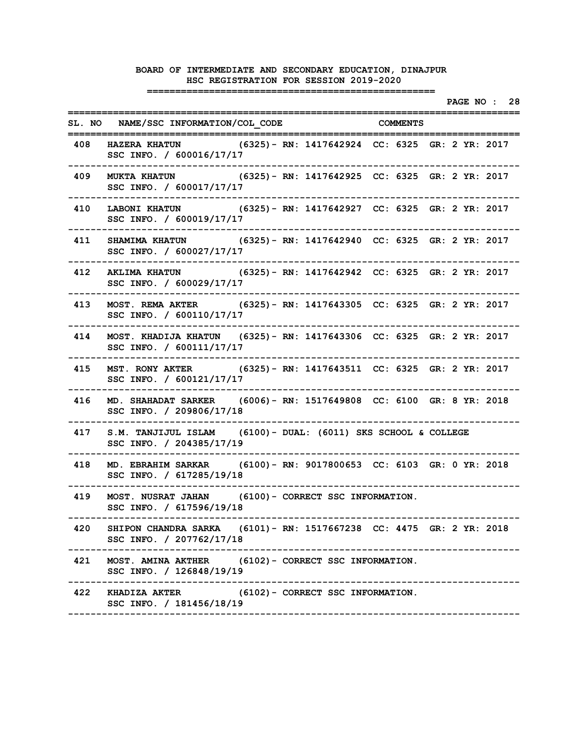|     |                                                                                                            |  |  |  |  |  | PAGE NO : 28 |  |
|-----|------------------------------------------------------------------------------------------------------------|--|--|--|--|--|--------------|--|
|     | SL. NO NAME/SSC INFORMATION/COL CODE COMMENTS                                                              |  |  |  |  |  |              |  |
| 408 | HAZERA KHATUN (6325) - RN: 1417642924 CC: 6325 GR: 2 YR: 2017<br>SSC INFO. / 600016/17/17                  |  |  |  |  |  |              |  |
| 409 | MUKTA KHATUN (6325) - RN: 1417642925 CC: 6325 GR: 2 YR: 2017<br>SSC INFO. / 600017/17/17                   |  |  |  |  |  |              |  |
| 410 | LABONI KHATUN (6325) - RN: 1417642927 CC: 6325 GR: 2 YR: 2017<br>SSC INFO. / 600019/17/17                  |  |  |  |  |  |              |  |
| 411 | SHAMIMA KHATUN (6325) - RN: 1417642940 CC: 6325 GR: 2 YR: 2017<br>SSC INFO. / 600027/17/17                 |  |  |  |  |  |              |  |
| 412 | AKLIMA KHATUN (6325) - RN: 1417642942 CC: 6325 GR: 2 YR: 2017<br>SSC INFO. / 600029/17/17<br>------------- |  |  |  |  |  |              |  |
| 413 | MOST. REMA AKTER (6325) - RN: 1417643305 CC: 6325 GR: 2 YR: 2017<br>SSC INFO. / 600110/17/17               |  |  |  |  |  |              |  |
| 414 | MOST. KHADIJA KHATUN (6325)- RN: 1417643306 CC: 6325 GR: 2 YR: 2017<br>SSC INFO. / 600111/17/17            |  |  |  |  |  |              |  |
| 415 | MST. RONY AKTER (6325) - RN: 1417643511 CC: 6325 GR: 2 YR: 2017<br>SSC INFO. / 600121/17/17                |  |  |  |  |  |              |  |
| 416 | MD. SHAHADAT SARKER (6006) - RN: 1517649808 CC: 6100 GR: 8 YR: 2018<br>SSC INFO. / 209806/17/18            |  |  |  |  |  |              |  |
| 417 | S.M. TANJIJUL ISLAM (6100) - DUAL: (6011) SKS SCHOOL & COLLEGE<br>SSC INFO. / 204385/17/19                 |  |  |  |  |  |              |  |
| 418 | MD. EBRAHIM SARKAR (6100) - RN: 9017800653 CC: 6103 GR: 0 YR: 2018<br>SSC INFO. / 617285/19/18             |  |  |  |  |  |              |  |
| 419 | MOST. NUSRAT JAHAN (6100) - CORRECT SSC INFORMATION.<br>SSC INFO. / 617596/19/18                           |  |  |  |  |  |              |  |
|     | 420 SHIPON CHANDRA SARKA (6101) - RN: 1517667238 CC: 4475 GR: 2 YR: 2018<br>SSC INFO. / 207762/17/18       |  |  |  |  |  |              |  |
| 421 | MOST. AMINA AKTHER (6102) - CORRECT SSC INFORMATION.<br>SSC INFO. / 126848/19/19                           |  |  |  |  |  |              |  |
|     | 422 KHADIZA AKTER (6102) - CORRECT SSC INFORMATION.<br>SSC INFO. / 181456/18/19                            |  |  |  |  |  |              |  |
|     |                                                                                                            |  |  |  |  |  |              |  |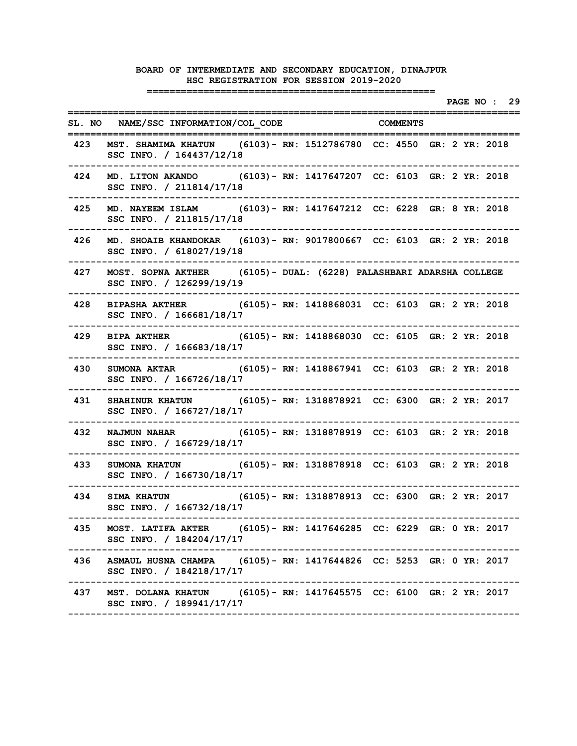|       |                                                                                                                                  |  |                                                |  |  | PAGE NO : 29 |  |
|-------|----------------------------------------------------------------------------------------------------------------------------------|--|------------------------------------------------|--|--|--------------|--|
|       | SL. NO NAME/SSC INFORMATION/COL CODE COMMENTS<br>===========                                                                     |  |                                                |  |  |              |  |
| 423   | MST. SHAMIMA KHATUN (6103) - RN: 1512786780 CC: 4550 GR: 2 YR: 2018<br>SSC INFO. / 164437/12/18                                  |  |                                                |  |  |              |  |
| 424   | MD. LITON AKANDO (6103) - RN: 1417647207 CC: 6103 GR: 2 YR: 2018<br>SSC INFO. / 211814/17/18                                     |  |                                                |  |  |              |  |
| 425   | MD. NAYEEM ISLAM (6103) - RN: 1417647212 CC: 6228 GR: 8 YR: 2018<br>SSC INFO. / 211815/17/18                                     |  |                                                |  |  |              |  |
| 426   | MD. SHOAIB KHANDOKAR (6103) - RN: 9017800667 CC: 6103 GR: 2 YR: 2018<br>SSC INFO. / 618027/19/18                                 |  |                                                |  |  |              |  |
| 427   | MOST. SOPNA AKTHER (6105) - DUAL: (6228) PALASHBARI ADARSHA COLLEGE<br>SSC INFO. / 126299/19/19                                  |  |                                                |  |  |              |  |
| 428   | BIPASHA AKTHER (6105) - RN: 1418868031 CC: 6103 GR: 2 YR: 2018<br>SSC INFO. / 166681/18/17                                       |  |                                                |  |  |              |  |
| 429   | BIPA AKTHER (6105) - RN: 1418868030 CC: 6105 GR: 2 YR: 2018<br>SSC INFO. / 166683/18/17<br>. _ _ _ _ _ _ _ _ _ _ _ _ _ _ _ _ _ _ |  |                                                |  |  |              |  |
| 430   | SUMONA AKTAR (6105) - RN: 1418867941 CC: 6103 GR: 2 YR: 2018<br>SSC INFO. / 166726/18/17                                         |  |                                                |  |  |              |  |
| 431   | SHAHINUR KHATUN (6105) - RN: 1318878921 CC: 6300 GR: 2 YR: 2017<br>SSC INFO. / 166727/18/17                                      |  |                                                |  |  |              |  |
| 432   | NAJMUN NAHAR (6105) - RN: 1318878919 CC: 6103 GR: 2 YR: 2018<br>SSC INFO. / 166729/18/17                                         |  |                                                |  |  |              |  |
| 433   | SUMONA KHATUN (6105) - RN: 1318878918 CC: 6103 GR: 2 YR: 2018<br>SSC INFO. / 166730/18/17                                        |  |                                                |  |  |              |  |
| 434   | <b>SIMA KHATUN</b><br>SSC INFO. / 166732/18/17                                                                                   |  | (6105)- RN: 1318878913 CC: 6300 GR: 2 YR: 2017 |  |  |              |  |
|       | 435 MOST. LATIFA AKTER (6105) - RN: 1417646285 CC: 6229 GR: 0 YR: 2017<br>SSC INFO. / 184204/17/17                               |  |                                                |  |  |              |  |
| 436 — | ASMAUL HUSNA CHAMPA (6105) - RN: 1417644826 CC: 5253 GR: 0 YR: 2017<br>SSC INFO. / 184218/17/17                                  |  |                                                |  |  |              |  |
|       | 437 MST. DOLANA KHATUN (6105) - RN: 1417645575 CC: 6100 GR: 2 YR: 2017<br>SSC INFO. / 189941/17/17                               |  |                                                |  |  |              |  |
|       |                                                                                                                                  |  |                                                |  |  |              |  |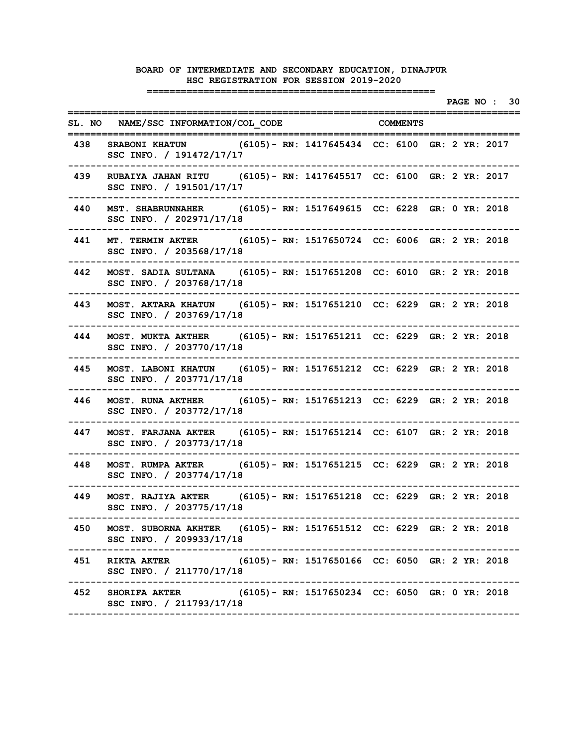|     |                                                                                                                             |  |  |  | PAGE NO : 30 |  |
|-----|-----------------------------------------------------------------------------------------------------------------------------|--|--|--|--------------|--|
|     | SL. NO NAME/SSC INFORMATION/COL CODE COMMENTS                                                                               |  |  |  |              |  |
| 438 | SRABONI KHATUN (6105) - RN: 1417645434 CC: 6100 GR: 2 YR: 2017<br>SSC INFO. / 191472/17/17                                  |  |  |  |              |  |
| 439 | RUBAIYA JAHAN RITU (6105) - RN: 1417645517 CC: 6100 GR: 2 YR: 2017<br>SSC INFO. / 191501/17/17                              |  |  |  |              |  |
| 440 | MST. SHABRUNNAHER (6105) - RN: 1517649615 CC: 6228 GR: 0 YR: 2018<br>SSC INFO. / 202971/17/18                               |  |  |  |              |  |
| 441 | MT. TERMIN AKTER (6105) - RN: 1517650724 CC: 6006 GR: 2 YR: 2018<br>SSC INFO. / 203568/17/18                                |  |  |  |              |  |
| 442 | MOST. SADIA SULTANA (6105) - RN: 1517651208 CC: 6010 GR: 2 YR: 2018<br>SSC INFO. / 203768/17/18                             |  |  |  |              |  |
| 443 | MOST. AKTARA KHATUN (6105) - RN: 1517651210 CC: 6229 GR: 2 YR: 2018<br>SSC INFO. / 203769/17/18                             |  |  |  |              |  |
| 444 | MOST. MUKTA AKTHER (6105) - RN: 1517651211 CC: 6229 GR: 2 YR: 2018<br>SSC INFO. / 203770/17/18                              |  |  |  |              |  |
| 445 | MOST. LABONI KHATUN (6105) - RN: 1517651212 CC: 6229 GR: 2 YR: 2018<br>SSC INFO. / 203771/17/18                             |  |  |  |              |  |
| 446 | MOST. RUNA AKTHER (6105) - RN: 1517651213 CC: 6229 GR: 2 YR: 2018<br>SSC INFO. / 203772/17/18                               |  |  |  |              |  |
| 447 | MOST. FARJANA AKTER (6105) - RN: 1517651214 CC: 6107 GR: 2 YR: 2018<br>SSC INFO. / 203773/17/18                             |  |  |  |              |  |
| 448 | MOST. RUMPA AKTER (6105) - RN: 1517651215 CC: 6229 GR: 2 YR: 2018<br>SSC INFO. / 203774/17/18                               |  |  |  |              |  |
| 449 | MOST. RAJIYA AKTER (6105) - RN: 1517651218 CC: 6229 GR: 2 YR: 2018<br>SSC INFO. / 203775/17/18                              |  |  |  |              |  |
| 450 | MOST. SUBORNA AKHTER (6105) - RN: 1517651512 CC: 6229 GR: 2 YR: 2018<br>SSC INFO. / 209933/17/18                            |  |  |  |              |  |
| 451 | --------------------------------<br>RIKTA AKTER (6105) - RN: 1517650166 CC: 6050 GR: 2 YR: 2018<br>SSC INFO. / 211770/17/18 |  |  |  |              |  |
|     | 452 SHORIFA AKTER (6105) - RN: 1517650234 CC: 6050 GR: 0 YR: 2018<br>SSC INFO. / 211793/17/18                               |  |  |  |              |  |
|     |                                                                                                                             |  |  |  |              |  |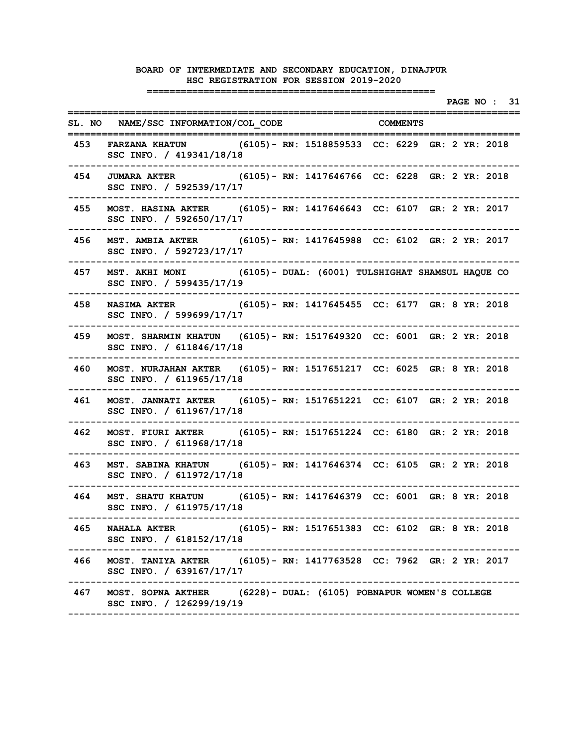|     |                                                                                                   |  |                                                                                      | :================ |  |  | PAGE NO : 31 |  |
|-----|---------------------------------------------------------------------------------------------------|--|--------------------------------------------------------------------------------------|-------------------|--|--|--------------|--|
|     | SL. NO NAME/SSC INFORMATION/COL CODE COMMENTS<br>===========                                      |  |                                                                                      |                   |  |  |              |  |
| 453 | FARZANA KHATUN (6105) - RN: 1518859533 CC: 6229 GR: 2 YR: 2018<br>SSC INFO. / 419341/18/18        |  |                                                                                      |                   |  |  |              |  |
| 454 | JUMARA AKTER (6105) - RN: 1417646766 CC: 6228 GR: 2 YR: 2018<br>SSC INFO. / 592539/17/17          |  |                                                                                      |                   |  |  |              |  |
| 455 | MOST. HASINA AKTER (6105) - RN: 1417646643 CC: 6107 GR: 2 YR: 2017<br>SSC INFO. / 592650/17/17    |  |                                                                                      |                   |  |  |              |  |
| 456 | MST. AMBIA AKTER (6105) - RN: 1417645988 CC: 6102 GR: 2 YR: 2017<br>SSC INFO. / 592723/17/17      |  |                                                                                      |                   |  |  |              |  |
| 457 | MST. AKHI MONI (6105) - DUAL: (6001) TULSHIGHAT SHAMSUL HAQUE CO<br>SSC INFO. / 599435/17/19      |  |                                                                                      |                   |  |  |              |  |
| 458 | NASIMA AKTER (6105) - RN: 1417645455 CC: 6177 GR: 8 YR: 2018<br>SSC INFO. / 599699/17/17          |  |                                                                                      |                   |  |  |              |  |
| 459 | MOST. SHARMIN KHATUN (6105)- RN: 1517649320 CC: 6001 GR: 2 YR: 2018<br>SSC INFO. / 611846/17/18   |  |                                                                                      |                   |  |  |              |  |
| 460 | MOST. NURJAHAN AKTER (6105)- RN: 1517651217 CC: 6025 GR: 8 YR: 2018<br>SSC INFO. / 611965/17/18   |  |                                                                                      |                   |  |  |              |  |
| 461 | MOST. JANNATI AKTER (6105) - RN: 1517651221 CC: 6107 GR: 2 YR: 2018<br>SSC INFO. / 611967/17/18   |  |                                                                                      |                   |  |  |              |  |
| 462 | MOST. FIURI AKTER (6105) - RN: 1517651224 CC: 6180 GR: 2 YR: 2018<br>SSC INFO. / 611968/17/18     |  |                                                                                      |                   |  |  |              |  |
| 463 | MST. SABINA KHATUN (6105) - RN: 1417646374 CC: 6105 GR: 2 YR: 2018<br>SSC INFO. / 611972/17/18    |  |                                                                                      |                   |  |  |              |  |
|     | 464 MST. SHATU KHATUN (6105) - RN: 1417646379 CC: 6001 GR: 8 YR: 2018<br>SSC INFO. / 611975/17/18 |  |                                                                                      |                   |  |  |              |  |
|     | 465 NAHALA AKTER<br>SSC INFO. / 618152/17/18                                                      |  | ---------------------------------<br>(6105) - RN: 1517651383 CC: 6102 GR: 8 YR: 2018 |                   |  |  |              |  |
| 466 | MOST. TANIYA AKTER (6105) - RN: 1417763528 CC: 7962 GR: 2 YR: 2017<br>SSC INFO. / 639167/17/17    |  |                                                                                      |                   |  |  |              |  |
|     | 467 MOST. SOPNA AKTHER (6228) - DUAL: (6105) POBNAPUR WOMEN'S COLLEGE<br>SSC INFO. / 126299/19/19 |  |                                                                                      |                   |  |  |              |  |
|     |                                                                                                   |  |                                                                                      |                   |  |  |              |  |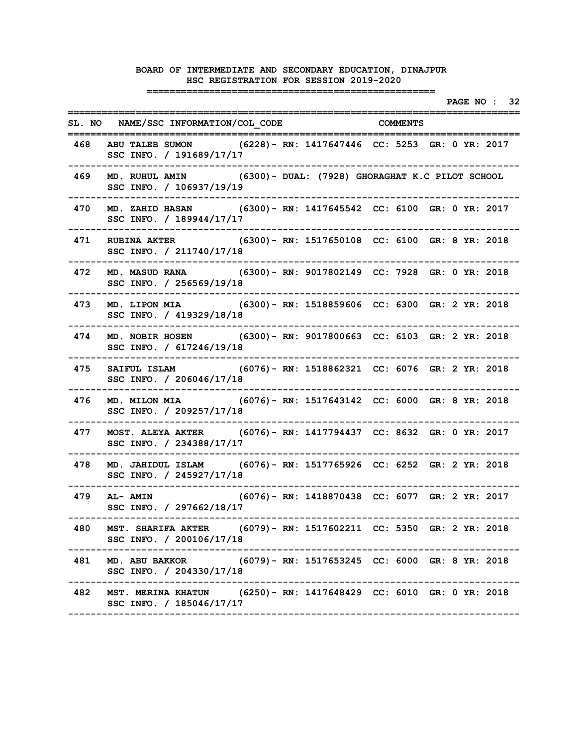|     |                                                                                                    |                                                 |  | PAGE NO : 32 |
|-----|----------------------------------------------------------------------------------------------------|-------------------------------------------------|--|--------------|
|     | SL. NO NAME/SSC INFORMATION/COL CODE COMMENTS<br>========                                          |                                                 |  |              |
| 468 | ABU TALEB SUMON (6228) - RN: 1417647446 CC: 5253 GR: 0 YR: 2017<br>SSC INFO. / 191689/17/17        |                                                 |  |              |
| 469 | MD. RUHUL AMIN (6300) - DUAL: (7928) GHORAGHAT K.C PILOT SCHOOL<br>SSC INFO. / 106937/19/19        |                                                 |  |              |
| 470 | MD. ZAHID HASAN (6300) - RN: 1417645542 CC: 6100 GR: 0 YR: 2017<br>SSC INFO. / 189944/17/17        |                                                 |  |              |
| 471 | RUBINA AKTER (6300) - RN: 1517650108 CC: 6100 GR: 8 YR: 2018<br>SSC INFO. / 211740/17/18           |                                                 |  |              |
| 472 | MD. MASUD RANA (6300) - RN: 9017802149 CC: 7928 GR: 0 YR: 2018<br>SSC INFO. / 256569/19/18         |                                                 |  |              |
| 473 | MD. LIPON MIA (6300) - RN: 1518859606 CC: 6300 GR: 2 YR: 2018<br>SSC INFO. / 419329/18/18          |                                                 |  |              |
| 474 | MD. NOBIR HOSEN (6300) - RN: 9017800663 CC: 6103 GR: 2 YR: 2018<br>SSC INFO. / 617246/19/18        |                                                 |  |              |
| 475 | SAIFUL ISLAM (6076) - RN: 1518862321 CC: 6076 GR: 2 YR: 2018<br>SSC INFO. / 206046/17/18           |                                                 |  |              |
| 476 | MD. MILON MIA (6076) - RN: 1517643142 CC: 6000 GR: 8 YR: 2018<br>SSC INFO. / 209257/17/18          |                                                 |  |              |
| 477 | MOST. ALEYA AKTER (6076) - RN: 1417794437 CC: 8632 GR: 0 YR: 2017<br>SSC INFO. / 234388/17/17      |                                                 |  |              |
| 478 | MD. JAHIDUL ISLAM (6076) - RN: 1517765926 CC: 6252 GR: 2 YR: 2018<br>SSC INFO. / 245927/17/18      |                                                 |  |              |
| 479 | AL- AMIN<br>SSC INFO. / 297662/18/17                                                               | (6076) - RN: 1418870438 CC: 6077 GR: 2 YR: 2017 |  |              |
|     | 480 MST. SHARIFA AKTER (6079) - RN: 1517602211 CC: 5350 GR: 2 YR: 2018<br>SSC INFO. / 200106/17/18 |                                                 |  |              |
| 481 | MD. ABU BAKKOR (6079) - RN: 1517653245 CC: 6000 GR: 8 YR: 2018<br>SSC INFO. / 204330/17/18         |                                                 |  |              |
|     | 482 MST. MERINA KHATUN (6250) - RN: 1417648429 CC: 6010 GR: 0 YR: 2018<br>SSC INFO. / 185046/17/17 |                                                 |  |              |
|     |                                                                                                    |                                                 |  |              |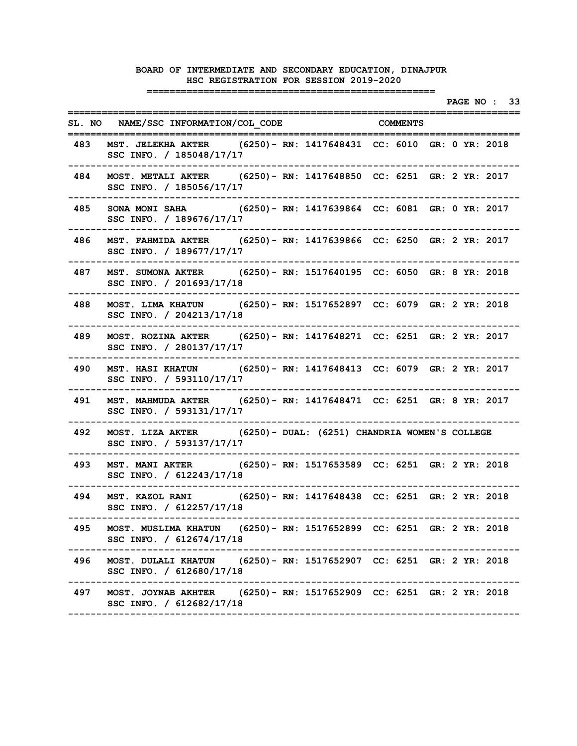|     |                                                                                                                                        |  | PAGE NO : 33 |  |
|-----|----------------------------------------------------------------------------------------------------------------------------------------|--|--------------|--|
|     | SL. NO NAME/SSC INFORMATION/COL CODE COMMENTS<br>.==========                                                                           |  |              |  |
| 483 | MST. JELEKHA AKTER (6250) - RN: 1417648431 CC: 6010 GR: 0 YR: 2018<br>SSC INFO. / 185048/17/17                                         |  |              |  |
| 484 | MOST. METALI AKTER (6250) - RN: 1417648850 CC: 6251 GR: 2 YR: 2017<br>SSC INFO. / 185056/17/17                                         |  |              |  |
| 485 | SONA MONI SAHA (6250) - RN: 1417639864 CC: 6081 GR: 0 YR: 2017<br>SSC INFO. / 189676/17/17                                             |  |              |  |
| 486 | MST. FAHMIDA AKTER (6250) - RN: 1417639866 CC: 6250 GR: 2 YR: 2017<br>SSC INFO. / 189677/17/17                                         |  |              |  |
| 487 | MST. SUMONA AKTER (6250) - RN: 1517640195 CC: 6050 GR: 8 YR: 2018<br>SSC INFO. / 201693/17/18                                          |  |              |  |
| 488 | MOST. LIMA KHATUN (6250) - RN: 1517652897 CC: 6079 GR: 2 YR: 2018<br>SSC INFO. / 204213/17/18                                          |  |              |  |
| 489 | MOST. ROZINA AKTER (6250) - RN: 1417648271 CC: 6251 GR: 2 YR: 2017<br>SSC INFO. / 280137/17/17                                         |  |              |  |
| 490 | MST. HASI KHATUN (6250) - RN: 1417648413 CC: 6079 GR: 2 YR: 2017<br>SSC INFO. / 593110/17/17                                           |  |              |  |
| 491 | MST. MAHMUDA AKTER (6250) - RN: 1417648471 CC: 6251 GR: 8 YR: 2017<br>SSC INFO. / 593131/17/17                                         |  |              |  |
| 492 | MOST. LIZA AKTER (6250) - DUAL: (6251) CHANDRIA WOMEN'S COLLEGE<br>SSC INFO. / 593137/17/17                                            |  |              |  |
| 493 | MST. MANI AKTER (6250) - RN: 1517653589 CC: 6251 GR: 2 YR: 2018<br>SSC INFO. / 612243/17/18                                            |  |              |  |
| 494 | MST. KAZOL RANI (6250) - RN: 1417648438 CC: 6251 GR: 2 YR: 2018<br>SSC INFO. / 612257/17/18                                            |  |              |  |
|     | ------------------------------<br>495 MOST. MUSLIMA KHATUN (6250) - RN: 1517652899 CC: 6251 GR: 2 YR: 2018<br>SSC INFO. / 612674/17/18 |  |              |  |
| 496 | MOST. DULALI KHATUN (6250) - RN: 1517652907 CC: 6251 GR: 2 YR: 2018<br>SSC INFO. / 612680/17/18                                        |  |              |  |
|     | 497 MOST. JOYNAB AKHTER (6250) - RN: 1517652909 CC: 6251 GR: 2 YR: 2018<br>SSC INFO. / 612682/17/18                                    |  |              |  |
|     |                                                                                                                                        |  |              |  |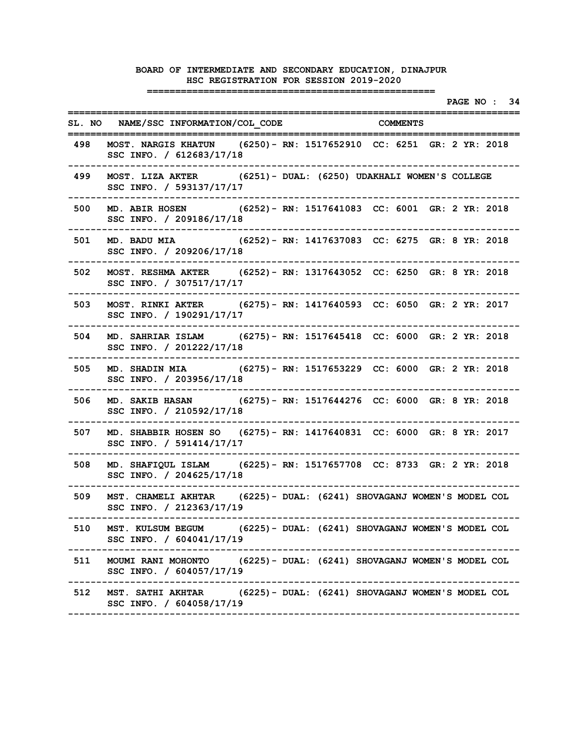|     |                                                                                                     |  |  |                 |  | PAGE NO : 34 |
|-----|-----------------------------------------------------------------------------------------------------|--|--|-----------------|--|--------------|
|     | SL. NO NAME/SSC INFORMATION/COL CODE<br>=========                                                   |  |  | <b>COMMENTS</b> |  |              |
|     | 498 MOST. NARGIS KHATUN (6250) - RN: 1517652910 CC: 6251 GR: 2 YR: 2018<br>SSC INFO. / 612683/17/18 |  |  |                 |  |              |
| 499 | MOST. LIZA AKTER (6251) - DUAL: (6250) UDAKHALI WOMEN'S COLLEGE<br>SSC INFO. / 593137/17/17         |  |  |                 |  |              |
| 500 | MD. ABIR HOSEN (6252) - RN: 1517641083 CC: 6001 GR: 2 YR: 2018<br>SSC INFO. / 209186/17/18          |  |  |                 |  |              |
| 501 | MD. BADU MIA (6252) - RN: 1417637083 CC: 6275 GR: 8 YR: 2018<br>SSC INFO. / 209206/17/18            |  |  |                 |  |              |
| 502 | MOST. RESHMA AKTER (6252) - RN: 1317643052 CC: 6250 GR: 8 YR: 2018<br>SSC INFO. / 307517/17/17      |  |  |                 |  |              |
| 503 | MOST. RINKI AKTER (6275) - RN: 1417640593 CC: 6050 GR: 2 YR: 2017<br>SSC INFO. / 190291/17/17       |  |  |                 |  |              |
| 504 | MD. SAHRIAR ISLAM (6275) - RN: 1517645418 CC: 6000 GR: 2 YR: 2018<br>SSC INFO. / 201222/17/18       |  |  |                 |  |              |
| 505 | MD. SHADIN MIA (6275) - RN: 1517653229 CC: 6000 GR: 2 YR: 2018<br>SSC INFO. / 203956/17/18          |  |  |                 |  |              |
| 506 | MD. SAKIB HASAN (6275) - RN: 1517644276 CC: 6000 GR: 8 YR: 2018<br>SSC INFO. / 210592/17/18         |  |  |                 |  |              |
| 507 | MD. SHABBIR HOSEN SO (6275) - RN: 1417640831 CC: 6000 GR: 8 YR: 2017<br>SSC INFO. / 591414/17/17    |  |  |                 |  |              |
| 508 | MD. SHAFIQUL ISLAM (6225) - RN: 1517657708 CC: 8733 GR: 2 YR: 2018<br>SSC INFO. / 204625/17/18      |  |  |                 |  |              |
| 509 | MST. CHAMELI AKHTAR (6225) - DUAL: (6241) SHOVAGANJ WOMEN'S MODEL COL<br>SSC INFO. / 212363/17/19   |  |  |                 |  |              |
|     | 510 MST. KULSUM BEGUM (6225) - DUAL: (6241) SHOVAGANJ WOMEN'S MODEL COL<br>SSC INFO. / 604041/17/19 |  |  |                 |  |              |
| 511 | MOUMI RANI MOHONTO (6225) - DUAL: (6241) SHOVAGANJ WOMEN'S MODEL COL<br>SSC INFO. / 604057/17/19    |  |  |                 |  |              |
|     | 512 MST. SATHI AKHTAR (6225) - DUAL: (6241) SHOVAGANJ WOMEN'S MODEL COL<br>SSC INFO. / 604058/17/19 |  |  |                 |  |              |
|     |                                                                                                     |  |  |                 |  |              |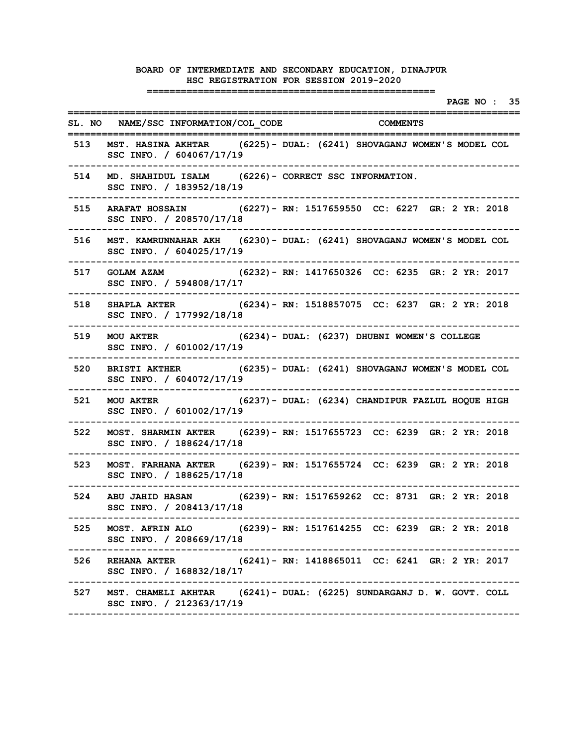|     | =====================<br>--------                                                                     | PAGE NO : 35 |  |
|-----|-------------------------------------------------------------------------------------------------------|--------------|--|
|     | SL. NO NAME/SSC INFORMATION/COL CODE COMMENTS                                                         |              |  |
|     | 513 MST. HASINA AKHTAR (6225) - DUAL: (6241) SHOVAGANJ WOMEN'S MODEL COL<br>SSC INFO. / 604067/17/19  |              |  |
| 514 | MD. SHAHIDUL ISALM (6226) - CORRECT SSC INFORMATION.<br>SSC INFO. / 183952/18/19                      |              |  |
|     | 515 ARAFAT HOSSAIN (6227) - RN: 1517659550 CC: 6227 GR: 2 YR: 2018<br>SSC INFO. / 208570/17/18        |              |  |
| 516 | MST. KAMRUNNAHAR AKH (6230) - DUAL: (6241) SHOVAGANJ WOMEN'S MODEL COL<br>SSC INFO. / 604025/17/19    |              |  |
|     | 517 GOLAM AZAM (6232) - RN: 1417650326 CC: 6235 GR: 2 YR: 2017<br>SSC INFO. / 594808/17/17            |              |  |
| 518 | SHAPLA AKTER (6234) - RN: 1518857075 CC: 6237 GR: 2 YR: 2018<br>SSC INFO. / 177992/18/18              |              |  |
| 519 | (6234) - DUAL: (6237) DHUBNI WOMEN'S COLLEGE<br><b>MOU AKTER</b><br>SSC INFO. / 601002/17/19          |              |  |
| 520 | BRISTI AKTHER (6235) - DUAL: (6241) SHOVAGANJ WOMEN'S MODEL COL<br>SSC INFO. / 604072/17/19           |              |  |
| 521 | MOU AKTER (6237) - DUAL: (6234) CHANDIPUR FAZLUL HOQUE HIGH<br>SSC INFO. / 601002/17/19               |              |  |
| 522 | MOST. SHARMIN AKTER (6239) - RN: 1517655723 CC: 6239 GR: 2 YR: 2018<br>SSC INFO. / 188624/17/18       |              |  |
| 523 | MOST. FARHANA AKTER (6239) - RN: 1517655724 CC: 6239 GR: 2 YR: 2018<br>SSC INFO. / 188625/17/18       |              |  |
| 524 | ABU JAHID HASAN (6239) - RN: 1517659262 CC: 8731 GR: 2 YR: 2018<br>SSC INFO. / 208413/17/18           |              |  |
|     | 525 MOST. AFRIN ALO (6239) - RN: 1517614255 CC: 6239 GR: 2 YR: 2018<br>SSC INFO. / 208669/17/18       |              |  |
|     | 526 REHANA AKTER (6241) - RN: 1418865011 CC: 6241 GR: 2 YR: 2017<br>SSC INFO. / 168832/18/17          |              |  |
|     | 527 MST. CHAMELI AKHTAR (6241) - DUAL: (6225) SUNDARGANJ D. W. GOVT. COLL<br>SSC INFO. / 212363/17/19 |              |  |
|     |                                                                                                       |              |  |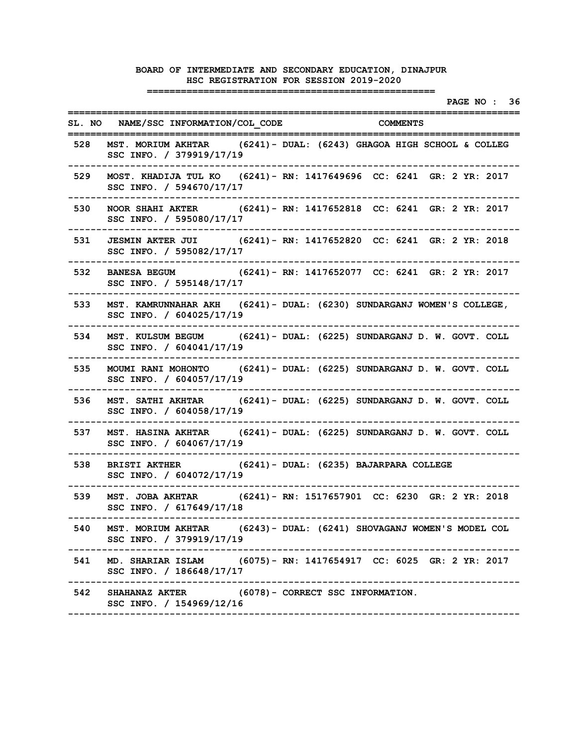|     |                                                                                                      |  | ---------------------------------- |  |                      |  | PAGE NO : 36 |  |
|-----|------------------------------------------------------------------------------------------------------|--|------------------------------------|--|----------------------|--|--------------|--|
|     | SL. NO NAME/SSC INFORMATION/COL CODE COMMENTS<br>=====================================               |  | ========================           |  | ==================== |  |              |  |
|     | 528 MST. MORIUM AKHTAR (6241) - DUAL: (6243) GHAGOA HIGH SCHOOL & COLLEG<br>SSC INFO. / 379919/17/19 |  |                                    |  |                      |  |              |  |
| 529 | MOST. KHADIJA TUL KO (6241) - RN: 1417649696 CC: 6241 GR: 2 YR: 2017<br>SSC INFO. / 594670/17/17     |  |                                    |  |                      |  |              |  |
| 530 | NOOR SHAHI AKTER (6241) - RN: 1417652818 CC: 6241 GR: 2 YR: 2017<br>SSC INFO. / 595080/17/17         |  |                                    |  |                      |  |              |  |
| 531 | JESMIN AKTER JUI (6241) - RN: 1417652820 CC: 6241 GR: 2 YR: 2018<br>SSC INFO. / 595082/17/17         |  |                                    |  |                      |  |              |  |
| 532 | BANESA BEGUM (6241) - RN: 1417652077 CC: 6241 GR: 2 YR: 2017<br>SSC INFO. / 595148/17/17             |  |                                    |  |                      |  |              |  |
| 533 | MST. KAMRUNNAHAR AKH (6241) - DUAL: (6230) SUNDARGANJ WOMEN'S COLLEGE,<br>SSC INFO. / 604025/17/19   |  |                                    |  |                      |  |              |  |
| 534 | MST. KULSUM BEGUM (6241)- DUAL: (6225) SUNDARGANJ D. W. GOVT. COLL<br>SSC INFO. / 604041/17/19       |  |                                    |  |                      |  |              |  |
| 535 | MOUMI RANI MOHONTO (6241) - DUAL: (6225) SUNDARGANJ D. W. GOVT. COLL<br>SSC INFO. / 604057/17/19     |  |                                    |  |                      |  |              |  |
| 536 | MST. SATHI AKHTAR (6241) - DUAL: (6225) SUNDARGANJ D. W. GOVT. COLL<br>SSC INFO. / 604058/17/19      |  |                                    |  |                      |  |              |  |
| 537 | MST. HASINA AKHTAR (6241) - DUAL: (6225) SUNDARGANJ D. W. GOVT. COLL<br>SSC INFO. / 604067/17/19     |  |                                    |  |                      |  |              |  |
| 538 | BRISTI AKTHER (6241) - DUAL: (6235) BAJARPARA COLLEGE<br>SSC INFO. / 604072/17/19                    |  |                                    |  |                      |  |              |  |
| 539 | MST. JOBA AKHTAR (6241) - RN: 1517657901 CC: 6230 GR: 2 YR: 2018<br>SSC INFO. / 617649/17/18         |  |                                    |  |                      |  |              |  |
|     | 540 MST. MORIUM AKHTAR (6243) - DUAL: (6241) SHOVAGANJ WOMEN'S MODEL COL<br>SSC INFO. / 379919/17/19 |  |                                    |  |                      |  |              |  |
| 541 | MD. SHARIAR ISLAM (6075) - RN: 1417654917 CC: 6025 GR: 2 YR: 2017<br>SSC INFO. / 186648/17/17        |  |                                    |  |                      |  |              |  |
| 542 | SHAHANAZ AKTER (6078) - CORRECT SSC INFORMATION.<br>SSC INFO. / 154969/12/16                         |  |                                    |  |                      |  |              |  |
|     |                                                                                                      |  |                                    |  |                      |  |              |  |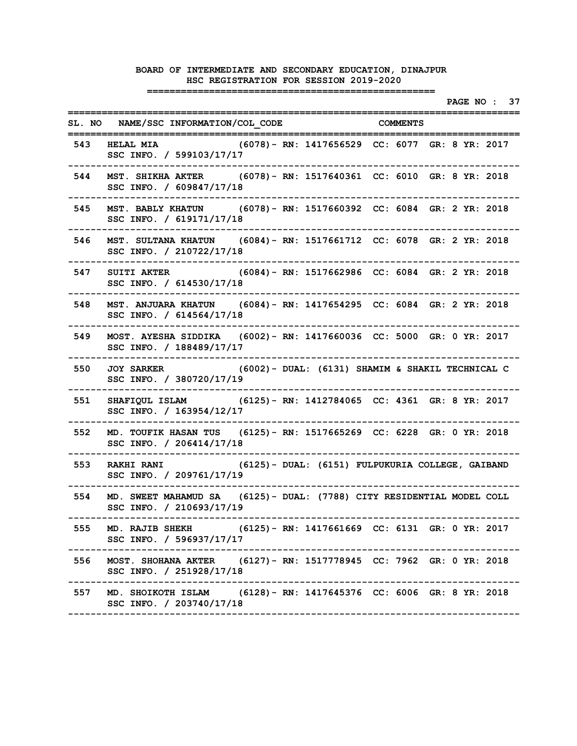**PAGE NO : 37 ================================================================================** SL. NO NAME/SSC INFORMATION/COL CODE COMMENTS **================================================================================ 543 HELAL MIA (6078)- RN: 1417656529 CC: 6077 GR: 8 YR: 2017 SSC INFO. / 599103/17/17 -------------------------------------------------------------------------------- 544 MST. SHIKHA AKTER (6078)- RN: 1517640361 CC: 6010 GR: 8 YR: 2018 SSC INFO. / 609847/17/18 -------------------------------------------------------------------------------- 545 MST. BABLY KHATUN (6078)- RN: 1517660392 CC: 6084 GR: 2 YR: 2018 SSC INFO. / 619171/17/18 -------------------------------------------------------------------------------- 546 MST. SULTANA KHATUN (6084)- RN: 1517661712 CC: 6078 GR: 2 YR: 2018 SSC INFO. / 210722/17/18 -------------------------------------------------------------------------------- 547 SUITI AKTER (6084)- RN: 1517662986 CC: 6084 GR: 2 YR: 2018 SSC INFO. / 614530/17/18 -------------------------------------------------------------------------------- 548 MST. ANJUARA KHATUN (6084)- RN: 1417654295 CC: 6084 GR: 2 YR: 2018 SSC INFO. / 614564/17/18 -------------------------------------------------------------------------------- 549 MOST. AYESHA SIDDIKA (6002)- RN: 1417660036 CC: 5000 GR: 0 YR: 2017 SSC INFO. / 188489/17/17 -------------------------------------------------------------------------------- 550 JOY SARKER (6002)- DUAL: (6131) SHAMIM & SHAKIL TECHNICAL C SSC INFO. / 380720/17/19 -------------------------------------------------------------------------------- 551 SHAFIQUL ISLAM (6125)- RN: 1412784065 CC: 4361 GR: 8 YR: 2017 SSC INFO. / 163954/12/17 -------------------------------------------------------------------------------- 552 MD. TOUFIK HASAN TUS (6125)- RN: 1517665269 CC: 6228 GR: 0 YR: 2018 SSC INFO. / 206414/17/18 -------------------------------------------------------------------------------- 553 RAKHI RANI (6125)- DUAL: (6151) FULPUKURIA COLLEGE, GAIBAND SSC INFO. / 209761/17/19 -------------------------------------------------------------------------------- 554 MD. SWEET MAHAMUD SA (6125)- DUAL: (7788) CITY RESIDENTIAL MODEL COLL SSC INFO. / 210693/17/19 -------------------------------------------------------------------------------- 555 MD. RAJIB SHEKH (6125)- RN: 1417661669 CC: 6131 GR: 0 YR: 2017 SSC INFO. / 596937/17/17 -------------------------------------------------------------------------------- 556 MOST. SHOHANA AKTER (6127)- RN: 1517778945 CC: 7962 GR: 0 YR: 2018 SSC INFO. / 251928/17/18 -------------------------------------------------------------------------------- 557 MD. SHOIKOTH ISLAM (6128)- RN: 1417645376 CC: 6006 GR: 8 YR: 2018 SSC INFO. / 203740/17/18 --------------------------------------------------------------------------------**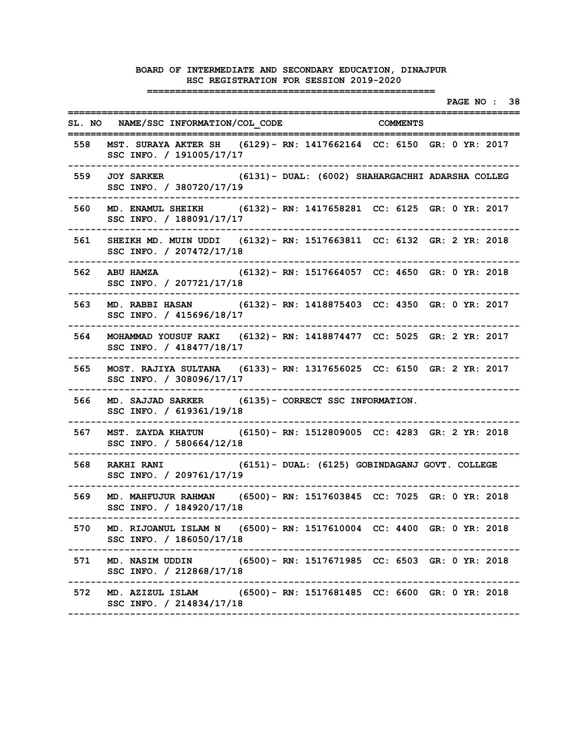|       |                                                                                                      | -------------                         | PAGE NO : 38      |
|-------|------------------------------------------------------------------------------------------------------|---------------------------------------|-------------------|
|       | SL. NO NAME/SSC INFORMATION/COL CODE<br>===========                                                  | <b>COMMENTS</b><br>================== |                   |
|       | 558 MST. SURAYA AKTER SH (6129) - RN: 1417662164 CC: 6150 GR: 0 YR: 2017<br>SSC INFO. / 191005/17/17 |                                       |                   |
| 559   | JOY SARKER (6131) - DUAL: (6002) SHAHARGACHHI ADARSHA COLLEG<br>SSC INFO. / 380720/17/19             |                                       |                   |
| 560 — | MD. ENAMUL SHEIKH (6132) - RN: 1417658281 CC: 6125 GR: 0 YR: 2017<br>SSC INFO. / 188091/17/17        |                                       |                   |
| 561   | SHEIKH MD. MUIN UDDI (6132) - RN: 1517663811 CC: 6132 GR: 2 YR: 2018<br>SSC INFO. / 207472/17/18     |                                       |                   |
| 562   | ABU HAMZA (6132) - RN: 1517664057 CC: 4650 GR: 0 YR: 2018<br>SSC INFO. / 207721/17/18                |                                       |                   |
| 563   | MD. RABBI HASAN (6132) - RN: 1418875403 CC: 4350 GR: 0 YR: 2017<br>SSC INFO. / 415696/18/17          |                                       |                   |
|       | 564 MOHAMMAD YOUSUF RAKI (6132) - RN: 1418874477 CC: 5025 GR: 2 YR: 2017<br>SSC INFO. / 418477/18/17 |                                       |                   |
| 565   | MOST. RAJIYA SULTANA (6133) - RN: 1317656025 CC: 6150 GR: 2 YR: 2017<br>SSC INFO. / 308096/17/17     |                                       | ----------------- |
| 566   | MD. SAJJAD SARKER (6135) - CORRECT SSC INFORMATION.<br>SSC INFO. / 619361/19/18                      |                                       |                   |
| 567   | MST. ZAYDA KHATUN (6150) - RN: 1512809005 CC: 4283 GR: 2 YR: 2018<br>SSC INFO. / 580664/12/18        |                                       |                   |
|       | 568 RAKHI RANI (6151) - DUAL: (6125) GOBINDAGANJ GOVT. COLLEGE<br>SSC INFO. / 209761/17/19           |                                       |                   |
| 569   | MD. MAHFUJUR RAHMAN (6500) - RN: 1517603845 CC: 7025 GR: 0 YR: 2018<br>SSC INFO. / 184920/17/18      |                                       |                   |
|       | 570 MD. RIJOANUL ISLAM N (6500)- RN: 1517610004 CC: 4400 GR: 0 YR: 2018<br>SSC INFO. / 186050/17/18  |                                       |                   |
| 571   | MD. NASIM UDDIN (6500) - RN: 1517671985 CC: 6503 GR: 0 YR: 2018<br>SSC INFO. / 212868/17/18          |                                       |                   |
| 572   | MD. AZIZUL ISLAM (6500) - RN: 1517681485 CC: 6600 GR: 0 YR: 2018<br>SSC INFO. / 214834/17/18         |                                       |                   |
|       |                                                                                                      |                                       |                   |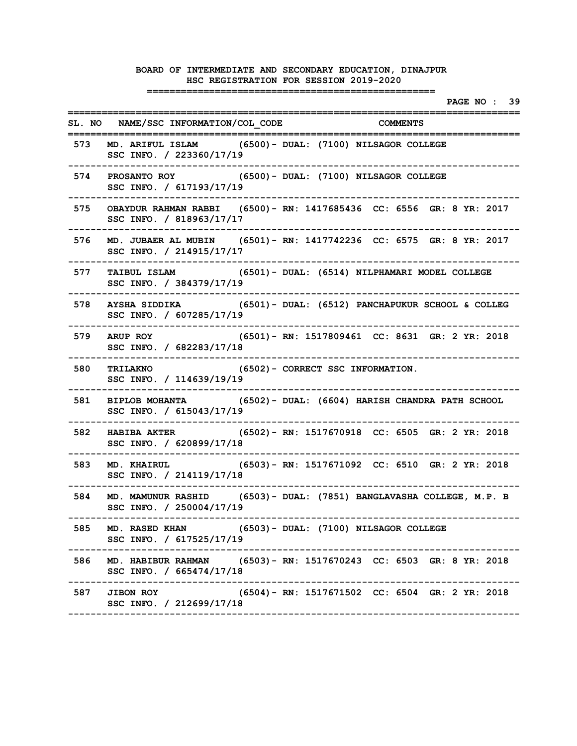|       |                                                                                                                  | :===========                                                         | PAGE NO : 39 |
|-------|------------------------------------------------------------------------------------------------------------------|----------------------------------------------------------------------|--------------|
|       | SL. NO NAME/SSC INFORMATION/COL CODE THE COMMENTS<br>:==========                                                 |                                                                      |              |
|       | 573 MD. ARIFUL ISLAM (6500) - DUAL: (7100) NILSAGOR COLLEGE<br>SSC INFO. / 223360/17/19<br>--------------------- |                                                                      |              |
|       | 574 PROSANTO ROY (6500) - DUAL: (7100) NILSAGOR COLLEGE<br>SSC INFO. / 617193/17/19                              |                                                                      |              |
| 575   | SSC INFO. / 818963/17/17                                                                                         | OBAYDUR RAHMAN RABBI (6500) - RN: 1417685436 CC: 6556 GR: 8 YR: 2017 |              |
| 576   | SSC INFO. / 214915/17/17                                                                                         | MD. JUBAER AL MUBIN (6501) - RN: 1417742236 CC: 6575 GR: 8 YR: 2017  |              |
| 577 — | SSC INFO. / 384379/17/19                                                                                         | TAIBUL ISLAM (6501) - DUAL: (6514) NILPHAMARI MODEL COLLEGE          |              |
| 578   | SSC INFO. / 607285/17/19                                                                                         | AYSHA SIDDIKA (6501) - DUAL: (6512) PANCHAPUKUR SCHOOL & COLLEG      |              |
|       | 579 ARUP ROY<br>SSC INFO. / 682283/17/18                                                                         | (6501) - RN: 1517809461 CC: 8631 GR: 2 YR: 2018                      |              |
| 580 — | TRILAKNO (6502) - CORRECT SSC INFORMATION.<br>SSC INFO. / 114639/19/19                                           |                                                                      |              |
|       | 581 BIPLOB MOHANTA (6502) - DUAL: (6604) HARISH CHANDRA PATH SCHOOL<br>SSC INFO. / 615043/17/19                  |                                                                      |              |
| 582   | SSC INFO. / 620899/17/18                                                                                         | HABIBA AKTER (6502) - RN: 1517670918 CC: 6505 GR: 2 YR: 2018         |              |
| 583   | SSC INFO. / 214119/17/18                                                                                         | MD. KHAIRUL (6503) - RN: 1517671092 CC: 6510 GR: 2 YR: 2018          |              |
| 584   | SSC INFO. / 250004/17/19                                                                                         | MD. MAMUNUR RASHID (6503) - DUAL: (7851) BANGLAVASHA COLLEGE, M.P. B |              |
|       | 585 MD. RASED KHAN (6503) - DUAL: (7100) NILSAGOR COLLEGE<br>SSC INFO. / 617525/17/19                            |                                                                      |              |
| 586 — | SSC INFO. / 665474/17/18                                                                                         | MD. HABIBUR RAHMAN (6503) - RN: 1517670243 CC: 6503 GR: 8 YR: 2018   |              |
| 587 — | <b>JIBON ROY</b><br>SSC INFO. / 212699/17/18                                                                     | (6504) - RN: 1517671502 CC: 6504 GR: 2 YR: 2018                      |              |
|       |                                                                                                                  |                                                                      |              |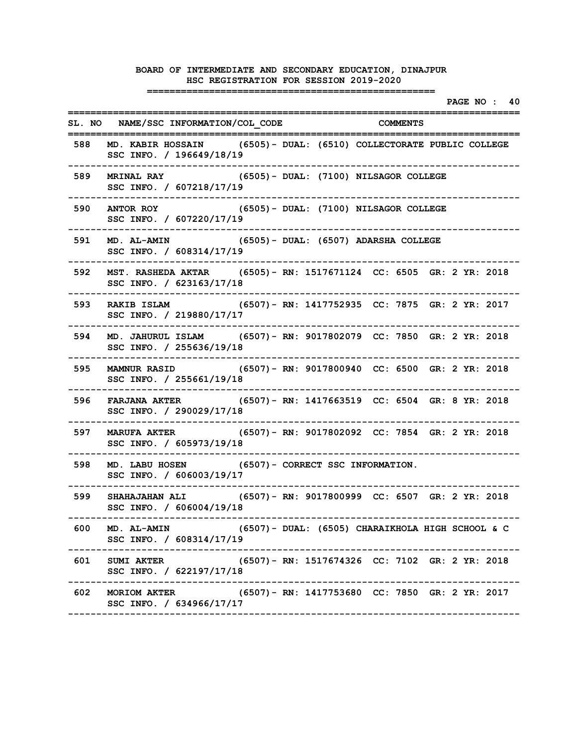|       |                                                                                                     | ----------- | PAGE NO : 40 |
|-------|-----------------------------------------------------------------------------------------------------|-------------|--------------|
|       | SL. NO NAME/SSC INFORMATION/COL CODE THE COMMENTS<br>===========                                    |             |              |
|       | 588 MD. KABIR HOSSAIN (6505) - DUAL: (6510) COLLECTORATE PUBLIC COLLEGE<br>SSC INFO. / 196649/18/19 |             |              |
|       | 589 MRINAL RAY (6505) - DUAL: (7100) NILSAGOR COLLEGE<br>SSC INFO. / 607218/17/19                   |             |              |
| 590   | ANTOR ROY (6505) - DUAL: (7100) NILSAGOR COLLEGE<br>SSC INFO. / 607220/17/19                        |             |              |
| 591   | MD. AL-AMIN $(6505)$ - DUAL: $(6507)$ ADARSHA COLLEGE<br>SSC INFO. / 608314/17/19                   |             |              |
| 592   | MST. RASHEDA AKTAR (6505) - RN: 1517671124 CC: 6505 GR: 2 YR: 2018<br>SSC INFO. / 623163/17/18      |             |              |
| 593   | RAKIB ISLAM (6507) - RN: 1417752935 CC: 7875 GR: 2 YR: 2017<br>SSC INFO. / 219880/17/17             |             |              |
|       | 594 MD. JAHURUL ISLAM (6507) - RN: 9017802079 CC: 7850 GR: 2 YR: 2018<br>SSC INFO. / 255636/19/18   |             |              |
|       | 595 MAMNUR RASID (6507) - RN: 9017800940 CC: 6500 GR: 2 YR: 2018<br>SSC INFO. / 255661/19/18        |             |              |
|       | 596 FARJANA AKTER (6507) - RN: 1417663519 CC: 6504 GR: 8 YR: 2018<br>SSC INFO. / 290029/17/18       |             |              |
| 597   | MARUFA AKTER (6507) - RN: 9017802092 CC: 7854 GR: 2 YR: 2018<br>SSC INFO. / 605973/19/18            |             |              |
| 598   | MD. LABU HOSEN (6507) - CORRECT SSC INFORMATION.<br>SSC INFO. / 606003/19/17                        |             |              |
| 599   | SHAHAJAHAN ALI (6507) - RN: 9017800999 CC: 6507 GR: 2 YR: 2018<br>SSC INFO. / 606004/19/18          |             |              |
|       | 600 MD. AL-AMIN (6507) - DUAL: (6505) CHARAIKHOLA HIGH SCHOOL & C<br>SSC INFO. / 608314/17/19       |             |              |
| 601 — | SUMI AKTER (6507) - RN: 1517674326 CC: 7102 GR: 2 YR: 2018<br>SSC INFO. / 622197/17/18              |             |              |
|       | 602 MORIOM AKTER (6507) - RN: 1417753680 CC: 7850 GR: 2 YR: 2017<br>SSC INFO. / 634966/17/17        |             |              |
|       |                                                                                                     |             |              |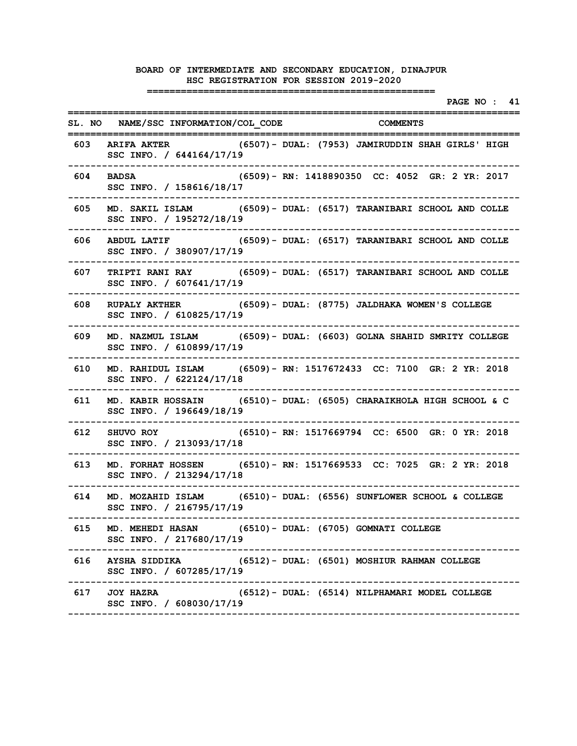|       |                                                                                                 |  |                                                | PAGE NO : 41 |  |
|-------|-------------------------------------------------------------------------------------------------|--|------------------------------------------------|--------------|--|
|       | SL. NO NAME/SSC INFORMATION/COL CODE COMMENTS<br>=========                                      |  |                                                |              |  |
| 603 — | ARIFA AKTER (6507) - DUAL: (7953) JAMIRUDDIN SHAH GIRLS' HIGH<br>SSC INFO. / 644164/17/19       |  |                                                |              |  |
| 604   | <b>BADSA</b><br>SSC INFO. / 158616/18/17                                                        |  | (6509)- RN: 1418890350 CC: 4052 GR: 2 YR: 2017 |              |  |
| 605   | MD. SAKIL ISLAM (6509) - DUAL: (6517) TARANIBARI SCHOOL AND COLLE<br>SSC INFO. / 195272/18/19   |  |                                                |              |  |
| 606   | ABDUL LATIF (6509) - DUAL: (6517) TARANIBARI SCHOOL AND COLLE<br>SSC INFO. / 380907/17/19       |  |                                                |              |  |
| 607   | TRIPTI RANI RAY (6509) - DUAL: (6517) TARANIBARI SCHOOL AND COLLE<br>SSC INFO. / 607641/17/19   |  |                                                |              |  |
| 608   | RUPALY AKTHER (6509) - DUAL: (8775) JALDHAKA WOMEN'S COLLEGE<br>SSC INFO. / 610825/17/19        |  |                                                |              |  |
| 609   | MD. NAZMUL ISLAM (6509) - DUAL: (6603) GOLNA SHAHID SMRITY COLLEGE<br>SSC INFO. / 610899/17/19  |  |                                                |              |  |
| 610   | MD. RAHIDUL ISLAM (6509) - RN: 1517672433 CC: 7100 GR: 2 YR: 2018<br>SSC INFO. / 622124/17/18   |  |                                                |              |  |
| 611   | MD. KABIR HOSSAIN (6510) - DUAL: (6505) CHARAIKHOLA HIGH SCHOOL & C<br>SSC INFO. / 196649/18/19 |  |                                                |              |  |
| 612   | SHUVO ROY (6510) - RN: 1517669794 CC: 6500 GR: 0 YR: 2018<br>SSC INFO. / 213093/17/18           |  |                                                |              |  |
| 613   | MD. FORHAT HOSSEN (6510) - RN: 1517669533 CC: 7025 GR: 2 YR: 2018<br>SSC INFO. / 213294/17/18   |  |                                                |              |  |
| 614   | MD. MOZAHID ISLAM (6510) - DUAL: (6556) SUNFLOWER SCHOOL & COLLEGE<br>SSC INFO. / 216795/17/19  |  |                                                |              |  |
|       | 615 MD. MEHEDI HASAN (6510) - DUAL: (6705) GOMNATI COLLEGE<br>SSC INFO. / 217680/17/19          |  |                                                |              |  |
|       | 616 AYSHA SIDDIKA (6512) - DUAL: (6501) MOSHIUR RAHMAN COLLEGE<br>SSC INFO. / 607285/17/19      |  |                                                |              |  |
|       | 617 JOY HAZRA<br>SSC INFO. / 608030/17/19                                                       |  | (6512)– DUAL: (6514) NILPHAMARI MODEL COLLEGE  |              |  |
|       |                                                                                                 |  |                                                |              |  |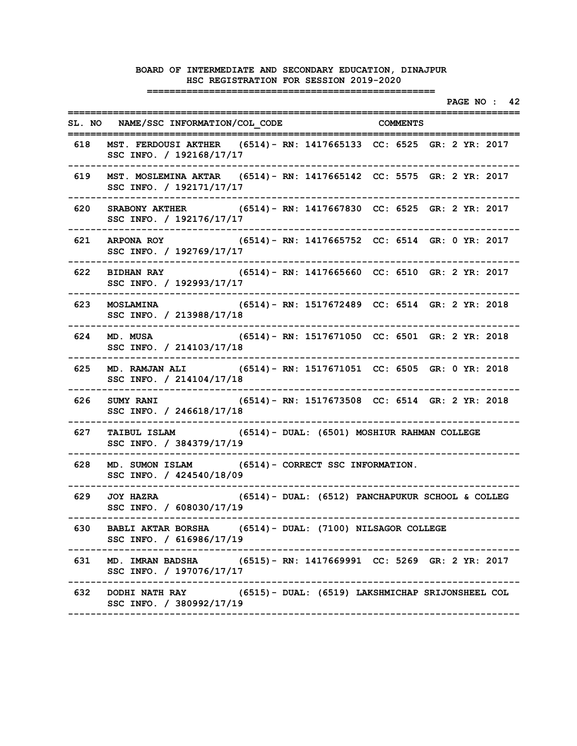|       |                                                                                           | PAGE NO : 42<br>----------------------------------                   |
|-------|-------------------------------------------------------------------------------------------|----------------------------------------------------------------------|
|       | SL. NO NAME/SSC INFORMATION/COL CODE<br>==================                                | COMMENTS                                                             |
| 618   | SSC INFO. / 192168/17/17                                                                  | MST. FERDOUSI AKTHER (6514) - RN: 1417665133 CC: 6525 GR: 2 YR: 2017 |
| 619   | SSC INFO. / 192171/17/17<br>---------------------                                         | MST. MOSLEMINA AKTAR (6514) - RN: 1417665142 CC: 5575 GR: 2 YR: 2017 |
| 620   | SSC INFO. / 192176/17/17                                                                  | SRABONY AKTHER (6514) - RN: 1417667830 CC: 6525 GR: 2 YR: 2017       |
| 621   | SSC INFO. / 192769/17/17                                                                  | ARPONA ROY (6514) - RN: 1417665752 CC: 6514 GR: 0 YR: 2017           |
| 622   | SSC INFO. / 192993/17/17                                                                  | BIDHAN RAY (6514) - RN: 1417665660 CC: 6510 GR: 2 YR: 2017           |
| 623   | SSC INFO. / 213988/17/18                                                                  | MOSLAMINA (6514) - RN: 1517672489 CC: 6514 GR: 2 YR: 2018            |
| 624   | MD. MUSA<br>SSC INFO. / 214103/17/18                                                      | (6514) - RN: 1517671050 CC: 6501 GR: 2 YR: 2018                      |
| 625 — | SSC INFO. / 214104/17/18                                                                  | MD. RAMJAN ALI (6514) - RN: 1517671051 CC: 6505 GR: 0 YR: 2018       |
| 626 — | SSC INFO. / 246618/17/18                                                                  | SUMY RANI (6514) - RN: 1517673508 CC: 6514 GR: 2 YR: 2018            |
| 627   | TAIBUL ISLAM (6514) - DUAL: (6501) MOSHIUR RAHMAN COLLEGE<br>SSC INFO. / 384379/17/19     |                                                                      |
| 628   | MD. SUMON ISLAM (6514) - CORRECT SSC INFORMATION.<br>SSC INFO. / 424540/18/09             |                                                                      |
| 629   | <b>JOY HAZRA</b><br>SSC INFO. / 608030/17/19                                              | $(6514)$ - DUAL: $(6512)$ PANCHAPUKUR SCHOOL & COLLEG                |
|       | 630 BABLI AKTAR BORSHA (6514) - DUAL: (7100) NILSAGOR COLLEGE<br>SSC INFO. / 616986/17/19 |                                                                      |
|       | SSC INFO. / 197076/17/17                                                                  | 631 MD. IMRAN BADSHA (6515) - RN: 1417669991 CC: 5269 GR: 2 YR: 2017 |
|       | SSC INFO. / 380992/17/19                                                                  | 632 DODHI NATH RAY (6515) - DUAL: (6519) LAKSHMICHAP SRIJONSHEEL COL |
|       |                                                                                           |                                                                      |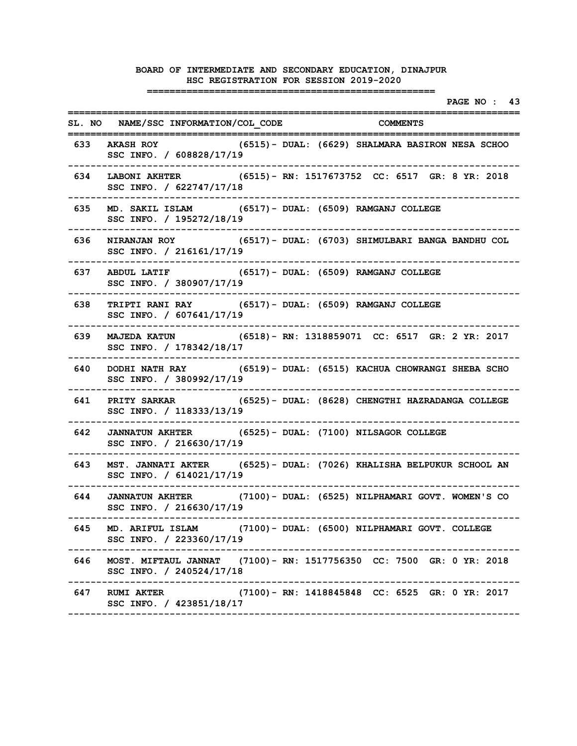|     |                                                                                                                       |                                                   | PAGE NO : 43 |
|-----|-----------------------------------------------------------------------------------------------------------------------|---------------------------------------------------|--------------|
|     | SL. NO NAME/SSC INFORMATION/COL CODE COMMENTS                                                                         |                                                   |              |
|     | 633 AKASH ROY<br>SSC INFO. / 608828/17/19                                                                             | (6515) - DUAL: (6629) SHALMARA BASIRON NESA SCHOO |              |
| 634 | LABONI AKHTER (6515) - RN: 1517673752 CC: 6517 GR: 8 YR: 2018<br>SSC INFO. / 622747/17/18                             |                                                   |              |
| 635 | MD. SAKIL ISLAM (6517) - DUAL: (6509) RAMGANJ COLLEGE<br>SSC INFO. / 195272/18/19                                     |                                                   |              |
| 636 | NIRANJAN ROY (6517) - DUAL: (6703) SHIMULBARI BANGA BANDHU COL<br>SSC INFO. / 216161/17/19                            |                                                   |              |
| 637 | ABDUL LATIF (6517) - DUAL: (6509) RAMGANJ COLLEGE<br>SSC INFO. / 380907/17/19                                         |                                                   |              |
| 638 | TRIPTI RANI RAY (6517) - DUAL: (6509) RAMGANJ COLLEGE<br>SSC INFO. / 607641/17/19                                     |                                                   |              |
| 639 | MAJEDA KATUN (6518) - RN: 1318859071 CC: 6517 GR: 2 YR: 2017<br>SSC INFO. / 178342/18/17                              |                                                   |              |
| 640 | DODHI NATH RAY (6519) - DUAL: (6515) KACHUA CHOWRANGI SHEBA SCHO<br>SSC INFO. / 380992/17/19                          |                                                   |              |
| 641 | PRITY SARKAR (6525) - DUAL: (8628) CHENGTHI HAZRADANGA COLLEGE<br>SSC INFO. / 118333/13/19                            |                                                   |              |
| 642 | JANNATUN AKHTER (6525) - DUAL: (7100) NILSAGOR COLLEGE<br>SSC INFO. / 216630/17/19                                    |                                                   |              |
| 643 | MST. JANNATI AKTER (6525) - DUAL: (7026) KHALISHA BELPUKUR SCHOOL AN<br>SSC INFO. / 614021/17/19                      |                                                   |              |
| 644 | JANNATUN AKHTER (7100) - DUAL: (6525) NILPHAMARI GOVT. WOMEN'S CO<br>SSC INFO. / 216630/17/19                         |                                                   |              |
|     | ------------------<br>645 MD. ARIFUL ISLAM (7100) - DUAL: (6500) NILPHAMARI GOVT. COLLEGE<br>SSC INFO. / 223360/17/19 |                                                   |              |
| 646 | MOST. MIFTAUL JANNAT (7100) - RN: 1517756350 CC: 7500 GR: 0 YR: 2018<br>SSC INFO. / 240524/17/18                      |                                                   |              |
|     | <b>647 RUMI AKTER</b><br>SSC INFO. / 423851/18/17                                                                     | (7100) – RN: 1418845848 CC: 6525 GR: 0 YR: 2017   |              |
|     |                                                                                                                       |                                                   |              |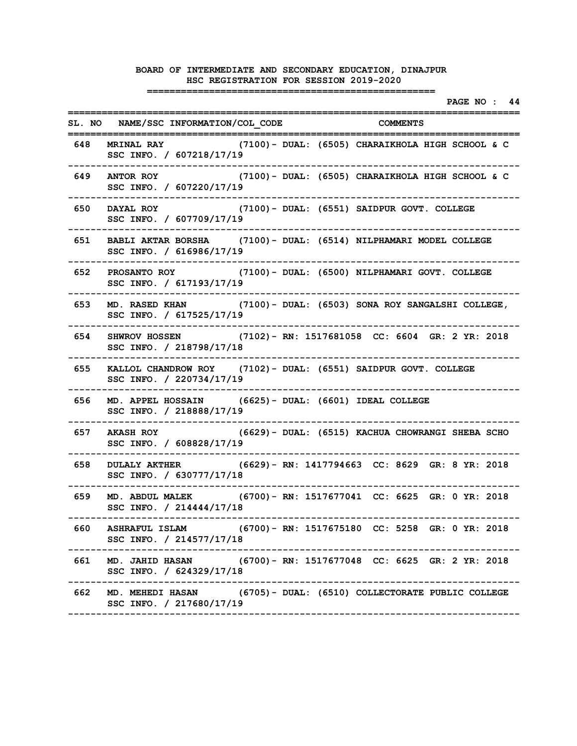|       |                                                                                                           |                                            | PAGE NO : 44 |
|-------|-----------------------------------------------------------------------------------------------------------|--------------------------------------------|--------------|
|       | SL. NO NAME/SSC INFORMATION/COL CODE COMMENTS                                                             |                                            |              |
| 648 — | MRINAL RAY (7100) - DUAL: (6505) CHARAIKHOLA HIGH SCHOOL & C<br>SSC INFO. / 607218/17/19                  |                                            |              |
| 649   | ANTOR ROY (7100) - DUAL: (6505) CHARAIKHOLA HIGH SCHOOL & C<br>SSC INFO. / 607220/17/19                   |                                            |              |
| 650   | <b>DAYAL ROY</b><br>SSC INFO. / 607709/17/19                                                              | (7100)- DUAL: (6551) SAIDPUR GOVT. COLLEGE |              |
| 651   | BABLI AKTAR BORSHA (7100) - DUAL: (6514) NILPHAMARI MODEL COLLEGE<br>SSC INFO. / 616986/17/19             |                                            |              |
| 652   | PROSANTO ROY (7100) - DUAL: (6500) NILPHAMARI GOVT. COLLEGE<br>SSC INFO. / 617193/17/19                   |                                            |              |
| 653   | MD. RASED KHAN (7100) - DUAL: (6503) SONA ROY SANGALSHI COLLEGE,<br>SSC INFO. / 617525/17/19              |                                            |              |
| 654   | SHWROV HOSSEN (7102) - RN: 1517681058 CC: 6604 GR: 2 YR: 2018<br>SSC INFO. / 218798/17/18<br>------------ |                                            |              |
| 655   | KALLOL CHANDROW ROY (7102) - DUAL: (6551) SAIDPUR GOVT. COLLEGE<br>SSC INFO. / 220734/17/19               |                                            |              |
| 656   | MD. APPEL HOSSAIN (6625) - DUAL: (6601) IDEAL COLLEGE<br>SSC INFO. / 218888/17/19                         |                                            |              |
| 657   | AKASH ROY (6629) - DUAL: (6515) KACHUA CHOWRANGI SHEBA SCHO<br>SSC INFO. / 608828/17/19                   |                                            |              |
| 658   | DULALY AKTHER (6629) - RN: 1417794663 CC: 8629 GR: 8 YR: 2018<br>SSC INFO. / 630777/17/18                 |                                            |              |
| 659   | MD. ABDUL MALEK (6700) - RN: 1517677041 CC: 6625 GR: 0 YR: 2018<br>SSC INFO. / 214444/17/18               |                                            |              |
|       | 660 ASHRAFUL ISLAM (6700) - RN: 1517675180 CC: 5258 GR: 0 YR: 2018<br>SSC INFO. / 214577/17/18            |                                            |              |
| 661 — | MD. JAHID HASAN (6700) - RN: 1517677048 CC: 6625 GR: 2 YR: 2018<br>SSC INFO. / 624329/17/18               |                                            |              |
| 662   | MD. MEHEDI HASAN (6705) - DUAL: (6510) COLLECTORATE PUBLIC COLLEGE<br>SSC INFO. / 217680/17/19            |                                            |              |
|       |                                                                                                           |                                            |              |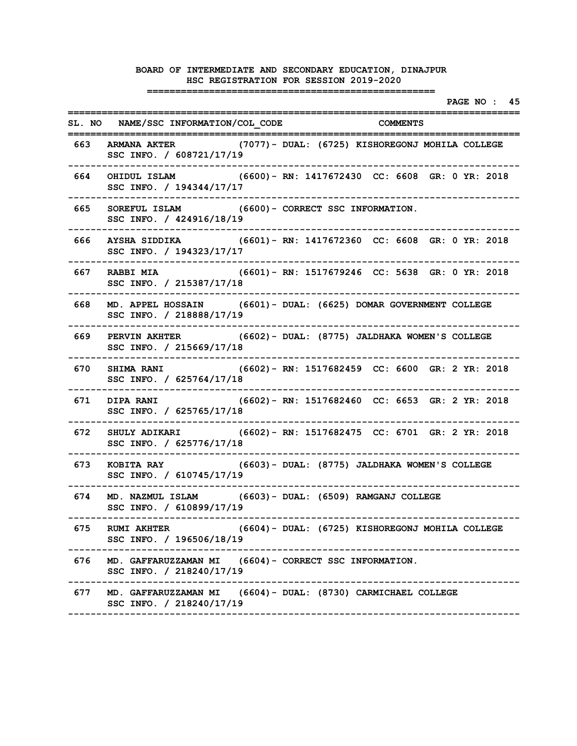|       |                                                                                                                |                                                  |  |  | <u> ==============</u> |                      |  | PAGE NO : 45 |  |
|-------|----------------------------------------------------------------------------------------------------------------|--------------------------------------------------|--|--|------------------------|----------------------|--|--------------|--|
|       | SL. NO NAME/SSC INFORMATION/COL CODE COMMENTS                                                                  |                                                  |  |  |                        | ==================== |  |              |  |
|       | 663 ARMANA AKTER (7077) – DUAL: (6725) KISHOREGONJ MOHILA COLLEGE<br>SSC INFO. / 608721/17/19                  |                                                  |  |  |                        |                      |  |              |  |
| 664 — | OHIDUL ISLAM (6600) - RN: 1417672430 CC: 6608 GR: 0 YR: 2018<br>SSC INFO. / 194344/17/17                       |                                                  |  |  |                        |                      |  |              |  |
| 665   | SOREFUL ISLAM (6600) - CORRECT SSC INFORMATION.<br>SSC INFO. / 424916/18/19                                    |                                                  |  |  |                        |                      |  |              |  |
| 666   | AYSHA SIDDIKA (6601) - RN: 1417672360 CC: 6608 GR: 0 YR: 2018<br>SSC INFO. / 194323/17/17                      |                                                  |  |  |                        |                      |  |              |  |
| 667 — | RABBI MIA (6601) - RN: 1517679246 CC: 5638 GR: 0 YR: 2018<br>SSC INFO. / 215387/17/18                          |                                                  |  |  |                        |                      |  |              |  |
| 668   | MD. APPEL HOSSAIN (6601) - DUAL: (6625) DOMAR GOVERNMENT COLLEGE<br>SSC INFO. / 218888/17/19                   |                                                  |  |  |                        |                      |  |              |  |
|       | 669 PERVIN AKHTER (6602) - DUAL: (8775) JALDHAKA WOMEN'S COLLEGE<br>SSC INFO. / 215669/17/18                   |                                                  |  |  |                        |                      |  |              |  |
| 670 — | --------------------<br>SHIMA RANI (6602) - RN: 1517682459 CC: 6600 GR: 2 YR: 2018<br>SSC INFO. / 625764/17/18 |                                                  |  |  |                        |                      |  |              |  |
| 671 — | DIPA RANI (6602) - RN: 1517682460 CC: 6653 GR: 2 YR: 2018<br>SSC INFO. / 625765/17/18                          |                                                  |  |  |                        |                      |  |              |  |
| 672 — | SHULY ADIKARI (6602) - RN: 1517682475 CC: 6701 GR: 2 YR: 2018<br>SSC INFO. / 625776/17/18                      |                                                  |  |  |                        |                      |  |              |  |
| 673   | KOBITA RAY (6603) - DUAL: (8775) JALDHAKA WOMEN'S COLLEGE<br>SSC INFO. / 610745/17/19                          |                                                  |  |  |                        |                      |  |              |  |
| 674   | MD. NAZMUL ISLAM (6603) - DUAL: (6509) RAMGANJ COLLEGE<br>SSC INFO. / 610899/17/19                             |                                                  |  |  |                        |                      |  |              |  |
|       | <b>675 RUMI AKHTER</b><br>SSC INFO. / 196506/18/19                                                             | (6604) - DUAL: (6725) KISHOREGONJ MOHILA COLLEGE |  |  |                        |                      |  |              |  |
| 676 — | MD. GAFFARUZZAMAN MI (6604) - CORRECT SSC INFORMATION.<br>SSC INFO. / 218240/17/19                             |                                                  |  |  |                        |                      |  |              |  |
|       | 677 MD. GAFFARUZZAMAN MI (6604) - DUAL: (8730) CARMICHAEL COLLEGE<br>SSC INFO. / 218240/17/19                  |                                                  |  |  |                        |                      |  |              |  |
|       |                                                                                                                |                                                  |  |  |                        |                      |  |              |  |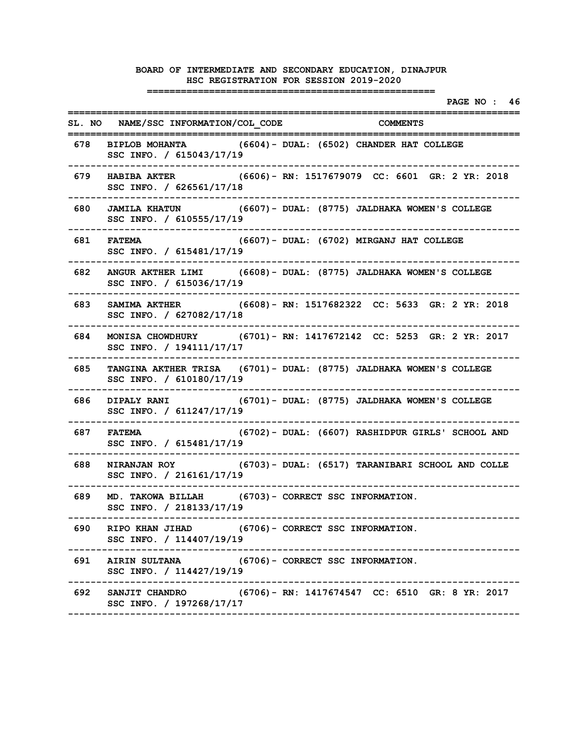|       |                                                                                                 |  |                     |                 |             | PAGE NO : 46 |  |
|-------|-------------------------------------------------------------------------------------------------|--|---------------------|-----------------|-------------|--------------|--|
|       | SL. NO NAME/SSC INFORMATION/COL CODE<br>===============                                         |  | .================== | <b>COMMENTS</b> | =========== |              |  |
|       | 678 BIPLOB MOHANTA (6604) - DUAL: (6502) CHANDER HAT COLLEGE<br>SSC INFO. / 615043/17/19        |  |                     |                 |             |              |  |
| 679 — | HABIBA AKTER (6606) - RN: 1517679079 CC: 6601 GR: 2 YR: 2018<br>SSC INFO. / 626561/17/18        |  |                     |                 |             |              |  |
| 680 — | JAMILA KHATUN (6607) - DUAL: (8775) JALDHAKA WOMEN'S COLLEGE<br>SSC INFO. / 610555/17/19        |  |                     |                 |             |              |  |
| 681   | (6607)- DUAL: (6702) MIRGANJ HAT COLLEGE<br><b>FATEMA</b><br>SSC INFO. / 615481/17/19           |  |                     |                 |             |              |  |
| 682   | ANGUR AKTHER LIMI (6608) - DUAL: (8775) JALDHAKA WOMEN'S COLLEGE<br>SSC INFO. / 615036/17/19    |  |                     |                 |             |              |  |
| 683   | SAMIMA AKTHER (6608) - RN: 1517682322 CC: 5633 GR: 2 YR: 2018<br>SSC INFO. / 627082/17/18       |  |                     |                 |             |              |  |
| 684   | MONISA CHOWDHURY (6701) - RN: 1417672142 CC: 5253 GR: 2 YR: 2017<br>SSC INFO. / 194111/17/17    |  |                     |                 |             |              |  |
| 685 — | TANGINA AKTHER TRISA (6701) - DUAL: (8775) JALDHAKA WOMEN'S COLLEGE<br>SSC INFO. / 610180/17/19 |  |                     |                 |             |              |  |
| 686   | DIPALY RANI (6701) - DUAL: (8775) JALDHAKA WOMEN'S COLLEGE<br>SSC INFO. / 611247/17/19          |  |                     |                 |             |              |  |
| 687   | (6702)- DUAL: (6607) RASHIDPUR GIRLS' SCHOOL AND<br><b>FATEMA</b><br>SSC INFO. / 615481/17/19   |  |                     |                 |             |              |  |
| 688   | NIRANJAN ROY (6703) - DUAL: (6517) TARANIBARI SCHOOL AND COLLE<br>SSC INFO. / 216161/17/19      |  |                     |                 |             |              |  |
| 689   | MD. TAKOWA BILLAH (6703) - CORRECT SSC INFORMATION.<br>SSC INFO. / 218133/17/19                 |  |                     |                 |             |              |  |
|       | 690 RIPO KHAN JIHAD (6706) - CORRECT SSC INFORMATION.<br>SSC INFO. / 114407/19/19               |  |                     |                 |             |              |  |
| 691 — | AIRIN SULTANA (6706) - CORRECT SSC INFORMATION.<br>SSC INFO. / 114427/19/19                     |  |                     |                 |             |              |  |
| 692 — | SANJIT CHANDRO (6706) - RN: 1417674547 CC: 6510 GR: 8 YR: 2017<br>SSC INFO. / 197268/17/17      |  |                     |                 |             |              |  |
|       |                                                                                                 |  |                     |                 |             |              |  |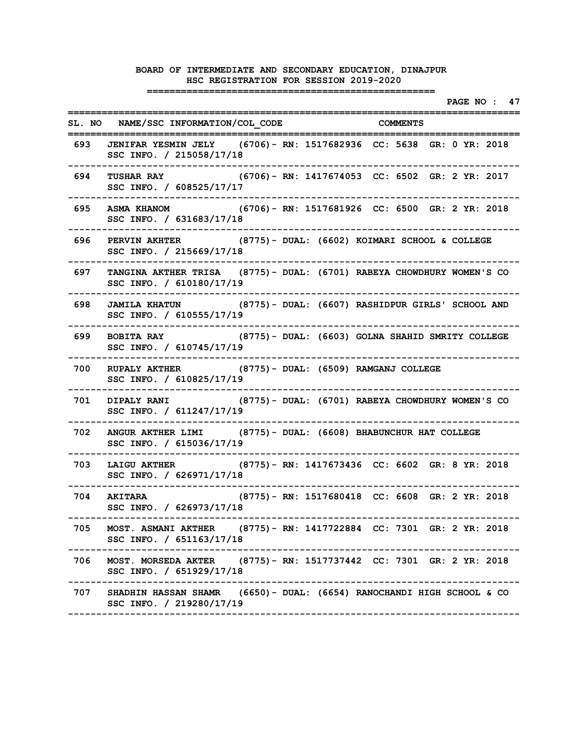|       | PAGE NO : 47<br>:==================                                                                |
|-------|----------------------------------------------------------------------------------------------------|
|       | SL. NO NAME/SSC INFORMATION/COL CODE COMMENTS<br>:=================                                |
|       | 693 JENIFAR YESMIN JELY (6706)- RN: 1517682936 CC: 5638 GR: 0 YR: 2018<br>SSC INFO. / 215058/17/18 |
| 694   | TUSHAR RAY (6706) - RN: 1417674053 CC: 6502 GR: 2 YR: 2017<br>SSC INFO. / 608525/17/17             |
| 695   | ASMA KHANOM (6706) - RN: 1517681926 CC: 6500 GR: 2 YR: 2018<br>SSC INFO. / 631683/17/18            |
| 696   | PERVIN AKHTER (8775) - DUAL: (6602) KOIMARI SCHOOL & COLLEGE<br>SSC INFO. / 215669/17/18           |
| 697 — | TANGINA AKTHER TRISA (8775) - DUAL: (6701) RABEYA CHOWDHURY WOMEN'S CO<br>SSC INFO. / 610180/17/19 |
| 698   | JAMILA KHATUN (8775) - DUAL: (6607) RASHIDPUR GIRLS' SCHOOL AND<br>SSC INFO. / 610555/17/19        |
| 699   | BOBITA RAY (8775) - DUAL: (6603) GOLNA SHAHID SMRITY COLLEGE<br>SSC INFO. / 610745/17/19           |
| 700   | RUPALY AKTHER (8775) - DUAL: (6509) RAMGANJ COLLEGE<br>SSC INFO. / 610825/17/19                    |
| 701 — | DIPALY RANI (8775) - DUAL: (6701) RABEYA CHOWDHURY WOMEN'S CO<br>SSC INFO. / 611247/17/19          |
| 702   | ANGUR AKTHER LIMI (8775) - DUAL: (6608) BHABUNCHUR HAT COLLEGE<br>SSC INFO. / 615036/17/19         |
| 703   | LAIGU AKTHER (8775) - RN: 1417673436 CC: 6602 GR: 8 YR: 2018<br>SSC INFO. / 626971/17/18           |
| 704   | (8775) – RN: 1517680418 CC: 6608 GR: 2 YR: 2018<br><b>AKITARA</b><br>SSC INFO. / 626973/17/18      |
| 705 — | MOST. ASMANI AKTHER (8775) - RN: 1417722884 CC: 7301 GR: 2 YR: 2018<br>SSC INFO. / 651163/17/18    |
| 706 — | MOST. MORSEDA AKTER (8775) - RN: 1517737442 CC: 7301 GR: 2 YR: 2018<br>SSC INFO. / 651929/17/18    |
| 707 — | SHADHIN HASSAN SHAMR (6650) - DUAL: (6654) RANOCHANDI HIGH SCHOOL & CO<br>SSC INFO. / 219280/17/19 |
|       |                                                                                                    |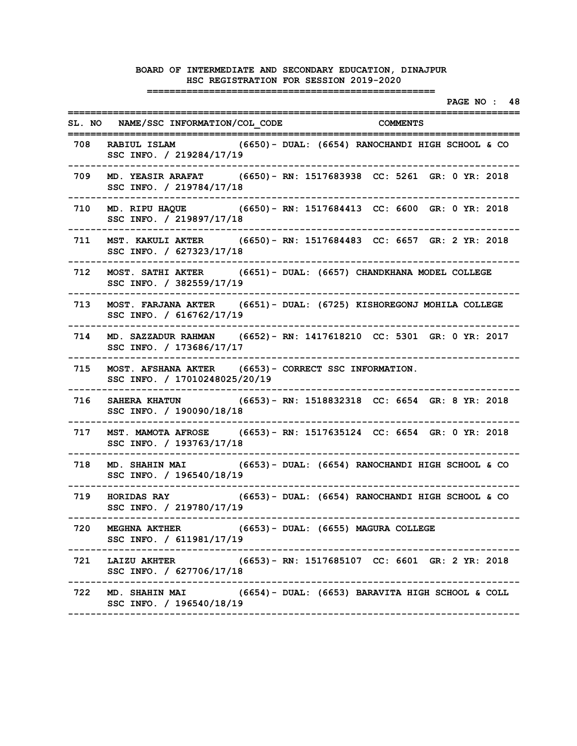|       |                                                                                                    |  | PAGE NO : 48 |  |
|-------|----------------------------------------------------------------------------------------------------|--|--------------|--|
|       | SL. NO NAME/SSC INFORMATION/COL CODE COMMENTS<br>:===========                                      |  |              |  |
| 708 — | RABIUL ISLAM (6650) - DUAL: (6654) RANOCHANDI HIGH SCHOOL & CO<br>SSC INFO. / 219284/17/19         |  |              |  |
| 709 — | MD. YEASIR ARAFAT (6650) - RN: 1517683938 CC: 5261 GR: 0 YR: 2018<br>SSC INFO. / 219784/17/18      |  |              |  |
| 710   | MD. RIPU HAQUE (6650) - RN: 1517684413 CC: 6600 GR: 0 YR: 2018<br>SSC INFO. / 219897/17/18         |  |              |  |
| 711   | MST. KAKULI AKTER (6650) - RN: 1517684483 CC: 6657 GR: 2 YR: 2018<br>SSC INFO. / 627323/17/18      |  |              |  |
| 712   | MOST. SATHI AKTER (6651) - DUAL: (6657) CHANDKHANA MODEL COLLEGE<br>SSC INFO. / 382559/17/19       |  |              |  |
| 713   | MOST. FARJANA AKTER (6651)- DUAL: (6725) KISHOREGONJ MOHILA COLLEGE<br>SSC INFO. / 616762/17/19    |  |              |  |
| 714   | MD. SAZZADUR RAHMAN (6652) - RN: 1417618210 CC: 5301 GR: 0 YR: 2017<br>SSC INFO. / 173686/17/17    |  |              |  |
| 715 — | MOST. AFSHANA AKTER (6653) - CORRECT SSC INFORMATION.<br>SSC INFO. / 17010248025/20/19             |  |              |  |
| 716   | SAHERA KHATUN (6653) - RN: 1518832318 CC: 6654 GR: 8 YR: 2018<br>SSC INFO. / 190090/18/18          |  |              |  |
| 717   | MST. MAMOTA AFROSE (6653) - RN: 1517635124 CC: 6654 GR: 0 YR: 2018<br>SSC INFO. / 193763/17/18     |  |              |  |
| 718   | MD. SHAHIN MAI (6653) - DUAL: (6654) RANOCHANDI HIGH SCHOOL & CO<br>SSC INFO. / 196540/18/19       |  |              |  |
| 719   | (6653)- DUAL: (6654) RANOCHANDI HIGH SCHOOL & CO<br><b>HORIDAS RAY</b><br>SSC INFO. / 219780/17/19 |  |              |  |
| 720 — | <b>MEGHNA AKTHER</b><br>(6653) – DUAL: (6655) MAGURA COLLEGE<br>SSC INFO. / 611981/17/19           |  |              |  |
| 721   | LAIZU AKHTER (6653) - RN: 1517685107 CC: 6601 GR: 2 YR: 2018<br>SSC INFO. / 627706/17/18           |  |              |  |
| 722   | MD. SHAHIN MAI (6654) - DUAL: (6653) BARAVITA HIGH SCHOOL & COLL<br>SSC INFO. / 196540/18/19       |  |              |  |
|       |                                                                                                    |  |              |  |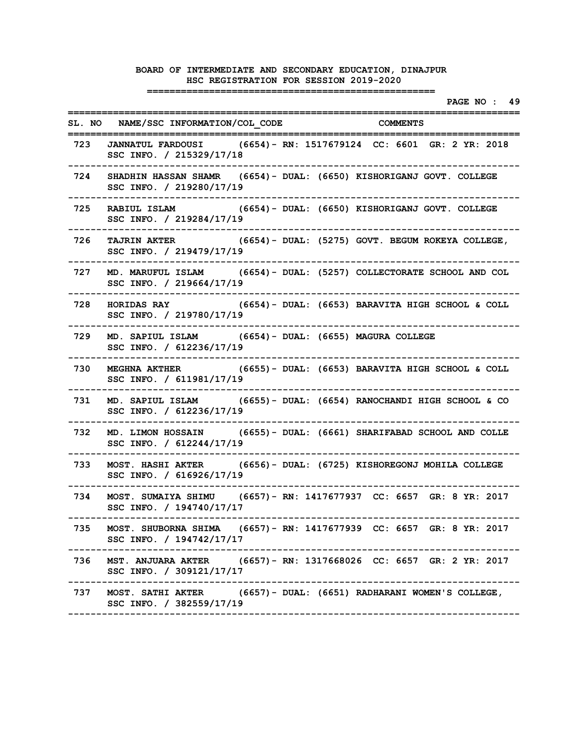|       |                                                                                                    | PAGE NO : 49                                                        |
|-------|----------------------------------------------------------------------------------------------------|---------------------------------------------------------------------|
|       | SL. NO NAME/SSC INFORMATION/COL CODE<br>==========                                                 | <b>COMMENTS</b>                                                     |
| 723 — | JANNATUL FARDOUSI (6654) - RN: 1517679124 CC: 6601 GR: 2 YR: 2018<br>SSC INFO. / 215329/17/18      |                                                                     |
| 724   | SHADHIN HASSAN SHAMR (6654) - DUAL: (6650) KISHORIGANJ GOVT. COLLEGE<br>SSC INFO. / 219280/17/19   |                                                                     |
| 725   | RABIUL ISLAM (6654) - DUAL: (6650) KISHORIGANJ GOVT. COLLEGE<br>SSC INFO. / 219284/17/19           |                                                                     |
| 726   | TAJRIN AKTER (6654) - DUAL: (5275) GOVT. BEGUM ROKEYA COLLEGE,<br>SSC INFO. / 219479/17/19         |                                                                     |
| 727 - | SSC INFO. / 219664/17/19                                                                           | MD. MARUFUL ISLAM (6654) - DUAL: (5257) COLLECTORATE SCHOOL AND COL |
| 728   | SSC INFO. / 219780/17/19                                                                           | HORIDAS RAY (6654) - DUAL: (6653) BARAVITA HIGH SCHOOL & COLL       |
| 729   | MD. SAPIUL ISLAM (6654) - DUAL: (6655) MAGURA COLLEGE<br>SSC INFO. / 612236/17/19                  |                                                                     |
| 730   | SSC INFO. / 611981/17/19                                                                           | MEGHNA AKTHER (6655) - DUAL: (6653) BARAVITA HIGH SCHOOL & COLL     |
| 731 — | MD. SAPIUL ISLAM (6655) - DUAL: (6654) RANOCHANDI HIGH SCHOOL & CO<br>SSC INFO. / 612236/17/19     |                                                                     |
| 732   | MD. LIMON HOSSAIN (6655) - DUAL: (6661) SHARIFABAD SCHOOL AND COLLE<br>SSC INFO. / 612244/17/19    |                                                                     |
| 733   | MOST. HASHI AKTER (6656) - DUAL: (6725) KISHOREGONJ MOHILA COLLEGE<br>SSC INFO. / 616926/17/19     |                                                                     |
| 734   | MOST. SUMAIYA SHIMU (6657) - RN: 1417677937 CC: 6657 GR: 8 YR: 2017<br>SSC INFO. / 194740/17/17    |                                                                     |
| 735 — | MOST. SHUBORNA SHIMA (6657) - RN: 1417677939 CC: 6657 GR: 8 YR: 2017<br>SSC INFO. / 194742/17/17   |                                                                     |
| 736 — | SSC INFO. / 309121/17/17                                                                           | MST. ANJUARA AKTER (6657) - RN: 1317668026 CC: 6657 GR: 2 YR: 2017  |
|       | 737 MOST. SATHI AKTER (6657) - DUAL: (6651) RADHARANI WOMEN'S COLLEGE,<br>SSC INFO. / 382559/17/19 |                                                                     |
|       |                                                                                                    |                                                                     |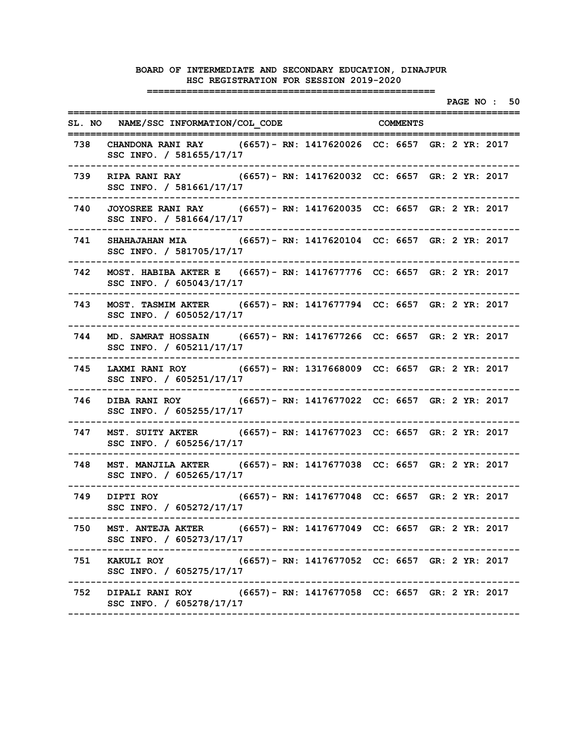|       |                                                                                                  |                          |  | PAGE NO : 50 |
|-------|--------------------------------------------------------------------------------------------------|--------------------------|--|--------------|
|       | SL. NO NAME/SSC INFORMATION/COL CODE COMMENTS<br>==========                                      |                          |  |              |
| 738 — | CHANDONA RANI RAY (6657) - RN: 1417620026 CC: 6657 GR: 2 YR: 2017<br>SSC INFO. / 581655/17/17    |                          |  |              |
| 739   | RIPA RANI RAY (6657) - RN: 1417620032 CC: 6657 GR: 2 YR: 2017<br>SSC INFO. / 581661/17/17        |                          |  |              |
| 740   | JOYOSREE RANI RAY (6657) - RN: 1417620035 CC: 6657 GR: 2 YR: 2017<br>SSC INFO. / 581664/17/17    |                          |  |              |
| 741   | SHAHAJAHAN MIA (6657) - RN: 1417620104 CC: 6657 GR: 2 YR: 2017<br>SSC INFO. / 581705/17/17       |                          |  |              |
| 742   | MOST. HABIBA AKTER E (6657) - RN: 1417677776 CC: 6657 GR: 2 YR: 2017<br>SSC INFO. / 605043/17/17 |                          |  |              |
| 743   | MOST. TASMIM AKTER (6657) - RN: 1417677794 CC: 6657 GR: 2 YR: 2017<br>SSC INFO. / 605052/17/17   |                          |  |              |
| 744   | MD. SAMRAT HOSSAIN (6657) - RN: 1417677266 CC: 6657 GR: 2 YR: 2017<br>SSC INFO. / 605211/17/17   |                          |  |              |
| 745   | LAXMI RANI ROY (6657) - RN: 1317668009 CC: 6657 GR: 2 YR: 2017<br>SSC INFO. / 605251/17/17       |                          |  |              |
| 746   | DIBA RANI ROY (6657) - RN: 1417677022 CC: 6657 GR: 2 YR: 2017<br>SSC INFO. / 605255/17/17        |                          |  |              |
| 747   | MST. SUITY AKTER (6657) - RN: 1417677023 CC: 6657 GR: 2 YR: 2017<br>SSC INFO. / 605256/17/17     |                          |  |              |
| 748   | MST. MANJILA AKTER (6657) - RN: 1417677038 CC: 6657 GR: 2 YR: 2017<br>SSC INFO. / 605265/17/17   |                          |  |              |
| 749   | (6657) - RN: 1417677048 CC: 6657 GR: 2 YR: 2017<br>DIPTI ROY<br>SSC INFO. / 605272/17/17         |                          |  |              |
| 750 — | MST. ANTEJA AKTER (6657) - RN: 1417677049 CC: 6657 GR: 2 YR: 2017<br>SSC INFO. / 605273/17/17    | ------------------------ |  |              |
| 751 — | KAKULI ROY (6657) - RN: 1417677052 CC: 6657 GR: 2 YR: 2017<br>SSC INFO. / 605275/17/17           |                          |  |              |
|       | 752 DIPALI RANI ROY (6657) - RN: 1417677058 CC: 6657 GR: 2 YR: 2017<br>SSC INFO. / 605278/17/17  |                          |  |              |
|       |                                                                                                  |                          |  |              |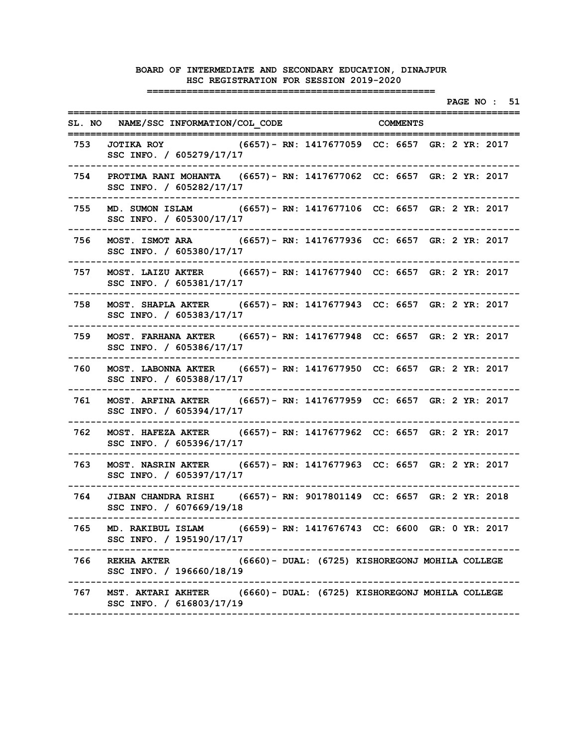|       |                                                                                                     |  |  |  |  | PAGE NO : 51 |  |
|-------|-----------------------------------------------------------------------------------------------------|--|--|--|--|--------------|--|
|       | SL. NO NAME/SSC INFORMATION/COL CODE COMMENTS<br>============                                       |  |  |  |  |              |  |
|       | 753 JOTIKA ROY (6657) - RN: 1417677059 CC: 6657 GR: 2 YR: 2017<br>SSC INFO. / 605279/17/17          |  |  |  |  |              |  |
| 754   | PROTIMA RANI MOHANTA (6657) - RN: 1417677062 CC: 6657 GR: 2 YR: 2017<br>SSC INFO. / 605282/17/17    |  |  |  |  |              |  |
| 755   | MD. SUMON ISLAM (6657) - RN: 1417677106 CC: 6657 GR: 2 YR: 2017<br>SSC INFO. / 605300/17/17         |  |  |  |  |              |  |
| 756   | MOST. ISMOT ARA (6657) - RN: 1417677936 CC: 6657 GR: 2 YR: 2017<br>SSC INFO. / 605380/17/17         |  |  |  |  |              |  |
| 757 — | MOST. LAIZU AKTER (6657) - RN: 1417677940 CC: 6657 GR: 2 YR: 2017<br>SSC INFO. / 605381/17/17       |  |  |  |  |              |  |
| 758 — | MOST. SHAPLA AKTER (6657) - RN: 1417677943 CC: 6657 GR: 2 YR: 2017<br>SSC INFO. / 605383/17/17      |  |  |  |  |              |  |
| 759   | MOST. FARHANA AKTER (6657) - RN: 1417677948 CC: 6657 GR: 2 YR: 2017<br>SSC INFO. / 605386/17/17     |  |  |  |  |              |  |
| 760 - | MOST. LABONNA AKTER (6657) - RN: 1417677950 CC: 6657 GR: 2 YR: 2017<br>SSC INFO. / 605388/17/17     |  |  |  |  |              |  |
| 761   | MOST. ARFINA AKTER (6657) - RN: 1417677959 CC: 6657 GR: 2 YR: 2017<br>SSC INFO. / 605394/17/17      |  |  |  |  |              |  |
| 762   | MOST. HAFEZA AKTER (6657) - RN: 1417677962 CC: 6657 GR: 2 YR: 2017<br>SSC INFO. / 605396/17/17      |  |  |  |  |              |  |
| 763   | MOST. NASRIN AKTER (6657) - RN: 1417677963 CC: 6657 GR: 2 YR: 2017<br>SSC INFO. / 605397/17/17      |  |  |  |  |              |  |
| 764   | JIBAN CHANDRA RISHI (6657) - RN: 9017801149 CC: 6657 GR: 2 YR: 2018<br>SSC INFO. / 607669/19/18     |  |  |  |  |              |  |
|       | 765 MD. RAKIBUL ISLAM (6659) - RN: 1417676743 CC: 6600 GR: 0 YR: 2017<br>SSC INFO. / 195190/17/17   |  |  |  |  |              |  |
|       | 766 REKHA AKTER (6660) - DUAL: (6725) KISHOREGONJ MOHILA COLLEGE<br>SSC INFO. / 196660/18/19        |  |  |  |  |              |  |
|       | 767 MST. AKTARI AKHTER (6660) - DUAL: (6725) KISHOREGONJ MOHILA COLLEGE<br>SSC INFO. / 616803/17/19 |  |  |  |  |              |  |
|       |                                                                                                     |  |  |  |  |              |  |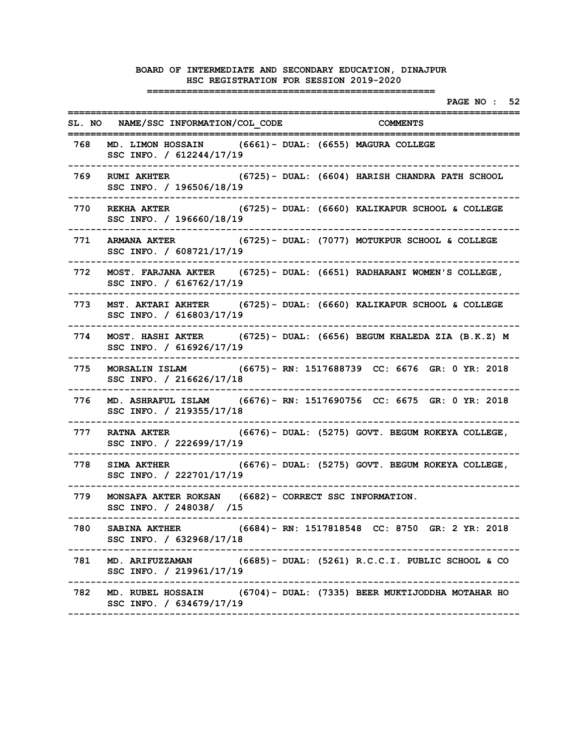|         |                                                                                                               | =================== | PAGE NO : 52    |
|---------|---------------------------------------------------------------------------------------------------------------|---------------------|-----------------|
|         | SL. NO NAME/SSC INFORMATION/COL CODE COMMENTS<br>;==============                                              |                     | =============== |
|         | 768 MD. LIMON HOSSAIN (6661) - DUAL: (6655) MAGURA COLLEGE<br>SSC INFO. / 612244/17/19<br>------------------- |                     |                 |
|         | 769 RUMI AKHTER (6725) - DUAL: (6604) HARISH CHANDRA PATH SCHOOL<br>SSC INFO. / 196506/18/19                  |                     |                 |
| 770 —   | REKHA AKTER (6725) - DUAL: (6660) KALIKAPUR SCHOOL & COLLEGE<br>SSC INFO. / 196660/18/19                      |                     |                 |
| 771 —   | ARMANA AKTER (6725) - DUAL: (7077) MOTUKPUR SCHOOL & COLLEGE<br>SSC INFO. / 608721/17/19                      |                     |                 |
| 772     | MOST. FARJANA AKTER (6725) - DUAL: (6651) RADHARANI WOMEN'S COLLEGE,<br>SSC INFO. / 616762/17/19              |                     |                 |
| 773 —   | MST. AKTARI AKHTER (6725) - DUAL: (6660) KALIKAPUR SCHOOL & COLLEGE<br>SSC INFO. / 616803/17/19               |                     |                 |
|         | 774 MOST. HASHI AKTER (6725) - DUAL: (6656) BEGUM KHALEDA ZIA (B.K.Z) M<br>SSC INFO. / 616926/17/19           |                     |                 |
|         | 775 MORSALIN ISLAM (6675) - RN: 1517688739 CC: 6676 GR: 0 YR: 2018<br>SSC INFO. / 216626/17/18                |                     |                 |
| 776 —   | MD. ASHRAFUL ISLAM (6676) - RN: 1517690756 CC: 6675 GR: 0 YR: 2018<br>SSC INFO. / 219355/17/18                |                     |                 |
| 777 - 1 | RATNA AKTER (6676) - DUAL: (5275) GOVT. BEGUM ROKEYA COLLEGE,<br>SSC INFO. / 222699/17/19                     |                     |                 |
| 778 —   | SIMA AKTHER (6676) - DUAL: (5275) GOVT. BEGUM ROKEYA COLLEGE,<br>SSC INFO. / 222701/17/19                     |                     |                 |
| 779     | MONSAFA AKTER ROKSAN (6682) - CORRECT SSC INFORMATION.<br>SSC INFO. / 248038/ /15                             |                     |                 |
| 780 —   | SABINA AKTHER (6684) - RN: 1517818548 CC: 8750 GR: 2 YR: 2018<br>SSC INFO. / 632968/17/18                     |                     |                 |
| 781     | MD. ARIFUZZAMAN (6685) - DUAL: (5261) R.C.C.I. PUBLIC SCHOOL & CO<br>SSC INFO. / 219961/17/19                 |                     |                 |
| 782     | MD. RUBEL HOSSAIN (6704) - DUAL: (7335) BEER MUKTIJODDHA MOTAHAR HO<br>SSC INFO. / 634679/17/19               |                     |                 |
|         |                                                                                                               |                     |                 |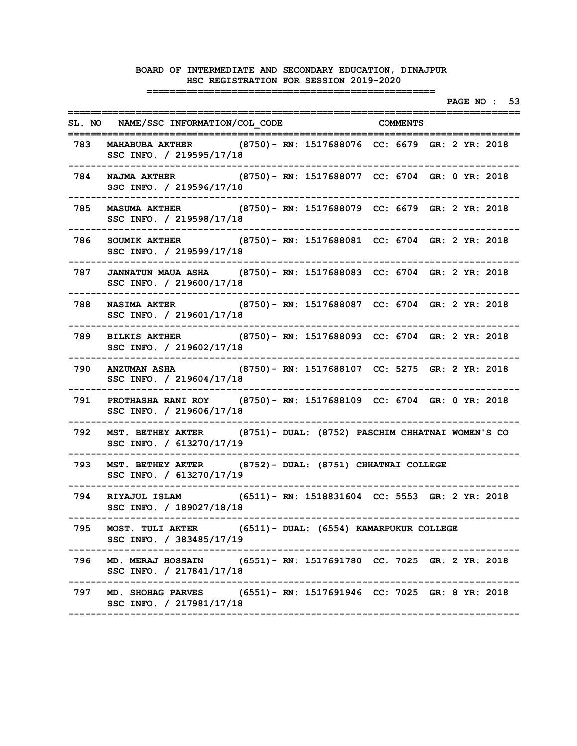|       |                                                                                                   |                                                |                        |  |  |  | PAGE NO : 53 |  |
|-------|---------------------------------------------------------------------------------------------------|------------------------------------------------|------------------------|--|--|--|--------------|--|
|       | SL. NO NAME/SSC INFORMATION/COL CODE COMMENTS<br>===============                                  |                                                |                        |  |  |  |              |  |
| 783   | MAHABUBA AKTHER (8750) - RN: 1517688076 CC: 6679 GR: 2 YR: 2018<br>SSC INFO. / 219595/17/18       |                                                |                        |  |  |  |              |  |
| 784   | NAJMA AKTHER (8750) - RN: 1517688077 CC: 6704 GR: 0 YR: 2018<br>SSC INFO. / 219596/17/18          |                                                |                        |  |  |  |              |  |
| 785   | MASUMA AKTHER (8750) - RN: 1517688079 CC: 6679 GR: 2 YR: 2018<br>SSC INFO. / 219598/17/18         |                                                |                        |  |  |  |              |  |
| 786   | SOUMIK AKTHER (8750) - RN: 1517688081 CC: 6704 GR: 2 YR: 2018<br>SSC INFO. / 219599/17/18         |                                                |                        |  |  |  |              |  |
| 787   | JANNATUN MAUA ASHA (8750) - RN: 1517688083 CC: 6704 GR: 2 YR: 2018<br>SSC INFO. / 219600/17/18    |                                                |                        |  |  |  |              |  |
| 788   | NASIMA AKTER (8750) - RN: 1517688087 CC: 6704 GR: 2 YR: 2018<br>SSC INFO. / 219601/17/18          |                                                |                        |  |  |  |              |  |
| 789   | BILKIS AKTHER (8750) - RN: 1517688093 CC: 6704 GR: 2 YR: 2018<br>SSC INFO. / 219602/17/18         |                                                |                        |  |  |  |              |  |
| 790 - | ANZUMAN ASHA (8750) - RN: 1517688107 CC: 5275 GR: 2 YR: 2018<br>SSC INFO. / 219604/17/18          |                                                |                        |  |  |  |              |  |
| 791   | PROTHASHA RANI ROY (8750) - RN: 1517688109 CC: 6704 GR: 0 YR: 2018<br>SSC INFO. / 219606/17/18    |                                                |                        |  |  |  |              |  |
| 792   | MST. BETHEY AKTER (8751) - DUAL: (8752) PASCHIM CHHATNAI WOMEN'S CO<br>SSC INFO. / 613270/17/19   |                                                |                        |  |  |  |              |  |
| 793   | MST. BETHEY AKTER (8752) - DUAL: (8751) CHHATNAI COLLEGE<br>SSC INFO. / 613270/17/19              |                                                |                        |  |  |  |              |  |
| 794   | RIYAJUL ISLAM<br>SSC INFO. / 189027/18/18                                                         | (6511)– RN: 1518831604 CC: 5553 GR: 2 YR: 2018 |                        |  |  |  |              |  |
| 795 — | MOST. TULI AKTER (6511) - DUAL: (6554) KAMARPUKUR COLLEGE<br>SSC INFO. / 383485/17/19             |                                                | ---------------------- |  |  |  |              |  |
| 796 — | MD. MERAJ HOSSAIN (6551) - RN: 1517691780 CC: 7025 GR: 2 YR: 2018<br>SSC INFO. / 217841/17/18     |                                                |                        |  |  |  |              |  |
|       | 797 MD. SHOHAG PARVES (6551) - RN: 1517691946 CC: 7025 GR: 8 YR: 2018<br>SSC INFO. / 217981/17/18 |                                                |                        |  |  |  |              |  |
|       |                                                                                                   |                                                |                        |  |  |  |              |  |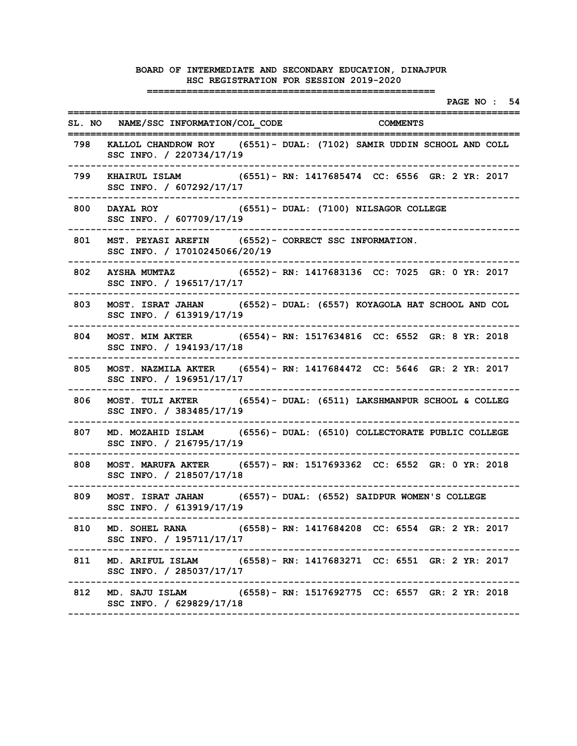|       |                                                                                                                   |  |  | ============= |  |  | PAGE NO : 54 |  |
|-------|-------------------------------------------------------------------------------------------------------------------|--|--|---------------|--|--|--------------|--|
|       | SL. NO NAME/SSC INFORMATION/COL CODE COMMENTS<br>==========                                                       |  |  |               |  |  |              |  |
|       | 798 KALLOL CHANDROW ROY (6551) - DUAL: (7102) SAMIR UDDIN SCHOOL AND COLL<br>SSC INFO. / 220734/17/19             |  |  |               |  |  |              |  |
| 799 — | --------------------<br>KHAIRUL ISLAM (6551) - RN: 1417685474 CC: 6556 GR: 2 YR: 2017<br>SSC INFO. / 607292/17/17 |  |  |               |  |  |              |  |
| 800   | DAYAL ROY (6551) - DUAL: (7100) NILSAGOR COLLEGE<br>SSC INFO. / 607709/17/19                                      |  |  |               |  |  |              |  |
| 801 — | MST. PEYASI AREFIN (6552) - CORRECT SSC INFORMATION.<br>SSC INFO. / 17010245066/20/19                             |  |  |               |  |  |              |  |
| 802   | AYSHA MUMTAZ (6552) - RN: 1417683136 CC: 7025 GR: 0 YR: 2017<br>SSC INFO. / 196517/17/17                          |  |  |               |  |  |              |  |
| 803   | MOST. ISRAT JAHAN (6552) - DUAL: (6557) KOYAGOLA HAT SCHOOL AND COL<br>SSC INFO. / 613919/17/19                   |  |  |               |  |  |              |  |
| 804   | MOST. MIM AKTER (6554) - RN: 1517634816 CC: 6552 GR: 8 YR: 2018<br>SSC INFO. / 194193/17/18                       |  |  |               |  |  |              |  |
| 805   | MOST. NAZMILA AKTER (6554) - RN: 1417684472 CC: 5646 GR: 2 YR: 2017<br>SSC INFO. / 196951/17/17                   |  |  |               |  |  |              |  |
| 806   | MOST. TULI AKTER (6554) - DUAL: (6511) LAKSHMANPUR SCHOOL & COLLEG<br>SSC INFO. / 383485/17/19                    |  |  |               |  |  |              |  |
| 807 — | MD. MOZAHID ISLAM (6556) - DUAL: (6510) COLLECTORATE PUBLIC COLLEGE<br>SSC INFO. / 216795/17/19                   |  |  |               |  |  |              |  |
| 808   | MOST. MARUFA AKTER (6557) - RN: 1517693362 CC: 6552 GR: 0 YR: 2018<br>SSC INFO. / 218507/17/18                    |  |  |               |  |  |              |  |
| 809   | MOST. ISRAT JAHAN (6557) - DUAL: (6552) SAIDPUR WOMEN'S COLLEGE<br>SSC INFO. / 613919/17/19                       |  |  |               |  |  |              |  |
|       | 810 MD. SOHEL RANA (6558) - RN: 1417684208 CC: 6554 GR: 2 YR: 2017<br>SSC INFO. / 195711/17/17                    |  |  |               |  |  |              |  |
| 811   | MD. ARIFUL ISLAM (6558) - RN: 1417683271 CC: 6551 GR: 2 YR: 2017<br>SSC INFO. / 285037/17/17                      |  |  |               |  |  |              |  |
|       | 812 MD. SAJU ISLAM (6558) - RN: 1517692775 CC: 6557 GR: 2 YR: 2018<br>SSC INFO. / 629829/17/18                    |  |  |               |  |  |              |  |
|       |                                                                                                                   |  |  |               |  |  |              |  |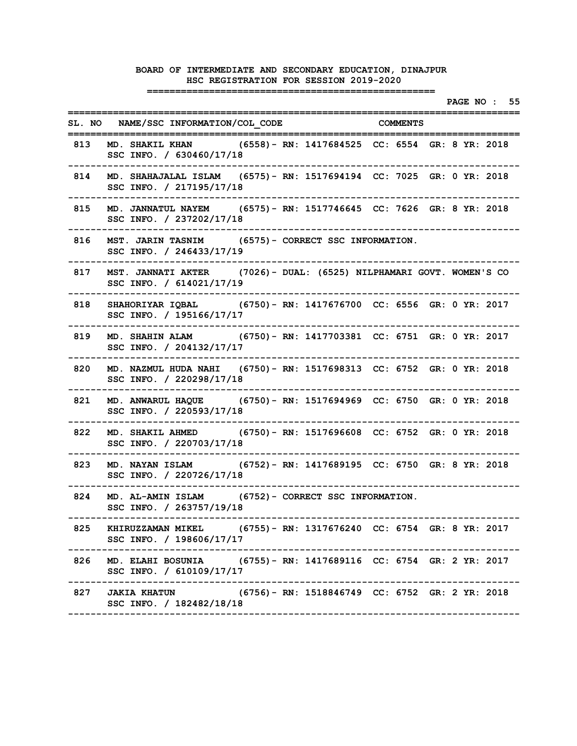|     |                                                                                                  |  |  | PAGE NO : 55 |  |
|-----|--------------------------------------------------------------------------------------------------|--|--|--------------|--|
|     | SL. NO NAME/SSC INFORMATION/COL CODE COMMENTS<br>=======                                         |  |  |              |  |
| 813 | MD. SHAKIL KHAN (6558) - RN: 1417684525 CC: 6554 GR: 8 YR: 2018<br>SSC INFO. / 630460/17/18      |  |  |              |  |
| 814 | MD. SHAHAJALAL ISLAM (6575) - RN: 1517694194 CC: 7025 GR: 0 YR: 2018<br>SSC INFO. / 217195/17/18 |  |  |              |  |
| 815 | MD. JANNATUL NAYEM (6575) - RN: 1517746645 CC: 7626 GR: 8 YR: 2018<br>SSC INFO. / 237202/17/18   |  |  |              |  |
| 816 | MST. JARIN TASNIM (6575) - CORRECT SSC INFORMATION.<br>SSC INFO. / 246433/17/19                  |  |  |              |  |
| 817 | MST. JANNATI AKTER (7026) - DUAL: (6525) NILPHAMARI GOVT. WOMEN'S CO<br>SSC INFO. / 614021/17/19 |  |  |              |  |
| 818 | SHAHORIYAR IQBAL (6750) - RN: 1417676700 CC: 6556 GR: 0 YR: 2017<br>SSC INFO. / 195166/17/17     |  |  |              |  |
| 819 | MD. SHAHIN ALAM (6750) - RN: 1417703381 CC: 6751 GR: 0 YR: 2017<br>SSC INFO. / 204132/17/17      |  |  |              |  |
| 820 | MD. NAZMUL HUDA NAHI (6750) - RN: 1517698313 CC: 6752 GR: 0 YR: 2018<br>SSC INFO. / 220298/17/18 |  |  |              |  |
| 821 | MD. ANWARUL HAQUE (6750) - RN: 1517694969 CC: 6750 GR: 0 YR: 2018<br>SSC INFO. / 220593/17/18    |  |  |              |  |
| 822 | MD. SHAKIL AHMED (6750) - RN: 1517696608 CC: 6752 GR: 0 YR: 2018<br>SSC INFO. / 220703/17/18     |  |  |              |  |
| 823 | MD. NAYAN ISLAM (6752) - RN: 1417689195 CC: 6750 GR: 8 YR: 2018<br>SSC INFO. / 220726/17/18      |  |  |              |  |
| 824 | MD. AL-AMIN ISLAM (6752) - CORRECT SSC INFORMATION.<br>SSC INFO. / 263757/19/18                  |  |  |              |  |
| 825 | KHIRUZZAMAN MIKEL (6755) - RN: 1317676240 CC: 6754 GR: 8 YR: 2017<br>SSC INFO. / 198606/17/17    |  |  |              |  |
| 826 | MD. ELAHI BOSUNIA (6755) - RN: 1417689116 CC: 6754 GR: 2 YR: 2017<br>SSC INFO. / 610109/17/17    |  |  |              |  |
|     | 827 JAKIA KHATUN (6756) - RN: 1518846749 CC: 6752 GR: 2 YR: 2018<br>SSC INFO. / 182482/18/18     |  |  |              |  |
|     |                                                                                                  |  |  |              |  |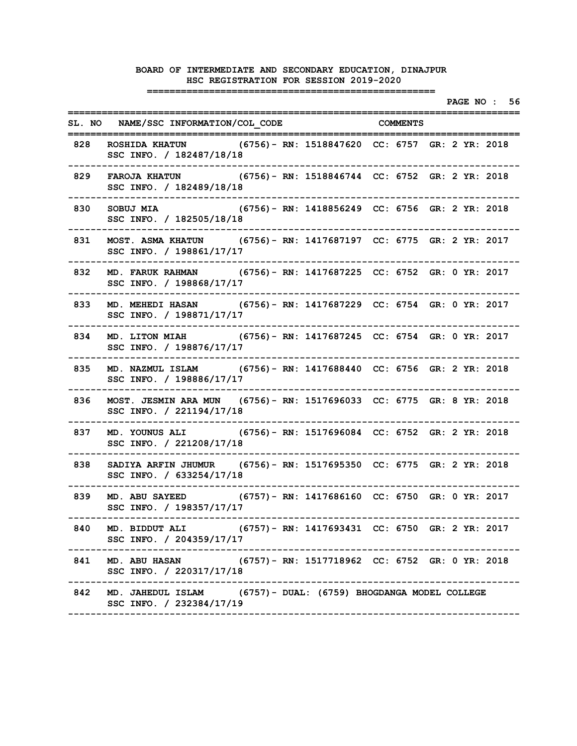|       |                                                                                                  |                                                                                    |  | PAGE NO : 56 |  |
|-------|--------------------------------------------------------------------------------------------------|------------------------------------------------------------------------------------|--|--------------|--|
|       | SL. NO NAME/SSC INFORMATION/COL CODE COMMENTS<br>=========                                       |                                                                                    |  |              |  |
| 828   | ROSHIDA KHATUN (6756) - RN: 1518847620 CC: 6757 GR: 2 YR: 2018<br>SSC INFO. / 182487/18/18       |                                                                                    |  |              |  |
| 829   | FAROJA KHATUN (6756) - RN: 1518846744 CC: 6752 GR: 2 YR: 2018<br>SSC INFO. / 182489/18/18        |                                                                                    |  |              |  |
| 830   | SOBUJ MIA (6756) - RN: 1418856249 CC: 6756 GR: 2 YR: 2018<br>SSC INFO. / 182505/18/18            |                                                                                    |  |              |  |
| 831   | MOST. ASMA KHATUN (6756) - RN: 1417687197 CC: 6775 GR: 2 YR: 2017<br>SSC INFO. / 198861/17/17    |                                                                                    |  |              |  |
| 832   | MD. FARUK RAHMAN (6756) - RN: 1417687225 CC: 6752 GR: 0 YR: 2017<br>SSC INFO. / 198868/17/17     |                                                                                    |  |              |  |
| 833   | MD. MEHEDI HASAN (6756) - RN: 1417687229 CC: 6754 GR: 0 YR: 2017<br>SSC INFO. / 198871/17/17     |                                                                                    |  |              |  |
| 834   | MD. LITON MIAH (6756) - RN: 1417687245 CC: 6754 GR: 0 YR: 2017<br>SSC INFO. / 198876/17/17       |                                                                                    |  |              |  |
| 835   | MD. NAZMUL ISLAM (6756) - RN: 1417688440 CC: 6756 GR: 2 YR: 2018<br>SSC INFO. / 198886/17/17     |                                                                                    |  |              |  |
| 836   | MOST. JESMIN ARA MUN (6756) - RN: 1517696033 CC: 6775 GR: 8 YR: 2018<br>SSC INFO. / 221194/17/18 |                                                                                    |  |              |  |
| 837   | MD. YOUNUS ALI (6756) - RN: 1517696084 CC: 6752 GR: 2 YR: 2018<br>SSC INFO. / 221208/17/18       |                                                                                    |  |              |  |
| 838   | SADIYA ARFIN JHUMUR (6756) - RN: 1517695350 CC: 6775 GR: 2 YR: 2018<br>SSC INFO. / 633254/17/18  |                                                                                    |  |              |  |
| 839   | MD. ABU SAYEED (6757) - RN: 1417686160 CC: 6750 GR: 0 YR: 2017<br>SSC INFO. / 198357/17/17       |                                                                                    |  |              |  |
| 840 — | MD. BIDDUT ALI<br>SSC INFO. / 204359/17/17                                                       | -------------------------------<br>(6757) - RN: 1417693431 CC: 6750 GR: 2 YR: 2017 |  |              |  |
| 841   | MD. ABU HASAN (6757) - RN: 1517718962 CC: 6752 GR: 0 YR: 2018<br>SSC INFO. / 220317/17/18        |                                                                                    |  |              |  |
| 842   | MD. JAHEDUL ISLAM (6757) - DUAL: (6759) BHOGDANGA MODEL COLLEGE<br>SSC INFO. / 232384/17/19      |                                                                                    |  |              |  |
|       |                                                                                                  |                                                                                    |  |              |  |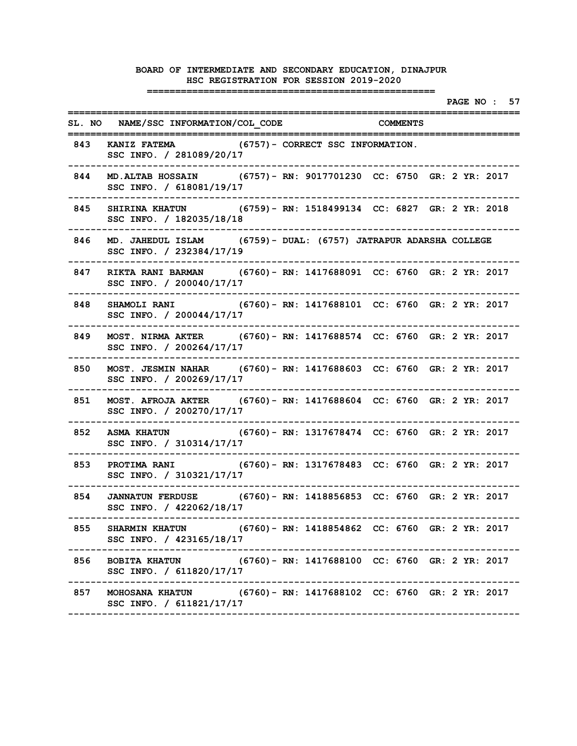|     |                                                                                                 |  | ;================================ |  |  | PAGE NO : 57 |  |
|-----|-------------------------------------------------------------------------------------------------|--|-----------------------------------|--|--|--------------|--|
|     | SL. NO NAME/SSC INFORMATION/COL CODE COMMENTS                                                   |  |                                   |  |  |              |  |
|     | 843 KANIZ FATEMA (6757) - CORRECT SSC INFORMATION.<br>SSC INFO. / 281089/20/17                  |  |                                   |  |  |              |  |
| 844 | MD. ALTAB HOSSAIN (6757) - RN: 9017701230 CC: 6750 GR: 2 YR: 2017<br>SSC INFO. / 618081/19/17   |  |                                   |  |  |              |  |
| 845 | SHIRINA KHATUN (6759) - RN: 1518499134 CC: 6827 GR: 2 YR: 2018<br>SSC INFO. / 182035/18/18      |  |                                   |  |  |              |  |
| 846 | MD. JAHEDUL ISLAM (6759) – DUAL: (6757) JATRAPUR ADARSHA COLLEGE<br>SSC INFO. / 232384/17/19    |  |                                   |  |  |              |  |
| 847 | RIKTA RANI BARMAN (6760) - RN: 1417688091 CC: 6760 GR: 2 YR: 2017<br>SSC INFO. / 200040/17/17   |  |                                   |  |  |              |  |
| 848 | SHAMOLI RANI (6760) - RN: 1417688101 CC: 6760 GR: 2 YR: 2017<br>SSC INFO. / 200044/17/17        |  |                                   |  |  |              |  |
| 849 | MOST. NIRMA AKTER (6760) - RN: 1417688574 CC: 6760 GR: 2 YR: 2017<br>SSC INFO. / 200264/17/17   |  |                                   |  |  |              |  |
| 850 | MOST. JESMIN NAHAR (6760) - RN: 1417688603 CC: 6760 GR: 2 YR: 2017<br>SSC INFO. / 200269/17/17  |  |                                   |  |  |              |  |
| 851 | MOST. AFROJA AKTER (6760) - RN: 1417688604 CC: 6760 GR: 2 YR: 2017<br>SSC INFO. / 200270/17/17  |  |                                   |  |  |              |  |
| 852 | ASMA KHATUN (6760) - RN: 1317678474 CC: 6760 GR: 2 YR: 2017<br>SSC INFO. / 310314/17/17         |  |                                   |  |  |              |  |
| 853 | PROTIMA RANI (6760) - RN: 1317678483 CC: 6760 GR: 2 YR: 2017<br>SSC INFO. / 310321/17/17        |  |                                   |  |  |              |  |
| 854 | JANNATUN FERDUSE (6760) - RN: 1418856853 CC: 6760 GR: 2 YR: 2017<br>SSC INFO. / 422062/18/17    |  |                                   |  |  |              |  |
| 855 | SHARMIN KHATUN (6760) - RN: 1418854862 CC: 6760 GR: 2 YR: 2017<br>SSC INFO. / 423165/18/17      |  |                                   |  |  |              |  |
| 856 | BOBITA KHATUN (6760) - RN: 1417688100 CC: 6760 GR: 2 YR: 2017<br>SSC INFO. / 611820/17/17       |  |                                   |  |  |              |  |
|     | 857 MOHOSANA KHATUN (6760) - RN: 1417688102 CC: 6760 GR: 2 YR: 2017<br>SSC INFO. / 611821/17/17 |  |                                   |  |  |              |  |
|     |                                                                                                 |  |                                   |  |  |              |  |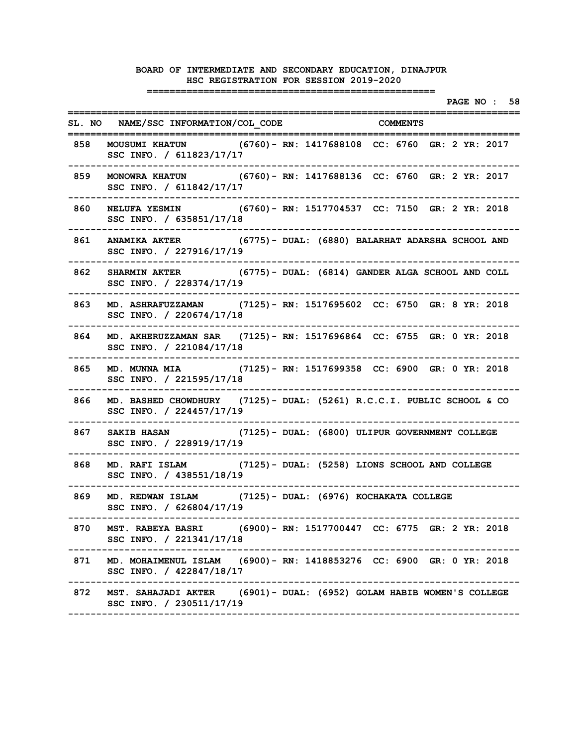|     |                                                                                      | PAGE NO : 58                                                              |
|-----|--------------------------------------------------------------------------------------|---------------------------------------------------------------------------|
|     | SL. NO NAME/SSC INFORMATION/COL CODE COMMENTS                                        | :==================                                                       |
| 858 | =============<br>SSC INFO. / 611823/17/17                                            | MOUSUMI KHATUN (6760) - RN: 1417688108 CC: 6760 GR: 2 YR: 2017            |
| 859 | SSC INFO. / 611842/17/17                                                             | MONOWRA KHATUN (6760) - RN: 1417688136 CC: 6760 GR: 2 YR: 2017            |
| 860 | SSC INFO. / 635851/17/18                                                             | NELUFA YESMIN (6760) - RN: 1517704537 CC: 7150 GR: 2 YR: 2018             |
| 861 | SSC INFO. / 227916/17/19                                                             | ANAMIKA AKTER (6775) - DUAL: (6880) BALARHAT ADARSHA SCHOOL AND           |
| 862 | SSC INFO. / 228374/17/19                                                             | SHARMIN AKTER (6775) - DUAL: (6814) GANDER ALGA SCHOOL AND COLL           |
| 863 | SSC INFO. / 220674/17/18                                                             | MD. ASHRAFUZZAMAN (7125) - RN: 1517695602 CC: 6750 GR: 8 YR: 2018         |
| 864 | SSC INFO. / 221084/17/18<br>---------------------------                              | MD. AKHERUZZAMAN SAR (7125)- RN: 1517696864 CC: 6755 GR: 0 YR: 2018       |
| 865 | SSC INFO. / 221595/17/18                                                             | MD. MUNNA MIA (7125) - RN: 1517699358 CC: 6900 GR: 0 YR: 2018             |
| 866 | SSC INFO. / 224457/17/19                                                             | MD. BASHED CHOWDHURY (7125) - DUAL: (5261) R.C.C.I. PUBLIC SCHOOL & CO    |
| 867 | SSC INFO. / 228919/17/19                                                             | SAKIB HASAN (7125) - DUAL: (6800) ULIPUR GOVERNMENT COLLEGE               |
| 868 | SSC INFO. / 438551/18/19                                                             | MD. RAFI ISLAM (7125) - DUAL: (5258) LIONS SCHOOL AND COLLEGE             |
| 869 | MD. REDWAN ISLAM (7125) - DUAL: (6976) KOCHAKATA COLLEGE<br>SSC INFO. / 626804/17/19 |                                                                           |
|     | SSC INFO. / 221341/17/18                                                             | 870 MST. RABEYA BASRI (6900) - RN: 1517700447 CC: 6775 GR: 2 YR: 2018     |
| 871 | SSC INFO. / 422847/18/17                                                             | MD. MOHAIMENUL ISLAM (6900) - RN: 1418853276 CC: 6900 GR: 0 YR: 2018      |
|     | SSC INFO. / 230511/17/19                                                             | 872 MST. SAHAJADI AKTER (6901) - DUAL: (6952) GOLAM HABIB WOMEN'S COLLEGE |
|     |                                                                                      |                                                                           |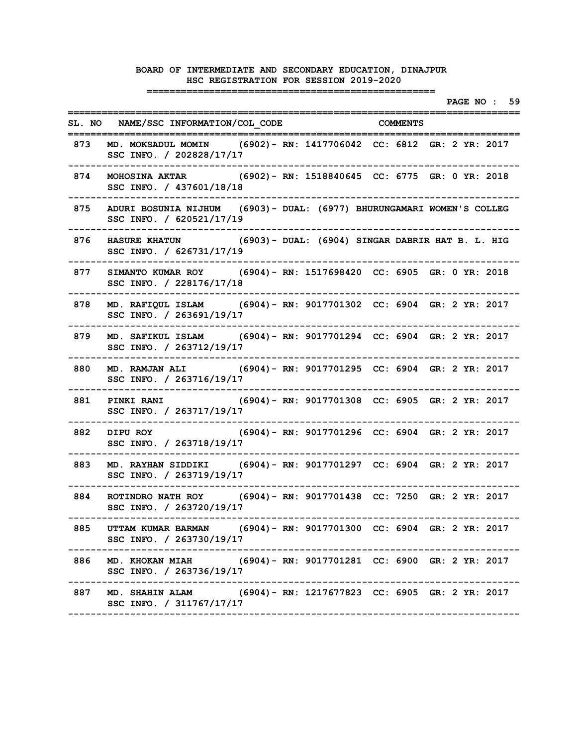|       |                                                                                                                  |  |                      |  |  | PAGE NO : 59 |  |
|-------|------------------------------------------------------------------------------------------------------------------|--|----------------------|--|--|--------------|--|
|       | SL. NO NAME/SSC INFORMATION/COL CODE COMMENTS<br>--------                                                        |  |                      |  |  |              |  |
| 873   | MD. MOKSADUL MOMIN (6902) - RN: 1417706042 CC: 6812 GR: 2 YR: 2017<br>SSC INFO. / 202828/17/17                   |  |                      |  |  |              |  |
| 874   | MOHOSINA AKTAR (6902) - RN: 1518840645 CC: 6775 GR: 0 YR: 2018<br>SSC INFO. / 437601/18/18                       |  |                      |  |  |              |  |
| 875   | ADURI BOSUNIA NIJHUM (6903) - DUAL: (6977) BHURUNGAMARI WOMEN'S COLLEG<br>SSC INFO. / 620521/17/19               |  |                      |  |  |              |  |
| 876   | HASURE KHATUN (6903) - DUAL: (6904) SINGAR DABRIR HAT B. L. HIG<br>SSC INFO. / 626731/17/19                      |  |                      |  |  |              |  |
| 877   | SIMANTO KUMAR ROY (6904) - RN: 1517698420 CC: 6905 GR: 0 YR: 2018<br>SSC INFO. / 228176/17/18                    |  |                      |  |  |              |  |
| 878   | MD. RAFIQUL ISLAM (6904) - RN: 9017701302 CC: 6904 GR: 2 YR: 2017<br>SSC INFO. / 263691/19/17                    |  |                      |  |  |              |  |
| 879   | MD. SAFIKUL ISLAM (6904) - RN: 9017701294 CC: 6904 GR: 2 YR: 2017<br>SSC INFO. / 263712/19/17                    |  |                      |  |  |              |  |
| 880   | ------------------<br>MD. RAMJAN ALI (6904) - RN: 9017701295 CC: 6904 GR: 2 YR: 2017<br>SSC INFO. / 263716/19/17 |  |                      |  |  |              |  |
| 881   | PINKI RANI (6904) - RN: 9017701308 CC: 6905 GR: 2 YR: 2017<br>SSC INFO. / 263717/19/17                           |  |                      |  |  |              |  |
| 882   | DIPU ROY (6904) - RN: 9017701296 CC: 6904 GR: 2 YR: 2017<br>SSC INFO. / 263718/19/17                             |  |                      |  |  |              |  |
| 883   | MD. RAYHAN SIDDIKI (6904) - RN: 9017701297 CC: 6904 GR: 2 YR: 2017<br>SSC INFO. / 263719/19/17                   |  |                      |  |  |              |  |
| 884   | ROTINDRO NATH ROY (6904) - RN: 9017701438 CC: 7250 GR: 2 YR: 2017<br>SSC INFO. / 263720/19/17                    |  |                      |  |  |              |  |
|       | 885 UTTAM KUMAR BARMAN (6904) - RN: 9017701300 CC: 6904 GR: 2 YR: 2017<br>SSC INFO. / 263730/19/17               |  | -------------------- |  |  |              |  |
| 886 — | MD. KHOKAN MIAH (6904) - RN: 9017701281 CC: 6900 GR: 2 YR: 2017<br>SSC INFO. / 263736/19/17                      |  |                      |  |  |              |  |
| 887   | MD. SHAHIN ALAM (6904) - RN: 1217677823 CC: 6905 GR: 2 YR: 2017<br>SSC INFO. / 311767/17/17                      |  |                      |  |  |              |  |
|       |                                                                                                                  |  |                      |  |  |              |  |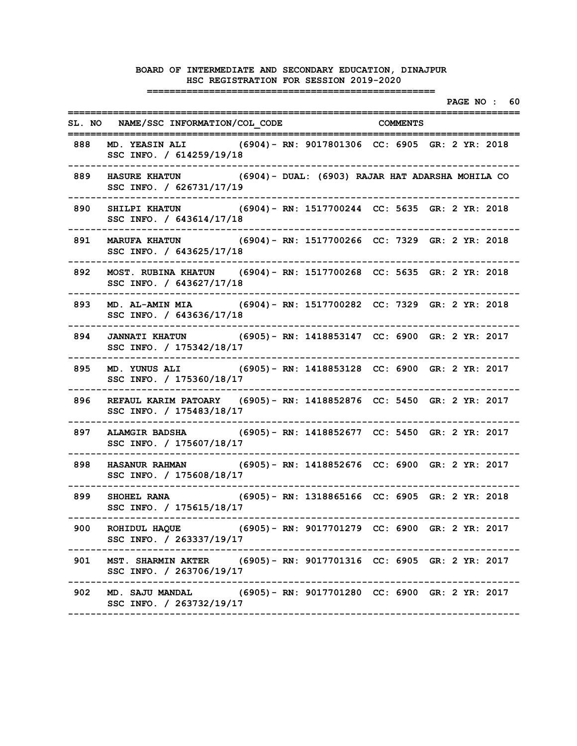|     |                                                                                                  |                                                |                     | ============= |  |  | PAGE NO : 60 |  |
|-----|--------------------------------------------------------------------------------------------------|------------------------------------------------|---------------------|---------------|--|--|--------------|--|
|     | SL. NO NAME/SSC INFORMATION/COL CODE THE COMMENTS<br>============                                |                                                | =================== |               |  |  |              |  |
| 888 | MD. YEASIN ALI (6904) - RN: 9017801306 CC: 6905 GR: 2 YR: 2018<br>SSC INFO. / 614259/19/18       |                                                |                     |               |  |  |              |  |
| 889 | HASURE KHATUN (6904) - DUAL: (6903) RAJAR HAT ADARSHA MOHILA CO<br>SSC INFO. / 626731/17/19      |                                                |                     |               |  |  |              |  |
| 890 | SHILPI KHATUN (6904) - RN: 1517700244 CC: 5635 GR: 2 YR: 2018<br>SSC INFO. / 643614/17/18        |                                                |                     |               |  |  |              |  |
| 891 | MARUFA KHATUN (6904) - RN: 1517700266 CC: 7329 GR: 2 YR: 2018<br>SSC INFO. / 643625/17/18        |                                                |                     |               |  |  |              |  |
| 892 | MOST. RUBINA KHATUN (6904) - RN: 1517700268 CC: 5635 GR: 2 YR: 2018<br>SSC INFO. / 643627/17/18  |                                                |                     |               |  |  |              |  |
| 893 | MD. AL-AMIN MIA (6904) - RN: 1517700282 CC: 7329 GR: 2 YR: 2018<br>SSC INFO. / 643636/17/18      |                                                |                     |               |  |  |              |  |
| 894 | JANNATI KHATUN (6905) - RN: 1418853147 CC: 6900 GR: 2 YR: 2017<br>SSC INFO. / 175342/18/17       |                                                |                     |               |  |  |              |  |
| 895 | MD. YUNUS ALI (6905) - RN: 1418853128 CC: 6900 GR: 2 YR: 2017<br>SSC INFO. / 175360/18/17        |                                                |                     |               |  |  |              |  |
| 896 | REFAUL KARIM PATOARY (6905) - RN: 1418852876 CC: 5450 GR: 2 YR: 2017<br>SSC INFO. / 175483/18/17 |                                                |                     |               |  |  |              |  |
| 897 | ALAMGIR BADSHA (6905) - RN: 1418852677 CC: 5450 GR: 2 YR: 2017<br>SSC INFO. / 175607/18/17       |                                                |                     |               |  |  |              |  |
| 898 | HASANUR RAHMAN (6905) - RN: 1418852676 CC: 6900 GR: 2 YR: 2017<br>SSC INFO. / 175608/18/17       |                                                |                     |               |  |  |              |  |
| 899 | <b>SHOHEL RANA</b><br>SSC INFO. / 175615/18/17                                                   | (6905)- RN: 1318865166 CC: 6905 GR: 2 YR: 2018 |                     |               |  |  |              |  |
|     | 900 ROHIDUL HAQUE (6905) - RN: 9017701279 CC: 6900 GR: 2 YR: 2017<br>SSC INFO. / 263337/19/17    |                                                |                     |               |  |  |              |  |
| 901 | MST. SHARMIN AKTER (6905) - RN: 9017701316 CC: 6905 GR: 2 YR: 2017<br>SSC INFO. / 263706/19/17   |                                                |                     |               |  |  |              |  |
| 902 | MD. SAJU MANDAL (6905) - RN: 9017701280 CC: 6900 GR: 2 YR: 2017<br>SSC INFO. / 263732/19/17      |                                                |                     |               |  |  |              |  |
|     |                                                                                                  |                                                |                     |               |  |  |              |  |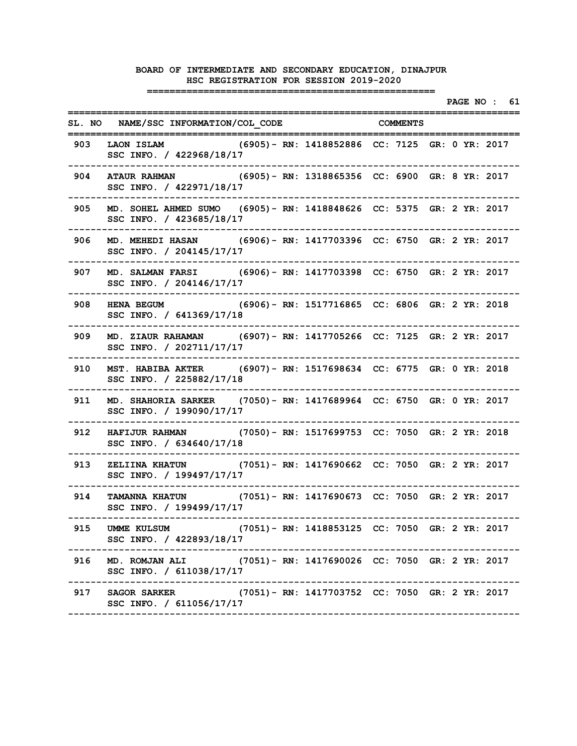|     |                                                                                                                       |  |                                                 |          |  | PAGE NO : 61 |  |
|-----|-----------------------------------------------------------------------------------------------------------------------|--|-------------------------------------------------|----------|--|--------------|--|
|     | SL. NO NAME/SSC INFORMATION/COL CODE                                                                                  |  |                                                 | COMMENTS |  |              |  |
| 903 | LAON ISLAM (6905) - RN: 1418852886 CC: 7125 GR: 0 YR: 2017<br>SSC INFO. / 422968/18/17                                |  |                                                 |          |  |              |  |
| 904 | ATAUR RAHMAN (6905) - RN: 1318865356 CC: 6900 GR: 8 YR: 2017<br>SSC INFO. / 422971/18/17                              |  |                                                 |          |  |              |  |
| 905 | MD. SOHEL AHMED SUMO (6905) - RN: 1418848626 CC: 5375 GR: 2 YR: 2017<br>SSC INFO. / 423685/18/17                      |  |                                                 |          |  |              |  |
| 906 | MD. MEHEDI HASAN (6906) - RN: 1417703396 CC: 6750 GR: 2 YR: 2017<br>SSC INFO. / 204145/17/17                          |  |                                                 |          |  |              |  |
| 907 | MD. SALMAN FARSI (6906) - RN: 1417703398 CC: 6750 GR: 2 YR: 2017<br>SSC INFO. / 204146/17/17                          |  |                                                 |          |  |              |  |
| 908 | <b>HENA BEGUM</b><br>SSC INFO. / 641369/17/18                                                                         |  | (6906) - RN: 1517716865 CC: 6806 GR: 2 YR: 2018 |          |  |              |  |
| 909 | MD. ZIAUR RAHAMAN (6907) - RN: 1417705266 CC: 7125 GR: 2 YR: 2017<br>SSC INFO. / 202711/17/17                         |  |                                                 |          |  |              |  |
| 910 | MST. HABIBA AKTER (6907) - RN: 1517698634 CC: 6775 GR: 0 YR: 2018<br>SSC INFO. / 225882/17/18                         |  |                                                 |          |  |              |  |
| 911 | MD. SHAHORIA SARKER (7050) - RN: 1417689964 CC: 6750 GR: 0 YR: 2017<br>SSC INFO. / 199090/17/17                       |  |                                                 |          |  |              |  |
| 912 | HAFIJUR RAHMAN (7050) - RN: 1517699753 CC: 7050 GR: 2 YR: 2018<br>SSC INFO. / 634640/17/18                            |  |                                                 |          |  |              |  |
| 913 | ZELIINA KHATUN (7051) - RN: 1417690662 CC: 7050 GR: 2 YR: 2017<br>SSC INFO. / 199497/17/17                            |  |                                                 |          |  |              |  |
| 914 | TAMANNA KHATUN (7051)- RN: 1417690673 CC: 7050 GR: 2 YR: 2017<br>SSC INFO. / 199499/17/17                             |  |                                                 |          |  |              |  |
|     | 915 UMME KULSUM<br>SSC INFO. / 422893/18/17                                                                           |  | (7051) - RN: 1418853125 CC: 7050 GR: 2 YR: 2017 |          |  |              |  |
|     | -------------------<br>916 MD. ROMJAN ALI (7051) - RN: 1417690026 CC: 7050 GR: 2 YR: 2017<br>SSC INFO. / 611038/17/17 |  |                                                 |          |  |              |  |
|     | 917 SAGOR SARKER (7051) - RN: 1417703752 CC: 7050 GR: 2 YR: 2017<br>SSC INFO. / 611056/17/17                          |  |                                                 |          |  |              |  |
|     |                                                                                                                       |  |                                                 |          |  |              |  |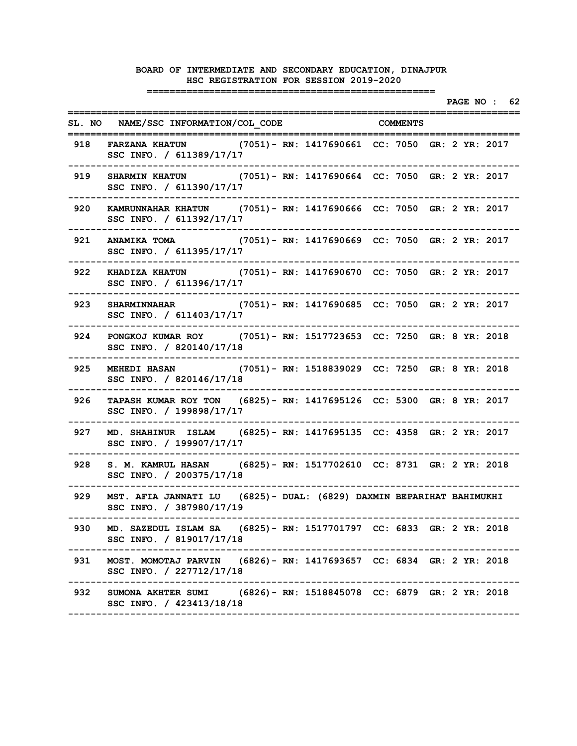|     |                                                                                                      |                                  |  | PAGE NO : 62 |  |
|-----|------------------------------------------------------------------------------------------------------|----------------------------------|--|--------------|--|
|     | SL. NO NAME/SSC INFORMATION/COL CODE COMMENTS<br>============                                        | :=======================         |  |              |  |
| 918 | FARZANA KHATUN (7051) - RN: 1417690661 CC: 7050 GR: 2 YR: 2017<br>SSC INFO. / 611389/17/17           |                                  |  |              |  |
| 919 | SHARMIN KHATUN (7051) - RN: 1417690664 CC: 7050 GR: 2 YR: 2017<br>SSC INFO. / 611390/17/17           |                                  |  |              |  |
| 920 | KAMRUNNAHAR KHATUN (7051) - RN: 1417690666 CC: 7050 GR: 2 YR: 2017<br>SSC INFO. / 611392/17/17       |                                  |  |              |  |
| 921 | ANAMIKA TOMA (7051) - RN: 1417690669 CC: 7050 GR: 2 YR: 2017<br>SSC INFO. / 611395/17/17             |                                  |  |              |  |
| 922 | KHADIZA KHATUN (7051) - RN: 1417690670 CC: 7050 GR: 2 YR: 2017<br>SSC INFO. / 611396/17/17           |                                  |  |              |  |
| 923 | SHARMINNAHAR (7051) - RN: 1417690685 CC: 7050 GR: 2 YR: 2017<br>SSC INFO. / 611403/17/17             |                                  |  |              |  |
| 924 | PONGKOJ KUMAR ROY (7051) - RN: 1517723653 CC: 7250 GR: 8 YR: 2018<br>SSC INFO. / 820140/17/18        |                                  |  |              |  |
| 925 | MEHEDI HASAN (7051) - RN: 1518839029 CC: 7250 GR: 8 YR: 2018<br>SSC INFO. / 820146/17/18             |                                  |  |              |  |
| 926 | TAPASH KUMAR ROY TON (6825) - RN: 1417695126 CC: 5300 GR: 8 YR: 2017<br>SSC INFO. / 199898/17/17     |                                  |  |              |  |
| 927 | MD. SHAHINUR ISLAM (6825) - RN: 1417695135 CC: 4358 GR: 2 YR: 2017<br>SSC INFO. / 199907/17/17       |                                  |  |              |  |
| 928 | S. M. KAMRUL HASAN (6825) - RN: 1517702610 CC: 8731 GR: 2 YR: 2018<br>SSC INFO. / 200375/17/18       |                                  |  |              |  |
| 929 | MST. AFIA JANNATI LU (6825) - DUAL: (6829) DAXMIN BEPARIHAT BAHIMUKHI<br>SSC INFO. / 387980/17/19    |                                  |  |              |  |
|     | 930 MD. SAZEDUL ISLAM SA (6825) - RN: 1517701797 CC: 6833 GR: 2 YR: 2018<br>SSC INFO. / 819017/17/18 | .------------------------------- |  |              |  |
| 931 | MOST. MOMOTAJ PARVIN (6826) - RN: 1417693657 CC: 6834 GR: 2 YR: 2018<br>SSC INFO. / 227712/17/18     |                                  |  |              |  |
|     | 932 SUMONA AKHTER SUMI (6826) - RN: 1518845078 CC: 6879 GR: 2 YR: 2018<br>SSC INFO. / 423413/18/18   |                                  |  |              |  |
|     |                                                                                                      |                                  |  |              |  |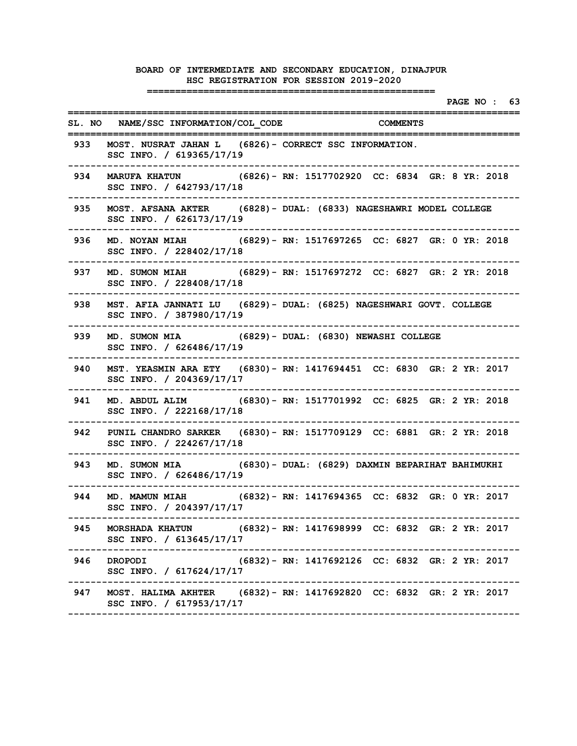|       |                                                                                                     |                                                | . |                     | --------------------- |                      |  | PAGE NO : 63 |  |
|-------|-----------------------------------------------------------------------------------------------------|------------------------------------------------|---|---------------------|-----------------------|----------------------|--|--------------|--|
|       | SL. NO NAME/SSC INFORMATION/COL CODE<br>:=================                                          |                                                |   | =================== | <b>COMMENTS</b>       | ==================== |  |              |  |
|       | 933 MOST. NUSRAT JAHAN L (6826) - CORRECT SSC INFORMATION.<br>SSC INFO. / 619365/17/19              |                                                |   |                     |                       |                      |  |              |  |
| 934   | MARUFA KHATUN (6826) - RN: 1517702920 CC: 6834 GR: 8 YR: 2018<br>SSC INFO. / 642793/17/18           |                                                |   |                     |                       |                      |  |              |  |
| 935   | MOST. AFSANA AKTER (6828) - DUAL: (6833) NAGESHAWRI MODEL COLLEGE<br>SSC INFO. / 626173/17/19       |                                                |   |                     |                       |                      |  |              |  |
| 936   | MD. NOYAN MIAH (6829) - RN: 1517697265 CC: 6827 GR: 0 YR: 2018<br>SSC INFO. / 228402/17/18          |                                                |   |                     |                       |                      |  |              |  |
| 937   | MD. SUMON MIAH (6829) - RN: 1517697272 CC: 6827 GR: 2 YR: 2018<br>SSC INFO. / 228408/17/18          |                                                |   |                     |                       |                      |  |              |  |
| 938   | MST. AFIA JANNATI LU (6829) - DUAL: (6825) NAGESHWARI GOVT. COLLEGE<br>SSC INFO. / 387980/17/19     |                                                |   |                     |                       |                      |  |              |  |
| 939   | MD. SUMON MIA (6829) - DUAL: (6830) NEWASHI COLLEGE<br>SSC INFO. / 626486/17/19                     |                                                |   |                     |                       |                      |  |              |  |
| 940 — | MST. YEASMIN ARA ETY (6830) - RN: 1417694451 CC: 6830 GR: 2 YR: 2017<br>SSC INFO. / 204369/17/17    |                                                |   |                     |                       |                      |  |              |  |
| 941   | MD. ABDUL ALIM (6830) - RN: 1517701992 CC: 6825 GR: 2 YR: 2018<br>SSC INFO. / 222168/17/18          |                                                |   |                     |                       |                      |  |              |  |
| 942   | PUNIL CHANDRO SARKER (6830) - RN: 1517709129 CC: 6881 GR: 2 YR: 2018<br>SSC INFO. / 224267/17/18    |                                                |   |                     |                       |                      |  |              |  |
| 943   | MD. SUMON MIA (6830) - DUAL: (6829) DAXMIN BEPARIHAT BAHIMUKHI<br>SSC INFO. / 626486/17/19          |                                                |   |                     |                       |                      |  |              |  |
| 944   | MD. MAMUN MIAH (6832) - RN: 1417694365 CC: 6832 GR: 0 YR: 2017<br>SSC INFO. / 204397/17/17          |                                                |   |                     |                       |                      |  |              |  |
|       | 945 MORSHADA KHATUN (6832) - RN: 1417698999 CC: 6832 GR: 2 YR: 2017<br>SSC INFO. / 613645/17/17     |                                                |   |                     |                       |                      |  |              |  |
| 946   | DROPODI<br>SSC INFO. / 617624/17/17                                                                 | (6832)- RN: 1417692126 CC: 6832 GR: 2 YR: 2017 |   |                     |                       |                      |  |              |  |
|       | 947 MOST. HALIMA AKHTER (6832) - RN: 1417692820 CC: 6832 GR: 2 YR: 2017<br>SSC INFO. / 617953/17/17 |                                                |   |                     |                       |                      |  |              |  |
|       |                                                                                                     |                                                |   |                     |                       |                      |  |              |  |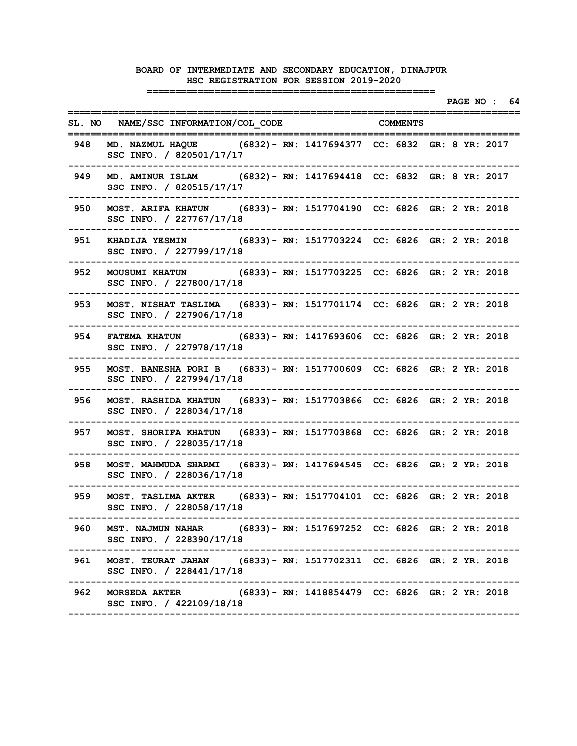|       |                                                                                                  |                 |  | PAGE NO : 64 |  |
|-------|--------------------------------------------------------------------------------------------------|-----------------|--|--------------|--|
|       | SL. NO NAME/SSC INFORMATION/COL CODE                                                             | <b>COMMENTS</b> |  |              |  |
| 948   | MD. NAZMUL HAQUE (6832) - RN: 1417694377 CC: 6832 GR: 8 YR: 2017<br>SSC INFO. / 820501/17/17     |                 |  |              |  |
| 949   | MD. AMINUR ISLAM (6832) - RN: 1417694418 CC: 6832 GR: 8 YR: 2017<br>SSC INFO. / 820515/17/17     |                 |  |              |  |
| 950   | MOST. ARIFA KHATUN (6833) - RN: 1517704190 CC: 6826 GR: 2 YR: 2018<br>SSC INFO. / 227767/17/18   |                 |  |              |  |
| 951   | KHADIJA YESMIN (6833) - RN: 1517703224 CC: 6826 GR: 2 YR: 2018<br>SSC INFO. / 227799/17/18       |                 |  |              |  |
| 952   | MOUSUMI KHATUN (6833) - RN: 1517703225 CC: 6826 GR: 2 YR: 2018<br>SSC INFO. / 227800/17/18       |                 |  |              |  |
| 953   | MOST. NISHAT TASLIMA (6833) - RN: 1517701174 CC: 6826 GR: 2 YR: 2018<br>SSC INFO. / 227906/17/18 |                 |  |              |  |
| 954   | FATEMA KHATUN (6833) - RN: 1417693606 CC: 6826 GR: 2 YR: 2018<br>SSC INFO. / 227978/17/18        |                 |  |              |  |
| 955   | MOST. BANESHA PORI B (6833) - RN: 1517700609 CC: 6826 GR: 2 YR: 2018<br>SSC INFO. / 227994/17/18 |                 |  |              |  |
| 956   | MOST. RASHIDA KHATUN (6833) - RN: 1517703866 CC: 6826 GR: 2 YR: 2018<br>SSC INFO. / 228034/17/18 |                 |  |              |  |
| 957   | MOST. SHORIFA KHATUN (6833) - RN: 1517703868 CC: 6826 GR: 2 YR: 2018<br>SSC INFO. / 228035/17/18 |                 |  |              |  |
| 958   | MOST. MAHMUDA SHARMI (6833) - RN: 1417694545 CC: 6826 GR: 2 YR: 2018<br>SSC INFO. / 228036/17/18 |                 |  |              |  |
| 959   | MOST. TASLIMA AKTER (6833) - RN: 1517704101 CC: 6826 GR: 2 YR: 2018<br>SSC INFO. / 228058/17/18  |                 |  |              |  |
| 960 — | MST. NAJMUN NAHAR (6833) - RN: 1517697252 CC: 6826 GR: 2 YR: 2018<br>SSC INFO. / 228390/17/18    |                 |  |              |  |
| 961   | MOST. TEURAT JAHAN (6833) - RN: 1517702311 CC: 6826 GR: 2 YR: 2018<br>SSC INFO. / 228441/17/18   |                 |  |              |  |
|       | 962 MORSEDA AKTER (6833) - RN: 1418854479 CC: 6826 GR: 2 YR: 2018<br>SSC INFO. / 422109/18/18    |                 |  |              |  |
|       |                                                                                                  |                 |  |              |  |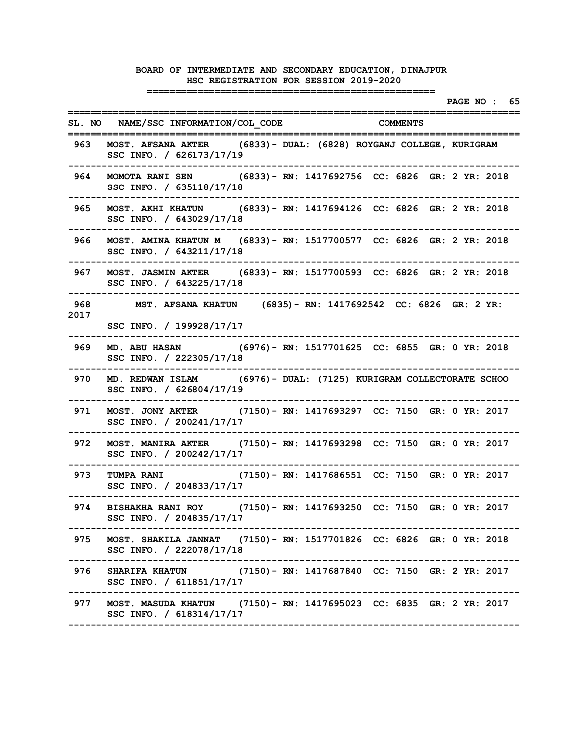|             |                                                                                                      |  |                                                |  |  | PAGE NO : 65 |  |
|-------------|------------------------------------------------------------------------------------------------------|--|------------------------------------------------|--|--|--------------|--|
|             | SL. NO NAME/SSC INFORMATION/COL CODE COMMENTS                                                        |  |                                                |  |  |              |  |
| 963         | MOST. AFSANA AKTER (6833) - DUAL: (6828) ROYGANJ COLLEGE, KURIGRAM<br>SSC INFO. / 626173/17/19       |  |                                                |  |  |              |  |
| 964         | MOMOTA RANI SEN (6833) - RN: 1417692756 CC: 6826 GR: 2 YR: 2018<br>SSC INFO. / 635118/17/18          |  |                                                |  |  |              |  |
| 965         | MOST. AKHI KHATUN (6833) - RN: 1417694126 CC: 6826 GR: 2 YR: 2018<br>SSC INFO. / 643029/17/18        |  |                                                |  |  |              |  |
| 966         | MOST. AMINA KHATUN M (6833)- RN: 1517700577 CC: 6826 GR: 2 YR: 2018<br>SSC INFO. / 643211/17/18      |  |                                                |  |  |              |  |
| 967         | MOST. JASMIN AKTER (6833) - RN: 1517700593 CC: 6826 GR: 2 YR: 2018<br>SSC INFO. / 643225/17/18       |  |                                                |  |  |              |  |
| 968<br>2017 | MST. AFSANA KHATUN      (6835)- RN: 1417692542  CC: 6826  GR: 2 YR:<br>SSC INFO. / 199928/17/17      |  |                                                |  |  |              |  |
| 969         | MD. ABU HASAN (6976) - RN: 1517701625 CC: 6855 GR: 0 YR: 2018<br>SSC INFO. / 222305/17/18            |  |                                                |  |  |              |  |
| 970         | MD. REDWAN ISLAM (6976) - DUAL: (7125) KURIGRAM COLLECTORATE SCHOO<br>SSC INFO. / 626804/17/19       |  |                                                |  |  |              |  |
| 971         | MOST. JONY AKTER (7150) - RN: 1417693297 CC: 7150 GR: 0 YR: 2017<br>SSC INFO. / 200241/17/17         |  |                                                |  |  |              |  |
| 972         | MOST. MANIRA AKTER (7150) - RN: 1417693298 CC: 7150 GR: 0 YR: 2017<br>SSC INFO. / 200242/17/17       |  |                                                |  |  |              |  |
| 973         | <b>TUMPA RANI</b><br>SSC INFO. / 204833/17/17                                                        |  | (7150)– RN: 1417686551 CC: 7150 GR: 0 YR: 2017 |  |  |              |  |
| 974         | BISHAKHA RANI ROY (7150) - RN: 1417693250 CC: 7150 GR: 0 YR: 2017<br>SSC INFO. / 204835/17/17        |  |                                                |  |  |              |  |
|             | 975 MOST. SHAKILA JANNAT (7150) - RN: 1517701826 CC: 6826 GR: 0 YR: 2018<br>SSC INFO. / 222078/17/18 |  |                                                |  |  |              |  |
| 976         | SHARIFA KHATUN (7150) - RN: 1417687840 CC: 7150 GR: 2 YR: 2017<br>SSC INFO. / 611851/17/17           |  |                                                |  |  |              |  |
| 977         | MOST. MASUDA KHATUN (7150) - RN: 1417695023 CC: 6835 GR: 2 YR: 2017<br>SSC INFO. / 618314/17/17      |  |                                                |  |  |              |  |
|             |                                                                                                      |  |                                                |  |  |              |  |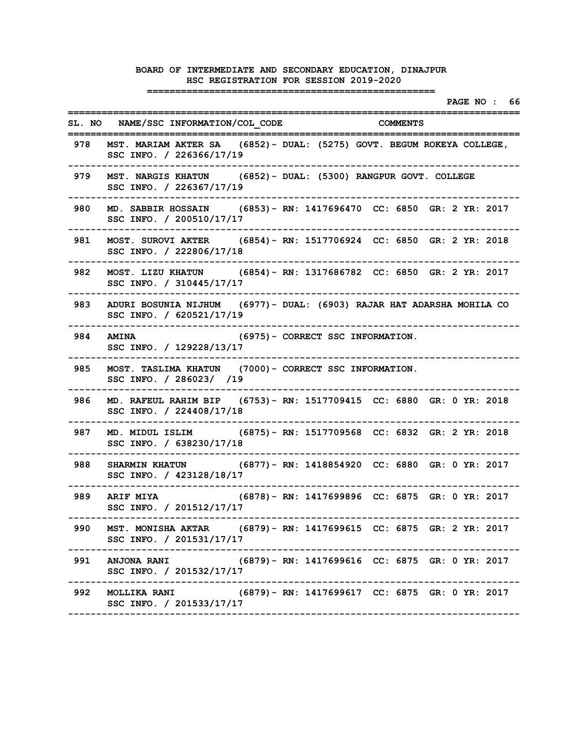|       | <u> =============</u>                                                                                 |                 |  | PAGE NO : 66 |  |
|-------|-------------------------------------------------------------------------------------------------------|-----------------|--|--------------|--|
|       | SL. NO NAME/SSC INFORMATION/COL CODE<br>===================<br>========================               | <b>COMMENTS</b> |  |              |  |
|       | 978 MST. MARIAM AKTER SA (6852)- DUAL: (5275) GOVT. BEGUM ROKEYA COLLEGE,<br>SSC INFO. / 226366/17/19 |                 |  |              |  |
| 979   | MST. NARGIS KHATUN (6852) - DUAL: (5300) RANGPUR GOVT. COLLEGE<br>SSC INFO. / 226367/17/19            |                 |  |              |  |
| 980 - | MD. SABBIR HOSSAIN (6853) - RN: 1417696470 CC: 6850 GR: 2 YR: 2017<br>SSC INFO. / 200510/17/17        |                 |  |              |  |
| 981   | MOST. SUROVI AKTER (6854) - RN: 1517706924 CC: 6850 GR: 2 YR: 2018<br>SSC INFO. / 222806/17/18        |                 |  |              |  |
| 982   | MOST. LIZU KHATUN (6854) - RN: 1317686782 CC: 6850 GR: 2 YR: 2017<br>SSC INFO. / 310445/17/17         |                 |  |              |  |
| 983   | ADURI BOSUNIA NIJHUM (6977) - DUAL: (6903) RAJAR HAT ADARSHA MOHILA CO<br>SSC INFO. / 620521/17/19    |                 |  |              |  |
| 984   | <b>AMINA</b><br>(6975)- CORRECT SSC INFORMATION.<br>SSC INFO. / 129228/13/17                          |                 |  |              |  |
| 985   | MOST. TASLIMA KHATUN (7000) - CORRECT SSC INFORMATION.<br>SSC INFO. / 286023/ /19                     |                 |  |              |  |
| 986   | MD. RAFEUL RAHIM BIP (6753) - RN: 1517709415 CC: 6880 GR: 0 YR: 2018<br>SSC INFO. / 224408/17/18      |                 |  |              |  |
| 987   | MD. MIDUL ISLIM (6875) - RN: 1517709568 CC: 6832 GR: 2 YR: 2018<br>SSC INFO. / 638230/17/18           |                 |  |              |  |
| 988   | SHARMIN KHATUN (6877) - RN: 1418854920 CC: 6880 GR: 0 YR: 2017<br>SSC INFO. / 423128/18/17            |                 |  |              |  |
| 989   | (6878)- RN: 1417699896 CC: 6875 GR: 0 YR: 2017<br><b>ARIF MIYA</b><br>SSC INFO. / 201512/17/17        |                 |  |              |  |
|       | 990 MST. MONISHA AKTAR (6879) - RN: 1417699615 CC: 6875 GR: 2 YR: 2017<br>SSC INFO. / 201531/17/17    |                 |  |              |  |
| 991   | ANJONA RANI (6879) - RN: 1417699616 CC: 6875 GR: 0 YR: 2017<br>SSC INFO. / 201532/17/17               |                 |  |              |  |
| 992   | MOLLIKA RANI (6879) - RN: 1417699617 CC: 6875 GR: 0 YR: 2017<br>SSC INFO. / 201533/17/17              |                 |  |              |  |
|       |                                                                                                       |                 |  |              |  |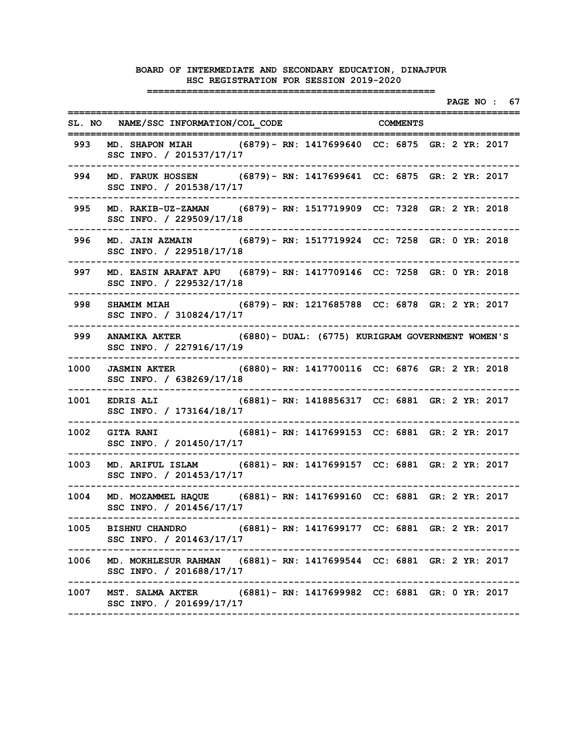**PAGE NO : 67 ================================================================================** SL. NO NAME/SSC INFORMATION/COL CODE COMMENTS **================================================================================ 993 MD. SHAPON MIAH (6879)- RN: 1417699640 CC: 6875 GR: 2 YR: 2017 SSC INFO. / 201537/17/17 -------------------------------------------------------------------------------- 994 MD. FARUK HOSSEN (6879)- RN: 1417699641 CC: 6875 GR: 2 YR: 2017 SSC INFO. / 201538/17/17 -------------------------------------------------------------------------------- 995 MD. RAKIB-UZ-ZAMAN (6879)- RN: 1517719909 CC: 7328 GR: 2 YR: 2018 SSC INFO. / 229509/17/18 -------------------------------------------------------------------------------- 996 MD. JAIN AZMAIN (6879)- RN: 1517719924 CC: 7258 GR: 0 YR: 2018 SSC INFO. / 229518/17/18 -------------------------------------------------------------------------------- 997 MD. EASIN ARAFAT APU (6879)- RN: 1417709146 CC: 7258 GR: 0 YR: 2018 SSC INFO. / 229532/17/18 -------------------------------------------------------------------------------- 998 SHAMIM MIAH (6879)- RN: 1217685788 CC: 6878 GR: 2 YR: 2017 SSC INFO. / 310824/17/17 -------------------------------------------------------------------------------- 999 ANAMIKA AKTER (6880)- DUAL: (6775) KURIGRAM GOVERNMENT WOMEN'S SSC INFO. / 227916/17/19 -------------------------------------------------------------------------------- 1000 JASMIN AKTER (6880)- RN: 1417700116 CC: 6876 GR: 2 YR: 2018 SSC INFO. / 638269/17/18 -------------------------------------------------------------------------------- 1001 EDRIS ALI (6881)- RN: 1418856317 CC: 6881 GR: 2 YR: 2017 SSC INFO. / 173164/18/17 -------------------------------------------------------------------------------- 1002 GITA RANI (6881)- RN: 1417699153 CC: 6881 GR: 2 YR: 2017 SSC INFO. / 201450/17/17 -------------------------------------------------------------------------------- 1003 MD. ARIFUL ISLAM (6881)- RN: 1417699157 CC: 6881 GR: 2 YR: 2017 SSC INFO. / 201453/17/17 -------------------------------------------------------------------------------- 1004 MD. MOZAMMEL HAQUE (6881)- RN: 1417699160 CC: 6881 GR: 2 YR: 2017 SSC INFO. / 201456/17/17 -------------------------------------------------------------------------------- 1005 BISHNU CHANDRO (6881)- RN: 1417699177 CC: 6881 GR: 2 YR: 2017 SSC INFO. / 201463/17/17 -------------------------------------------------------------------------------- 1006 MD. MOKHLESUR RAHMAN (6881)- RN: 1417699544 CC: 6881 GR: 2 YR: 2017 SSC INFO. / 201688/17/17 -------------------------------------------------------------------------------- 1007 MST. SALMA AKTER (6881)- RN: 1417699982 CC: 6881 GR: 0 YR: 2017 SSC INFO. / 201699/17/17 --------------------------------------------------------------------------------**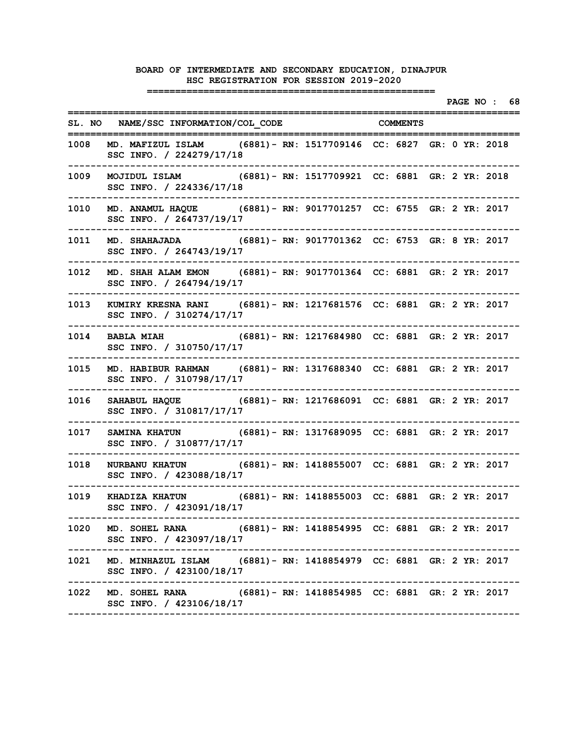|      |                                                                                                                                  |  |  |  |  | PAGE NO : 68 |  |
|------|----------------------------------------------------------------------------------------------------------------------------------|--|--|--|--|--------------|--|
|      | SL. NO NAME/SSC INFORMATION/COL CODE COMMENTS                                                                                    |  |  |  |  |              |  |
| 1008 | MD. MAFIZUL ISLAM (6881) - RN: 1517709146 CC: 6827 GR: 0 YR: 2018<br>SSC INFO. / 224279/17/18                                    |  |  |  |  |              |  |
| 1009 | MOJIDUL ISLAM (6881) - RN: 1517709921 CC: 6881 GR: 2 YR: 2018<br>SSC INFO. / 224336/17/18                                        |  |  |  |  |              |  |
| 1010 | MD. ANAMUL HAQUE (6881) - RN: 9017701257 CC: 6755 GR: 2 YR: 2017<br>SSC INFO. / 264737/19/17                                     |  |  |  |  |              |  |
| 1011 | MD. SHAHAJADA (6881) - RN: 9017701362 CC: 6753 GR: 8 YR: 2017<br>SSC INFO. / 264743/19/17                                        |  |  |  |  |              |  |
| 1012 | MD. SHAH ALAM EMON (6881) - RN: 9017701364 CC: 6881 GR: 2 YR: 2017<br>SSC INFO. / 264794/19/17                                   |  |  |  |  |              |  |
| 1013 | KUMIRY KRESNA RANI (6881) - RN: 1217681576 CC: 6881 GR: 2 YR: 2017<br>SSC INFO. / 310274/17/17                                   |  |  |  |  |              |  |
| 1014 | BABLA MIAH (6881) - RN: 1217684980 CC: 6881 GR: 2 YR: 2017<br>SSC INFO. / 310750/17/17                                           |  |  |  |  |              |  |
| 1015 | MD. HABIBUR RAHMAN (6881) - RN: 1317688340 CC: 6881 GR: 2 YR: 2017<br>SSC INFO. / 310798/17/17                                   |  |  |  |  |              |  |
| 1016 | SAHABUL HAQUE (6881) - RN: 1217686091 CC: 6881 GR: 2 YR: 2017<br>SSC INFO. / 310817/17/17                                        |  |  |  |  |              |  |
| 1017 | SAMINA KHATUN (6881) - RN: 1317689095 CC: 6881 GR: 2 YR: 2017<br>SSC INFO. / 310877/17/17                                        |  |  |  |  |              |  |
| 1018 | NURBANU KHATUN (6881) - RN: 1418855007 CC: 6881 GR: 2 YR: 2017<br>SSC INFO. / 423088/18/17                                       |  |  |  |  |              |  |
| 1019 | KHADIZA KHATUN (6881) - RN: 1418855003 CC: 6881 GR: 2 YR: 2017<br>SSC INFO. / 423091/18/17                                       |  |  |  |  |              |  |
| 1020 | MD. SOHEL RANA (6881) - RN: 1418854995 CC: 6881 GR: 2 YR: 2017<br>SSC INFO. / 423097/18/17                                       |  |  |  |  |              |  |
| 1021 | MD. MINHAZUL ISLAM (6881) - RN: 1418854979 CC: 6881 GR: 2 YR: 2017<br>SSC INFO. / 423100/18/17                                   |  |  |  |  |              |  |
|      | -----------------------------<br>1022 MD. SOHEL RANA (6881) - RN: 1418854985 CC: 6881 GR: 2 YR: 2017<br>SSC INFO. / 423106/18/17 |  |  |  |  |              |  |
|      |                                                                                                                                  |  |  |  |  |              |  |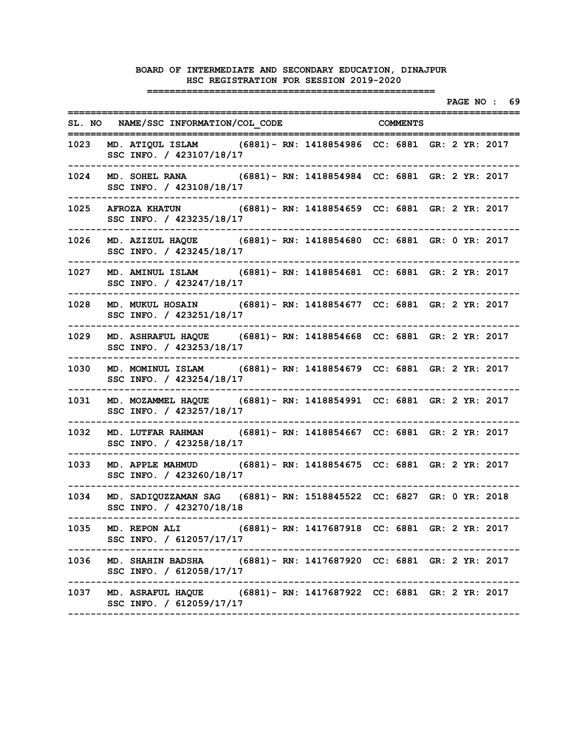|      |                                                                                                    |                                                 |  | PAGE NO : 69 |
|------|----------------------------------------------------------------------------------------------------|-------------------------------------------------|--|--------------|
|      | SL. NO NAME/SSC INFORMATION/COL CODE COMMENTS                                                      |                                                 |  |              |
| 1023 | MD. ATIQUL ISLAM (6881) - RN: 1418854986 CC: 6881 GR: 2 YR: 2017<br>SSC INFO. / 423107/18/17       |                                                 |  |              |
| 1024 | MD. SOHEL RANA (6881) - RN: 1418854984 CC: 6881 GR: 2 YR: 2017<br>SSC INFO. / 423108/18/17         |                                                 |  |              |
| 1025 | AFROZA KHATUN (6881) - RN: 1418854659 CC: 6881 GR: 2 YR: 2017<br>SSC INFO. / 423235/18/17          |                                                 |  |              |
| 1026 | MD. AZIZUL HAQUE (6881) - RN: 1418854680 CC: 6881 GR: 0 YR: 2017<br>SSC INFO. / 423245/18/17       |                                                 |  |              |
| 1027 | MD. AMINUL ISLAM (6881) - RN: 1418854681 CC: 6881 GR: 2 YR: 2017<br>SSC INFO. / 423247/18/17       |                                                 |  |              |
| 1028 | MD. MUKUL HOSAIN (6881) - RN: 1418854677 CC: 6881 GR: 2 YR: 2017<br>SSC INFO. / 423251/18/17       |                                                 |  |              |
| 1029 | MD. ASHRAFUL HAQUE (6881) - RN: 1418854668 CC: 6881 GR: 2 YR: 2017<br>SSC INFO. / 423253/18/17     |                                                 |  |              |
| 1030 | MD. MOMINUL ISLAM (6881) - RN: 1418854679 CC: 6881 GR: 2 YR: 2017<br>SSC INFO. / 423254/18/17      |                                                 |  |              |
| 1031 | MD. MOZAMMEL HAQUE (6881) - RN: 1418854991 CC: 6881 GR: 2 YR: 2017<br>SSC INFO. / 423257/18/17     |                                                 |  |              |
| 1032 | MD. LUTFAR RAHMAN (6881) - RN: 1418854667 CC: 6881 GR: 2 YR: 2017<br>SSC INFO. / 423258/18/17      |                                                 |  |              |
| 1033 | MD. APPLE MAHMUD (6881) - RN: 1418854675 CC: 6881 GR: 2 YR: 2017<br>SSC INFO. / 423260/18/17       |                                                 |  |              |
| 1034 | MD. SADIQUZZAMAN SAG (6881)- RN: 1518845522 CC: 6827 GR: 0 YR: 2018<br>SSC INFO. / 423270/18/18    |                                                 |  |              |
| 1035 | MD. REPON ALI<br>SSC INFO. / 612057/17/17                                                          | (6881) - RN: 1417687918 CC: 6881 GR: 2 YR: 2017 |  |              |
| 1036 | MD. SHAHIN BADSHA (6881) - RN: 1417687920 CC: 6881 GR: 2 YR: 2017<br>SSC INFO. / 612058/17/17      |                                                 |  |              |
|      | 1037 MD. ASRAFUL HAQUE (6881) - RN: 1417687922 CC: 6881 GR: 2 YR: 2017<br>SSC INFO. / 612059/17/17 |                                                 |  |              |
|      |                                                                                                    |                                                 |  |              |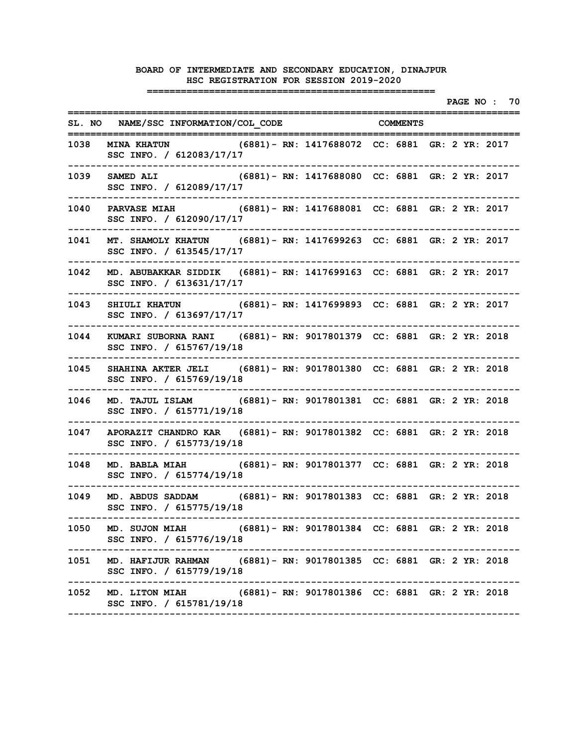|      |                                                                                                                                |  |  | PAGE NO : 70 |  |
|------|--------------------------------------------------------------------------------------------------------------------------------|--|--|--------------|--|
|      | SL. NO NAME/SSC INFORMATION/COL CODE COMMENTS<br>=========                                                                     |  |  |              |  |
| 1038 | MINA KHATUN (6881) - RN: 1417688072 CC: 6881 GR: 2 YR: 2017<br>SSC INFO. / 612083/17/17                                        |  |  |              |  |
| 1039 | SAMED ALI (6881) - RN: 1417688080 CC: 6881 GR: 2 YR: 2017<br>SSC INFO. / 612089/17/17                                          |  |  |              |  |
| 1040 | PARVASE MIAH (6881) - RN: 1417688081 CC: 6881 GR: 2 YR: 2017<br>SSC INFO. / 612090/17/17                                       |  |  |              |  |
| 1041 | MT. SHAMOLY KHATUN (6881) - RN: 1417699263 CC: 6881 GR: 2 YR: 2017<br>SSC INFO. / 613545/17/17                                 |  |  |              |  |
| 1042 | MD. ABUBAKKAR SIDDIK (6881) - RN: 1417699163 CC: 6881 GR: 2 YR: 2017<br>SSC INFO. / 613631/17/17                               |  |  |              |  |
| 1043 | SHIULI KHATUN (6881) - RN: 1417699893 CC: 6881 GR: 2 YR: 2017<br>SSC INFO. / 613697/17/17                                      |  |  |              |  |
| 1044 | KUMARI SUBORNA RANI (6881) - RN: 9017801379 CC: 6881 GR: 2 YR: 2018<br>SSC INFO. / 615767/19/18                                |  |  |              |  |
| 1045 | SHAHINA AKTER JELI (6881) - RN: 9017801380 CC: 6881 GR: 2 YR: 2018<br>SSC INFO. / 615769/19/18                                 |  |  |              |  |
| 1046 | MD. TAJUL ISLAM (6881) - RN: 9017801381 CC: 6881 GR: 2 YR: 2018<br>SSC INFO. / 615771/19/18                                    |  |  |              |  |
| 1047 | APORAZIT CHANDRO KAR (6881) - RN: 9017801382 CC: 6881 GR: 2 YR: 2018<br>SSC INFO. / 615773/19/18                               |  |  |              |  |
| 1048 | MD. BABLA MIAH (6881) - RN: 9017801377 CC: 6881 GR: 2 YR: 2018<br>SSC INFO. / 615774/19/18                                     |  |  |              |  |
| 1049 | MD. ABDUS SADDAM (6881) - RN: 9017801383 CC: 6881 GR: 2 YR: 2018<br>SSC INFO. / 615775/19/18                                   |  |  |              |  |
|      | 1050 MD. SUJON MIAH (6881) - RN: 9017801384 CC: 6881 GR: 2 YR: 2018<br>SSC INFO. / 615776/19/18                                |  |  |              |  |
| 1051 | MD. HAFIJUR RAHMAN (6881) - RN: 9017801385 CC: 6881 GR: 2 YR: 2018<br>SSC INFO. / 615779/19/18                                 |  |  |              |  |
|      | ----------------------------<br>1052 MD. LITON MIAH (6881)- RN: 9017801386 CC: 6881 GR: 2 YR: 2018<br>SSC INFO. / 615781/19/18 |  |  |              |  |
|      |                                                                                                                                |  |  |              |  |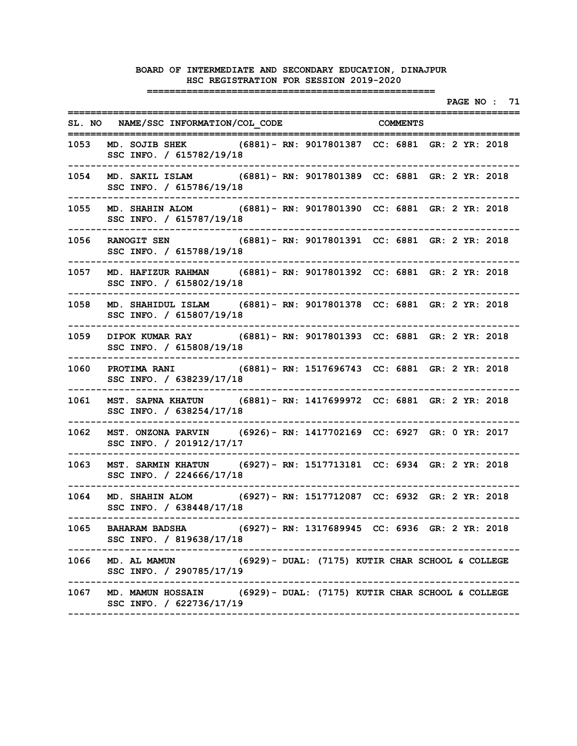**PAGE NO : 71 ================================================================================** SL. NO NAME/SSC INFORMATION/COL CODE COMMENTS **================================================================================ 1053 MD. SOJIB SHEK (6881)- RN: 9017801387 CC: 6881 GR: 2 YR: 2018 SSC INFO. / 615782/19/18 -------------------------------------------------------------------------------- 1054 MD. SAKIL ISLAM (6881)- RN: 9017801389 CC: 6881 GR: 2 YR: 2018 SSC INFO. / 615786/19/18 -------------------------------------------------------------------------------- 1055 MD. SHAHIN ALOM (6881)- RN: 9017801390 CC: 6881 GR: 2 YR: 2018 SSC INFO. / 615787/19/18 -------------------------------------------------------------------------------- 1056 RANOGIT SEN (6881)- RN: 9017801391 CC: 6881 GR: 2 YR: 2018 SSC INFO. / 615788/19/18 -------------------------------------------------------------------------------- 1057 MD. HAFIZUR RAHMAN (6881)- RN: 9017801392 CC: 6881 GR: 2 YR: 2018 SSC INFO. / 615802/19/18 -------------------------------------------------------------------------------- 1058 MD. SHAHIDUL ISLAM (6881)- RN: 9017801378 CC: 6881 GR: 2 YR: 2018 SSC INFO. / 615807/19/18 -------------------------------------------------------------------------------- 1059 DIPOK KUMAR RAY (6881)- RN: 9017801393 CC: 6881 GR: 2 YR: 2018 SSC INFO. / 615808/19/18 -------------------------------------------------------------------------------- 1060 PROTIMA RANI (6881)- RN: 1517696743 CC: 6881 GR: 2 YR: 2018 SSC INFO. / 638239/17/18 -------------------------------------------------------------------------------- 1061 MST. SAPNA KHATUN (6881)- RN: 1417699972 CC: 6881 GR: 2 YR: 2018 SSC INFO. / 638254/17/18 -------------------------------------------------------------------------------- 1062 MST. ONZONA PARVIN (6926)- RN: 1417702169 CC: 6927 GR: 0 YR: 2017 SSC INFO. / 201912/17/17 -------------------------------------------------------------------------------- 1063 MST. SARMIN KHATUN (6927)- RN: 1517713181 CC: 6934 GR: 2 YR: 2018 SSC INFO. / 224666/17/18 -------------------------------------------------------------------------------- 1064 MD. SHAHIN ALOM (6927)- RN: 1517712087 CC: 6932 GR: 2 YR: 2018 SSC INFO. / 638448/17/18 -------------------------------------------------------------------------------- 1065 BAHARAM BADSHA (6927)- RN: 1317689945 CC: 6936 GR: 2 YR: 2018 SSC INFO. / 819638/17/18 -------------------------------------------------------------------------------- 1066 MD. AL MAMUN (6929)- DUAL: (7175) KUTIR CHAR SCHOOL & COLLEGE SSC INFO. / 290785/17/19 -------------------------------------------------------------------------------- 1067 MD. MAMUN HOSSAIN (6929)- DUAL: (7175) KUTIR CHAR SCHOOL & COLLEGE SSC INFO. / 622736/17/19**

**--------------------------------------------------------------------------------**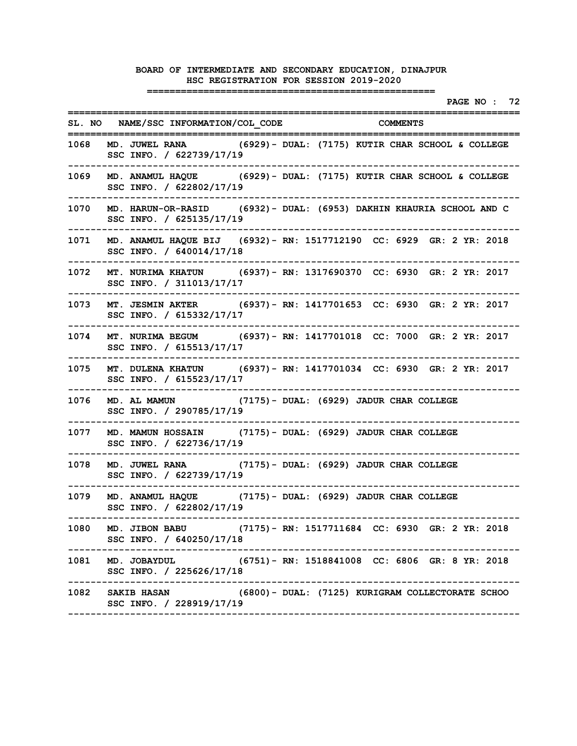|      |                                                                                        | PAGE NO : 72                                                         |
|------|----------------------------------------------------------------------------------------|----------------------------------------------------------------------|
|      | SL. NO NAME/SSC INFORMATION/COL CODE COMMENTS<br>=========                             |                                                                      |
| 1068 | SSC INFO. / 622739/17/19                                                               | MD. JUWEL RANA $(6929)$ - DUAL: $(7175)$ KUTIR CHAR SCHOOL & COLLEGE |
| 1069 | SSC INFO. / 622802/17/19                                                               | MD. ANAMUL HAQUE (6929) - DUAL: (7175) KUTIR CHAR SCHOOL & COLLEGE   |
| 1070 | SSC INFO. / 625135/17/19                                                               | MD. HARUN-OR-RASID (6932) - DUAL: (6953) DAKHIN KHAURIA SCHOOL AND C |
| 1071 | SSC INFO. / 640014/17/18                                                               | MD. ANAMUL HAQUE BIJ (6932) - RN: 1517712190 CC: 6929 GR: 2 YR: 2018 |
| 1072 | SSC INFO. / 311013/17/17                                                               | MT. NURIMA KHATUN (6937) - RN: 1317690370 CC: 6930 GR: 2 YR: 2017    |
| 1073 | SSC INFO. / 615332/17/17                                                               | MT. JESMIN AKTER (6937) - RN: 1417701653 CC: 6930 GR: 2 YR: 2017     |
| 1074 | SSC INFO. / 615513/17/17                                                               | MT. NURIMA BEGUM (6937) - RN: 1417701018 CC: 7000 GR: 2 YR: 2017     |
| 1075 | SSC INFO. / 615523/17/17                                                               | MT. DULENA KHATUN (6937) - RN: 1417701034 CC: 6930 GR: 2 YR: 2017    |
| 1076 | MD. AL MAMUN (7175) - DUAL: (6929) JADUR CHAR COLLEGE<br>SSC INFO. / 290785/17/19      |                                                                      |
| 1077 | MD. MAMUN HOSSAIN (7175) - DUAL: (6929) JADUR CHAR COLLEGE<br>SSC INFO. / 622736/17/19 |                                                                      |
| 1078 | MD. JUWEL RANA (7175) - DUAL: (6929) JADUR CHAR COLLEGE<br>SSC INFO. / 622739/17/19    |                                                                      |
| 1079 | MD. ANAMUL HAQUE (7175) - DUAL: (6929) JADUR CHAR COLLEGE<br>SSC INFO. / 622802/17/19  |                                                                      |
|      | SSC INFO. / 640250/17/18                                                               | 1080 MD. JIBON BABU (7175) - RN: 1517711684 CC: 6930 GR: 2 YR: 2018  |
|      | SSC INFO. / 225626/17/18                                                               | 1081 MD. JOBAYDUL (6751) – RN: 1518841008 CC: 6806 GR: 8 YR: 2018    |
|      | --------------------------<br>SSC INFO. / 228919/17/19                                 | 1082 SAKIB HASAN (6800)- DUAL: (7125) KURIGRAM COLLECTORATE SCHOO    |
|      |                                                                                        |                                                                      |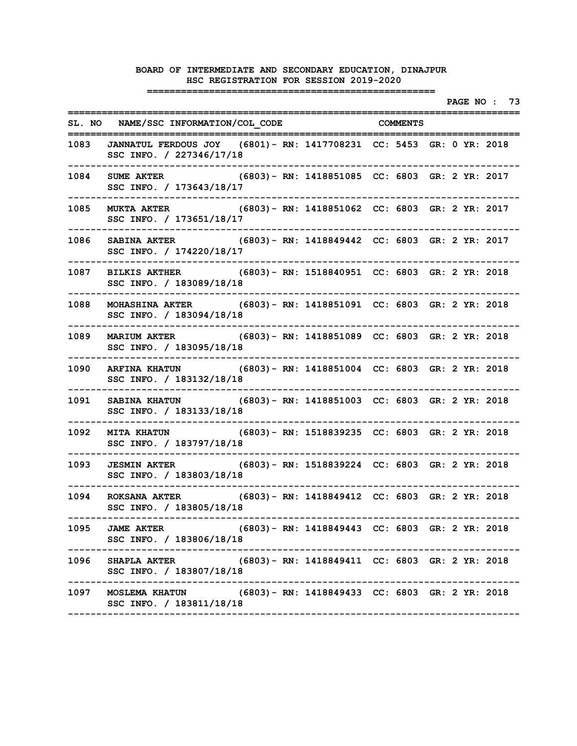|      |                                                                                                  |  |                                                |                     |  | PAGE NO : 73 |  |
|------|--------------------------------------------------------------------------------------------------|--|------------------------------------------------|---------------------|--|--------------|--|
|      | SL. NO NAME/SSC INFORMATION/COL CODE COMMENTS                                                    |  |                                                | =================== |  |              |  |
| 1083 | JANNATUL FERDOUS JOY (6801) - RN: 1417708231 CC: 5453 GR: 0 YR: 2018<br>SSC INFO. / 227346/17/18 |  |                                                |                     |  |              |  |
| 1084 | SUME AKTER (6803) - RN: 1418851085 CC: 6803 GR: 2 YR: 2017<br>SSC INFO. / 173643/18/17           |  |                                                |                     |  |              |  |
| 1085 | MUKTA AKTER (6803) - RN: 1418851062 CC: 6803 GR: 2 YR: 2017<br>SSC INFO. / 173651/18/17          |  |                                                |                     |  |              |  |
| 1086 | SABINA AKTER (6803) - RN: 1418849442 CC: 6803 GR: 2 YR: 2017<br>SSC INFO. / 174220/18/17         |  |                                                |                     |  |              |  |
| 1087 | BILKIS AKTHER (6803) - RN: 1518840951 CC: 6803 GR: 2 YR: 2018<br>SSC INFO. / 183089/18/18        |  |                                                |                     |  |              |  |
| 1088 | MOHASHINA AKTER (6803) - RN: 1418851091 CC: 6803 GR: 2 YR: 2018<br>SSC INFO. / 183094/18/18      |  |                                                |                     |  |              |  |
| 1089 | MARIUM AKTER (6803) - RN: 1418851089 CC: 6803 GR: 2 YR: 2018<br>SSC INFO. / 183095/18/18         |  |                                                |                     |  |              |  |
| 1090 | ARFINA KHATUN (6803) - RN: 1418851004 CC: 6803 GR: 2 YR: 2018<br>SSC INFO. / 183132/18/18        |  |                                                |                     |  |              |  |
| 1091 | SABINA KHATUN (6803) - RN: 1418851003 CC: 6803 GR: 2 YR: 2018<br>SSC INFO. / 183133/18/18        |  |                                                |                     |  |              |  |
| 1092 | MITA KHATUN (6803) - RN: 1518839235 CC: 6803 GR: 2 YR: 2018<br>SSC INFO. / 183797/18/18          |  |                                                |                     |  |              |  |
| 1093 | JESMIN AKTER (6803) - RN: 1518839224 CC: 6803 GR: 2 YR: 2018<br>SSC INFO. / 183803/18/18         |  |                                                |                     |  |              |  |
| 1094 | <b>ROKSANA AKTER</b><br>SSC INFO. / 183805/18/18                                                 |  | (6803)– RN: 1418849412 CC: 6803 GR: 2 YR: 2018 |                     |  |              |  |
|      | 1095 JAME AKTER (6803) - RN: 1418849443 CC: 6803 GR: 2 YR: 2018<br>SSC INFO. / 183806/18/18      |  | ------------------------                       |                     |  |              |  |
|      | 1096 SHAPLA AKTER (6803) - RN: 1418849411 CC: 6803 GR: 2 YR: 2018<br>SSC INFO. / 183807/18/18    |  |                                                |                     |  |              |  |
|      | 1097 MOSLEMA KHATUN (6803) - RN: 1418849433 CC: 6803 GR: 2 YR: 2018<br>SSC INFO. / 183811/18/18  |  |                                                |                     |  |              |  |
|      |                                                                                                  |  |                                                |                     |  |              |  |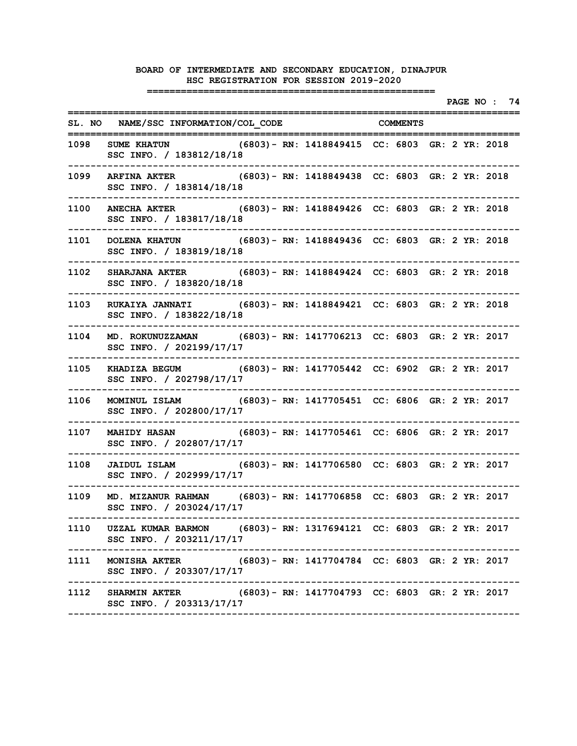**PAGE NO : 74 ================================================================================** SL. NO NAME/SSC INFORMATION/COL CODE COMMENTS **================================================================================ 1098 SUME KHATUN (6803)- RN: 1418849415 CC: 6803 GR: 2 YR: 2018 SSC INFO. / 183812/18/18 -------------------------------------------------------------------------------- 1099 ARFINA AKTER (6803)- RN: 1418849438 CC: 6803 GR: 2 YR: 2018 SSC INFO. / 183814/18/18 -------------------------------------------------------------------------------- 1100 ANECHA AKTER (6803)- RN: 1418849426 CC: 6803 GR: 2 YR: 2018 SSC INFO. / 183817/18/18 -------------------------------------------------------------------------------- 1101 DOLENA KHATUN (6803)- RN: 1418849436 CC: 6803 GR: 2 YR: 2018 SSC INFO. / 183819/18/18 -------------------------------------------------------------------------------- 1102 SHARJANA AKTER (6803)- RN: 1418849424 CC: 6803 GR: 2 YR: 2018 SSC INFO. / 183820/18/18 -------------------------------------------------------------------------------- 1103 RUKAIYA JANNATI (6803)- RN: 1418849421 CC: 6803 GR: 2 YR: 2018 SSC INFO. / 183822/18/18 -------------------------------------------------------------------------------- 1104 MD. ROKUNUZZAMAN (6803)- RN: 1417706213 CC: 6803 GR: 2 YR: 2017 SSC INFO. / 202199/17/17 -------------------------------------------------------------------------------- 1105 KHADIZA BEGUM (6803)- RN: 1417705442 CC: 6902 GR: 2 YR: 2017 SSC INFO. / 202798/17/17 -------------------------------------------------------------------------------- 1106 MOMINUL ISLAM (6803)- RN: 1417705451 CC: 6806 GR: 2 YR: 2017 SSC INFO. / 202800/17/17 -------------------------------------------------------------------------------- 1107 MAHIDY HASAN (6803)- RN: 1417705461 CC: 6806 GR: 2 YR: 2017 SSC INFO. / 202807/17/17 -------------------------------------------------------------------------------- 1108 JAIDUL ISLAM (6803)- RN: 1417706580 CC: 6803 GR: 2 YR: 2017 SSC INFO. / 202999/17/17 -------------------------------------------------------------------------------- 1109 MD. MIZANUR RAHMAN (6803)- RN: 1417706858 CC: 6803 GR: 2 YR: 2017 SSC INFO. / 203024/17/17 -------------------------------------------------------------------------------- 1110 UZZAL KUMAR BARMON (6803)- RN: 1317694121 CC: 6803 GR: 2 YR: 2017 SSC INFO. / 203211/17/17 -------------------------------------------------------------------------------- 1111 MONISHA AKTER (6803)- RN: 1417704784 CC: 6803 GR: 2 YR: 2017 SSC INFO. / 203307/17/17 -------------------------------------------------------------------------------- 1112 SHARMIN AKTER (6803)- RN: 1417704793 CC: 6803 GR: 2 YR: 2017 SSC INFO. / 203313/17/17 --------------------------------------------------------------------------------**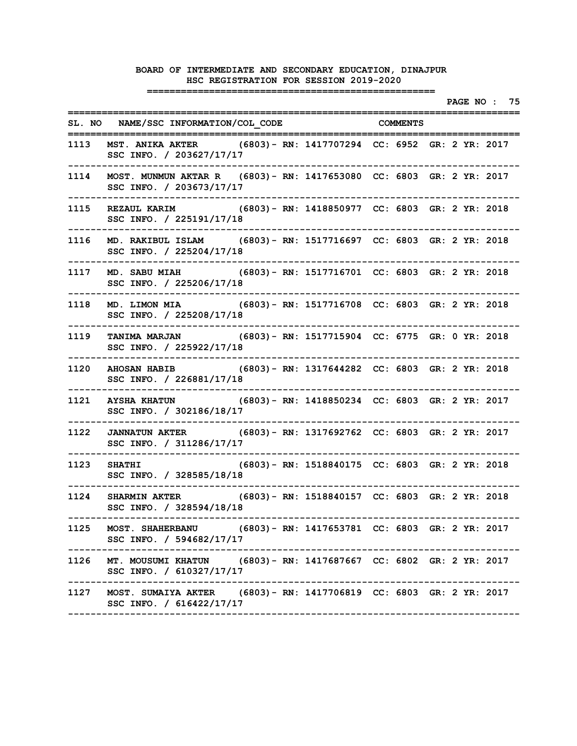|      |                                                                                                                                        |  |                                                 |  |  | PAGE NO : 75 |  |
|------|----------------------------------------------------------------------------------------------------------------------------------------|--|-------------------------------------------------|--|--|--------------|--|
|      | SL. NO NAME/SSC INFORMATION/COL CODE COMMENTS<br>:============                                                                         |  |                                                 |  |  |              |  |
| 1113 | MST. ANIKA AKTER (6803) - RN: 1417707294 CC: 6952 GR: 2 YR: 2017<br>SSC INFO. / 203627/17/17                                           |  |                                                 |  |  |              |  |
| 1114 | MOST. MUNMUN AKTAR R (6803) - RN: 1417653080 CC: 6803 GR: 2 YR: 2017<br>SSC INFO. / 203673/17/17                                       |  |                                                 |  |  |              |  |
| 1115 | REZAUL KARIM (6803) - RN: 1418850977 CC: 6803 GR: 2 YR: 2018<br>SSC INFO. / 225191/17/18                                               |  |                                                 |  |  |              |  |
| 1116 | MD. RAKIBUL ISLAM (6803) - RN: 1517716697 CC: 6803 GR: 2 YR: 2018<br>SSC INFO. / 225204/17/18                                          |  |                                                 |  |  |              |  |
| 1117 | MD. SABU MIAH (6803) - RN: 1517716701 CC: 6803 GR: 2 YR: 2018<br>SSC INFO. / 225206/17/18                                              |  |                                                 |  |  |              |  |
| 1118 | MD. LIMON MIA (6803) - RN: 1517716708 CC: 6803 GR: 2 YR: 2018<br>SSC INFO. / 225208/17/18                                              |  |                                                 |  |  |              |  |
| 1119 | TANIMA MARJAN (6803) - RN: 1517715904 CC: 6775 GR: 0 YR: 2018<br>SSC INFO. / 225922/17/18                                              |  |                                                 |  |  |              |  |
| 1120 | AHOSAN HABIB (6803) - RN: 1317644282 CC: 6803 GR: 2 YR: 2018<br>SSC INFO. / 226881/17/18                                               |  |                                                 |  |  |              |  |
| 1121 | AYSHA KHATUN (6803) - RN: 1418850234 CC: 6803 GR: 2 YR: 2017<br>SSC INFO. / 302186/18/17                                               |  |                                                 |  |  |              |  |
| 1122 | JANNATUN AKTER (6803) - RN: 1317692762 CC: 6803 GR: 2 YR: 2017<br>SSC INFO. / 311286/17/17                                             |  |                                                 |  |  |              |  |
| 1123 | <b>SHATHI</b><br>SSC INFO. / 328585/18/18                                                                                              |  | (6803) - RN: 1518840175 CC: 6803 GR: 2 YR: 2018 |  |  |              |  |
| 1124 | SHARMIN AKTER (6803) - RN: 1518840157 CC: 6803 GR: 2 YR: 2018<br>SSC INFO. / 328594/18/18                                              |  |                                                 |  |  |              |  |
|      | 1125 MOST. SHAHERBANU (6803) - RN: 1417653781 CC: 6803 GR: 2 YR: 2017<br>SSC INFO. / 594682/17/17                                      |  |                                                 |  |  |              |  |
| 1126 | ----------------------------------<br>MT. MOUSUMI KHATUN (6803) - RN: 1417687667 CC: 6802 GR: 2 YR: 2017<br>SSC INFO. / 610327/17/17   |  |                                                 |  |  |              |  |
|      | ------------------------------<br>1127 MOST. SUMAIYA AKTER (6803) - RN: 1417706819 CC: 6803 GR: 2 YR: 2017<br>SSC INFO. / 616422/17/17 |  |                                                 |  |  |              |  |
|      |                                                                                                                                        |  |                                                 |  |  |              |  |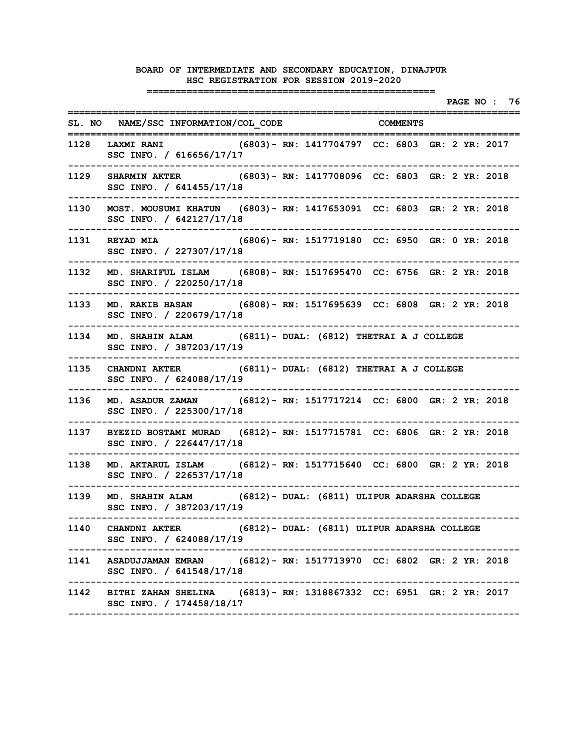|      |                                                                                                                            |                                              |  |  |  |  | PAGE NO : 76 |  |
|------|----------------------------------------------------------------------------------------------------------------------------|----------------------------------------------|--|--|--|--|--------------|--|
|      | SL. NO NAME/SSC INFORMATION/COL CODE COMMENTS                                                                              |                                              |  |  |  |  |              |  |
| 1128 | ============<br>LAXMI RANI (6803) - RN: 1417704797 CC: 6803 GR: 2 YR: 2017<br>SSC INFO. / 616656/17/17                     |                                              |  |  |  |  |              |  |
| 1129 | SHARMIN AKTER (6803) - RN: 1417708096 CC: 6803 GR: 2 YR: 2018<br>SSC INFO. / 641455/17/18                                  |                                              |  |  |  |  |              |  |
| 1130 | MOST. MOUSUMI KHATUN (6803) - RN: 1417653091 CC: 6803 GR: 2 YR: 2018<br>SSC INFO. / 642127/17/18                           |                                              |  |  |  |  |              |  |
| 1131 | REYAD MIA (6806) - RN: 1517719180 CC: 6950 GR: 0 YR: 2018<br>SSC INFO. / 227307/17/18                                      |                                              |  |  |  |  |              |  |
| 1132 | MD. SHARIFUL ISLAM (6808) - RN: 1517695470 CC: 6756 GR: 2 YR: 2018<br>SSC INFO. / 220250/17/18                             |                                              |  |  |  |  |              |  |
| 1133 | MD. RAKIB HASAN (6808) - RN: 1517695639 CC: 6808 GR: 2 YR: 2018<br>SSC INFO. / 220679/17/18                                |                                              |  |  |  |  |              |  |
| 1134 | MD. SHAHIN ALAM (6811) - DUAL: (6812) THETRAI A J COLLEGE<br>SSC INFO. / 387203/17/19                                      |                                              |  |  |  |  |              |  |
|      | 1135 CHANDNI AKTER (6811) - DUAL: (6812) THETRAI A J COLLEGE<br>SSC INFO. / 624088/17/19                                   |                                              |  |  |  |  |              |  |
| 1136 | MD. ASADUR ZAMAN (6812) - RN: 1517717214 CC: 6800 GR: 2 YR: 2018<br>SSC INFO. / 225300/17/18                               |                                              |  |  |  |  |              |  |
| 1137 | BYEZID BOSTAMI MURAD (6812) - RN: 1517715781 CC: 6806 GR: 2 YR: 2018<br>SSC INFO. / 226447/17/18                           |                                              |  |  |  |  |              |  |
| 1138 | MD. AKTARUL ISLAM (6812) - RN: 1517715640 CC: 6800 GR: 2 YR: 2018<br>SSC INFO. / 226537/17/18                              |                                              |  |  |  |  |              |  |
| 1139 | MD. SHAHIN ALAM (6812) - DUAL: (6811) ULIPUR ADARSHA COLLEGE<br>SSC INFO. / 387203/17/19                                   |                                              |  |  |  |  |              |  |
|      | 1140 CHANDNI AKTER<br>SSC INFO. / 624088/17/19                                                                             | (6812) - DUAL: (6811) ULIPUR ADARSHA COLLEGE |  |  |  |  |              |  |
|      | ---------------------<br>1141 ASADUJJAMAN EMRAN (6812)- RN: 1517713970 CC: 6802 GR: 2 YR: 2018<br>SSC INFO. / 641548/17/18 |                                              |  |  |  |  |              |  |
|      | 1142 BITHI ZAHAN SHELINA (6813)- RN: 1318867332 CC: 6951 GR: 2 YR: 2017<br>SSC INFO. / 174458/18/17                        |                                              |  |  |  |  |              |  |
|      |                                                                                                                            |                                              |  |  |  |  |              |  |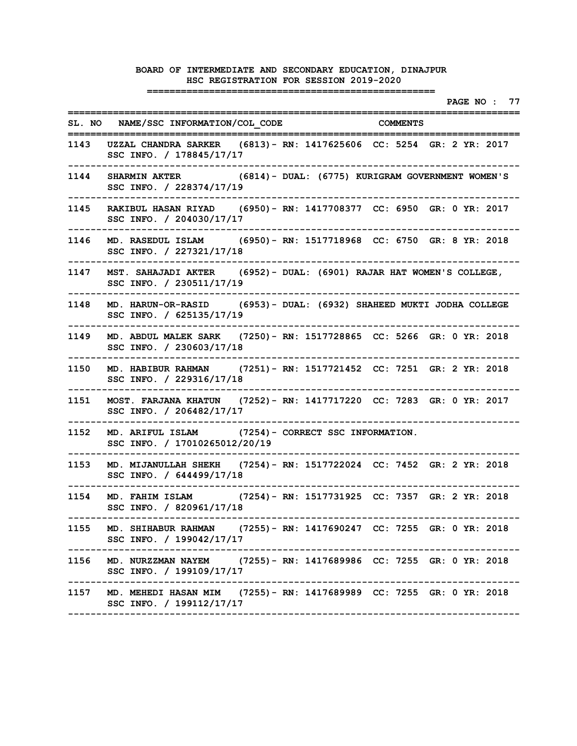|      |                                                                                                                            |                       | ===================== |                      |  | PAGE NO : 77 |
|------|----------------------------------------------------------------------------------------------------------------------------|-----------------------|-----------------------|----------------------|--|--------------|
|      | SL. NO NAME/SSC INFORMATION/COL CODE COMMENTS<br>=============                                                             | :==================== |                       |                      |  |              |
|      | 1143 UZZAL CHANDRA SARKER (6813)- RN: 1417625606 CC: 5254 GR: 2 YR: 2017<br>SSC INFO. / 178845/17/17                       |                       |                       |                      |  |              |
| 1144 | ---------------------------<br>SHARMIN AKTER (6814) - DUAL: (6775) KURIGRAM GOVERNMENT WOMEN'S<br>SSC INFO. / 228374/17/19 |                       |                       |                      |  |              |
| 1145 | RAKIBUL HASAN RIYAD (6950) - RN: 1417708377 CC: 6950 GR: 0 YR: 2017<br>SSC INFO. / 204030/17/17                            |                       |                       |                      |  |              |
| 1146 | MD. RASEDUL ISLAM (6950) - RN: 1517718968 CC: 6750 GR: 8 YR: 2018<br>SSC INFO. / 227321/17/18                              |                       |                       |                      |  |              |
|      | 1147 MST. SAHAJADI AKTER (6952)- DUAL: (6901) RAJAR HAT WOMEN'S COLLEGE,<br>SSC INFO. / 230511/17/19                       |                       |                       |                      |  |              |
| 1148 | MD. HARUN-OR-RASID (6953) - DUAL: (6932) SHAHEED MUKTI JODHA COLLEGE<br>SSC INFO. / 625135/17/19                           |                       |                       |                      |  |              |
| 1149 | MD. ABDUL MALEK SARK (7250) - RN: 1517728865 CC: 5266 GR: 0 YR: 2018<br>SSC INFO. / 230603/17/18                           |                       |                       |                      |  |              |
| 1150 | MD. HABIBUR RAHMAN (7251) - RN: 1517721452 CC: 7251 GR: 2 YR: 2018<br>SSC INFO. / 229316/17/18                             |                       |                       |                      |  |              |
| 1151 | MOST. FARJANA KHATUN (7252)- RN: 1417717220 CC: 7283 GR: 0 YR: 2017<br>SSC INFO. / 206482/17/17                            |                       |                       | -------------------- |  |              |
| 1152 | MD. ARIFUL ISLAM (7254) - CORRECT SSC INFORMATION.<br>SSC INFO. / 17010265012/20/19                                        |                       |                       |                      |  |              |
| 1153 | MD. MIJANULLAH SHEKH (7254)- RN: 1517722024 CC: 7452 GR: 2 YR: 2018<br>SSC INFO. / 644499/17/18                            |                       |                       |                      |  |              |
| 1154 | MD. FAHIM ISLAM (7254) - RN: 1517731925 CC: 7357 GR: 2 YR: 2018<br>SSC INFO. / 820961/17/18                                |                       |                       |                      |  |              |
|      | 1155 MD. SHIHABUR RAHMAN (7255) - RN: 1417690247 CC: 7255 GR: 0 YR: 2018<br>SSC INFO. / 199042/17/17                       |                       |                       |                      |  |              |
|      | 1156 MD. NURZZMAN NAYEM (7255)- RN: 1417689986 CC: 7255 GR: 0 YR: 2018<br>SSC INFO. / 199109/17/17                         |                       |                       |                      |  |              |
|      | 1157 MD. MEHEDI HASAN MIM (7255)- RN: 1417689989 CC: 7255 GR: 0 YR: 2018<br>SSC INFO. / 199112/17/17                       |                       |                       |                      |  |              |
|      |                                                                                                                            |                       |                       |                      |  |              |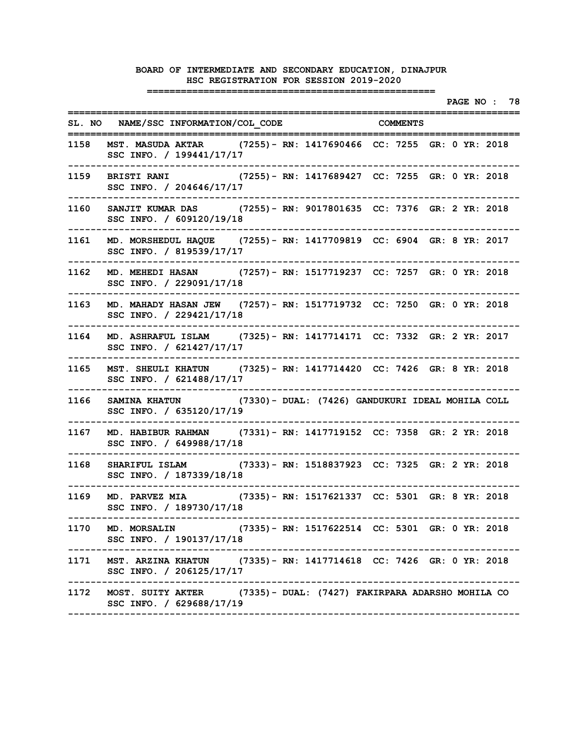**PAGE NO : 78 ================================================================================** SL. NO NAME/SSC INFORMATION/COL CODE COMMENTS **================================================================================ 1158 MST. MASUDA AKTAR (7255)- RN: 1417690466 CC: 7255 GR: 0 YR: 2018 SSC INFO. / 199441/17/17 -------------------------------------------------------------------------------- 1159 BRISTI RANI (7255)- RN: 1417689427 CC: 7255 GR: 0 YR: 2018 SSC INFO. / 204646/17/17 -------------------------------------------------------------------------------- 1160 SANJIT KUMAR DAS (7255)- RN: 9017801635 CC: 7376 GR: 2 YR: 2018 SSC INFO. / 609120/19/18 -------------------------------------------------------------------------------- 1161 MD. MORSHEDUL HAQUE (7255)- RN: 1417709819 CC: 6904 GR: 8 YR: 2017 SSC INFO. / 819539/17/17 -------------------------------------------------------------------------------- 1162 MD. MEHEDI HASAN (7257)- RN: 1517719237 CC: 7257 GR: 0 YR: 2018 SSC INFO. / 229091/17/18 -------------------------------------------------------------------------------- 1163 MD. MAHADY HASAN JEW (7257)- RN: 1517719732 CC: 7250 GR: 0 YR: 2018 SSC INFO. / 229421/17/18 -------------------------------------------------------------------------------- 1164 MD. ASHRAFUL ISLAM (7325)- RN: 1417714171 CC: 7332 GR: 2 YR: 2017 SSC INFO. / 621427/17/17 -------------------------------------------------------------------------------- 1165 MST. SHEULI KHATUN (7325)- RN: 1417714420 CC: 7426 GR: 8 YR: 2018 SSC INFO. / 621488/17/17 -------------------------------------------------------------------------------- 1166 SAMINA KHATUN (7330)- DUAL: (7426) GANDUKURI IDEAL MOHILA COLL SSC INFO. / 635120/17/19 -------------------------------------------------------------------------------- 1167 MD. HABIBUR RAHMAN (7331)- RN: 1417719152 CC: 7358 GR: 2 YR: 2018 SSC INFO. / 649988/17/18 -------------------------------------------------------------------------------- 1168 SHARIFUL ISLAM (7333)- RN: 1518837923 CC: 7325 GR: 2 YR: 2018 SSC INFO. / 187339/18/18 -------------------------------------------------------------------------------- 1169 MD. PARVEZ MIA (7335)- RN: 1517621337 CC: 5301 GR: 8 YR: 2018 SSC INFO. / 189730/17/18 -------------------------------------------------------------------------------- 1170 MD. MORSALIN (7335)- RN: 1517622514 CC: 5301 GR: 0 YR: 2018 SSC INFO. / 190137/17/18 -------------------------------------------------------------------------------- 1171 MST. ARZINA KHATUN (7335)- RN: 1417714618 CC: 7426 GR: 0 YR: 2018 SSC INFO. / 206125/17/17 -------------------------------------------------------------------------------- 1172 MOST. SUITY AKTER (7335)- DUAL: (7427) FAKIRPARA ADARSHO MOHILA CO SSC INFO. / 629688/17/19 --------------------------------------------------------------------------------**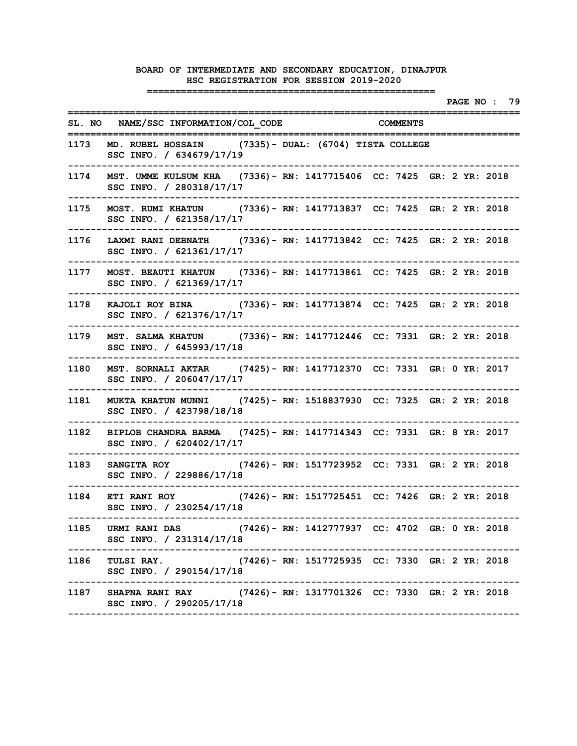|      |                                                                                                                         |                                                |  | PAGE NO : 79 |
|------|-------------------------------------------------------------------------------------------------------------------------|------------------------------------------------|--|--------------|
|      | SL. NO NAME/SSC INFORMATION/COL CODE COMMENTS<br>===========                                                            |                                                |  |              |
| 1173 | MD. RUBEL HOSSAIN (7335) - DUAL: (6704) TISTA COLLEGE<br>SSC INFO. / 634679/17/19<br>----------------------             |                                                |  |              |
| 1174 | MST. UMME KULSUM KHA (7336) - RN: 1417715406 CC: 7425 GR: 2 YR: 2018<br>SSC INFO. / 280318/17/17                        |                                                |  |              |
| 1175 | MOST. RUMI KHATUN (7336) - RN: 1417713837 CC: 7425 GR: 2 YR: 2018<br>SSC INFO. / 621358/17/17                           |                                                |  |              |
| 1176 | LAXMI RANI DEBNATH (7336) - RN: 1417713842 CC: 7425 GR: 2 YR: 2018<br>SSC INFO. / 621361/17/17                          |                                                |  |              |
| 1177 | MOST. BEAUTI KHATUN (7336) - RN: 1417713861 CC: 7425 GR: 2 YR: 2018<br>SSC INFO. / 621369/17/17                         |                                                |  |              |
|      | 1178 KAJOLI ROY BINA (7336) - RN: 1417713874 CC: 7425 GR: 2 YR: 2018<br>SSC INFO. / 621376/17/17                        |                                                |  |              |
|      | 1179 MST. SALMA KHATUN (7336) - RN: 1417712446 CC: 7331 GR: 2 YR: 2018<br>SSC INFO. / 645993/17/18                      |                                                |  |              |
| 1180 | ---------------------<br>MST. SORNALI AKTAR (7425) - RN: 1417712370 CC: 7331 GR: 0 YR: 2017<br>SSC INFO. / 206047/17/17 |                                                |  |              |
| 1181 | MUKTA KHATUN MUNNI (7425) - RN: 1518837930 CC: 7325 GR: 2 YR: 2018<br>SSC INFO. / 423798/18/18                          |                                                |  |              |
| 1182 | BIPLOB CHANDRA BARMA (7425) - RN: 1417714343 CC: 7331 GR: 8 YR: 2017<br>SSC INFO. / 620402/17/17                        |                                                |  |              |
| 1183 | SANGITA ROY (7426) - RN: 1517723952 CC: 7331 GR: 2 YR: 2018<br>SSC INFO. / 229886/17/18                                 |                                                |  |              |
| 1184 | <b>ETI RANI ROY</b><br>SSC INFO. / 230254/17/18                                                                         | (7426)– RN: 1517725451 CC: 7426 GR: 2 YR: 2018 |  |              |
|      | 1185 URMI RANI DAS (7426) - RN: 1412777937 CC: 4702 GR: 0 YR: 2018<br>SSC INFO. / 231314/17/18                          |                                                |  |              |
| 1186 | ------------------<br>TULSI RAY. (7426) - RN: 1517725935 CC: 7330 GR: 2 YR: 2018<br>SSC INFO. / 290154/17/18            |                                                |  |              |
|      | 1187 SHAPNA RANI RAY (7426) - RN: 1317701326 CC: 7330 GR: 2 YR: 2018<br>SSC INFO. / 290205/17/18                        |                                                |  |              |
|      |                                                                                                                         |                                                |  |              |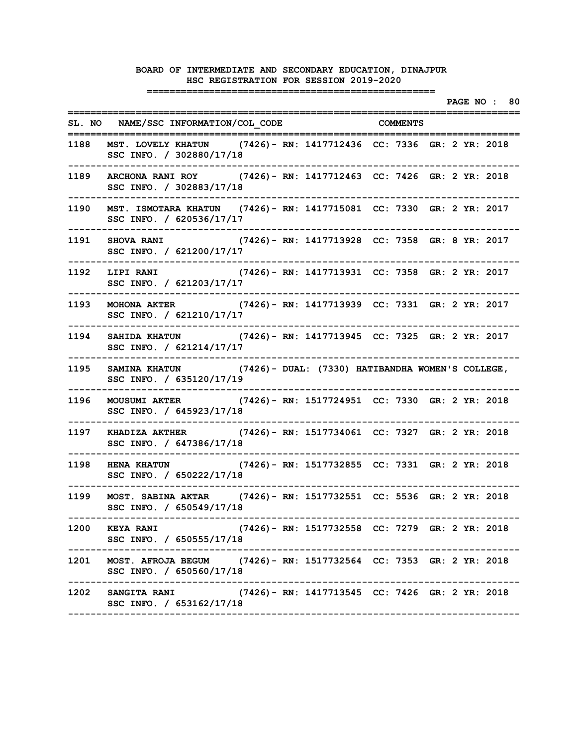|      |                                                                                                     |  |                                                 |  |  | PAGE NO : 80 |  |
|------|-----------------------------------------------------------------------------------------------------|--|-------------------------------------------------|--|--|--------------|--|
|      | SL. NO NAME/SSC INFORMATION/COL CODE COMMENTS                                                       |  |                                                 |  |  |              |  |
| 1188 | MST. LOVELY KHATUN (7426) - RN: 1417712436 CC: 7336 GR: 2 YR: 2018<br>SSC INFO. / 302880/17/18      |  |                                                 |  |  |              |  |
| 1189 | ARCHONA RANI ROY (7426) - RN: 1417712463 CC: 7426 GR: 2 YR: 2018<br>SSC INFO. / 302883/17/18        |  |                                                 |  |  |              |  |
| 1190 | MST. ISMOTARA KHATUN (7426)- RN: 1417715081 CC: 7330 GR: 2 YR: 2017<br>SSC INFO. / 620536/17/17     |  |                                                 |  |  |              |  |
| 1191 | SHOVA RANI (7426) - RN: 1417713928 CC: 7358 GR: 8 YR: 2017<br>SSC INFO. / 621200/17/17              |  |                                                 |  |  |              |  |
| 1192 | <b>LIPI RANI</b><br>SSC INFO. / 621203/17/17                                                        |  | (7426)– RN: 1417713931 CC: 7358 GR: 2 YR: 2017  |  |  |              |  |
| 1193 | MOHONA AKTER (7426) - RN: 1417713939 CC: 7331 GR: 2 YR: 2017<br>SSC INFO. / 621210/17/17            |  |                                                 |  |  |              |  |
| 1194 | SAHIDA KHATUN (7426) - RN: 1417713945 CC: 7325 GR: 2 YR: 2017<br>SSC INFO. / 621214/17/17           |  |                                                 |  |  |              |  |
| 1195 | SAMINA KHATUN (7426) - DUAL: (7330) HATIBANDHA WOMEN'S COLLEGE,<br>SSC INFO. / 635120/17/19         |  |                                                 |  |  |              |  |
| 1196 | MOUSUMI AKTER (7426) - RN: 1517724951 CC: 7330 GR: 2 YR: 2018<br>SSC INFO. / 645923/17/18           |  |                                                 |  |  |              |  |
| 1197 | KHADIZA AKTHER (7426) - RN: 1517734061 CC: 7327 GR: 2 YR: 2018<br>SSC INFO. / 647386/17/18          |  |                                                 |  |  |              |  |
| 1198 | <b>HENA KHATUN</b><br>SSC INFO. / 650222/17/18                                                      |  | (7426)– RN: 1517732855 CC: 7331 GR: 2 YR: 2018  |  |  |              |  |
| 1199 | MOST. SABINA AKTAR (7426) - RN: 1517732551 CC: 5536 GR: 2 YR: 2018<br>SSC INFO. / 650549/17/18      |  |                                                 |  |  |              |  |
|      | 1200 KEYA RANI<br>SSC INFO. / 650555/17/18                                                          |  | (7426) – RN: 1517732558 CC: 7279 GR: 2 YR: 2018 |  |  |              |  |
|      | 1201 MOST. AFROJA BEGUM (7426) - RN: 1517732564 CC: 7353 GR: 2 YR: 2018<br>SSC INFO. / 650560/17/18 |  |                                                 |  |  |              |  |
|      | 1202 SANGITA RANI (7426) - RN: 1417713545 CC: 7426 GR: 2 YR: 2018<br>SSC INFO. / 653162/17/18       |  |                                                 |  |  |              |  |
|      |                                                                                                     |  |                                                 |  |  |              |  |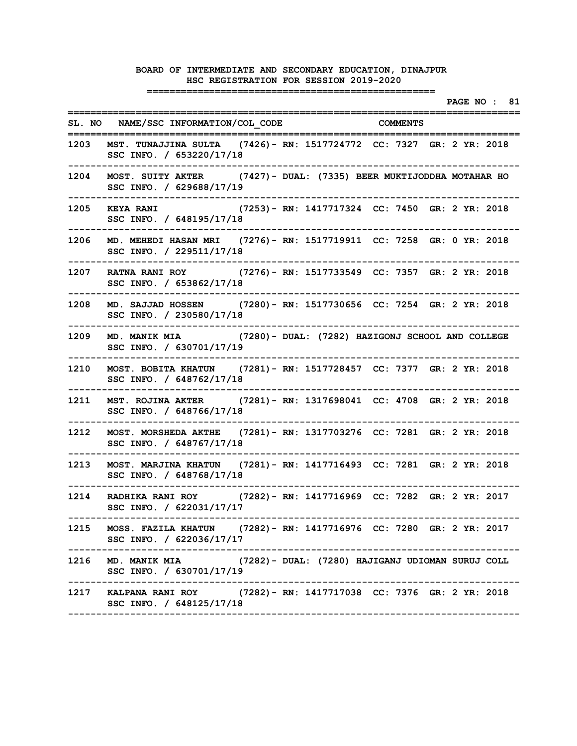|        |                                                                                                                          |  | ===================== |  |  | PAGE NO : 81 |  |
|--------|--------------------------------------------------------------------------------------------------------------------------|--|-----------------------|--|--|--------------|--|
|        | SL. NO NAME/SSC INFORMATION/COL CODE THE COMMENTS                                                                        |  |                       |  |  |              |  |
|        | 1203 MST. TUNAJJINA SULTA (7426)- RN: 1517724772 CC: 7327 GR: 2 YR: 2018<br>SSC INFO. / 653220/17/18                     |  | ------------          |  |  |              |  |
| 1204   | ---------------------<br>MOST. SUITY AKTER (7427) - DUAL: (7335) BEER MUKTIJODDHA MOTAHAR HO<br>SSC INFO. / 629688/17/19 |  |                       |  |  |              |  |
| 1205   | KEYA RANI (7253) - RN: 1417717324 CC: 7450 GR: 2 YR: 2018<br>SSC INFO. / 648195/17/18                                    |  |                       |  |  |              |  |
| 1206   | MD. MEHEDI HASAN MRI (7276) - RN: 1517719911 CC: 7258 GR: 0 YR: 2018<br>SSC INFO. / 229511/17/18                         |  |                       |  |  |              |  |
| 1207 - | RATNA RANI ROY (7276) - RN: 1517733549 CC: 7357 GR: 2 YR: 2018<br>SSC INFO. / 653862/17/18                               |  |                       |  |  |              |  |
| 1208   | MD. SAJJAD HOSSEN (7280) - RN: 1517730656 CC: 7254 GR: 2 YR: 2018<br>SSC INFO. / 230580/17/18                            |  |                       |  |  |              |  |
| 1209   | MD. MANIK MIA (7280) - DUAL: (7282) HAZIGONJ SCHOOL AND COLLEGE<br>SSC INFO. / 630701/17/19                              |  |                       |  |  |              |  |
|        | 1210 MOST. BOBITA KHATUN (7281) - RN: 1517728457 CC: 7377 GR: 2 YR: 2018<br>SSC INFO. / 648762/17/18                     |  |                       |  |  |              |  |
| 1211   | MST. ROJINA AKTER (7281) - RN: 1317698041 CC: 4708 GR: 2 YR: 2018<br>SSC INFO. / 648766/17/18                            |  |                       |  |  |              |  |
| 1212   | MOST. MORSHEDA AKTHE (7281) - RN: 1317703276 CC: 7281 GR: 2 YR: 2018<br>SSC INFO. / 648767/17/18                         |  |                       |  |  |              |  |
| 1213   | MOST. MARJINA KHATUN (7281)- RN: 1417716493 CC: 7281 GR: 2 YR: 2018<br>SSC INFO. / 648768/17/18                          |  |                       |  |  |              |  |
| 1214   | RADHIKA RANI ROY (7282) - RN: 1417716969 CC: 7282 GR: 2 YR: 2017<br>SSC INFO. / 622031/17/17                             |  |                       |  |  |              |  |
|        | 1215 MOSS. FAZILA KHATUN (7282)- RN: 1417716976 CC: 7280 GR: 2 YR: 2017<br>SSC INFO. / 622036/17/17                      |  |                       |  |  |              |  |
| 1216   | MD. MANIK MIA (7282) - DUAL: (7280) HAJIGANJ UDIOMAN SURUJ COLL<br>SSC INFO. / 630701/17/19                              |  |                       |  |  |              |  |
|        | 1217 KALPANA RANI ROY (7282) - RN: 1417717038 CC: 7376 GR: 2 YR: 2018<br>SSC INFO. / 648125/17/18                        |  |                       |  |  |              |  |
|        |                                                                                                                          |  |                       |  |  |              |  |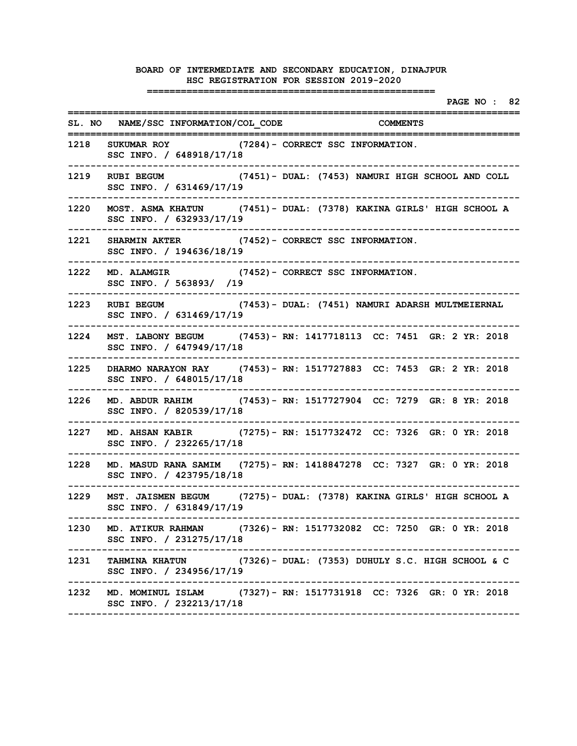|      |                                                                                                                              | --------------     | PAGE NO : 82 |
|------|------------------------------------------------------------------------------------------------------------------------------|--------------------|--------------|
|      | SL. NO NAME/SSC INFORMATION/COL CODE COMMENTS<br>:==============                                                             | ================== |              |
|      | 1218 SUKUMAR ROY (7284) - CORRECT SSC INFORMATION.<br>SSC INFO. / 648918/17/18                                               |                    |              |
|      | ---------------------------<br>1219 RUBI BEGUM (7451) - DUAL: (7453) NAMURI HIGH SCHOOL AND COLL<br>SSC INFO. / 631469/17/19 |                    |              |
| 1220 | MOST. ASMA KHATUN (7451)- DUAL: (7378) KAKINA GIRLS' HIGH SCHOOL A<br>SSC INFO. / 632933/17/19                               |                    |              |
| 1221 | SHARMIN AKTER (7452) - CORRECT SSC INFORMATION.<br>SSC INFO. / 194636/18/19                                                  |                    |              |
| 1222 | MD. ALAMGIR (7452) - CORRECT SSC INFORMATION.<br>SSC INFO. / 563893/ /19                                                     |                    |              |
| 1223 | RUBI BEGUM (7453) - DUAL: (7451) NAMURI ADARSH MULTMEIERNAL<br>SSC INFO. / 631469/17/19                                      |                    |              |
|      | 1224 MST. LABONY BEGUM (7453) - RN: 1417718113 CC: 7451 GR: 2 YR: 2018<br>SSC INFO. / 647949/17/18                           |                    |              |
|      | 1225 DHARMO NARAYON RAY (7453) - RN: 1517727883 CC: 7453 GR: 2 YR: 2018<br>SSC INFO. / 648015/17/18                          |                    |              |
| 1226 | MD. ABDUR RAHIM (7453) - RN: 1517727904 CC: 7279 GR: 8 YR: 2018<br>SSC INFO. / 820539/17/18                                  |                    |              |
| 1227 | MD. AHSAN KABIR (7275) - RN: 1517732472 CC: 7326 GR: 0 YR: 2018<br>SSC INFO. / 232265/17/18                                  |                    |              |
| 1228 | MD. MASUD RANA SAMIM (7275) - RN: 1418847278 CC: 7327 GR: 0 YR: 2018<br>SSC INFO. / 423795/18/18                             |                    |              |
| 1229 | MST. JAISMEN BEGUM (7275)- DUAL: (7378) KAKINA GIRLS' HIGH SCHOOL A<br>SSC INFO. / 631849/17/19                              |                    |              |
|      | 1230 MD. ATIKUR RAHMAN (7326) - RN: 1517732082 CC: 7250 GR: 0 YR: 2018<br>SSC INFO. / 231275/17/18                           |                    |              |
| 1231 | TAHMINA KHATUN (7326) - DUAL: (7353) DUHULY S.C. HIGH SCHOOL & C<br>SSC INFO. / 234956/17/19                                 |                    |              |
|      | 1232 MD. MOMINUL ISLAM (7327) - RN: 1517731918 CC: 7326 GR: 0 YR: 2018<br>SSC INFO. / 232213/17/18                           |                    |              |
|      |                                                                                                                              |                    |              |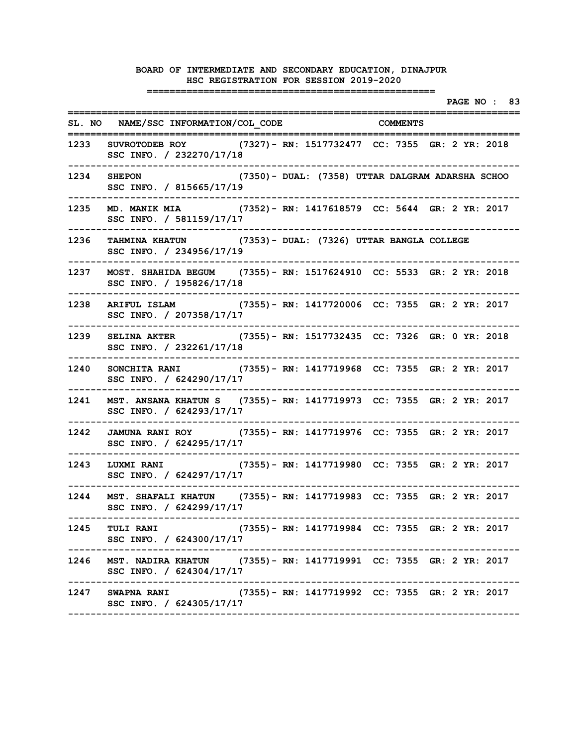|      |                                                                                                    |                                                  |                                                 |  |  |  | PAGE NO : 83 |  |
|------|----------------------------------------------------------------------------------------------------|--------------------------------------------------|-------------------------------------------------|--|--|--|--------------|--|
|      | SL. NO NAME/SSC INFORMATION/COL CODE COMMENTS<br>=============                                     |                                                  |                                                 |  |  |  |              |  |
| 1233 | SUVROTODEB ROY (7327) - RN: 1517732477 CC: 7355 GR: 2 YR: 2018<br>SSC INFO. / 232270/17/18         |                                                  |                                                 |  |  |  |              |  |
| 1234 | <b>SHEPON</b><br>SSC INFO. / 815665/17/19                                                          | (7350)- DUAL: (7358) UTTAR DALGRAM ADARSHA SCHOO |                                                 |  |  |  |              |  |
| 1235 | MD. MANIK MIA (7352) - RN: 1417618579 CC: 5644 GR: 2 YR: 2017<br>SSC INFO. / 581159/17/17          |                                                  |                                                 |  |  |  |              |  |
| 1236 | TAHMINA KHATUN (7353) - DUAL: (7326) UTTAR BANGLA COLLEGE<br>SSC INFO. / 234956/17/19              |                                                  |                                                 |  |  |  |              |  |
| 1237 | MOST. SHAHIDA BEGUM (7355) - RN: 1517624910 CC: 5533 GR: 2 YR: 2018<br>SSC INFO. / 195826/17/18    |                                                  |                                                 |  |  |  |              |  |
| 1238 | ARIFUL ISLAM (7355) - RN: 1417720006 CC: 7355 GR: 2 YR: 2017<br>SSC INFO. / 207358/17/17           |                                                  |                                                 |  |  |  |              |  |
| 1239 | SELINA AKTER (7355) - RN: 1517732435 CC: 7326 GR: 0 YR: 2018<br>SSC INFO. / 232261/17/18           |                                                  |                                                 |  |  |  |              |  |
| 1240 | SONCHITA RANI (7355) - RN: 1417719968 CC: 7355 GR: 2 YR: 2017<br>SSC INFO. / 624290/17/17          |                                                  |                                                 |  |  |  |              |  |
| 1241 | MST. ANSANA KHATUN S (7355) - RN: 1417719973 CC: 7355 GR: 2 YR: 2017<br>SSC INFO. / 624293/17/17   |                                                  |                                                 |  |  |  |              |  |
| 1242 | JAMUNA RANI ROY (7355) - RN: 1417719976 CC: 7355 GR: 2 YR: 2017<br>SSC INFO. / 624295/17/17        |                                                  |                                                 |  |  |  |              |  |
| 1243 | LUXMI RANI (7355) - RN: 1417719980 CC: 7355 GR: 2 YR: 2017<br>SSC INFO. / 624297/17/17             |                                                  |                                                 |  |  |  |              |  |
| 1244 | MST. SHAFALI KHATUN (7355) - RN: 1417719983 CC: 7355 GR: 2 YR: 2017<br>SSC INFO. / 624299/17/17    |                                                  |                                                 |  |  |  |              |  |
|      | 1245 TULI RANI<br>SSC INFO. / 624300/17/17                                                         |                                                  | (7355) - RN: 1417719984 CC: 7355 GR: 2 YR: 2017 |  |  |  |              |  |
|      | 1246 MST. NADIRA KHATUN (7355)- RN: 1417719991 CC: 7355 GR: 2 YR: 2017<br>SSC INFO. / 624304/17/17 |                                                  |                                                 |  |  |  |              |  |
|      | 1247 SWAPNA RANI (7355) - RN: 1417719992 CC: 7355 GR: 2 YR: 2017<br>SSC INFO. / 624305/17/17       |                                                  |                                                 |  |  |  |              |  |
|      |                                                                                                    |                                                  |                                                 |  |  |  |              |  |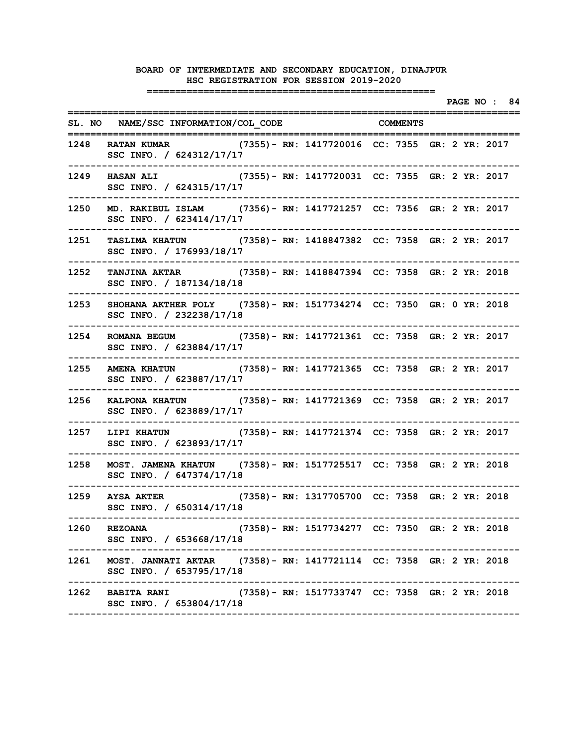**PAGE NO : 84 ================================================================================** SL. NO NAME/SSC INFORMATION/COL CODE COMMENTS **================================================================================ 1248 RATAN KUMAR (7355)- RN: 1417720016 CC: 7355 GR: 2 YR: 2017 SSC INFO. / 624312/17/17 -------------------------------------------------------------------------------- 1249 HASAN ALI (7355)- RN: 1417720031 CC: 7355 GR: 2 YR: 2017 SSC INFO. / 624315/17/17 -------------------------------------------------------------------------------- 1250 MD. RAKIBUL ISLAM (7356)- RN: 1417721257 CC: 7356 GR: 2 YR: 2017 SSC INFO. / 623414/17/17 -------------------------------------------------------------------------------- 1251 TASLIMA KHATUN (7358)- RN: 1418847382 CC: 7358 GR: 2 YR: 2017 SSC INFO. / 176993/18/17 -------------------------------------------------------------------------------- 1252 TANJINA AKTAR (7358)- RN: 1418847394 CC: 7358 GR: 2 YR: 2018 SSC INFO. / 187134/18/18 -------------------------------------------------------------------------------- 1253 SHOHANA AKTHER POLY (7358)- RN: 1517734274 CC: 7350 GR: 0 YR: 2018 SSC INFO. / 232238/17/18 -------------------------------------------------------------------------------- 1254 ROMANA BEGUM (7358)- RN: 1417721361 CC: 7358 GR: 2 YR: 2017 SSC INFO. / 623884/17/17 -------------------------------------------------------------------------------- 1255 AMENA KHATUN (7358)- RN: 1417721365 CC: 7358 GR: 2 YR: 2017 SSC INFO. / 623887/17/17 -------------------------------------------------------------------------------- 1256 KALPONA KHATUN (7358)- RN: 1417721369 CC: 7358 GR: 2 YR: 2017 SSC INFO. / 623889/17/17 -------------------------------------------------------------------------------- 1257 LIPI KHATUN (7358)- RN: 1417721374 CC: 7358 GR: 2 YR: 2017 SSC INFO. / 623893/17/17 -------------------------------------------------------------------------------- 1258 MOST. JAMENA KHATUN (7358)- RN: 1517725517 CC: 7358 GR: 2 YR: 2018 SSC INFO. / 647374/17/18 -------------------------------------------------------------------------------- 1259 AYSA AKTER (7358)- RN: 1317705700 CC: 7358 GR: 2 YR: 2018 SSC INFO. / 650314/17/18 -------------------------------------------------------------------------------- 1260 REZOANA (7358)- RN: 1517734277 CC: 7350 GR: 2 YR: 2018 SSC INFO. / 653668/17/18 -------------------------------------------------------------------------------- 1261 MOST. JANNATI AKTAR (7358)- RN: 1417721114 CC: 7358 GR: 2 YR: 2018 SSC INFO. / 653795/17/18 -------------------------------------------------------------------------------- 1262 BABITA RANI (7358)- RN: 1517733747 CC: 7358 GR: 2 YR: 2018 SSC INFO. / 653804/17/18 --------------------------------------------------------------------------------**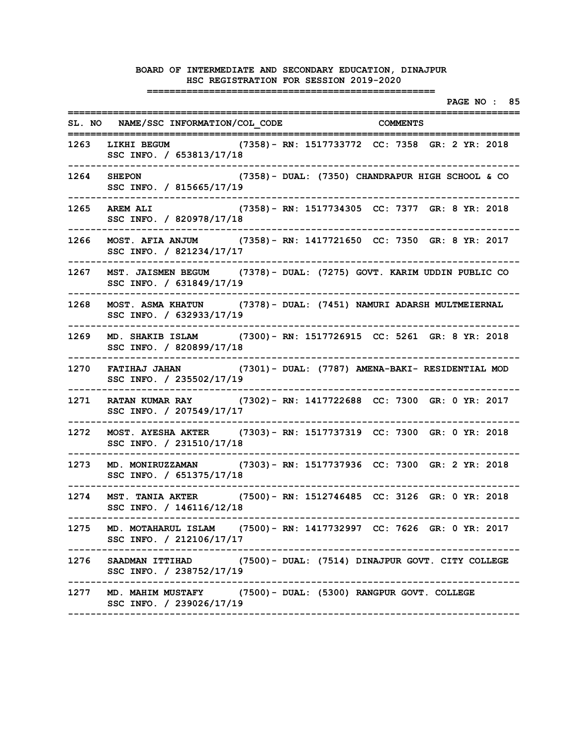|      |                                                                                                      |                                                | PAGE NO : 85 |
|------|------------------------------------------------------------------------------------------------------|------------------------------------------------|--------------|
|      | SL. NO NAME/SSC INFORMATION/COL CODE COMMENTS                                                        |                                                |              |
| 1263 | =========<br>LIKHI BEGUM (7358) - RN: 1517733772 CC: 7358 GR: 2 YR: 2018<br>SSC INFO. / 653813/17/18 |                                                |              |
| 1264 | <b>SHEPON</b><br>$(7358)$ - DUAL: $(7350)$ CHANDRAPUR HIGH SCHOOL & CO<br>SSC INFO. / 815665/17/19   |                                                |              |
| 1265 | <b>AREM ALI</b><br>SSC INFO. / 820978/17/18                                                          | (7358)- RN: 1517734305 CC: 7377 GR: 8 YR: 2018 |              |
| 1266 | MOST. AFIA ANJUM (7358) - RN: 1417721650 CC: 7350 GR: 8 YR: 2017<br>SSC INFO. / 821234/17/17         |                                                |              |
| 1267 | MST. JAISMEN BEGUM (7378) - DUAL: (7275) GOVT. KARIM UDDIN PUBLIC CO<br>SSC INFO. / 631849/17/19     |                                                |              |
| 1268 | MOST. ASMA KHATUN (7378)- DUAL: (7451) NAMURI ADARSH MULTMEIERNAL<br>SSC INFO. / 632933/17/19        |                                                |              |
| 1269 | MD. SHAKIB ISLAM (7300) - RN: 1517726915 CC: 5261 GR: 8 YR: 2018<br>SSC INFO. / 820899/17/18         | ____________________                           |              |
| 1270 | FATIHAJ JAHAN (7301)- DUAL: (7787) AMENA-BAKI- RESIDENTIAL MOD<br>SSC INFO. / 235502/17/19           |                                                |              |
| 1271 | RATAN KUMAR RAY (7302) - RN: 1417722688 CC: 7300 GR: 0 YR: 2017<br>SSC INFO. / 207549/17/17          |                                                |              |
| 1272 | MOST. AYESHA AKTER (7303) - RN: 1517737319 CC: 7300 GR: 0 YR: 2018<br>SSC INFO. / 231510/17/18       |                                                |              |
| 1273 | MD. MONIRUZZAMAN (7303) - RN: 1517737936 CC: 7300 GR: 2 YR: 2018<br>SSC INFO. / 651375/17/18         |                                                |              |
| 1274 | MST. TANIA AKTER (7500) - RN: 1512746485 CC: 3126 GR: 0 YR: 2018<br>SSC INFO. / 146116/12/18         |                                                |              |
|      | 1275 MD. MOTAHARUL ISLAM (7500)- RN: 1417732997 CC: 7626 GR: 0 YR: 2017<br>SSC INFO. / 212106/17/17  |                                                |              |
|      | 1276 SAADMAN ITTIHAD (7500)- DUAL: (7514) DINAJPUR GOVT. CITY COLLEGE<br>SSC INFO. / 238752/17/19    |                                                |              |
|      | 1277 MD. MAHIM MUSTAFY (7500) - DUAL: (5300) RANGPUR GOVT. COLLEGE<br>SSC INFO. / 239026/17/19       |                                                |              |
|      |                                                                                                      |                                                |              |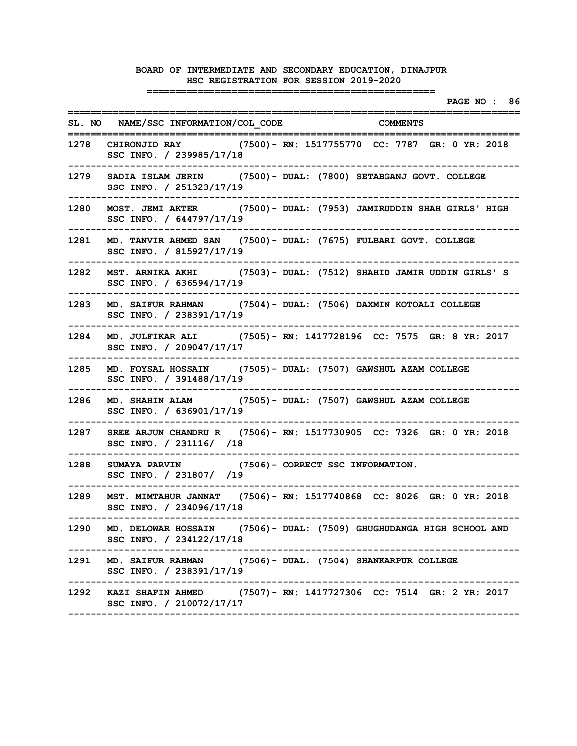|      |                                                                                                       | -------------------- | PAGE NO : 86 |
|------|-------------------------------------------------------------------------------------------------------|----------------------|--------------|
|      | SL. NO NAME/SSC INFORMATION/COL CODE<br>:=============                                                | <b>COMMENTS</b>      |              |
|      | 1278 CHIRONJID RAY (7500) - RN: 1517755770 CC: 7787 GR: 0 YR: 2018<br>SSC INFO. / 239985/17/18        |                      |              |
|      | 1279 SADIA ISLAM JERIN (7500)- DUAL: (7800) SETABGANJ GOVT. COLLEGE<br>SSC INFO. / 251323/17/19       |                      |              |
| 1280 | MOST. JEMI AKTER (7500) - DUAL: (7953) JAMIRUDDIN SHAH GIRLS' HIGH<br>SSC INFO. / 644797/17/19        |                      |              |
| 1281 | MD. TANVIR AHMED SAN (7500) - DUAL: (7675) FULBARI GOVT. COLLEGE<br>SSC INFO. / 815927/17/19          |                      |              |
| 1282 | MST. ARNIKA AKHI (7503) - DUAL: (7512) SHAHID JAMIR UDDIN GIRLS' S<br>SSC INFO. / 636594/17/19        |                      |              |
| 1283 | MD. SAIFUR RAHMAN (7504) - DUAL: (7506) DAXMIN KOTOALI COLLEGE<br>SSC INFO. / 238391/17/19            |                      |              |
|      | 1284 MD. JULFIKAR ALI (7505) - RN: 1417728196 CC: 7575 GR: 8 YR: 2017<br>SSC INFO. / 209047/17/17     |                      |              |
|      | 1285 MD. FOYSAL HOSSAIN (7505) - DUAL: (7507) GAWSHUL AZAM COLLEGE<br>SSC INFO. / 391488/17/19        |                      |              |
| 1286 | MD. SHAHIN ALAM (7505) - DUAL: (7507) GAWSHUL AZAM COLLEGE<br>SSC INFO. / 636901/17/19                |                      |              |
| 1287 | SREE ARJUN CHANDRU R (7506) - RN: 1517730905 CC: 7326 GR: 0 YR: 2018<br>SSC INFO. / 231116/ /18       |                      |              |
| 1288 | SUMAYA PARVIN (7506) - CORRECT SSC INFORMATION.<br>SSC INFO. / 231807/ /19                            |                      |              |
| 1289 | MST. MIMTAHUR JANNAT (7506) - RN: 1517740868 CC: 8026 GR: 0 YR: 2018<br>SSC INFO. / 234096/17/18      |                      |              |
|      | 1290 MD. DELOWAR HOSSAIN (7506)- DUAL: (7509) GHUGHUDANGA HIGH SCHOOL AND<br>SSC INFO. / 234122/17/18 |                      |              |
|      | 1291 MD. SAIFUR RAHMAN (7506) - DUAL: (7504) SHANKARPUR COLLEGE<br>SSC INFO. / 238391/17/19           |                      |              |
|      | 1292 KAZI SHAFIN AHMED (7507)- RN: 1417727306 CC: 7514 GR: 2 YR: 2017<br>SSC INFO. / 210072/17/17     |                      |              |
|      |                                                                                                       |                      |              |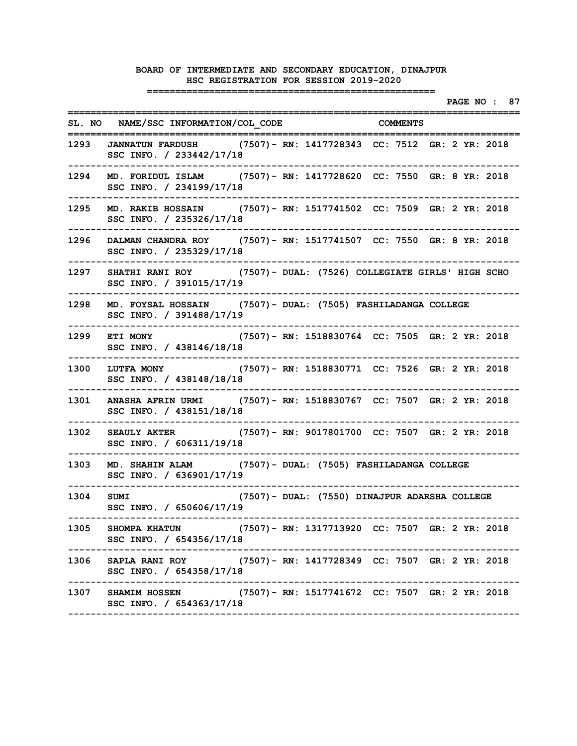**PAGE NO : 87 ================================================================================** SL. NO NAME/SSC INFORMATION/COL CODE COMMENTS **================================================================================ 1293 JANNATUN FARDUSH (7507)- RN: 1417728343 CC: 7512 GR: 2 YR: 2018 SSC INFO. / 233442/17/18 -------------------------------------------------------------------------------- 1294 MD. FORIDUL ISLAM (7507)- RN: 1417728620 CC: 7550 GR: 8 YR: 2018 SSC INFO. / 234199/17/18 -------------------------------------------------------------------------------- 1295 MD. RAKIB HOSSAIN (7507)- RN: 1517741502 CC: 7509 GR: 2 YR: 2018 SSC INFO. / 235326/17/18 -------------------------------------------------------------------------------- 1296 DALMAN CHANDRA ROY (7507)- RN: 1517741507 CC: 7550 GR: 8 YR: 2018 SSC INFO. / 235329/17/18 -------------------------------------------------------------------------------- 1297 SHATHI RANI ROY (7507)- DUAL: (7526) COLLEGIATE GIRLS' HIGH SCHO SSC INFO. / 391015/17/19 -------------------------------------------------------------------------------- 1298 MD. FOYSAL HOSSAIN (7507)- DUAL: (7505) FASHILADANGA COLLEGE SSC INFO. / 391488/17/19 -------------------------------------------------------------------------------- 1299 ETI MONY (7507)- RN: 1518830764 CC: 7505 GR: 2 YR: 2018 SSC INFO. / 438146/18/18 -------------------------------------------------------------------------------- 1300 LUTFA MONY (7507)- RN: 1518830771 CC: 7526 GR: 2 YR: 2018 SSC INFO. / 438148/18/18 -------------------------------------------------------------------------------- 1301 ANASHA AFRIN URMI (7507)- RN: 1518830767 CC: 7507 GR: 2 YR: 2018 SSC INFO. / 438151/18/18 -------------------------------------------------------------------------------- 1302 SEAULY AKTER (7507)- RN: 9017801700 CC: 7507 GR: 2 YR: 2018 SSC INFO. / 606311/19/18 -------------------------------------------------------------------------------- 1303 MD. SHAHIN ALAM (7507)- DUAL: (7505) FASHILADANGA COLLEGE SSC INFO. / 636901/17/19 -------------------------------------------------------------------------------- 1304 SUMI (7507)- DUAL: (7550) DINAJPUR ADARSHA COLLEGE SSC INFO. / 650606/17/19 -------------------------------------------------------------------------------- 1305 SHOMPA KHATUN (7507)- RN: 1317713920 CC: 7507 GR: 2 YR: 2018 SSC INFO. / 654356/17/18 -------------------------------------------------------------------------------- 1306 SAPLA RANI ROY (7507)- RN: 1417728349 CC: 7507 GR: 2 YR: 2018 SSC INFO. / 654358/17/18 -------------------------------------------------------------------------------- 1307 SHAMIM HOSSEN (7507)- RN: 1517741672 CC: 7507 GR: 2 YR: 2018 SSC INFO. / 654363/17/18 --------------------------------------------------------------------------------**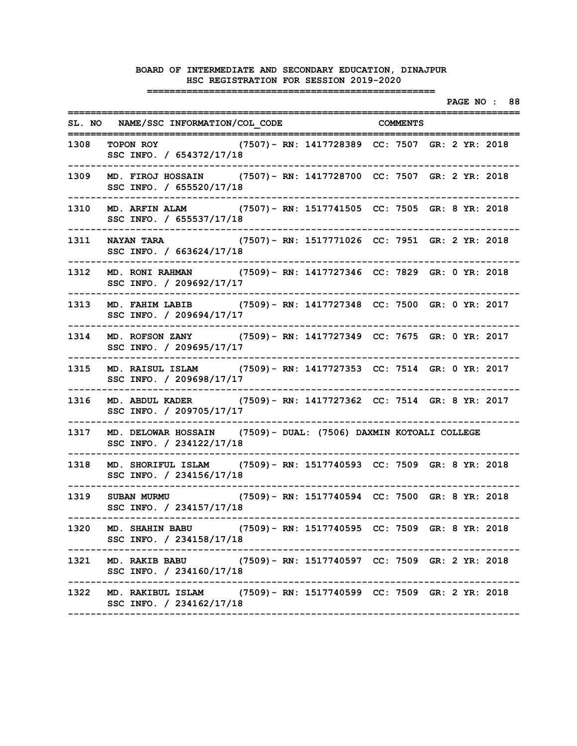**PAGE NO : 88 ================================================================================** SL. NO NAME/SSC INFORMATION/COL CODE COMMENTS **================================================================================ 1308 TOPON ROY (7507)- RN: 1417728389 CC: 7507 GR: 2 YR: 2018 SSC INFO. / 654372/17/18 -------------------------------------------------------------------------------- 1309 MD. FIROJ HOSSAIN (7507)- RN: 1417728700 CC: 7507 GR: 2 YR: 2018 SSC INFO. / 655520/17/18 -------------------------------------------------------------------------------- 1310 MD. ARFIN ALAM (7507)- RN: 1517741505 CC: 7505 GR: 8 YR: 2018 SSC INFO. / 655537/17/18 -------------------------------------------------------------------------------- 1311 NAYAN TARA (7507)- RN: 1517771026 CC: 7951 GR: 2 YR: 2018 SSC INFO. / 663624/17/18 -------------------------------------------------------------------------------- 1312 MD. RONI RAHMAN (7509)- RN: 1417727346 CC: 7829 GR: 0 YR: 2018 SSC INFO. / 209692/17/17 -------------------------------------------------------------------------------- 1313 MD. FAHIM LABIB (7509)- RN: 1417727348 CC: 7500 GR: 0 YR: 2017 SSC INFO. / 209694/17/17 -------------------------------------------------------------------------------- 1314 MD. ROFSON ZANY (7509)- RN: 1417727349 CC: 7675 GR: 0 YR: 2017 SSC INFO. / 209695/17/17 -------------------------------------------------------------------------------- 1315 MD. RAISUL ISLAM (7509)- RN: 1417727353 CC: 7514 GR: 0 YR: 2017 SSC INFO. / 209698/17/17 -------------------------------------------------------------------------------- 1316 MD. ABDUL KADER (7509)- RN: 1417727362 CC: 7514 GR: 8 YR: 2017 SSC INFO. / 209705/17/17 -------------------------------------------------------------------------------- 1317 MD. DELOWAR HOSSAIN (7509)- DUAL: (7506) DAXMIN KOTOALI COLLEGE SSC INFO. / 234122/17/18 -------------------------------------------------------------------------------- 1318 MD. SHORIFUL ISLAM (7509)- RN: 1517740593 CC: 7509 GR: 8 YR: 2018 SSC INFO. / 234156/17/18 -------------------------------------------------------------------------------- 1319 SUBAN MURMU (7509)- RN: 1517740594 CC: 7500 GR: 8 YR: 2018 SSC INFO. / 234157/17/18 -------------------------------------------------------------------------------- 1320 MD. SHAHIN BABU (7509)- RN: 1517740595 CC: 7509 GR: 8 YR: 2018 SSC INFO. / 234158/17/18 -------------------------------------------------------------------------------- 1321 MD. RAKIB BABU (7509)- RN: 1517740597 CC: 7509 GR: 2 YR: 2018 SSC INFO. / 234160/17/18 -------------------------------------------------------------------------------- 1322 MD. RAKIBUL ISLAM (7509)- RN: 1517740599 CC: 7509 GR: 2 YR: 2018 SSC INFO. / 234162/17/18 --------------------------------------------------------------------------------**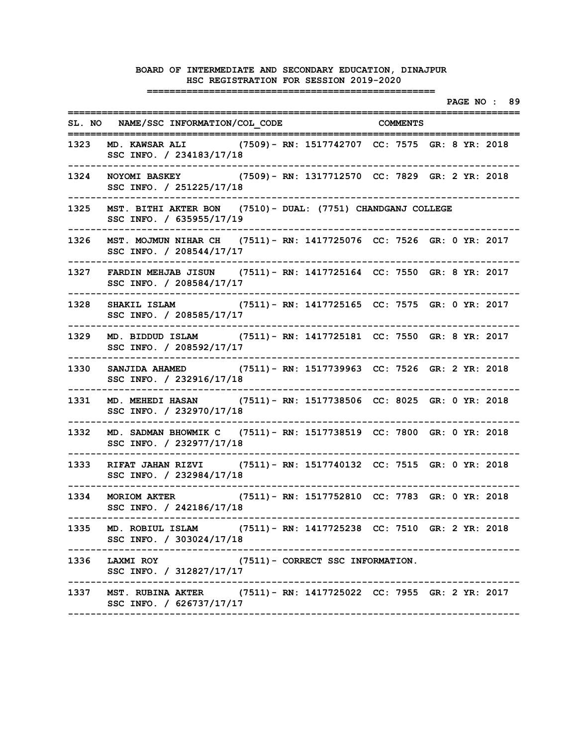|        |                                                                                                    |  |                                   |  |  | PAGE NO : 89 |  |
|--------|----------------------------------------------------------------------------------------------------|--|-----------------------------------|--|--|--------------|--|
|        | SL. NO NAME/SSC INFORMATION/COL CODE COMMENTS<br>=========                                         |  |                                   |  |  |              |  |
| 1323   | MD. KAWSAR ALI (7509) - RN: 1517742707 CC: 7575 GR: 8 YR: 2018<br>SSC INFO. / 234183/17/18         |  |                                   |  |  |              |  |
| 1324   | NOYOMI BASKEY (7509) - RN: 1317712570 CC: 7829 GR: 2 YR: 2018<br>SSC INFO. / 251225/17/18          |  |                                   |  |  |              |  |
| 1325   | MST. BITHI AKTER BON (7510) - DUAL: (7751) CHANDGANJ COLLEGE<br>SSC INFO. / 635955/17/19           |  |                                   |  |  |              |  |
| 1326   | MST. MOJMUN NIHAR CH (7511) - RN: 1417725076 CC: 7526 GR: 0 YR: 2017<br>SSC INFO. / 208544/17/17   |  |                                   |  |  |              |  |
| 1327   | FARDIN MEHJAB JISUN (7511) - RN: 1417725164 CC: 7550 GR: 8 YR: 2017<br>SSC INFO. / 208584/17/17    |  |                                   |  |  |              |  |
| 1328   | SHAKIL ISLAM (7511) - RN: 1417725165 CC: 7575 GR: 0 YR: 2017<br>SSC INFO. / 208585/17/17           |  |                                   |  |  |              |  |
| 1329   | MD. BIDDUD ISLAM (7511) - RN: 1417725181 CC: 7550 GR: 8 YR: 2017<br>SSC INFO. / 208592/17/17       |  |                                   |  |  |              |  |
| 1330   | SANJIDA AHAMED (7511) - RN: 1517739963 CC: 7526 GR: 2 YR: 2018<br>SSC INFO. / 232916/17/18         |  |                                   |  |  |              |  |
| 1331   | MD. MEHEDI HASAN (7511) - RN: 1517738506 CC: 8025 GR: 0 YR: 2018<br>SSC INFO. / 232970/17/18       |  |                                   |  |  |              |  |
| 1332   | MD. SADMAN BHOWMIK C (7511) - RN: 1517738519 CC: 7800 GR: 0 YR: 2018<br>SSC INFO. / 232977/17/18   |  |                                   |  |  |              |  |
| 1333 - | RIFAT JAHAN RIZVI (7511) - RN: 1517740132 CC: 7515 GR: 0 YR: 2018<br>SSC INFO. / 232984/17/18      |  |                                   |  |  |              |  |
| 1334   | MORIOM AKTER (7511) - RN: 1517752810 CC: 7783 GR: 0 YR: 2018<br>SSC INFO. / 242186/17/18           |  |                                   |  |  |              |  |
|        | 1335 MD. ROBIUL ISLAM (7511) - RN: 1417725238 CC: 7510 GR: 2 YR: 2018<br>SSC INFO. / 303024/17/18  |  |                                   |  |  |              |  |
|        | 1336 LAXMI ROY<br>SSC INFO. / 312827/17/17                                                         |  | (7511) - CORRECT SSC INFORMATION. |  |  |              |  |
|        | 1337 MST. RUBINA AKTER (7511) - RN: 1417725022 CC: 7955 GR: 2 YR: 2017<br>SSC INFO. / 626737/17/17 |  |                                   |  |  |              |  |
|        |                                                                                                    |  |                                   |  |  |              |  |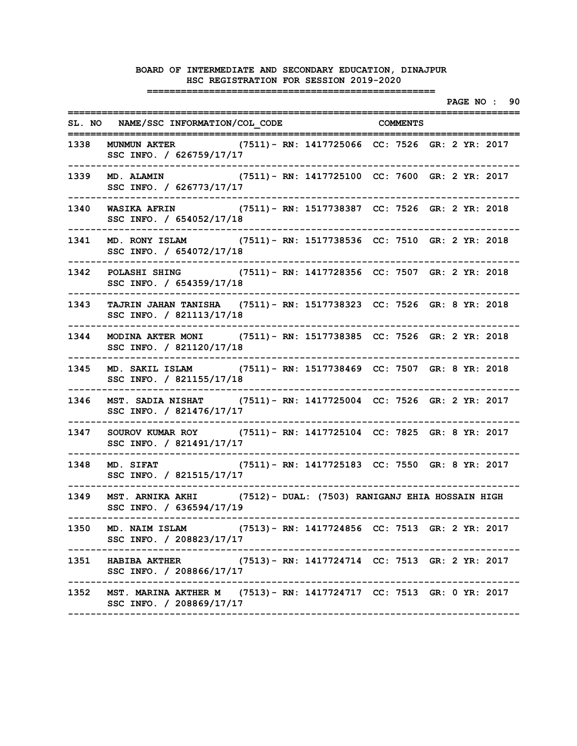|      |                                                                                                      |                                                |  |  | PAGE NO : 90 |  |
|------|------------------------------------------------------------------------------------------------------|------------------------------------------------|--|--|--------------|--|
|      | SL. NO NAME/SSC INFORMATION/COL CODE COMMENTS<br>------------                                        |                                                |  |  |              |  |
| 1338 | MUNMUN AKTER (7511) - RN: 1417725066 CC: 7526 GR: 2 YR: 2017<br>SSC INFO. / 626759/17/17             |                                                |  |  |              |  |
| 1339 | MD. ALAMIN (7511) - RN: 1417725100 CC: 7600 GR: 2 YR: 2017<br>SSC INFO. / 626773/17/17               |                                                |  |  |              |  |
| 1340 | WASIKA AFRIN (7511) - RN: 1517738387 CC: 7526 GR: 2 YR: 2018<br>SSC INFO. / 654052/17/18             |                                                |  |  |              |  |
| 1341 | MD. RONY ISLAM (7511) - RN: 1517738536 CC: 7510 GR: 2 YR: 2018<br>SSC INFO. / 654072/17/18           |                                                |  |  |              |  |
| 1342 | POLASHI SHING (7511) - RN: 1417728356 CC: 7507 GR: 2 YR: 2018<br>SSC INFO. / 654359/17/18            |                                                |  |  |              |  |
| 1343 | TAJRIN JAHAN TANISHA (7511) - RN: 1517738323 CC: 7526 GR: 8 YR: 2018<br>SSC INFO. / 821113/17/18     |                                                |  |  |              |  |
| 1344 | MODINA AKTER MONI (7511) - RN: 1517738385 CC: 7526 GR: 2 YR: 2018<br>SSC INFO. / 821120/17/18        |                                                |  |  |              |  |
| 1345 | MD. SAKIL ISLAM (7511) - RN: 1517738469 CC: 7507 GR: 8 YR: 2018<br>SSC INFO. / 821155/17/18          |                                                |  |  |              |  |
| 1346 | MST. SADIA NISHAT (7511) - RN: 1417725004 CC: 7526 GR: 2 YR: 2017<br>SSC INFO. / 821476/17/17        |                                                |  |  |              |  |
| 1347 | SOUROV KUMAR ROY (7511) - RN: 1417725104 CC: 7825 GR: 8 YR: 2017<br>SSC INFO. / 821491/17/17         |                                                |  |  |              |  |
| 1348 | <b>MD. SIFAT</b><br>SSC INFO. / 821515/17/17                                                         | (7511)– RN: 1417725183 CC: 7550 GR: 8 YR: 2017 |  |  |              |  |
| 1349 | MST. ARNIKA AKHI (7512) - DUAL: (7503) RANIGANJ EHIA HOSSAIN HIGH<br>SSC INFO. / 636594/17/19        |                                                |  |  |              |  |
|      | 1350 MD. NAIM ISLAM (7513) - RN: 1417724856 CC: 7513 GR: 2 YR: 2017<br>SSC INFO. / 208823/17/17      |                                                |  |  |              |  |
| 1351 | HABIBA AKTHER (7513) - RN: 1417724714 CC: 7513 GR: 2 YR: 2017<br>SSC INFO. / 208866/17/17            |                                                |  |  |              |  |
|      | 1352 MST. MARINA AKTHER M (7513)- RN: 1417724717 CC: 7513 GR: 0 YR: 2017<br>SSC INFO. / 208869/17/17 |                                                |  |  |              |  |
|      |                                                                                                      |                                                |  |  |              |  |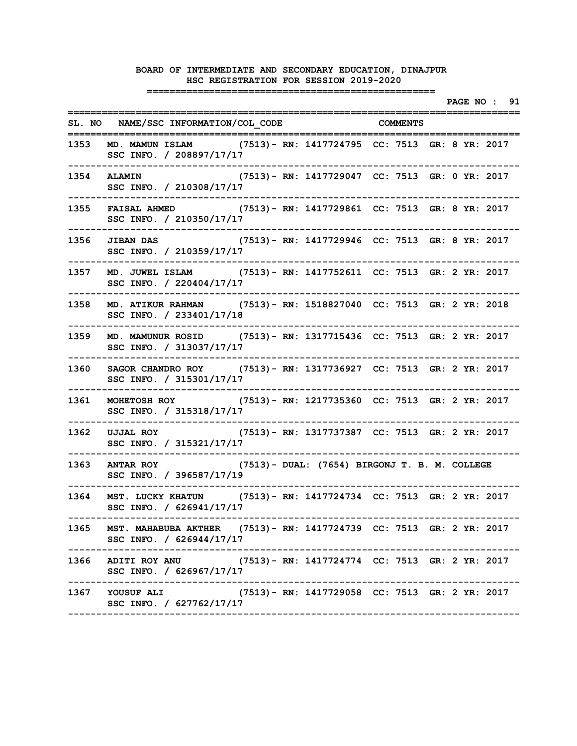**PAGE NO : 91 ================================================================================** SL. NO NAME/SSC INFORMATION/COL CODE COMMENTS **================================================================================ 1353 MD. MAMUN ISLAM (7513)- RN: 1417724795 CC: 7513 GR: 8 YR: 2017 SSC INFO. / 208897/17/17 -------------------------------------------------------------------------------- 1354 ALAMIN (7513)- RN: 1417729047 CC: 7513 GR: 0 YR: 2017 SSC INFO. / 210308/17/17 -------------------------------------------------------------------------------- 1355 FAISAL AHMED (7513)- RN: 1417729861 CC: 7513 GR: 8 YR: 2017 SSC INFO. / 210350/17/17 -------------------------------------------------------------------------------- 1356 JIBAN DAS (7513)- RN: 1417729946 CC: 7513 GR: 8 YR: 2017 SSC INFO. / 210359/17/17 -------------------------------------------------------------------------------- 1357 MD. JUWEL ISLAM (7513)- RN: 1417752611 CC: 7513 GR: 2 YR: 2017 SSC INFO. / 220404/17/17 -------------------------------------------------------------------------------- 1358 MD. ATIKUR RAHMAN (7513)- RN: 1518827040 CC: 7513 GR: 2 YR: 2018 SSC INFO. / 233401/17/18 -------------------------------------------------------------------------------- 1359 MD. MAMUNUR ROSID (7513)- RN: 1317715436 CC: 7513 GR: 2 YR: 2017 SSC INFO. / 313037/17/17 -------------------------------------------------------------------------------- 1360 SAGOR CHANDRO ROY (7513)- RN: 1317736927 CC: 7513 GR: 2 YR: 2017 SSC INFO. / 315301/17/17 -------------------------------------------------------------------------------- 1361 MOHETOSH ROY (7513)- RN: 1217735360 CC: 7513 GR: 2 YR: 2017 SSC INFO. / 315318/17/17 -------------------------------------------------------------------------------- 1362 UJJAL ROY (7513)- RN: 1317737387 CC: 7513 GR: 2 YR: 2017 SSC INFO. / 315321/17/17 -------------------------------------------------------------------------------- 1363 ANTAR ROY (7513)- DUAL: (7654) BIRGONJ T. B. M. COLLEGE SSC INFO. / 396587/17/19 -------------------------------------------------------------------------------- 1364 MST. LUCKY KHATUN (7513)- RN: 1417724734 CC: 7513 GR: 2 YR: 2017 SSC INFO. / 626941/17/17 -------------------------------------------------------------------------------- 1365 MST. MAHABUBA AKTHER (7513)- RN: 1417724739 CC: 7513 GR: 2 YR: 2017 SSC INFO. / 626944/17/17 -------------------------------------------------------------------------------- 1366 ADITI ROY ANU (7513)- RN: 1417724774 CC: 7513 GR: 2 YR: 2017 SSC INFO. / 626967/17/17 -------------------------------------------------------------------------------- 1367 YOUSUF ALI (7513)- RN: 1417729058 CC: 7513 GR: 2 YR: 2017 SSC INFO. / 627762/17/17 --------------------------------------------------------------------------------**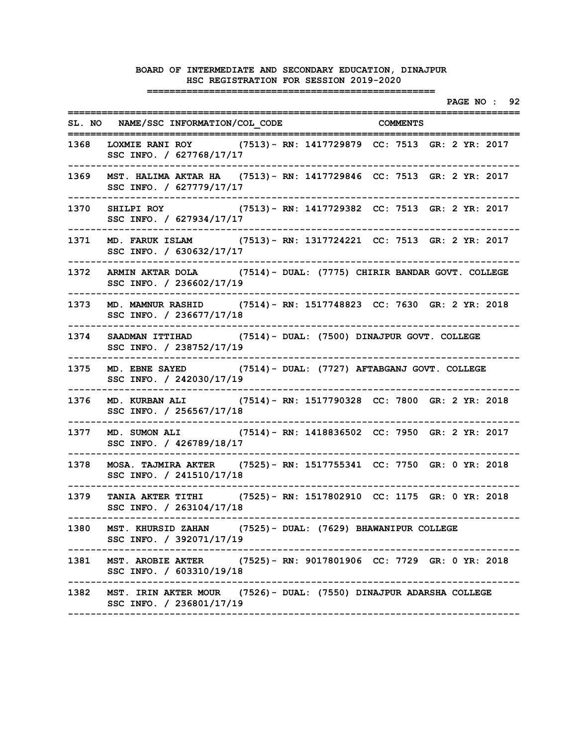|      |                                                                                                                                          | PAGE NO : 92 |
|------|------------------------------------------------------------------------------------------------------------------------------------------|--------------|
|      | SL. NO NAME/SSC INFORMATION/COL CODE COMMENTS<br>:===========                                                                            |              |
| 1368 | LOXMIE RANI ROY (7513) - RN: 1417729879 CC: 7513 GR: 2 YR: 2017<br>SSC INFO. / 627768/17/17                                              |              |
| 1369 | MST. HALIMA AKTAR HA (7513) - RN: 1417729846 CC: 7513 GR: 2 YR: 2017<br>SSC INFO. / 627779/17/17                                         |              |
| 1370 | SHILPI ROY (7513) - RN: 1417729382 CC: 7513 GR: 2 YR: 2017<br>SSC INFO. / 627934/17/17                                                   |              |
| 1371 | MD. FARUK ISLAM (7513) - RN: 1317724221 CC: 7513 GR: 2 YR: 2017<br>SSC INFO. / 630632/17/17                                              |              |
| 1372 | ARMIN AKTAR DOLA (7514) - DUAL: (7775) CHIRIR BANDAR GOVT. COLLEGE<br>SSC INFO. / 236602/17/19                                           |              |
| 1373 | MD. MAMNUR RASHID (7514) - RN: 1517748823 CC: 7630 GR: 2 YR: 2018<br>SSC INFO. / 236677/17/18                                            |              |
| 1374 | SAADMAN ITTIHAD (7514) - DUAL: (7500) DINAJPUR GOVT. COLLEGE<br>SSC INFO. / 238752/17/19                                                 |              |
| 1375 | MD. EBNE SAYED (7514) - DUAL: (7727) AFTABGANJ GOVT. COLLEGE<br>SSC INFO. / 242030/17/19                                                 |              |
| 1376 | MD. KURBAN ALI (7514) - RN: 1517790328 CC: 7800 GR: 2 YR: 2018<br>SSC INFO. / 256567/17/18                                               |              |
| 1377 | MD. SUMON ALI (7514) - RN: 1418836502 CC: 7950 GR: 2 YR: 2017<br>SSC INFO. / 426789/18/17                                                |              |
| 1378 | MOSA. TAJMIRA AKTER (7525) - RN: 1517755341 CC: 7750 GR: 0 YR: 2018<br>SSC INFO. / 241510/17/18                                          |              |
| 1379 | TANIA AKTER TITHI (7525) - RN: 1517802910 CC: 1175 GR: 0 YR: 2018<br>SSC INFO. / 263104/17/18                                            |              |
|      | 1380 MST. KHURSID ZAHAN (7525)- DUAL: (7629) BHAWANIPUR COLLEGE<br>SSC INFO. / 392071/17/19                                              |              |
|      | ----------------------------------<br>1381 MST. AROBIE AKTER (7525) – RN: 9017801906 CC: 7729 GR: 0 YR: 2018<br>SSC INFO. / 603310/19/18 |              |
|      | --------------------------<br>1382 MST. IRIN AKTER MOUR (7526) - DUAL: (7550) DINAJPUR ADARSHA COLLEGE<br>SSC INFO. / 236801/17/19       |              |
|      |                                                                                                                                          |              |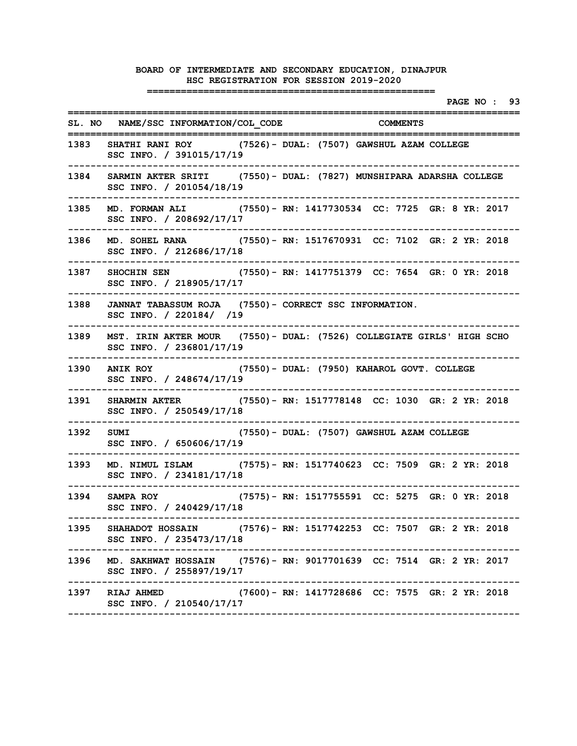# **BOARD OF INTERMEDIATE AND SECONDARY EDUCATION, DINAJPUR HSC REGISTRATION FOR SESSION 2019-2020**

|      |                                                                                                                                  |                                           |  |  |  | PAGE NO : 93 |  |
|------|----------------------------------------------------------------------------------------------------------------------------------|-------------------------------------------|--|--|--|--------------|--|
|      | SL. NO NAME/SSC INFORMATION/COL CODE COMMENTS<br>:=================                                                              |                                           |  |  |  |              |  |
| 1383 | SHATHI RANI ROY (7526) - DUAL: (7507) GAWSHUL AZAM COLLEGE<br>SSC INFO. / 391015/17/19                                           |                                           |  |  |  |              |  |
| 1384 | SARMIN AKTER SRITI (7550) - DUAL: (7827) MUNSHIPARA ADARSHA COLLEGE<br>SSC INFO. / 201054/18/19                                  |                                           |  |  |  |              |  |
| 1385 | MD. FORMAN ALI (7550) - RN: 1417730534 CC: 7725 GR: 8 YR: 2017<br>SSC INFO. / 208692/17/17                                       |                                           |  |  |  |              |  |
| 1386 | MD. SOHEL RANA (7550) - RN: 1517670931 CC: 7102 GR: 2 YR: 2018<br>SSC INFO. / 212686/17/18                                       |                                           |  |  |  |              |  |
| 1387 | SHOCHIN SEN (7550) - RN: 1417751379 CC: 7654 GR: 0 YR: 2018<br>SSC INFO. / 218905/17/17                                          |                                           |  |  |  |              |  |
| 1388 | JANNAT TABASSUM ROJA (7550) - CORRECT SSC INFORMATION.<br>SSC INFO. / 220184/ /19                                                |                                           |  |  |  |              |  |
| 1389 | MST. IRIN AKTER MOUR (7550) - DUAL: (7526) COLLEGIATE GIRLS' HIGH SCHO<br>SSC INFO. / 236801/17/19                               |                                           |  |  |  |              |  |
| 1390 | ANIK ROY (7550) - DUAL: (7950) KAHAROL GOVT. COLLEGE<br>SSC INFO. / 248674/17/19                                                 |                                           |  |  |  |              |  |
| 1391 | SHARMIN AKTER (7550) - RN: 1517778148 CC: 1030 GR: 2 YR: 2018<br>SSC INFO. / 250549/17/18                                        |                                           |  |  |  |              |  |
| 1392 | <b>SUMI</b><br>SSC INFO. / 650606/17/19                                                                                          | (7550)- DUAL: (7507) GAWSHUL AZAM COLLEGE |  |  |  |              |  |
| 1393 | MD. NIMUL ISLAM (7575) - RN: 1517740623 CC: 7509 GR: 2 YR: 2018<br>SSC INFO. / 234181/17/18                                      |                                           |  |  |  |              |  |
|      | 1394 SAMPA ROY (7575) - RN: 1517755591 CC: 5275 GR: 0 YR: 2018<br>SSC INFO. / 240429/17/18                                       |                                           |  |  |  |              |  |
|      | 1395 SHAHADOT HOSSAIN (7576) - RN: 1517742253 CC: 7507 GR: 2 YR: 2018<br>SSC INFO. / 235473/17/18                                |                                           |  |  |  |              |  |
|      | 1396 MD. SAKHWAT HOSSAIN (7576)- RN: 9017701639 CC: 7514 GR: 2 YR: 2017<br>SSC INFO. / 255897/19/17                              |                                           |  |  |  |              |  |
|      | ---------------------------------<br>1397 RIAJ AHMED (7600) - RN: 1417728686 CC: 7575 GR: 2 YR: 2018<br>SSC INFO. / 210540/17/17 |                                           |  |  |  |              |  |
|      |                                                                                                                                  |                                           |  |  |  |              |  |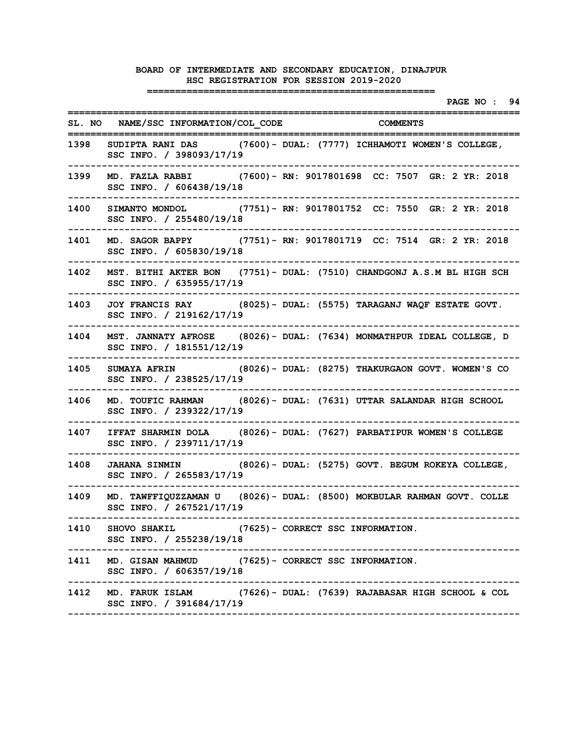|        |                                                                                                    |                     | ====================              | PAGE NO : 94         |
|--------|----------------------------------------------------------------------------------------------------|---------------------|-----------------------------------|----------------------|
|        | SL. NO NAME/SSC INFORMATION/COL CODE COMMENTS<br>======================================            | =================== |                                   | :=================== |
| 1398   | SUDIPTA RANI DAS (7600) - DUAL: (7777) ICHHAMOTI WOMEN'S COLLEGE,<br>SSC INFO. / 398093/17/19      |                     |                                   |                      |
| 1399 - | MD. FAZLA RABBI (7600) - RN: 9017801698 CC: 7507 GR: 2 YR: 2018<br>SSC INFO. / 606438/19/18        |                     |                                   |                      |
| 1400   | SIMANTO MONDOL (7751) - RN: 9017801752 CC: 7550 GR: 2 YR: 2018<br>SSC INFO. / 255480/19/18         |                     |                                   |                      |
| 1401   | MD. SAGOR BAPPY (7751) - RN: 9017801719 CC: 7514 GR: 2 YR: 2018<br>SSC INFO. / 605830/19/18        |                     |                                   |                      |
| 1402   | MST. BITHI AKTER BON (7751) - DUAL: (7510) CHANDGONJ A.S.M BL HIGH SCH<br>SSC INFO. / 635955/17/19 |                     |                                   |                      |
| 1403 - | JOY FRANCIS RAY (8025) - DUAL: (5575) TARAGANJ WAQF ESTATE GOVT.<br>SSC INFO. / 219162/17/19       |                     |                                   |                      |
| 1404   | MST. JANNATY AFROSE (8026) - DUAL: (7634) MONMATHPUR IDEAL COLLEGE, D<br>SSC INFO. / 181551/12/19  |                     |                                   |                      |
| 1405 - | SUMAYA AFRIN (8026) - DUAL: (8275) THAKURGAON GOVT. WOMEN'S CO<br>SSC INFO. / 238525/17/19         |                     |                                   |                      |
| 1406   | MD. TOUFIC RAHMAN (8026) - DUAL: (7631) UTTAR SALANDAR HIGH SCHOOL<br>SSC INFO. / 239322/17/19     |                     |                                   |                      |
| 1407   | IFFAT SHARMIN DOLA (8026) - DUAL: (7627) PARBATIPUR WOMEN'S COLLEGE<br>SSC INFO. / 239711/17/19    |                     |                                   |                      |
| 1408   | JAHANA SINMIN (8026) - DUAL: (5275) GOVT. BEGUM ROKEYA COLLEGE,<br>SSC INFO. / 265583/17/19        |                     |                                   |                      |
| 1409   | MD. TAWFFIQUZZAMAN U (8026)- DUAL: (8500) MOKBULAR RAHMAN GOVT. COLLE<br>SSC INFO. / 267521/17/19  |                     |                                   |                      |
|        | 1410 SHOVO SHAKIL<br>SSC INFO. / 255238/19/18                                                      |                     | (7625) - CORRECT SSC INFORMATION. |                      |
|        | 1411 MD. GISAN MAHMUD (7625) - CORRECT SSC INFORMATION.<br>SSC INFO. / 606357/19/18                |                     |                                   |                      |
|        | 1412 MD. FARUK ISLAM (7626)- DUAL: (7639) RAJABASAR HIGH SCHOOL & COL<br>SSC INFO. / 391684/17/19  |                     |                                   |                      |
|        |                                                                                                    |                     |                                   |                      |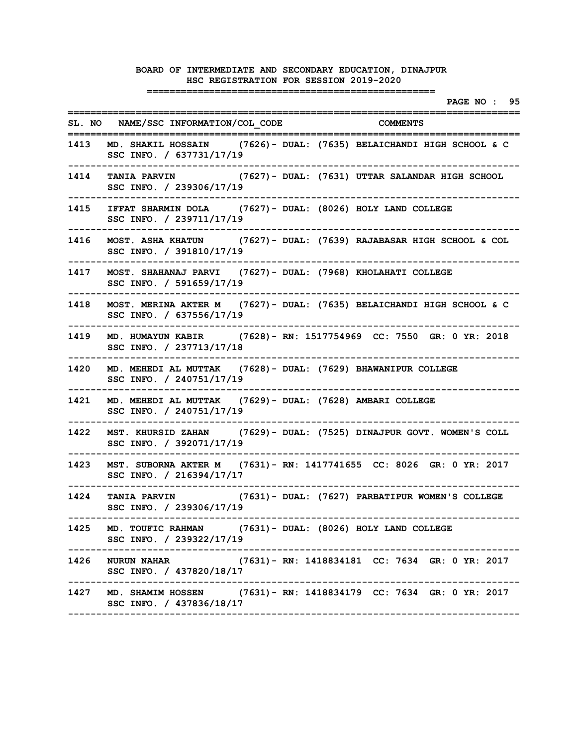|      |                                                                                            | PAGE NO : 95                                                             |
|------|--------------------------------------------------------------------------------------------|--------------------------------------------------------------------------|
|      | SL. NO NAME/SSC INFORMATION/COL CODE<br>------------                                       | <b>COMMENTS</b>                                                          |
|      | SSC INFO. / 637731/17/19                                                                   | 1413 MD. SHAKIL HOSSAIN (7626)- DUAL: (7635) BELAICHANDI HIGH SCHOOL & C |
| 1414 | TANIA PARVIN (7627) - DUAL: (7631) UTTAR SALANDAR HIGH SCHOOL<br>SSC INFO. / 239306/17/19  |                                                                          |
| 1415 | IFFAT SHARMIN DOLA (7627) - DUAL: (8026) HOLY LAND COLLEGE<br>SSC INFO. / 239711/17/19     |                                                                          |
| 1416 | SSC INFO. / 391810/17/19                                                                   | MOST. ASHA KHATUN (7627) - DUAL: (7639) RAJABASAR HIGH SCHOOL & COL      |
| 1417 | MOST. SHAHANAJ PARVI (7627)- DUAL: (7968) KHOLAHATI COLLEGE<br>SSC INFO. / 591659/17/19    |                                                                          |
| 1418 | SSC INFO. / 637556/17/19                                                                   | MOST. MERINA AKTER M (7627) - DUAL: (7635) BELAICHANDI HIGH SCHOOL & C   |
| 1419 | SSC INFO. / 237713/17/18                                                                   | MD. HUMAYUN KABIR (7628) - RN: 1517754969 CC: 7550 GR: 0 YR: 2018        |
| 1420 | MD. MEHEDI AL MUTTAK (7628) - DUAL: (7629) BHAWANIPUR COLLEGE<br>SSC INFO. / 240751/17/19  |                                                                          |
| 1421 | MD. MEHEDI AL MUTTAK (7629) - DUAL: (7628) AMBARI COLLEGE<br>SSC INFO. / 240751/17/19      |                                                                          |
| 1422 | SSC INFO. / 392071/17/19                                                                   | MST. KHURSID ZAHAN (7629) - DUAL: (7525) DINAJPUR GOVT. WOMEN'S COLL     |
| 1423 | SSC INFO. / 216394/17/17                                                                   | MST. SUBORNA AKTER M (7631) - RN: 1417741655 CC: 8026 GR: 0 YR: 2017     |
| 1424 | <b>TANIA PARVIN</b><br>SSC INFO. / 239306/17/19                                            | (7631)- DUAL: (7627) PARBATIPUR WOMEN'S COLLEGE                          |
|      | 1425 MD. TOUFIC RAHMAN (7631) - DUAL: (8026) HOLY LAND COLLEGE<br>SSC INFO. / 239322/17/19 |                                                                          |
|      | SSC INFO. / 437820/18/17                                                                   | 1426 NURUN NAHAR (7631)- RN: 1418834181 CC: 7634 GR: 0 YR: 2017          |
|      | SSC INFO. / 437836/18/17                                                                   | 1427 MD. SHAMIM HOSSEN (7631) - RN: 1418834179 CC: 7634 GR: 0 YR: 2017   |
|      |                                                                                            |                                                                          |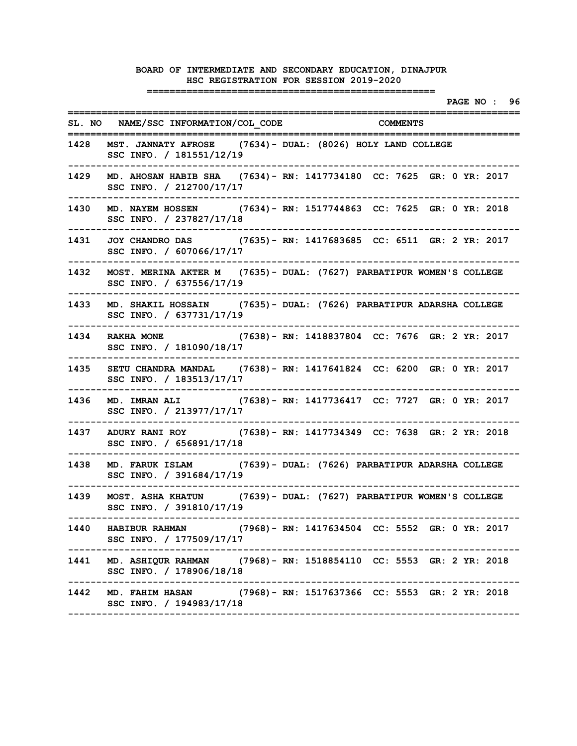|        |                                                                                                      | .==================================             |  | PAGE NO : 96 |
|--------|------------------------------------------------------------------------------------------------------|-------------------------------------------------|--|--------------|
|        | SL. NO NAME/SSC INFORMATION/COL CODE<br>==================                                           | <b>COMMENTS</b>                                 |  |              |
| 1428   | MST. JANNATY AFROSE (7634) - DUAL: (8026) HOLY LAND COLLEGE<br>SSC INFO. / 181551/12/19              |                                                 |  |              |
| 1429   | MD. AHOSAN HABIB SHA (7634) - RN: 1417734180 CC: 7625 GR: 0 YR: 2017<br>SSC INFO. / 212700/17/17     |                                                 |  |              |
| 1430   | MD. NAYEM HOSSEN (7634) - RN: 1517744863 CC: 7625 GR: 0 YR: 2018<br>SSC INFO. / 237827/17/18         |                                                 |  |              |
| 1431   | JOY CHANDRO DAS (7635) - RN: 1417683685 CC: 6511 GR: 2 YR: 2017<br>SSC INFO. / 607066/17/17          |                                                 |  |              |
| 1432   | MOST. MERINA AKTER M (7635) - DUAL: (7627) PARBATIPUR WOMEN'S COLLEGE<br>SSC INFO. / 637556/17/19    |                                                 |  |              |
| 1433 - | MD. SHAKIL HOSSAIN (7635) - DUAL: (7626) PARBATIPUR ADARSHA COLLEGE<br>SSC INFO. / 637731/17/19      |                                                 |  |              |
| 1434   | <b>RAKHA MONE</b><br>SSC INFO. / 181090/18/17                                                        | (7638) - RN: 1418837804 CC: 7676 GR: 2 YR: 2017 |  |              |
|        | 1435 SETU CHANDRA MANDAL (7638) - RN: 1417641824 CC: 6200 GR: 0 YR: 2017<br>SSC INFO. / 183513/17/17 |                                                 |  |              |
| 1436   | MD. IMRAN ALI (7638) - RN: 1417736417 CC: 7727 GR: 0 YR: 2017<br>SSC INFO. / 213977/17/17            |                                                 |  |              |
| 1437   | ADURY RANI ROY (7638) - RN: 1417734349 CC: 7638 GR: 2 YR: 2018<br>SSC INFO. / 656891/17/18           |                                                 |  |              |
| 1438   | MD. FARUK ISLAM (7639) - DUAL: (7626) PARBATIPUR ADARSHA COLLEGE<br>SSC INFO. / 391684/17/19         |                                                 |  |              |
| 1439   | MOST. ASHA KHATUN (7639) - DUAL: (7627) PARBATIPUR WOMEN'S COLLEGE<br>SSC INFO. / 391810/17/19       |                                                 |  |              |
|        | 1440 HABIBUR RAHMAN (7968) - RN: 1417634504 CC: 5552 GR: 0 YR: 2017<br>SSC INFO. / 177509/17/17      |                                                 |  |              |
|        | 1441 MD. ASHIQUR RAHMAN (7968) - RN: 1518854110 CC: 5553 GR: 2 YR: 2018<br>SSC INFO. / 178906/18/18  |                                                 |  |              |
|        | 1442 MD. FAHIM HASAN (7968) - RN: 1517637366 CC: 5553 GR: 2 YR: 2018<br>SSC INFO. / 194983/17/18     |                                                 |  |              |
|        |                                                                                                      |                                                 |  |              |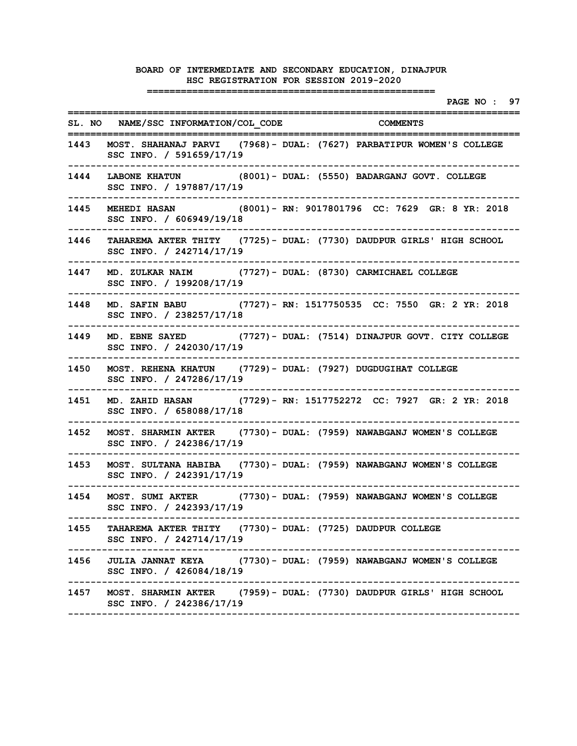|      |                                                                                                       |  | ----------      | PAGE NO : 97 |  |
|------|-------------------------------------------------------------------------------------------------------|--|-----------------|--------------|--|
|      | SL. NO NAME/SSC INFORMATION/COL CODE<br>:============                                                 |  | <b>COMMENTS</b> |              |  |
|      | 1443 MOST. SHAHANAJ PARVI (7968)- DUAL: (7627) PARBATIPUR WOMEN'S COLLEGE<br>SSC INFO. / 591659/17/19 |  |                 |              |  |
|      | 1444 LABONE KHATUN (8001) - DUAL: (5550) BADARGANJ GOVT. COLLEGE<br>SSC INFO. / 197887/17/19          |  |                 |              |  |
| 1445 | MEHEDI HASAN (8001) - RN: 9017801796 CC: 7629 GR: 8 YR: 2018<br>SSC INFO. / 606949/19/18              |  |                 |              |  |
| 1446 | TAHAREMA AKTER THITY (7725) - DUAL: (7730) DAUDPUR GIRLS' HIGH SCHOOL<br>SSC INFO. / 242714/17/19     |  |                 |              |  |
| 1447 | MD. ZULKAR NAIM (7727) - DUAL: (8730) CARMICHAEL COLLEGE<br>SSC INFO. / 199208/17/19                  |  |                 |              |  |
| 1448 | MD. SAFIN BABU (7727) - RN: 1517750535 CC: 7550 GR: 2 YR: 2018<br>SSC INFO. / 238257/17/18            |  |                 |              |  |
|      | 1449 MD. EBNE SAYED (7727) - DUAL: (7514) DINAJPUR GOVT. CITY COLLEGE<br>SSC INFO. / 242030/17/19     |  |                 |              |  |
|      | 1450 MOST. REHENA KHATUN (7729)- DUAL: (7927) DUGDUGIHAT COLLEGE<br>SSC INFO. / 247286/17/19          |  |                 |              |  |
| 1451 | MD. ZAHID HASAN (7729) - RN: 1517752272 CC: 7927 GR: 2 YR: 2018<br>SSC INFO. / 658088/17/18           |  |                 |              |  |
| 1452 | MOST. SHARMIN AKTER (7730) - DUAL: (7959) NAWABGANJ WOMEN'S COLLEGE<br>SSC INFO. / 242386/17/19       |  |                 |              |  |
| 1453 | MOST. SULTANA HABIBA (7730) - DUAL: (7959) NAWABGANJ WOMEN'S COLLEGE<br>SSC INFO. / 242391/17/19      |  |                 |              |  |
| 1454 | MOST. SUMI AKTER (7730) - DUAL: (7959) NAWABGANJ WOMEN'S COLLEGE<br>SSC INFO. / 242393/17/19          |  |                 |              |  |
|      | 1455 TAHAREMA AKTER THITY (7730) - DUAL: (7725) DAUDPUR COLLEGE<br>SSC INFO. / 242714/17/19           |  |                 |              |  |
|      | 1456 JULIA JANNAT KEYA (7730) - DUAL: (7959) NAWABGANJ WOMEN'S COLLEGE<br>SSC INFO. / 426084/18/19    |  |                 |              |  |
|      | 1457 MOST. SHARMIN AKTER (7959)- DUAL: (7730) DAUDPUR GIRLS' HIGH SCHOOL<br>SSC INFO. / 242386/17/19  |  |                 |              |  |
|      |                                                                                                       |  |                 |              |  |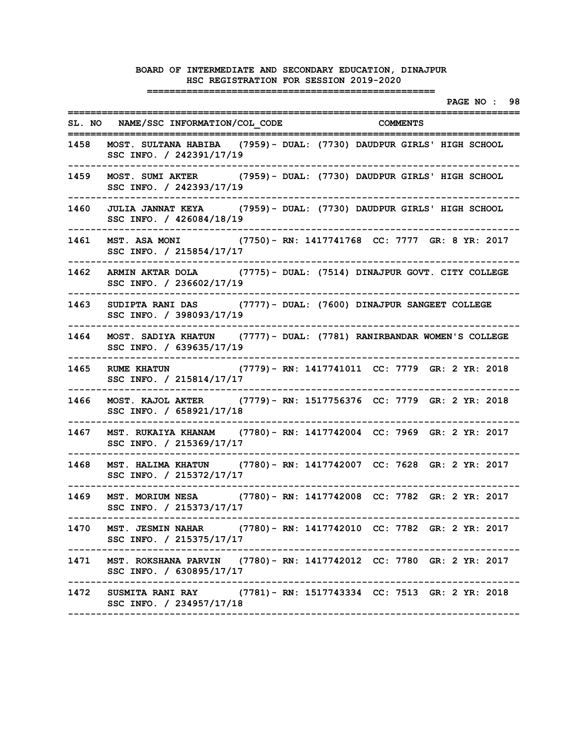|        |                                                                                                       | ============    | PAGE NO : 98 |
|--------|-------------------------------------------------------------------------------------------------------|-----------------|--------------|
|        | SL. NO NAME/SSC INFORMATION/COL CODE<br>===========                                                   | <b>COMMENTS</b> |              |
|        | 1458 MOST. SULTANA HABIBA (7959)- DUAL: (7730) DAUDPUR GIRLS' HIGH SCHOOL<br>SSC INFO. / 242391/17/19 |                 |              |
| 1459 - | MOST. SUMI AKTER (7959) - DUAL: (7730) DAUDPUR GIRLS' HIGH SCHOOL<br>SSC INFO. / 242393/17/19         |                 |              |
| 1460   | JULIA JANNAT KEYA (7959) - DUAL: (7730) DAUDPUR GIRLS' HIGH SCHOOL<br>SSC INFO. / 426084/18/19        |                 |              |
| 1461   | MST. ASA MONI (7750) - RN: 1417741768 CC: 7777 GR: 8 YR: 2017<br>SSC INFO. / 215854/17/17             |                 |              |
| 1462   | ARMIN AKTAR DOLA (7775) - DUAL: (7514) DINAJPUR GOVT. CITY COLLEGE<br>SSC INFO. / 236602/17/19        |                 |              |
| 1463   | SUDIPTA RANI DAS (7777) - DUAL: (7600) DINAJPUR SANGEET COLLEGE<br>SSC INFO. / 398093/17/19           |                 |              |
|        | 1464 MOST. SADIYA KHATUN (7777)- DUAL: (7781) RANIRBANDAR WOMEN'S COLLEGE<br>SSC INFO. / 639635/17/19 |                 |              |
| 1465   | RUME KHATUN (7779) - RN: 1417741011 CC: 7779 GR: 2 YR: 2018<br>SSC INFO. / 215814/17/17               |                 |              |
| 1466   | MOST. KAJOL AKTER (7779) - RN: 1517756376 CC: 7779 GR: 2 YR: 2018<br>SSC INFO. / 658921/17/18         |                 |              |
| 1467   | MST. RUKAIYA KHANAM (7780) - RN: 1417742004 CC: 7969 GR: 2 YR: 2017<br>SSC INFO. / 215369/17/17       |                 |              |
| 1468   | MST. HALIMA KHATUN (7780) - RN: 1417742007 CC: 7628 GR: 2 YR: 2017<br>SSC INFO. / 215372/17/17        |                 |              |
| 1469   | MST. MORIUM NESA (7780) - RN: 1417742008 CC: 7782 GR: 2 YR: 2017<br>SSC INFO. / 215373/17/17          |                 |              |
|        | 1470 MST. JESMIN NAHAR (7780) - RN: 1417742010 CC: 7782 GR: 2 YR: 2017<br>SSC INFO. / 215375/17/17    |                 |              |
|        | 1471 MST. ROKSHANA PARVIN (7780)- RN: 1417742012 CC: 7780 GR: 2 YR: 2017<br>SSC INFO. / 630895/17/17  |                 |              |
|        | 1472 SUSMITA RANI RAY (7781) - RN: 1517743334 CC: 7513 GR: 2 YR: 2018<br>SSC INFO. / 234957/17/18     |                 |              |
|        |                                                                                                       |                 |              |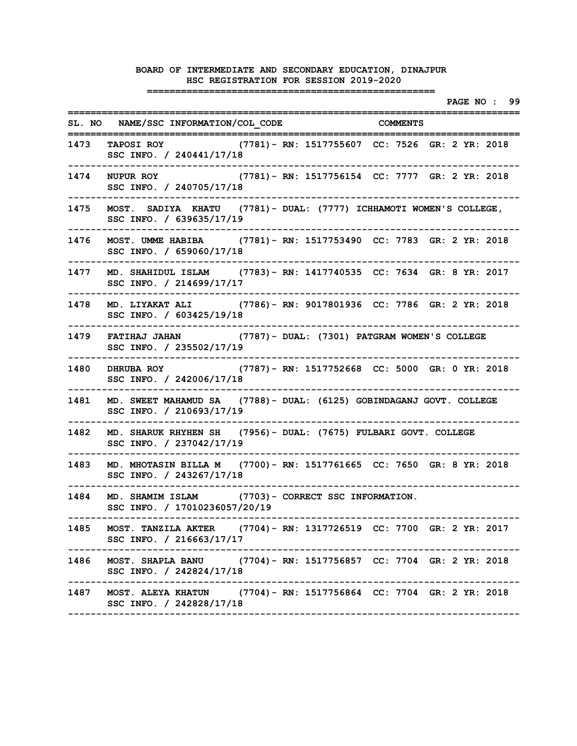|        |                                                                                                                                        |  |  |  | PAGE NO : 99 |  |
|--------|----------------------------------------------------------------------------------------------------------------------------------------|--|--|--|--------------|--|
|        | SL. NO NAME/SSC INFORMATION/COL CODE COMMENTS<br>==========                                                                            |  |  |  |              |  |
| 1473   | TAPOSI ROY (7781) - RN: 1517755607 CC: 7526 GR: 2 YR: 2018<br>SSC INFO. / 240441/17/18                                                 |  |  |  |              |  |
| 1474   | NUPUR ROY (7781) - RN: 1517756154 CC: 7777 GR: 2 YR: 2018<br>SSC INFO. / 240705/17/18                                                  |  |  |  |              |  |
| 1475   | MOST. SADIYA KHATU (7781)- DUAL: (7777) ICHHAMOTI WOMEN'S COLLEGE,<br>SSC INFO. / 639635/17/19                                         |  |  |  |              |  |
| 1476   | MOST. UMME HABIBA (7781) - RN: 1517753490 CC: 7783 GR: 2 YR: 2018<br>SSC INFO. / 659060/17/18                                          |  |  |  |              |  |
| 1477   | MD. SHAHIDUL ISLAM (7783) - RN: 1417740535 CC: 7634 GR: 8 YR: 2017<br>SSC INFO. / 214699/17/17                                         |  |  |  |              |  |
| 1478   | MD. LIYAKAT ALI (7786) - RN: 9017801936 CC: 7786 GR: 2 YR: 2018<br>SSC INFO. / 603425/19/18                                            |  |  |  |              |  |
| 1479   | FATIHAJ JAHAN (7787) - DUAL: (7301) PATGRAM WOMEN'S COLLEGE<br>SSC INFO. / 235502/17/19                                                |  |  |  |              |  |
| 1480   | DHRUBA ROY (7787) - RN: 1517752668 CC: 5000 GR: 0 YR: 2018<br>SSC INFO. / 242006/17/18                                                 |  |  |  |              |  |
| 1481   | MD. SWEET MAHAMUD SA (7788) - DUAL: (6125) GOBINDAGANJ GOVT. COLLEGE<br>SSC INFO. / 210693/17/19                                       |  |  |  |              |  |
| 1482   | MD. SHARUK RHYHEN SH (7956) - DUAL: (7675) FULBARI GOVT. COLLEGE<br>SSC INFO. / 237042/17/19                                           |  |  |  |              |  |
| 1483   | MD. MHOTASIN BILLA M (7700)- RN: 1517761665 CC: 7650 GR: 8 YR: 2018<br>SSC INFO. / 243267/17/18                                        |  |  |  |              |  |
| 1484   | MD. SHAMIM ISLAM (7703) - CORRECT SSC INFORMATION.<br>SSC INFO. / 17010236057/20/19                                                    |  |  |  |              |  |
| 1485 - | MOST. TANZILA AKTER (7704) - RN: 1317726519 CC: 7700 GR: 2 YR: 2017<br>SSC INFO. / 216663/17/17                                        |  |  |  |              |  |
|        | ---------------------------------<br>1486 MOST. SHAPLA BANU (7704)- RN: 1517756857 CC: 7704 GR: 2 YR: 2018<br>SSC INFO. / 242824/17/18 |  |  |  |              |  |
|        | -----------------------------<br>1487 MOST. ALEYA KHATUN (7704)- RN: 1517756864 CC: 7704 GR: 2 YR: 2018<br>SSC INFO. / 242828/17/18    |  |  |  |              |  |
|        |                                                                                                                                        |  |  |  |              |  |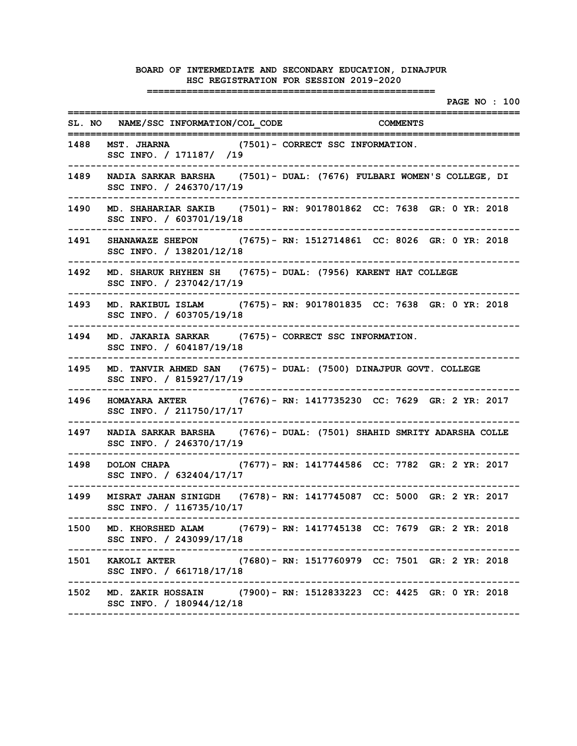|        |                                                                                                                | :=====================                     |  | <b>PAGE NO : 100</b> |
|--------|----------------------------------------------------------------------------------------------------------------|--------------------------------------------|--|----------------------|
|        | SL. NO NAME/SSC INFORMATION/COL CODE                                                                           | <b>COMMENTS</b><br>======================= |  |                      |
|        | 1488 MST. JHARNA<br>SSC INFO. / 171187/ /19                                                                    | (7501)- CORRECT SSC INFORMATION.           |  |                      |
| 1489 - | NADIA SARKAR BARSHA (7501) - DUAL: (7676) FULBARI WOMEN'S COLLEGE, DI<br>SSC INFO. / 246370/17/19              |                                            |  |                      |
| 1490 - | MD. SHAHARIAR SAKIB (7501) - RN: 9017801862 CC: 7638 GR: 0 YR: 2018<br>SSC INFO. / 603701/19/18                |                                            |  |                      |
| 1491   | SHANAWAZE SHEPON (7675) - RN: 1512714861 CC: 8026 GR: 0 YR: 2018<br>SSC INFO. / 138201/12/18                   |                                            |  |                      |
| 1492   | MD. SHARUK RHYHEN SH (7675) - DUAL: (7956) KARENT HAT COLLEGE<br>SSC INFO. / 237042/17/19                      |                                            |  |                      |
| 1493 - | MD. RAKIBUL ISLAM (7675) - RN: 9017801835 CC: 7638 GR: 0 YR: 2018<br>SSC INFO. / 603705/19/18                  |                                            |  |                      |
| 1494   | MD. JAKARIA SARKAR (7675) - CORRECT SSC INFORMATION.<br>SSC INFO. / 604187/19/18                               |                                            |  |                      |
| 1495 - | MD. TANVIR AHMED SAN (7675) - DUAL: (7500) DINAJPUR GOVT. COLLEGE<br>SSC INFO. / 815927/17/19                  |                                            |  |                      |
| 1496   | HOMAYARA AKTER (7676) - RN: 1417735230 CC: 7629 GR: 2 YR: 2017<br>SSC INFO. / 211750/17/17                     |                                            |  |                      |
| 1497   | NADIA SARKAR BARSHA (7676) - DUAL: (7501) SHAHID SMRITY ADARSHA COLLE<br>SSC INFO. / 246370/17/19              |                                            |  |                      |
| 1498   | DOLON CHAPA (7677) - RN: 1417744586 CC: 7782 GR: 2 YR: 2017<br>SSC INFO. / 632404/17/17                        |                                            |  |                      |
| 1499   | MISRAT JAHAN SINIGDH (7678) - RN: 1417745087 CC: 5000 GR: 2 YR: 2017<br>SSC INFO. / 116735/10/17               |                                            |  |                      |
|        | 1500 MD. KHORSHED ALAM (7679) - RN: 1417745138 CC: 7679 GR: 2 YR: 2018<br>SSC INFO. / 243099/17/18             |                                            |  |                      |
|        | -------------<br>1501 KAKOLI AKTER (7680) - RN: 1517760979 CC: 7501 GR: 2 YR: 2018<br>SSC INFO. / 661718/17/18 |                                            |  |                      |
|        | 1502 MD. ZAKIR HOSSAIN (7900) - RN: 1512833223 CC: 4425 GR: 0 YR: 2018<br>SSC INFO. / 180944/12/18             |                                            |  |                      |
|        |                                                                                                                |                                            |  |                      |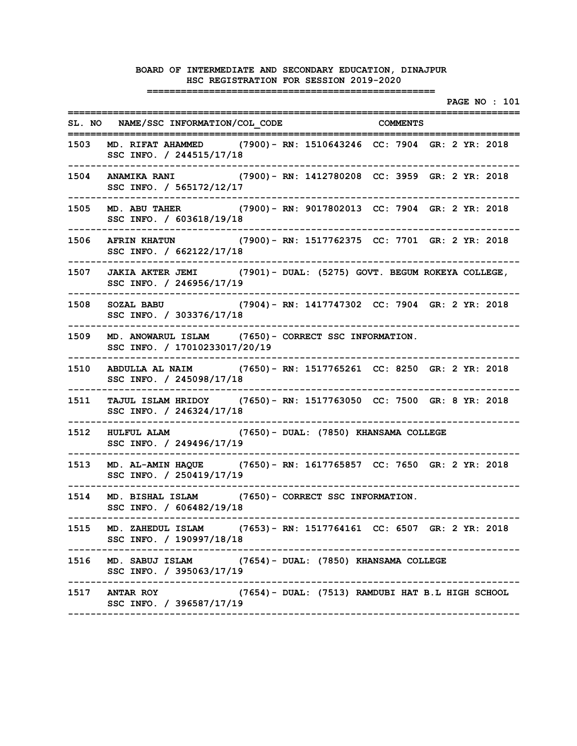|        |                                                                                                                                  |  |  |  |  | <b>PAGE NO : 101</b> |  |
|--------|----------------------------------------------------------------------------------------------------------------------------------|--|--|--|--|----------------------|--|
|        | SL. NO NAME/SSC INFORMATION/COL CODE COMMENTS                                                                                    |  |  |  |  |                      |  |
| 1503 - | MD. RIFAT AHAMMED (7900) - RN: 1510643246 CC: 7904 GR: 2 YR: 2018<br>SSC INFO. / 244515/17/18                                    |  |  |  |  |                      |  |
| 1504   | ANAMIKA RANI (7900) - RN: 1412780208 CC: 3959 GR: 2 YR: 2018<br>SSC INFO. / 565172/12/17                                         |  |  |  |  |                      |  |
| 1505   | MD. ABU TAHER (7900) - RN: 9017802013 CC: 7904 GR: 2 YR: 2018<br>SSC INFO. / 603618/19/18                                        |  |  |  |  |                      |  |
| 1506   | AFRIN KHATUN (7900) - RN: 1517762375 CC: 7701 GR: 2 YR: 2018<br>SSC INFO. / 662122/17/18                                         |  |  |  |  |                      |  |
| 1507 - | JAKIA AKTER JEMI (7901) - DUAL: (5275) GOVT. BEGUM ROKEYA COLLEGE,<br>SSC INFO. / 246956/17/19                                   |  |  |  |  |                      |  |
| 1508   | SOZAL BABU (7904) - RN: 1417747302 CC: 7904 GR: 2 YR: 2018<br>SSC INFO. / 303376/17/18                                           |  |  |  |  |                      |  |
| 1509 - | MD. ANOWARUL ISLAM (7650) - CORRECT SSC INFORMATION.<br>SSC INFO. / 17010233017/20/19                                            |  |  |  |  |                      |  |
| 1510   | ABDULLA AL NAIM (7650) - RN: 1517765261 CC: 8250 GR: 2 YR: 2018<br>SSC INFO. / 245098/17/18                                      |  |  |  |  |                      |  |
| 1511   | TAJUL ISLAM HRIDOY (7650) - RN: 1517763050 CC: 7500 GR: 8 YR: 2018<br>SSC INFO. / 246324/17/18                                   |  |  |  |  |                      |  |
| 1512   | HULFUL ALAM (7650) - DUAL: (7850) KHANSAMA COLLEGE<br>SSC INFO. / 249496/17/19                                                   |  |  |  |  |                      |  |
|        | 1513 MD. AL-AMIN HAQUE (7650) - RN: 1617765857 CC: 7650 GR: 2 YR: 2018<br>SSC INFO. / 250419/17/19                               |  |  |  |  |                      |  |
| 1514   | MD. BISHAL ISLAM (7650) - CORRECT SSC INFORMATION.<br>SSC INFO. / 606482/19/18                                                   |  |  |  |  |                      |  |
|        | 1515 MD. ZAHEDUL ISLAM (7653) - RN: 1517764161 CC: 6507 GR: 2 YR: 2018<br>SSC INFO. / 190997/18/18                               |  |  |  |  |                      |  |
|        | ---------------------------------<br>1516 MD. SABUJ ISLAM (7654) - DUAL: (7850) KHANSAMA COLLEGE<br>SSC INFO. / 395063/17/19     |  |  |  |  |                      |  |
|        | --------------------------------<br>1517 ANTAR ROY (7654) - DUAL: (7513) RAMDUBI HAT B.L HIGH SCHOOL<br>SSC INFO. / 396587/17/19 |  |  |  |  |                      |  |
|        |                                                                                                                                  |  |  |  |  |                      |  |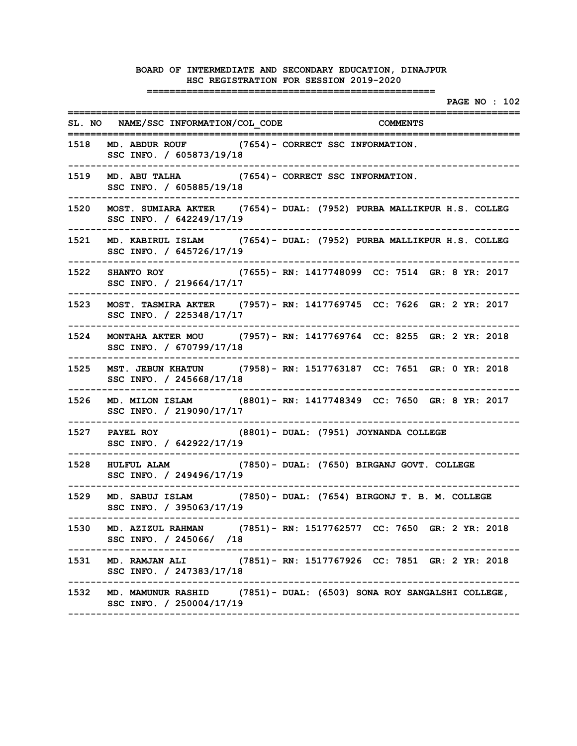|      | ---------------------                                                                                     |  | <b>PAGE NO : 102</b> |  |
|------|-----------------------------------------------------------------------------------------------------------|--|----------------------|--|
|      | SL. NO NAME/SSC INFORMATION/COL CODE COMMENTS<br>==============                                           |  |                      |  |
|      | 1518 MD. ABDUR ROUF (7654) - CORRECT SSC INFORMATION.<br>SSC INFO. / 605873/19/18                         |  |                      |  |
| 1519 | --------------------------<br>MD. ABU TALHA (7654) - CORRECT SSC INFORMATION.<br>SSC INFO. / 605885/19/18 |  |                      |  |
| 1520 | MOST. SUMIARA AKTER (7654) - DUAL: (7952) PURBA MALLIKPUR H.S. COLLEG<br>SSC INFO. / 642249/17/19         |  |                      |  |
| 1521 | MD. KABIRUL ISLAM (7654) - DUAL: (7952) PURBA MALLIKPUR H.S. COLLEG<br>SSC INFO. / 645726/17/19           |  |                      |  |
| 1522 | SHANTO ROY (7655) - RN: 1417748099 CC: 7514 GR: 8 YR: 2017<br>SSC INFO. / 219664/17/17                    |  |                      |  |
| 1523 | MOST. TASMIRA AKTER (7957) - RN: 1417769745 CC: 7626 GR: 2 YR: 2017<br>SSC INFO. / 225348/17/17           |  |                      |  |
|      | 1524 MONTAHA AKTER MOU (7957) - RN: 1417769764 CC: 8255 GR: 2 YR: 2018<br>SSC INFO. / 670799/17/18        |  |                      |  |
|      | 1525 MST. JEBUN KHATUN (7958) - RN: 1517763187 CC: 7651 GR: 0 YR: 2018<br>SSC INFO. / 245668/17/18        |  |                      |  |
| 1526 | MD. MILON ISLAM (8801) - RN: 1417748349 CC: 7650 GR: 8 YR: 2017<br>SSC INFO. / 219090/17/17               |  |                      |  |
| 1527 | PAYEL ROY (8801) - DUAL: (7951) JOYNANDA COLLEGE<br>SSC INFO. / 642922/17/19                              |  |                      |  |
| 1528 | HULFUL ALAM (7850) - DUAL: (7650) BIRGANJ GOVT. COLLEGE<br>SSC INFO. / 249496/17/19                       |  |                      |  |
| 1529 | MD. SABUJ ISLAM (7850) - DUAL: (7654) BIRGONJ T. B. M. COLLEGE<br>SSC INFO. / 395063/17/19                |  |                      |  |
|      | 1530 MD. AZIZUL RAHMAN (7851) - RN: 1517762577 CC: 7650 GR: 2 YR: 2018<br>SSC INFO. / 245066/ /18         |  |                      |  |
|      | 1531 MD. RAMJAN ALI (7851) - RN: 1517767926 CC: 7851 GR: 2 YR: 2018<br>SSC INFO. / 247383/17/18           |  |                      |  |
|      | 1532 MD. MAMUNUR RASHID (7851) - DUAL: (6503) SONA ROY SANGALSHI COLLEGE,<br>SSC INFO. / 250004/17/19     |  |                      |  |
|      |                                                                                                           |  |                      |  |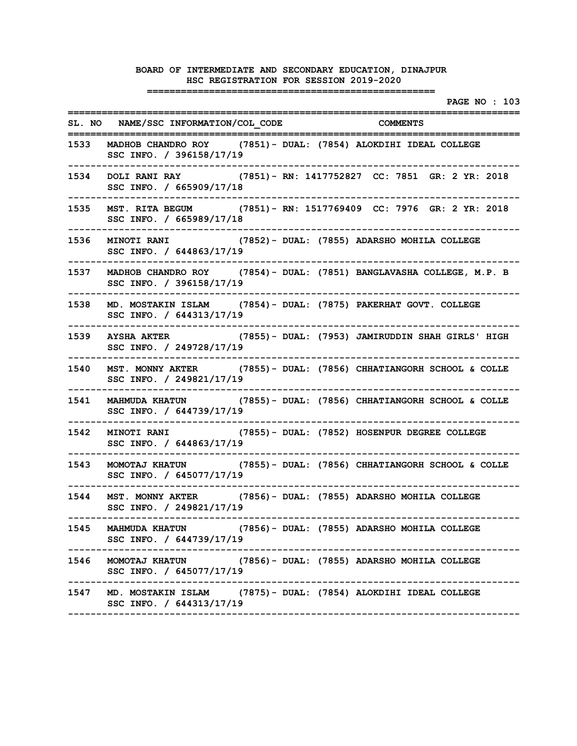|        |                                                                                                     |                                             |  |  |  | <b>PAGE NO : 103</b> |
|--------|-----------------------------------------------------------------------------------------------------|---------------------------------------------|--|--|--|----------------------|
|        | SL. NO NAME/SSC INFORMATION/COL CODE COMMENTS<br>:===========                                       |                                             |  |  |  |                      |
|        | 1533 MADHOB CHANDRO ROY (7851) - DUAL: (7854) ALOKDIHI IDEAL COLLEGE<br>SSC INFO. / 396158/17/19    |                                             |  |  |  |                      |
| 1534   | DOLI RANI RAY (7851) - RN: 1417752827 CC: 7851 GR: 2 YR: 2018<br>SSC INFO. / 665909/17/18           |                                             |  |  |  |                      |
| 1535   | MST. RITA BEGUM (7851) - RN: 1517769409 CC: 7976 GR: 2 YR: 2018<br>SSC INFO. / 665989/17/18         |                                             |  |  |  |                      |
| 1536   | MINOTI RANI (7852) - DUAL: (7855) ADARSHO MOHILA COLLEGE<br>SSC INFO. / 644863/17/19                |                                             |  |  |  |                      |
| 1537 - | MADHOB CHANDRO ROY (7854) - DUAL: (7851) BANGLAVASHA COLLEGE, M.P. B<br>SSC INFO. / 396158/17/19    |                                             |  |  |  |                      |
| 1538   | MD. MOSTAKIN ISLAM (7854) - DUAL: (7875) PAKERHAT GOVT. COLLEGE<br>SSC INFO. / 644313/17/19         |                                             |  |  |  |                      |
|        | 1539 AYSHA AKTER (7855)- DUAL: (7953) JAMIRUDDIN SHAH GIRLS' HIGH<br>SSC INFO. / 249728/17/19       |                                             |  |  |  |                      |
|        | 1540 MST. MONNY AKTER (7855) - DUAL: (7856) CHHATIANGORH SCHOOL & COLLE<br>SSC INFO. / 249821/17/19 |                                             |  |  |  |                      |
| 1541   | MAHMUDA KHATUN (7855) - DUAL: (7856) CHHATIANGORH SCHOOL & COLLE<br>SSC INFO. / 644739/17/19        |                                             |  |  |  |                      |
| 1542   | MINOTI RANI (7855) - DUAL: (7852) HOSENPUR DEGREE COLLEGE<br>SSC INFO. / 644863/17/19               |                                             |  |  |  |                      |
| 1543   | MOMOTAJ KHATUN (7855) - DUAL: (7856) CHHATIANGORH SCHOOL & COLLE<br>SSC INFO. / 645077/17/19        |                                             |  |  |  |                      |
| 1544   | MST. MONNY AKTER (7856) – DUAL: (7855) ADARSHO MOHILA COLLEGE<br>SSC INFO. / 249821/17/19           |                                             |  |  |  |                      |
|        | 1545 MAHMUDA KHATUN<br>SSC INFO. / 644739/17/19                                                     | (7856)– DUAL: (7855) ADARSHO MOHILA COLLEGE |  |  |  |                      |
|        | 1546 MOMOTAJ KHATUN (7856)- DUAL: (7855) ADARSHO MOHILA COLLEGE<br>SSC INFO. / 645077/17/19         |                                             |  |  |  |                      |
|        | 1547 MD. MOSTAKIN ISLAM (7875)- DUAL: (7854) ALOKDIHI IDEAL COLLEGE<br>SSC INFO. / 644313/17/19     |                                             |  |  |  |                      |
|        |                                                                                                     |                                             |  |  |  |                      |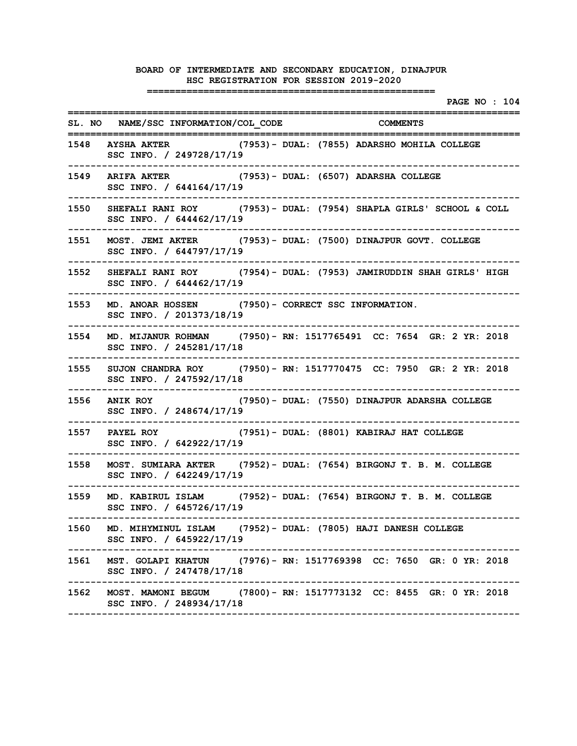|        |                                                                                                                    | <b>PAGE NO : 104</b><br>====================                       |
|--------|--------------------------------------------------------------------------------------------------------------------|--------------------------------------------------------------------|
|        | SL. NO NAME/SSC INFORMATION/COL CODE THE COMMENTS                                                                  |                                                                    |
|        | 1548 AYSHA AKTER (7953) - DUAL: (7855) ADARSHO MOHILA COLLEGE<br>SSC INFO. / 249728/17/19<br>--------------------- |                                                                    |
|        | 1549 ARIFA AKTER (7953)- DUAL: (6507) ADARSHA COLLEGE<br>SSC INFO. / 644164/17/19                                  |                                                                    |
| 1550   | SHEFALI RANI ROY (7953) - DUAL: (7954) SHAPLA GIRLS' SCHOOL & COLL<br>SSC INFO. / 644462/17/19                     |                                                                    |
| 1551   | MOST. JEMI AKTER (7953) - DUAL: (7500) DINAJPUR GOVT. COLLEGE<br>SSC INFO. / 644797/17/19                          |                                                                    |
| 1552   | SSC INFO. / 644462/17/19                                                                                           | SHEFALI RANI ROY (7954) - DUAL: (7953) JAMIRUDDIN SHAH GIRLS' HIGH |
| 1553   | MD. ANOAR HOSSEN (7950) - CORRECT SSC INFORMATION.<br>SSC INFO. / 201373/18/19                                     |                                                                    |
|        | 1554 MD. MIJANUR ROHMAN (7950) - RN: 1517765491 CC: 7654 GR: 2 YR: 2018<br>SSC INFO. / 245281/17/18                |                                                                    |
| 1555 — | SUJON CHANDRA ROY (7950) - RN: 1517770475 CC: 7950 GR: 2 YR: 2018<br>SSC INFO. / 247592/17/18                      |                                                                    |
| 1556   | ANIK ROY (7950) - DUAL: (7550) DINAJPUR ADARSHA COLLEGE<br>SSC INFO. / 248674/17/19                                |                                                                    |
| 1557 - | PAYEL ROY (7951) - DUAL: (8801) KABIRAJ HAT COLLEGE<br>SSC INFO. / 642922/17/19                                    |                                                                    |
| 1558   | MOST. SUMIARA AKTER (7952) - DUAL: (7654) BIRGONJ T. B. M. COLLEGE<br>SSC INFO. / 642249/17/19                     |                                                                    |
| 1559   | MD. KABIRUL ISLAM (7952) - DUAL: (7654) BIRGONJ T. B. M. COLLEGE<br>SSC INFO. / 645726/17/19                       |                                                                    |
|        | 1560 MD. MIHYMINUL ISLAM (7952)- DUAL: (7805) HAJI DANESH COLLEGE<br>SSC INFO. / 645922/17/19                      |                                                                    |
|        | 1561 MST. GOLAPI KHATUN (7976)- RN: 1517769398 CC: 7650 GR: 0 YR: 2018<br>SSC INFO. / 247478/17/18                 |                                                                    |
|        | 1562 MOST. MAMONI BEGUM (7800) - RN: 1517773132 CC: 8455 GR: 0 YR: 2018<br>SSC INFO. / 248934/17/18                |                                                                    |
|        |                                                                                                                    |                                                                    |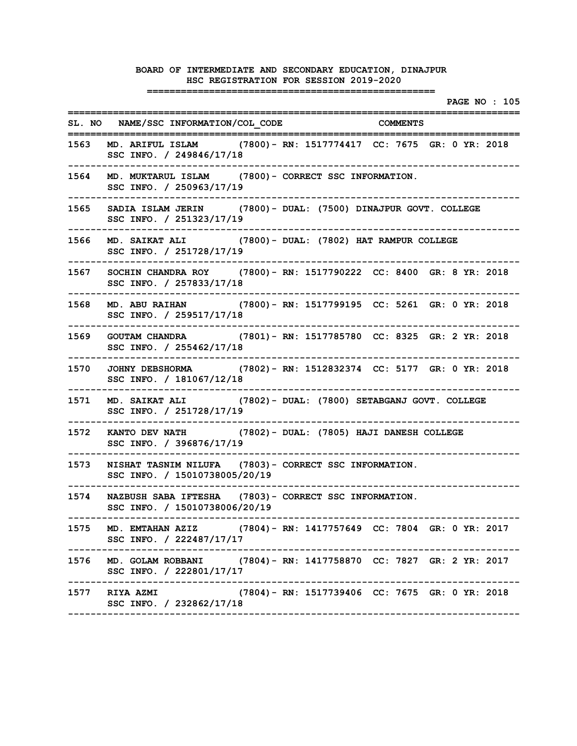|        |                                                                                                                     |                             |  |  | <b>PAGE NO : 105</b> |
|--------|---------------------------------------------------------------------------------------------------------------------|-----------------------------|--|--|----------------------|
|        | SL. NO NAME/SSC INFORMATION/COL CODE COMMENTS<br>=============                                                      |                             |  |  |                      |
|        | 1563 MD. ARIFUL ISLAM (7800) – RN: 1517774417 CC: 7675 GR: 0 YR: 2018<br>SSC INFO. / 249846/17/18                   |                             |  |  |                      |
| 1564   | -----------------------<br>MD. MUKTARUL ISLAM (7800) - CORRECT SSC INFORMATION.<br>SSC INFO. / 250963/17/19         |                             |  |  |                      |
| 1565   | SADIA ISLAM JERIN (7800) - DUAL: (7500) DINAJPUR GOVT. COLLEGE<br>SSC INFO. / 251323/17/19                          |                             |  |  |                      |
| 1566   | MD. SAIKAT ALI (7800) - DUAL: (7802) HAT RAMPUR COLLEGE<br>SSC INFO. / 251728/17/19                                 |                             |  |  |                      |
| 1567 - | SOCHIN CHANDRA ROY (7800) - RN: 1517790222 CC: 8400 GR: 8 YR: 2018<br>SSC INFO. / 257833/17/18                      |                             |  |  |                      |
| 1568   | MD. ABU RAIHAN (7800) - RN: 1517799195 CC: 5261 GR: 0 YR: 2018<br>SSC INFO. / 259517/17/18                          |                             |  |  |                      |
| 1569   | GOUTAM CHANDRA (7801) - RN: 1517785780 CC: 8325 GR: 2 YR: 2018<br>SSC INFO. / 255462/17/18                          |                             |  |  |                      |
| 1570   | --------------------<br>JOHNY DEBSHORMA (7802) - RN: 1512832374 CC: 5177 GR: 0 YR: 2018<br>SSC INFO. / 181067/12/18 |                             |  |  |                      |
| 1571   | MD. SAIKAT ALI (7802) - DUAL: (7800) SETABGANJ GOVT. COLLEGE<br>SSC INFO. / 251728/17/19                            |                             |  |  |                      |
| 1572   | KANTO DEV NATH (7802) - DUAL: (7805) HAJI DANESH COLLEGE<br>SSC INFO. / 396876/17/19                                |                             |  |  |                      |
| 1573   | NISHAT TASNIM NILUFA (7803) - CORRECT SSC INFORMATION.<br>SSC INFO. / 15010738005/20/19                             |                             |  |  |                      |
| 1574   | NAZBUSH SABA IFTESHA (7803) - CORRECT SSC INFORMATION.<br>SSC INFO. / 15010738006/20/19                             |                             |  |  |                      |
|        | 1575 MD. EMTAHAN AZIZ (7804)- RN: 1417757649 CC: 7804 GR: 0 YR: 2017<br>SSC INFO. / 222487/17/17                    | --------------------------- |  |  |                      |
| 1576   | . <u>.</u> .<br>MD. GOLAM ROBBANI (7804) - RN: 1417758870 CC: 7827 GR: 2 YR: 2017<br>SSC INFO. / 222801/17/17       |                             |  |  |                      |
|        | 1577 RIYA AZMI<br>(7804)– RN: 1517739406 CC: 7675 GR: 0 YR: 2018<br>SSC INFO. / 232862/17/18                        |                             |  |  |                      |
|        |                                                                                                                     |                             |  |  |                      |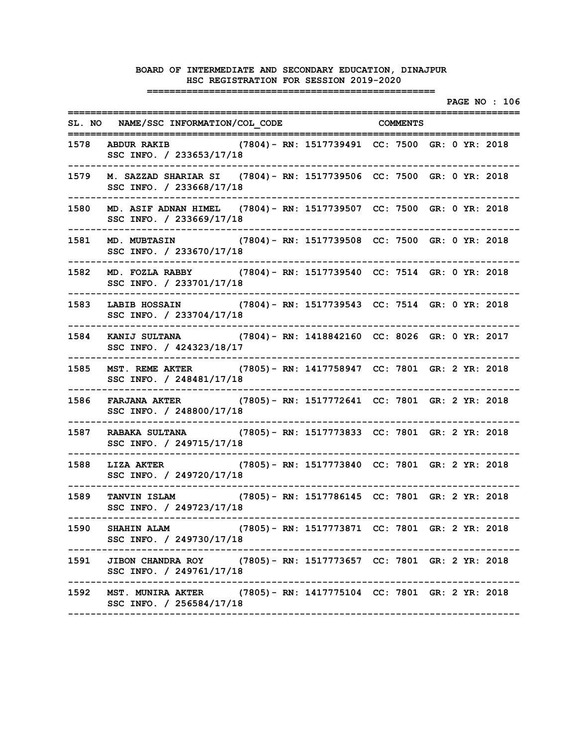**PAGE NO : 106 ================================================================================** SL. NO NAME/SSC INFORMATION/COL CODE COMMENTS **================================================================================ 1578 ABDUR RAKIB (7804)- RN: 1517739491 CC: 7500 GR: 0 YR: 2018 SSC INFO. / 233653/17/18 -------------------------------------------------------------------------------- 1579 M. SAZZAD SHARIAR SI (7804)- RN: 1517739506 CC: 7500 GR: 0 YR: 2018 SSC INFO. / 233668/17/18 -------------------------------------------------------------------------------- 1580 MD. ASIF ADNAN HIMEL (7804)- RN: 1517739507 CC: 7500 GR: 0 YR: 2018 SSC INFO. / 233669/17/18 -------------------------------------------------------------------------------- 1581 MD. MUBTASIN (7804)- RN: 1517739508 CC: 7500 GR: 0 YR: 2018 SSC INFO. / 233670/17/18 -------------------------------------------------------------------------------- 1582 MD. FOZLA RABBY (7804)- RN: 1517739540 CC: 7514 GR: 0 YR: 2018 SSC INFO. / 233701/17/18 -------------------------------------------------------------------------------- 1583 LABIB HOSSAIN (7804)- RN: 1517739543 CC: 7514 GR: 0 YR: 2018 SSC INFO. / 233704/17/18 -------------------------------------------------------------------------------- 1584 KANIJ SULTANA (7804)- RN: 1418842160 CC: 8026 GR: 0 YR: 2017 SSC INFO. / 424323/18/17 -------------------------------------------------------------------------------- 1585 MST. REME AKTER (7805)- RN: 1417758947 CC: 7801 GR: 2 YR: 2018 SSC INFO. / 248481/17/18 -------------------------------------------------------------------------------- 1586 FARJANA AKTER (7805)- RN: 1517772641 CC: 7801 GR: 2 YR: 2018 SSC INFO. / 248800/17/18 -------------------------------------------------------------------------------- 1587 RABAKA SULTANA (7805)- RN: 1517773833 CC: 7801 GR: 2 YR: 2018 SSC INFO. / 249715/17/18 -------------------------------------------------------------------------------- 1588 LIZA AKTER (7805)- RN: 1517773840 CC: 7801 GR: 2 YR: 2018 SSC INFO. / 249720/17/18 -------------------------------------------------------------------------------- 1589 TANVIN ISLAM (7805)- RN: 1517786145 CC: 7801 GR: 2 YR: 2018 SSC INFO. / 249723/17/18 -------------------------------------------------------------------------------- 1590 SHAHIN ALAM (7805)- RN: 1517773871 CC: 7801 GR: 2 YR: 2018 SSC INFO. / 249730/17/18 -------------------------------------------------------------------------------- 1591 JIBON CHANDRA ROY (7805)- RN: 1517773657 CC: 7801 GR: 2 YR: 2018 SSC INFO. / 249761/17/18 -------------------------------------------------------------------------------- 1592 MST. MUNIRA AKTER (7805)- RN: 1417775104 CC: 7801 GR: 2 YR: 2018 SSC INFO. / 256584/17/18 --------------------------------------------------------------------------------**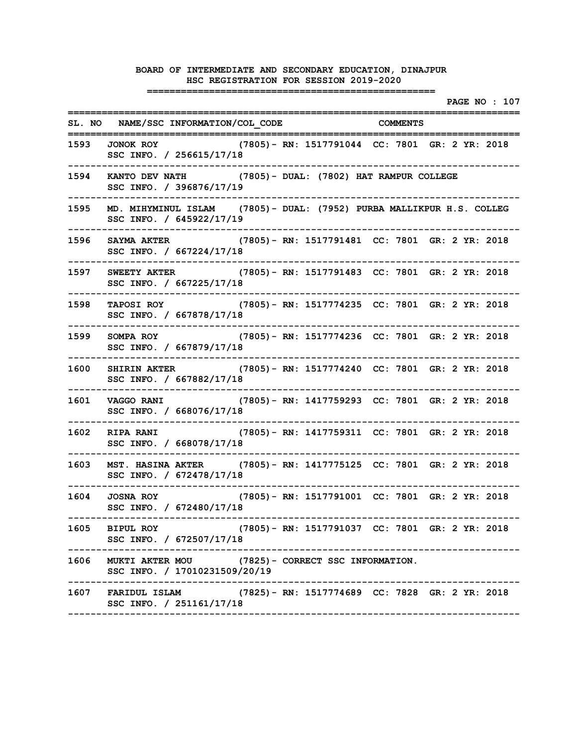|        |                                                                                                     |  |                                                 |  |  |  | <b>PAGE NO : 107</b> |
|--------|-----------------------------------------------------------------------------------------------------|--|-------------------------------------------------|--|--|--|----------------------|
|        | SL. NO NAME/SSC INFORMATION/COL CODE COMMENTS                                                       |  |                                                 |  |  |  |                      |
| 1593 - | ==========<br>JONOK ROY (7805) - RN: 1517791044 CC: 7801 GR: 2 YR: 2018<br>SSC INFO. / 256615/17/18 |  | ,____________________________________           |  |  |  |                      |
| 1594   | KANTO DEV NATH (7805) - DUAL: (7802) HAT RAMPUR COLLEGE<br>SSC INFO. / 396876/17/19                 |  |                                                 |  |  |  |                      |
| 1595   | MD. MIHYMINUL ISLAM (7805)- DUAL: (7952) PURBA MALLIKPUR H.S. COLLEG<br>SSC INFO. / 645922/17/19    |  |                                                 |  |  |  |                      |
| 1596   | SAYMA AKTER (7805) - RN: 1517791481 CC: 7801 GR: 2 YR: 2018<br>SSC INFO. / 667224/17/18             |  |                                                 |  |  |  |                      |
| 1597   | SWEETY AKTER (7805) - RN: 1517791483 CC: 7801 GR: 2 YR: 2018<br>SSC INFO. / 667225/17/18            |  |                                                 |  |  |  |                      |
| 1598   | TAPOSI ROY (7805) - RN: 1517774235 CC: 7801 GR: 2 YR: 2018<br>SSC INFO. / 667878/17/18              |  |                                                 |  |  |  |                      |
| 1599   | SOMPA ROY (7805) - RN: 1517774236 CC: 7801 GR: 2 YR: 2018<br>SSC INFO. / 667879/17/18               |  |                                                 |  |  |  |                      |
| 1600   | SHIRIN AKTER (7805) - RN: 1517774240 CC: 7801 GR: 2 YR: 2018<br>SSC INFO. / 667882/17/18            |  |                                                 |  |  |  |                      |
| 1601   | VAGGO RANI (7805) - RN: 1417759293 CC: 7801 GR: 2 YR: 2018<br>SSC INFO. / 668076/17/18              |  |                                                 |  |  |  |                      |
| 1602   | RIPA RANI (7805) - RN: 1417759311 CC: 7801 GR: 2 YR: 2018<br>SSC INFO. / 668078/17/18               |  |                                                 |  |  |  |                      |
| 1603   | MST. HASINA AKTER (7805) - RN: 1417775125 CC: 7801 GR: 2 YR: 2018<br>SSC INFO. / 672478/17/18       |  |                                                 |  |  |  |                      |
| 1604   | (7805) - RN: 1517791001 CC: 7801 GR: 2 YR: 2018<br><b>JOSNA ROY</b><br>SSC INFO. / 672480/17/18     |  |                                                 |  |  |  |                      |
|        | 1605 BIPUL ROY<br>SSC INFO. / 672507/17/18                                                          |  | (7805) - RN: 1517791037 CC: 7801 GR: 2 YR: 2018 |  |  |  |                      |
|        | 1606 MUKTI AKTER MOU (7825) - CORRECT SSC INFORMATION.<br>SSC INFO. / 17010231509/20/19             |  |                                                 |  |  |  |                      |
|        | 1607 FARIDUL ISLAM (7825) - RN: 1517774689 CC: 7828 GR: 2 YR: 2018<br>SSC INFO. / 251161/17/18      |  |                                                 |  |  |  |                      |
|        |                                                                                                     |  |                                                 |  |  |  |                      |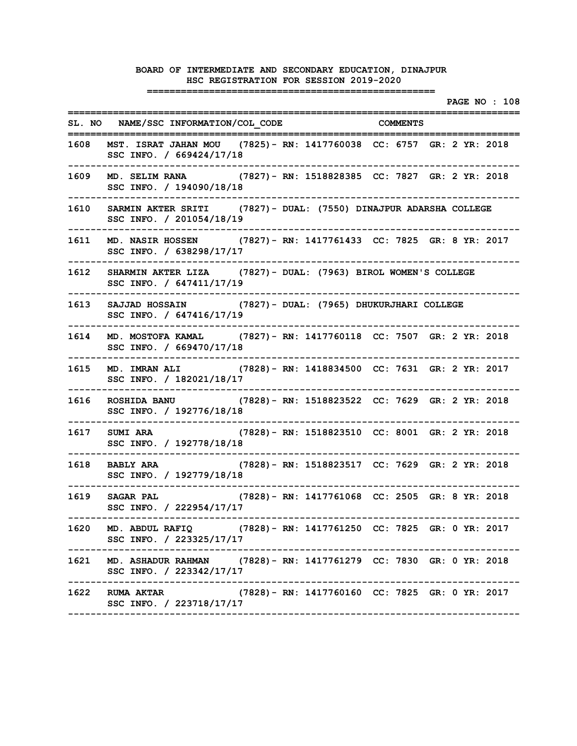|      |                                                                                                      |  |                                                |  |  | <b>PAGE NO : 108</b> |  |
|------|------------------------------------------------------------------------------------------------------|--|------------------------------------------------|--|--|----------------------|--|
|      | SL. NO NAME/SSC INFORMATION/COL CODE COMMENTS<br>============                                        |  |                                                |  |  |                      |  |
|      | 1608 MST. ISRAT JAHAN MOU (7825)- RN: 1417760038 CC: 6757 GR: 2 YR: 2018<br>SSC INFO. / 669424/17/18 |  |                                                |  |  |                      |  |
| 1609 | MD. SELIM RANA (7827) - RN: 1518828385 CC: 7827 GR: 2 YR: 2018<br>SSC INFO. / 194090/18/18           |  |                                                |  |  |                      |  |
| 1610 | SARMIN AKTER SRITI (7827) - DUAL: (7550) DINAJPUR ADARSHA COLLEGE<br>SSC INFO. / 201054/18/19        |  |                                                |  |  |                      |  |
| 1611 | MD. NASIR HOSSEN (7827) - RN: 1417761433 CC: 7825 GR: 8 YR: 2017<br>SSC INFO. / 638298/17/17         |  |                                                |  |  |                      |  |
| 1612 | SHARMIN AKTER LIZA (7827) - DUAL: (7963) BIROL WOMEN'S COLLEGE<br>SSC INFO. / 647411/17/19           |  |                                                |  |  |                      |  |
| 1613 | SAJJAD HOSSAIN (7827) - DUAL: (7965) DHUKURJHARI COLLEGE<br>SSC INFO. / 647416/17/19                 |  |                                                |  |  |                      |  |
| 1614 | MD. MOSTOFA KAMAL (7827) - RN: 1417760118 CC: 7507 GR: 2 YR: 2018<br>SSC INFO. / 669470/17/18        |  |                                                |  |  |                      |  |
| 1615 | MD. IMRAN ALI (7828) - RN: 1418834500 CC: 7631 GR: 2 YR: 2017<br>SSC INFO. / 182021/18/17            |  |                                                |  |  |                      |  |
| 1616 | ROSHIDA BANU (7828) - RN: 1518823522 CC: 7629 GR: 2 YR: 2018<br>SSC INFO. / 192776/18/18             |  |                                                |  |  |                      |  |
| 1617 | (7828) – RN: 1518823510 CC: 8001 GR: 2 YR: 2018<br><b>SUMI ARA</b><br>SSC INFO. / 192778/18/18       |  |                                                |  |  |                      |  |
| 1618 | BABLY ARA (7828) - RN: 1518823517 CC: 7629 GR: 2 YR: 2018<br>SSC INFO. / 192779/18/18                |  |                                                |  |  |                      |  |
| 1619 | <b>SAGAR PAL</b><br>SSC INFO. / 222954/17/17                                                         |  | (7828)– RN: 1417761068 CC: 2505 GR: 8 YR: 2018 |  |  |                      |  |
|      | 1620 MD. ABDUL RAFIQ (7828) - RN: 1417761250 CC: 7825 GR: 0 YR: 2017<br>SSC INFO. / 223325/17/17     |  |                                                |  |  |                      |  |
| 1621 | MD. ASHADUR RAHMAN (7828) - RN: 1417761279 CC: 7830 GR: 0 YR: 2018<br>SSC INFO. / 223342/17/17       |  |                                                |  |  |                      |  |
|      | ---------------------------<br>1622 RUMA AKTAR<br>SSC INFO. / 223718/17/17                           |  | (7828)– RN: 1417760160 CC: 7825 GR: 0 YR: 2017 |  |  |                      |  |
|      |                                                                                                      |  |                                                |  |  |                      |  |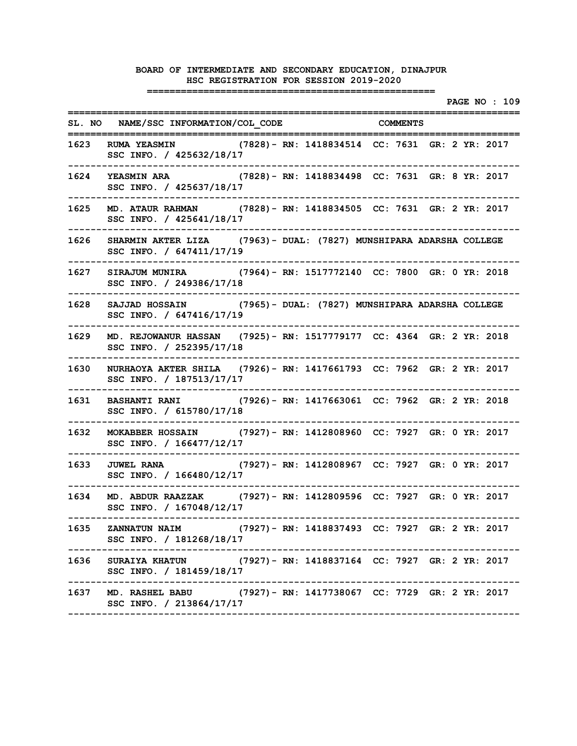|        |                                                                                                  |  |                                                 |  |  | <b>PAGE NO : 109</b> |  |
|--------|--------------------------------------------------------------------------------------------------|--|-------------------------------------------------|--|--|----------------------|--|
|        | SL. NO NAME/SSC INFORMATION/COL CODE COMMENTS<br>=========                                       |  |                                                 |  |  |                      |  |
| 1623   | RUMA YEASMIN (7828) - RN: 1418834514 CC: 7631 GR: 2 YR: 2017<br>SSC INFO. / 425632/18/17         |  |                                                 |  |  |                      |  |
| 1624   | YEASMIN ARA (7828) - RN: 1418834498 CC: 7631 GR: 8 YR: 2017<br>SSC INFO. / 425637/18/17          |  |                                                 |  |  |                      |  |
| 1625   | MD. ATAUR RAHMAN (7828) - RN: 1418834505 CC: 7631 GR: 2 YR: 2017<br>SSC INFO. / 425641/18/17     |  |                                                 |  |  |                      |  |
| 1626   | SHARMIN AKTER LIZA (7963) - DUAL: (7827) MUNSHIPARA ADARSHA COLLEGE<br>SSC INFO. / 647411/17/19  |  |                                                 |  |  |                      |  |
| 1627   | SIRAJUM MUNIRA (7964) - RN: 1517772140 CC: 7800 GR: 0 YR: 2018<br>SSC INFO. / 249386/17/18       |  |                                                 |  |  |                      |  |
| 1628   | SAJJAD HOSSAIN (7965) - DUAL: (7827) MUNSHIPARA ADARSHA COLLEGE<br>SSC INFO. / 647416/17/19      |  |                                                 |  |  |                      |  |
| 1629   | MD. REJOWANUR HASSAN (7925) - RN: 1517779177 CC: 4364 GR: 2 YR: 2018<br>SSC INFO. / 252395/17/18 |  |                                                 |  |  |                      |  |
| 1630   | NURHAOYA AKTER SHILA (7926) - RN: 1417661793 CC: 7962 GR: 2 YR: 2017<br>SSC INFO. / 187513/17/17 |  |                                                 |  |  |                      |  |
| 1631   | BASHANTI RANI (7926) - RN: 1417663061 CC: 7962 GR: 2 YR: 2018<br>SSC INFO. / 615780/17/18        |  |                                                 |  |  |                      |  |
| 1632   | MOKABBER HOSSAIN (7927) - RN: 1412808960 CC: 7927 GR: 0 YR: 2017<br>SSC INFO. / 166477/12/17     |  |                                                 |  |  |                      |  |
| 1633   | <b>JUWEL RANA</b><br>SSC INFO. / 166480/12/17                                                    |  | (7927)– RN: 1412808967 CC: 7927 GR: 0 YR: 2017  |  |  |                      |  |
| 1634   | MD. ABDUR RAAZZAK (7927) - RN: 1412809596 CC: 7927 GR: 0 YR: 2017<br>SSC INFO. / 167048/12/17    |  |                                                 |  |  |                      |  |
|        | 1635 ZANNATUN NAIM<br>SSC INFO. / 181268/18/17                                                   |  | (7927) - RN: 1418837493 CC: 7927 GR: 2 YR: 2017 |  |  |                      |  |
| 1636 - | SURAIYA KHATUN (7927) - RN: 1418837164 CC: 7927 GR: 2 YR: 2017<br>SSC INFO. / 181459/18/17       |  |                                                 |  |  |                      |  |
|        | 1637 MD. RASHEL BABU (7927) - RN: 1417738067 CC: 7729 GR: 2 YR: 2017<br>SSC INFO. / 213864/17/17 |  |                                                 |  |  |                      |  |
|        |                                                                                                  |  |                                                 |  |  |                      |  |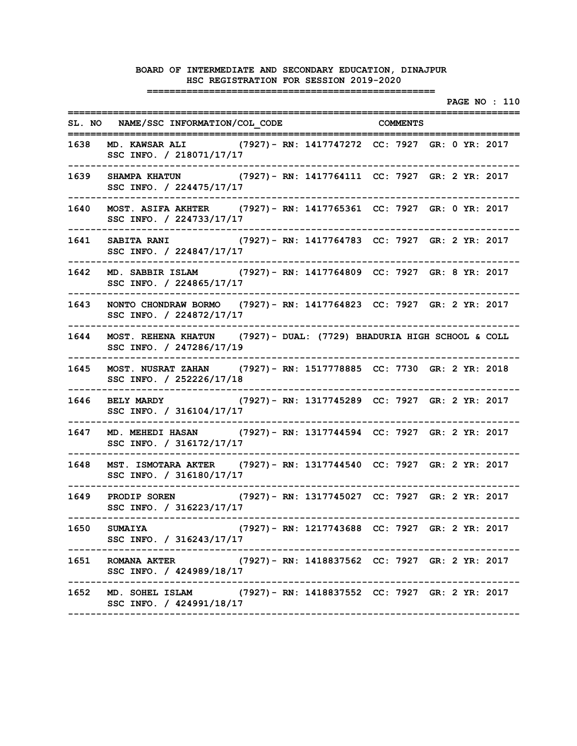**PAGE NO : 110 ================================================================================** SL. NO NAME/SSC INFORMATION/COL CODE COMMENTS **================================================================================ 1638 MD. KAWSAR ALI (7927)- RN: 1417747272 CC: 7927 GR: 0 YR: 2017 SSC INFO. / 218071/17/17 -------------------------------------------------------------------------------- 1639 SHAMPA KHATUN (7927)- RN: 1417764111 CC: 7927 GR: 2 YR: 2017 SSC INFO. / 224475/17/17 -------------------------------------------------------------------------------- 1640 MOST. ASIFA AKHTER (7927)- RN: 1417765361 CC: 7927 GR: 0 YR: 2017 SSC INFO. / 224733/17/17 -------------------------------------------------------------------------------- 1641 SABITA RANI (7927)- RN: 1417764783 CC: 7927 GR: 2 YR: 2017 SSC INFO. / 224847/17/17 -------------------------------------------------------------------------------- 1642 MD. SABBIR ISLAM (7927)- RN: 1417764809 CC: 7927 GR: 8 YR: 2017 SSC INFO. / 224865/17/17 -------------------------------------------------------------------------------- 1643 NONTO CHONDRAW BORMO (7927)- RN: 1417764823 CC: 7927 GR: 2 YR: 2017 SSC INFO. / 224872/17/17 -------------------------------------------------------------------------------- 1644 MOST. REHENA KHATUN (7927)- DUAL: (7729) BHADURIA HIGH SCHOOL & COLL SSC INFO. / 247286/17/19 -------------------------------------------------------------------------------- 1645 MOST. NUSRAT ZAHAN (7927)- RN: 1517778885 CC: 7730 GR: 2 YR: 2018 SSC INFO. / 252226/17/18 -------------------------------------------------------------------------------- 1646 BELY MARDY (7927)- RN: 1317745289 CC: 7927 GR: 2 YR: 2017 SSC INFO. / 316104/17/17 -------------------------------------------------------------------------------- 1647 MD. MEHEDI HASAN (7927)- RN: 1317744594 CC: 7927 GR: 2 YR: 2017 SSC INFO. / 316172/17/17 -------------------------------------------------------------------------------- 1648 MST. ISMOTARA AKTER (7927)- RN: 1317744540 CC: 7927 GR: 2 YR: 2017 SSC INFO. / 316180/17/17 -------------------------------------------------------------------------------- 1649 PRODIP SOREN (7927)- RN: 1317745027 CC: 7927 GR: 2 YR: 2017 SSC INFO. / 316223/17/17 -------------------------------------------------------------------------------- 1650 SUMAIYA (7927)- RN: 1217743688 CC: 7927 GR: 2 YR: 2017 SSC INFO. / 316243/17/17 -------------------------------------------------------------------------------- 1651 ROMANA AKTER (7927)- RN: 1418837562 CC: 7927 GR: 2 YR: 2017 SSC INFO. / 424989/18/17 -------------------------------------------------------------------------------- 1652 MD. SOHEL ISLAM (7927)- RN: 1418837552 CC: 7927 GR: 2 YR: 2017 SSC INFO. / 424991/18/17 --------------------------------------------------------------------------------**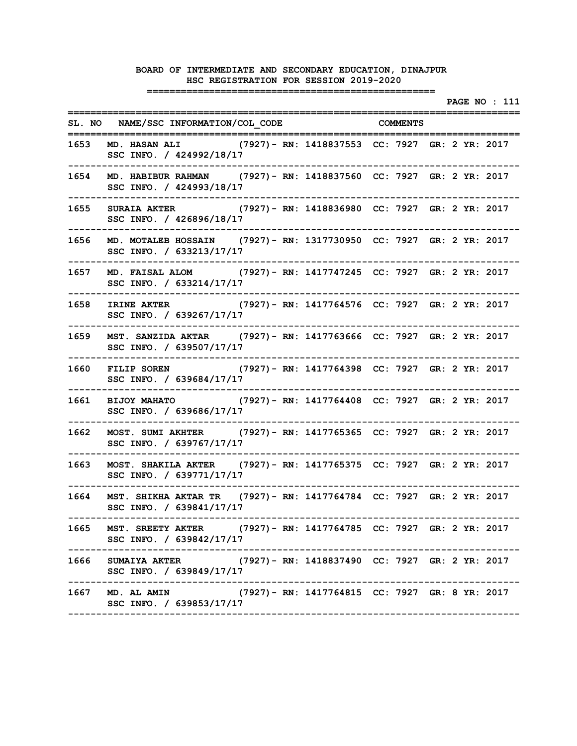**PAGE NO : 111**

|      | ==================                                                                                             |                                                 |                 |  |  |
|------|----------------------------------------------------------------------------------------------------------------|-------------------------------------------------|-----------------|--|--|
|      | SL. NO NAME/SSC INFORMATION/COL CODE<br>====================================                                   | .========================                       | <b>COMMENTS</b> |  |  |
| 1653 | MD. HASAN ALI (7927) - RN: 1418837553 CC: 7927 GR: 2 YR: 2017<br>SSC INFO. / 424992/18/17<br>----------------- |                                                 |                 |  |  |
| 1654 | MD. HABIBUR RAHMAN (7927) - RN: 1418837560 CC: 7927 GR: 2 YR: 2017<br>SSC INFO. / 424993/18/17                 |                                                 |                 |  |  |
|      | 1655 SURAIA AKTER (7927) - RN: 1418836980 CC: 7927 GR: 2 YR: 2017<br>SSC INFO. / 426896/18/17                  |                                                 |                 |  |  |
| 1656 | MD. MOTALEB HOSSAIN (7927) - RN: 1317730950 CC: 7927 GR: 2 YR: 2017<br>SSC INFO. / 633213/17/17                |                                                 |                 |  |  |
| 1657 | MD. FAISAL ALOM (7927) - RN: 1417747245 CC: 7927 GR: 2 YR: 2017<br>SSC INFO. / 633214/17/17                    |                                                 |                 |  |  |
| 1658 | IRINE AKTER (7927) - RN: 1417764576 CC: 7927 GR: 2 YR: 2017<br>SSC INFO. / 639267/17/17                        |                                                 |                 |  |  |
| 1659 | MST. SANZIDA AKTAR (7927) - RN: 1417763666 CC: 7927 GR: 2 YR: 2017<br>SSC INFO. / 639507/17/17                 |                                                 |                 |  |  |
| 1660 | FILIP SOREN (7927) - RN: 1417764398 CC: 7927 GR: 2 YR: 2017<br>SSC INFO. / 639684/17/17                        |                                                 |                 |  |  |
| 1661 | BIJOY MAHATO (7927) - RN: 1417764408 CC: 7927 GR: 2 YR: 2017<br>SSC INFO. / 639686/17/17                       |                                                 |                 |  |  |
| 1662 | MOST. SUMI AKHTER (7927) - RN: 1417765365 CC: 7927 GR: 2 YR: 2017<br>SSC INFO. / 639767/17/17                  |                                                 |                 |  |  |
| 1663 | MOST. SHAKILA AKTER (7927) - RN: 1417765375 CC: 7927 GR: 2 YR: 2017<br>SSC INFO. / 639771/17/17                |                                                 |                 |  |  |
| 1664 | MST. SHIKHA AKTAR TR (7927) - RN: 1417764784 CC: 7927 GR: 2 YR: 2017<br>SSC INFO. / 639841/17/17               |                                                 |                 |  |  |
|      | 1665 MST. SREETY AKTER (7927) - RN: 1417764785 CC: 7927 GR: 2 YR: 2017<br>SSC INFO. / 639842/17/17             |                                                 |                 |  |  |
|      | 1666 SUMAIYA AKTER (7927) - RN: 1418837490 CC: 7927 GR: 2 YR: 2017<br>SSC INFO. / 639849/17/17                 |                                                 |                 |  |  |
|      | 1667 MD. AL AMIN<br>SSC INFO. / 639853/17/17                                                                   | (7927) - RN: 1417764815 CC: 7927 GR: 8 YR: 2017 |                 |  |  |
|      |                                                                                                                |                                                 |                 |  |  |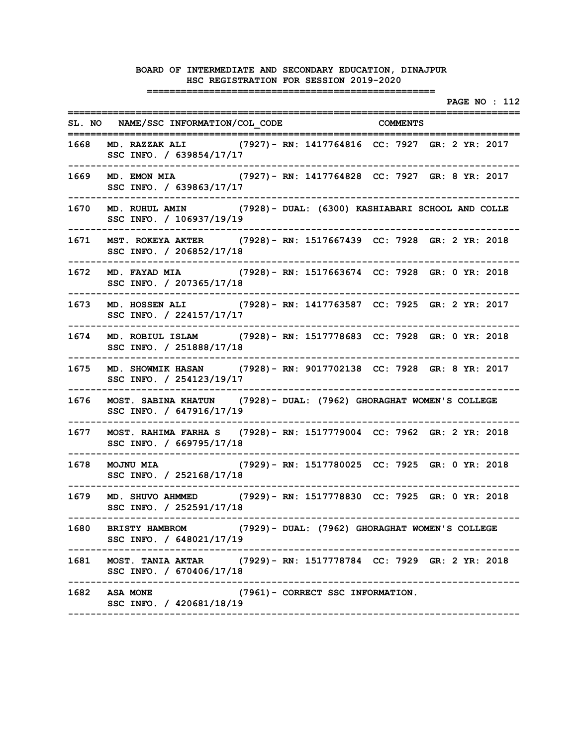|      |                                                                                                       |                                                 | <b>PAGE NO : 112</b> |
|------|-------------------------------------------------------------------------------------------------------|-------------------------------------------------|----------------------|
|      | SL. NO NAME/SSC INFORMATION/COL CODE COMMENTS                                                         |                                                 |                      |
| 1668 | =======<br>MD. RAZZAK ALI (7927) - RN: 1417764816 CC: 7927 GR: 2 YR: 2017<br>SSC INFO. / 639854/17/17 |                                                 |                      |
| 1669 | MD. EMON MIA (7927) - RN: 1417764828 CC: 7927 GR: 8 YR: 2017<br>SSC INFO. / 639863/17/17              |                                                 |                      |
| 1670 | MD. RUHUL AMIN (7928) - DUAL: (6300) KASHIABARI SCHOOL AND COLLE<br>SSC INFO. / 106937/19/19          |                                                 |                      |
| 1671 | MST. ROKEYA AKTER (7928) - RN: 1517667439 CC: 7928 GR: 2 YR: 2018<br>SSC INFO. / 206852/17/18         |                                                 |                      |
| 1672 | MD. FAYAD MIA (7928) - RN: 1517663674 CC: 7928 GR: 0 YR: 2018<br>SSC INFO. / 207365/17/18             |                                                 |                      |
| 1673 | MD. HOSSEN ALI (7928) - RN: 1417763587 CC: 7925 GR: 2 YR: 2017<br>SSC INFO. / 224157/17/17            |                                                 |                      |
| 1674 | MD. ROBIUL ISLAM (7928) - RN: 1517778683 CC: 7928 GR: 0 YR: 2018<br>SSC INFO. / 251888/17/18          |                                                 |                      |
| 1675 | MD. SHOWMIK HASAN (7928) - RN: 9017702138 CC: 7928 GR: 8 YR: 2017<br>SSC INFO. / 254123/19/17         |                                                 |                      |
| 1676 | MOST. SABINA KHATUN (7928) - DUAL: (7962) GHORAGHAT WOMEN'S COLLEGE<br>SSC INFO. / 647916/17/19       |                                                 |                      |
| 1677 | MOST. RAHIMA FARHA S (7928) - RN: 1517779004 CC: 7962 GR: 2 YR: 2018<br>SSC INFO. / 669795/17/18      |                                                 |                      |
| 1678 | <b>MOJNU MIA</b><br>SSC INFO. / 252168/17/18                                                          | (7929)- RN: 1517780025 CC: 7925 GR: 0 YR: 2018  |                      |
| 1679 | MD. SHUVO AHMMED (7929) - RN: 1517778830 CC: 7925 GR: 0 YR: 2018<br>SSC INFO. / 252591/17/18          |                                                 |                      |
|      | 1680 BRISTY HAMBROM<br>SSC INFO. / 648021/17/19                                                       | (7929) - DUAL: (7962) GHORAGHAT WOMEN'S COLLEGE |                      |
|      | 1681 MOST. TANIA AKTAR (7929) - RN: 1517778784 CC: 7929 GR: 2 YR: 2018<br>SSC INFO. / 670406/17/18    |                                                 |                      |
|      | ----------------------------<br>1682 ASA MONE<br>SSC INFO. / 420681/18/19                             | (7961) - CORRECT SSC INFORMATION.               |                      |
|      |                                                                                                       |                                                 |                      |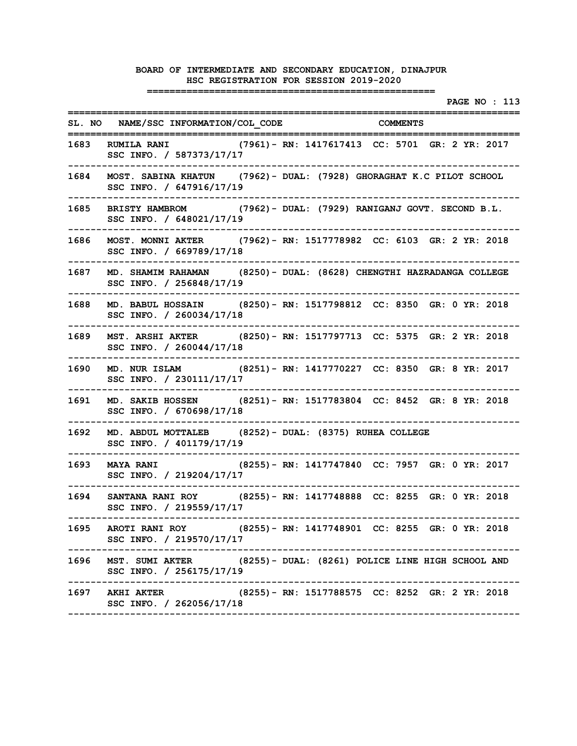|        |                                                                                                                 |                                                |  |  |  | <b>PAGE NO : 113</b> |  |
|--------|-----------------------------------------------------------------------------------------------------------------|------------------------------------------------|--|--|--|----------------------|--|
|        | SL. NO NAME/SSC INFORMATION/COL CODE COMMENTS                                                                   |                                                |  |  |  |                      |  |
| 1683   | =========<br>RUMILA RANI (7961) - RN: 1417617413 CC: 5701 GR: 2 YR: 2017<br>SSC INFO. / 587373/17/17            |                                                |  |  |  |                      |  |
| 1684   | MOST. SABINA KHATUN (7962) - DUAL: (7928) GHORAGHAT K.C PILOT SCHOOL<br>SSC INFO. / 647916/17/19                |                                                |  |  |  |                      |  |
| 1685   | BRISTY HAMBROM (7962) - DUAL: (7929) RANIGANJ GOVT. SECOND B.L.<br>SSC INFO. / 648021/17/19                     |                                                |  |  |  |                      |  |
| 1686   | MOST. MONNI AKTER (7962) - RN: 1517778982 CC: 6103 GR: 2 YR: 2018<br>SSC INFO. / 669789/17/18                   |                                                |  |  |  |                      |  |
| 1687   | MD. SHAMIM RAHAMAN (8250) - DUAL: (8628) CHENGTHI HAZRADANGA COLLEGE<br>SSC INFO. / 256848/17/19                |                                                |  |  |  |                      |  |
| 1688   | MD. BABUL HOSSAIN (8250) - RN: 1517798812 CC: 8350 GR: 0 YR: 2018<br>SSC INFO. / 260034/17/18                   |                                                |  |  |  |                      |  |
| 1689 - | MST. ARSHI AKTER (8250) - RN: 1517797713 CC: 5375 GR: 2 YR: 2018<br>SSC INFO. / 260044/17/18                    |                                                |  |  |  |                      |  |
| 1690 - | MD. NUR ISLAM (8251) - RN: 1417770227 CC: 8350 GR: 8 YR: 2017<br>SSC INFO. / 230111/17/17                       |                                                |  |  |  |                      |  |
| 1691   | MD. SAKIB HOSSEN (8251) - RN: 1517783804 CC: 8452 GR: 8 YR: 2018<br>SSC INFO. / 670698/17/18                    |                                                |  |  |  |                      |  |
| 1692   | MD. ABDUL MOTTALEB (8252) - DUAL: (8375) RUHEA COLLEGE<br>SSC INFO. / 401179/17/19                              |                                                |  |  |  |                      |  |
| 1693   | <b>MAYA RANI</b><br>SSC INFO. / 219204/17/17                                                                    | (8255)– RN: 1417747840 CC: 7957 GR: 0 YR: 2017 |  |  |  |                      |  |
| 1694   | SANTANA RANI ROY (8255) - RN: 1417748888 CC: 8255 GR: 0 YR: 2018<br>SSC INFO. / 219559/17/17                    |                                                |  |  |  |                      |  |
|        | 1695 AROTI RANI ROY (8255) - RN: 1417748901 CC: 8255 GR: 0 YR: 2018<br>SSC INFO. / 219570/17/17                 |                                                |  |  |  |                      |  |
|        | 1696 MST. SUMI AKTER (8255) - DUAL: (8261) POLICE LINE HIGH SCHOOL AND<br>SSC INFO. / 256175/17/19              |                                                |  |  |  |                      |  |
|        | -----------------<br>1697 AKHI AKTER (8255)- RN: 1517788575 CC: 8252 GR: 2 YR: 2018<br>SSC INFO. / 262056/17/18 |                                                |  |  |  |                      |  |
|        |                                                                                                                 |                                                |  |  |  |                      |  |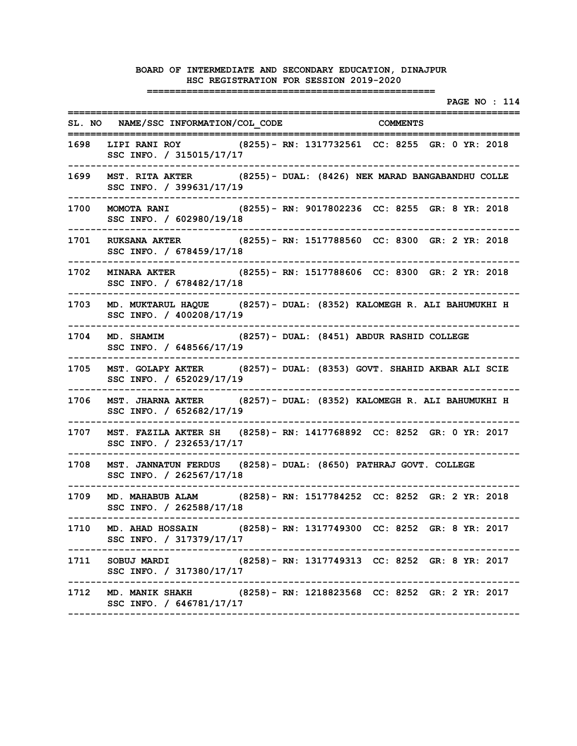|        |                                                                                                   | <b>PAGE NO : 114</b> |
|--------|---------------------------------------------------------------------------------------------------|----------------------|
|        | SL. NO NAME/SSC INFORMATION/COL CODE COMMENTS                                                     |                      |
| 1698   | LIPI RANI ROY (8255) - RN: 1317732561 CC: 8255 GR: 0 YR: 2018<br>SSC INFO. / 315015/17/17         |                      |
| 1699   | MST. RITA AKTER (8255) - DUAL: (8426) NEK MARAD BANGABANDHU COLLE<br>SSC INFO. / 399631/17/19     |                      |
| 1700   | MOMOTA RANI (8255) - RN: 9017802236 CC: 8255 GR: 8 YR: 2018<br>SSC INFO. / 602980/19/18           |                      |
| 1701   | RUKSANA AKTER (8255) - RN: 1517788560 CC: 8300 GR: 2 YR: 2018<br>SSC INFO. / 678459/17/18         |                      |
| 1702   | MINARA AKTER (8255) - RN: 1517788606 CC: 8300 GR: 2 YR: 2018<br>SSC INFO. / 678482/17/18          |                      |
| 1703 - | MD. MUKTARUL HAQUE (8257) - DUAL: (8352) KALOMEGH R. ALI BAHUMUKHI H<br>SSC INFO. / 400208/17/19  |                      |
| 1704   | MD. SHAMIM (8257) - DUAL: (8451) ABDUR RASHID COLLEGE<br>SSC INFO. / 648566/17/19                 |                      |
| 1705   | MST. GOLAPY AKTER (8257) - DUAL: (8353) GOVT. SHAHID AKBAR ALI SCIE<br>SSC INFO. / 652029/17/19   |                      |
| 1706   | MST. JHARNA AKTER (8257) - DUAL: (8352) KALOMEGH R. ALI BAHUMUKHI H<br>SSC INFO. / 652682/17/19   |                      |
| 1707   | MST. FAZILA AKTER SH (8258) - RN: 1417768892 CC: 8252 GR: 0 YR: 2017<br>SSC INFO. / 232653/17/17  |                      |
| 1708   | MST. JANNATUN FERDUS (8258) - DUAL: (8650) PATHRAJ GOVT. COLLEGE<br>SSC INFO. / 262567/17/18      |                      |
| 1709   | MD. MAHABUB ALAM (8258) - RN: 1517784252 CC: 8252 GR: 2 YR: 2018<br>SSC INFO. / 262588/17/18      |                      |
|        | 1710 MD. AHAD HOSSAIN (8258) - RN: 1317749300 CC: 8252 GR: 8 YR: 2017<br>SSC INFO. / 317379/17/17 |                      |
|        | 1711 SOBUJ MARDI (8258) - RN: 1317749313 CC: 8252 GR: 8 YR: 2017<br>SSC INFO. / 317380/17/17      |                      |
|        | 1712 MD. MANIK SHAKH (8258) - RN: 1218823568 CC: 8252 GR: 2 YR: 2017<br>SSC INFO. / 646781/17/17  |                      |
|        |                                                                                                   |                      |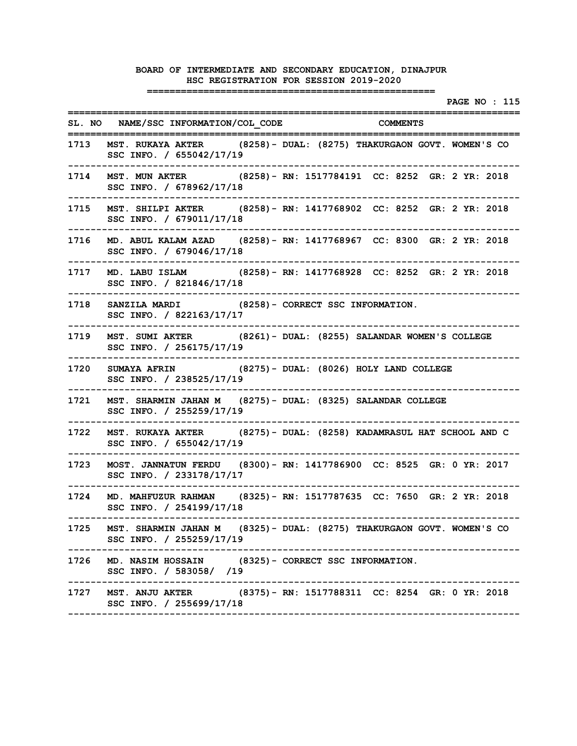# **PAGE NO : 115 ================================================================================** SL. NO NAME/SSC INFORMATION/COL CODE COMMENTS **================================================================================ 1713 MST. RUKAYA AKTER (8258)- DUAL: (8275) THAKURGAON GOVT. WOMEN'S CO SSC INFO. / 655042/17/19 -------------------------------------------------------------------------------- 1714 MST. MUN AKTER (8258)- RN: 1517784191 CC: 8252 GR: 2 YR: 2018 SSC INFO. / 678962/17/18 -------------------------------------------------------------------------------- 1715 MST. SHILPI AKTER (8258)- RN: 1417768902 CC: 8252 GR: 2 YR: 2018 SSC INFO. / 679011/17/18 -------------------------------------------------------------------------------- 1716 MD. ABUL KALAM AZAD (8258)- RN: 1417768967 CC: 8300 GR: 2 YR: 2018 SSC INFO. / 679046/17/18 -------------------------------------------------------------------------------- 1717 MD. LABU ISLAM (8258)- RN: 1417768928 CC: 8252 GR: 2 YR: 2018 SSC INFO. / 821846/17/18 -------------------------------------------------------------------------------- 1718 SANZILA MARDI (8258)- CORRECT SSC INFORMATION. SSC INFO. / 822163/17/17 -------------------------------------------------------------------------------- 1719 MST. SUMI AKTER (8261)- DUAL: (8255) SALANDAR WOMEN'S COLLEGE SSC INFO. / 256175/17/19 -------------------------------------------------------------------------------- 1720 SUMAYA AFRIN (8275)- DUAL: (8026) HOLY LAND COLLEGE SSC INFO. / 238525/17/19 -------------------------------------------------------------------------------- 1721 MST. SHARMIN JAHAN M (8275)- DUAL: (8325) SALANDAR COLLEGE SSC INFO. / 255259/17/19 -------------------------------------------------------------------------------- 1722 MST. RUKAYA AKTER (8275)- DUAL: (8258) KADAMRASUL HAT SCHOOL AND C SSC INFO. / 655042/17/19 -------------------------------------------------------------------------------- 1723 MOST. JANNATUN FERDU (8300)- RN: 1417786900 CC: 8525 GR: 0 YR: 2017 SSC INFO. / 233178/17/17 -------------------------------------------------------------------------------- 1724 MD. MAHFUZUR RAHMAN (8325)- RN: 1517787635 CC: 7650 GR: 2 YR: 2018 SSC INFO. / 254199/17/18 -------------------------------------------------------------------------------- 1725 MST. SHARMIN JAHAN M (8325)- DUAL: (8275) THAKURGAON GOVT. WOMEN'S CO SSC INFO. / 255259/17/19 -------------------------------------------------------------------------------- 1726 MD. NASIM HOSSAIN (8325)- CORRECT SSC INFORMATION. SSC INFO. / 583058/ /19 -------------------------------------------------------------------------------- 1727 MST. ANJU AKTER (8375)- RN: 1517788311 CC: 8254 GR: 0 YR: 2018 SSC INFO. / 255699/17/18 --------------------------------------------------------------------------------**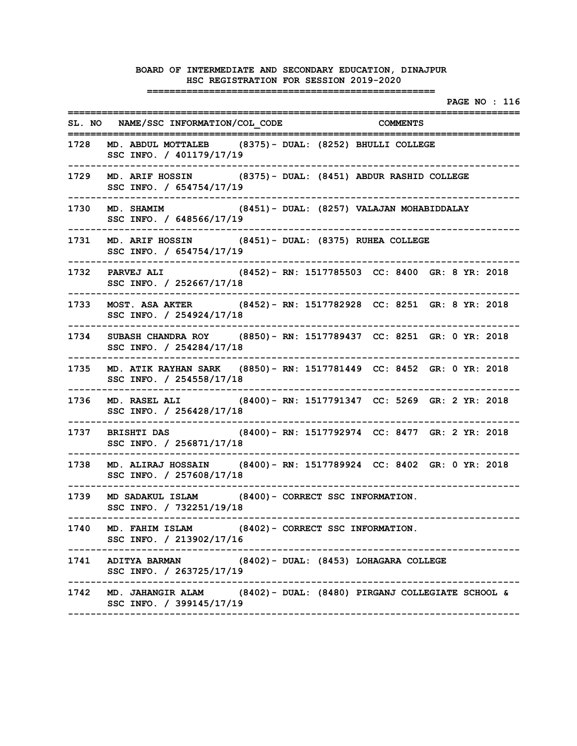|        |                                                                                      | =====================                                                    | <b>PAGE NO : 116</b> |
|--------|--------------------------------------------------------------------------------------|--------------------------------------------------------------------------|----------------------|
|        | SL. NO NAME/SSC INFORMATION/COL CODE COMMENTS                                        |                                                                          | :=================== |
|        | SSC INFO. / 401179/17/19                                                             | 1728 MD. ABDUL MOTTALEB (8375) - DUAL: (8252) BHULLI COLLEGE             |                      |
|        | -----------------------------<br>SSC INFO. / 654754/17/19                            | 1729 MD. ARIF HOSSIN (8375) - DUAL: (8451) ABDUR RASHID COLLEGE          |                      |
|        | SSC INFO. / 648566/17/19                                                             | 1730 MD. SHAMIM (8451)- DUAL: (8257) VALAJAN MOHABIDDALAY                |                      |
|        | 1731 MD. ARIF HOSSIN (8451) - DUAL: (8375) RUHEA COLLEGE<br>SSC INFO. / 654754/17/19 |                                                                          |                      |
|        | SSC INFO. / 252667/17/18                                                             | 1732 PARVEJ ALI (8452) - RN: 1517785503 CC: 8400 GR: 8 YR: 2018          |                      |
|        | SSC INFO. / 254924/17/18                                                             | 1733 MOST. ASA AKTER (8452) - RN: 1517782928 CC: 8251 GR: 8 YR: 2018     |                      |
|        | SSC INFO. / 254284/17/18                                                             | 1734 SUBASH CHANDRA ROY (8850) - RN: 1517789437 CC: 8251 GR: 0 YR: 2018  |                      |
|        | ----------------------------<br>SSC INFO. / 254558/17/18                             | 1735 MD. ATIK RAYHAN SARK (8850)- RN: 1517781449 CC: 8452 GR: 0 YR: 2018 |                      |
|        | SSC INFO. / 256428/17/18                                                             | 1736 MD. RASEL ALI (8400) - RN: 1517791347 CC: 5269 GR: 2 YR: 2018       |                      |
| 1737   | SSC INFO. / 256871/17/18                                                             | BRISHTI DAS (8400) - RN: 1517792974 CC: 8477 GR: 2 YR: 2018              |                      |
| 1738 - | SSC INFO. / 257608/17/18                                                             | MD. ALIRAJ HOSSAIN (8400) - RN: 1517789924 CC: 8402 GR: 0 YR: 2018       |                      |
| 1739   | MD SADAKUL ISLAM (8400) - CORRECT SSC INFORMATION.<br>SSC INFO. / 732251/19/18       |                                                                          |                      |
|        | 1740 MD. FAHIM ISLAM (8402) - CORRECT SSC INFORMATION.<br>SSC INFO. / 213902/17/16   |                                                                          |                      |
|        | SSC INFO. / 263725/17/19                                                             | 1741 ADITYA BARMAN (8402) - DUAL: (8453) LOHAGARA COLLEGE                |                      |
|        | SSC INFO. / 399145/17/19                                                             | 1742 MD. JAHANGIR ALAM (8402)- DUAL: (8480) PIRGANJ COLLEGIATE SCHOOL &  |                      |
|        |                                                                                      |                                                                          |                      |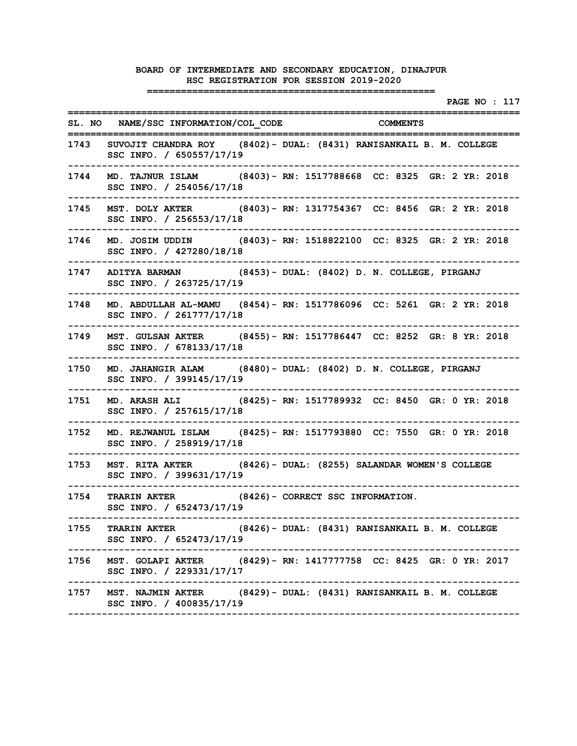|      |                                                                                                               |                                                |  |  |  |  | <b>PAGE NO : 117</b> |
|------|---------------------------------------------------------------------------------------------------------------|------------------------------------------------|--|--|--|--|----------------------|
|      | SL. NO NAME/SSC INFORMATION/COL CODE COMMENTS<br>==========                                                   |                                                |  |  |  |  |                      |
|      | 1743   SUVOJIT CHANDRA ROY     (8402)- DUAL: (8431) RANISANKAIL B. M. COLLEGE<br>SSC INFO. / 650557/17/19     |                                                |  |  |  |  |                      |
| 1744 | -------------<br>MD. TAJNUR ISLAM (8403) - RN: 1517788668 CC: 8325 GR: 2 YR: 2018<br>SSC INFO. / 254056/17/18 |                                                |  |  |  |  |                      |
| 1745 | MST. DOLY AKTER (8403) - RN: 1317754367 CC: 8456 GR: 2 YR: 2018<br>SSC INFO. / 256553/17/18                   |                                                |  |  |  |  |                      |
| 1746 | MD. JOSIM UDDIN (8403) - RN: 1518822100 CC: 8325 GR: 2 YR: 2018<br>SSC INFO. / 427280/18/18                   |                                                |  |  |  |  |                      |
| 1747 | ADITYA BARMAN (8453) - DUAL: (8402) D. N. COLLEGE, PIRGANJ<br>SSC INFO. / 263725/17/19                        |                                                |  |  |  |  |                      |
|      | 1748 MD. ABDULLAH AL-MAMU (8454)- RN: 1517786096 CC: 5261 GR: 2 YR: 2018<br>SSC INFO. / 261777/17/18          |                                                |  |  |  |  |                      |
|      | 1749 MST. GULSAN AKTER (8455) - RN: 1517786447 CC: 8252 GR: 8 YR: 2018<br>SSC INFO. / 678133/17/18            |                                                |  |  |  |  |                      |
| 1750 | MD. JAHANGIR ALAM (8480) - DUAL: (8402) D. N. COLLEGE, PIRGANJ<br>SSC INFO. / 399145/17/19                    |                                                |  |  |  |  |                      |
| 1751 | MD. AKASH ALI (8425) - RN: 1517789932 CC: 8450 GR: 0 YR: 2018<br>SSC INFO. / 257615/17/18                     |                                                |  |  |  |  |                      |
| 1752 | MD. REJWANUL ISLAM (8425) - RN: 1517793880 CC: 7550 GR: 0 YR: 2018<br>SSC INFO. / 258919/17/18                |                                                |  |  |  |  |                      |
| 1753 | MST. RITA AKTER (8426) - DUAL: (8255) SALANDAR WOMEN'S COLLEGE<br>SSC INFO. / 399631/17/19                    |                                                |  |  |  |  |                      |
| 1754 | TRARIN AKTER (8426) - CORRECT SSC INFORMATION.<br>SSC INFO. / 652473/17/19                                    |                                                |  |  |  |  |                      |
|      | ----------------------------<br>1755 TRARIN AKTER<br>SSC INFO. / 652473/17/19                                 | (8426)– DUAL: (8431) RANISANKAIL B. M. COLLEGE |  |  |  |  |                      |
|      | 1756 MST. GOLAPI AKTER (8429) - RN: 1417777758 CC: 8425 GR: 0 YR: 2017<br>SSC INFO. / 229331/17/17            |                                                |  |  |  |  |                      |
|      | 1757   MST. NAJMIN AKTER      (8429)- DUAL: (8431) RANISANKAIL B. M. COLLEGE<br>SSC INFO. / 400835/17/19      |                                                |  |  |  |  |                      |
|      |                                                                                                               |                                                |  |  |  |  |                      |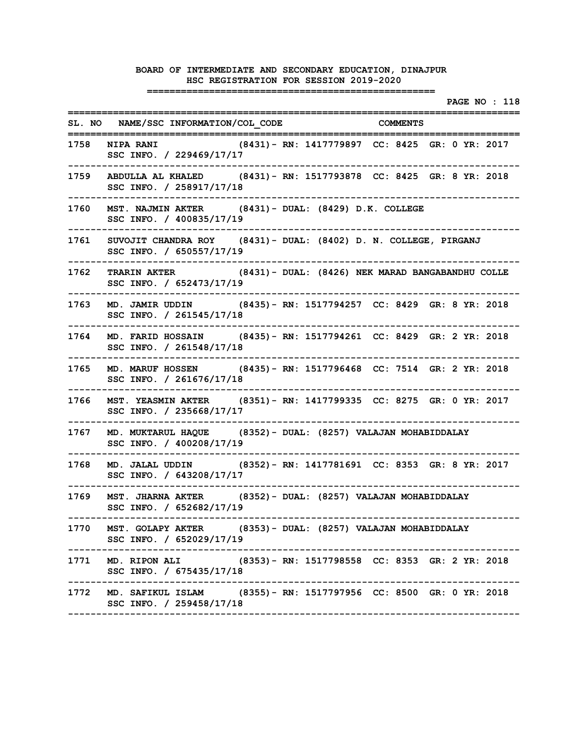|      |                                                                                                                                       | <b>PAGE NO : 118</b> |
|------|---------------------------------------------------------------------------------------------------------------------------------------|----------------------|
|      | SL. NO NAME/SSC INFORMATION/COL CODE COMMENTS                                                                                         |                      |
| 1758 | :============<br>NIPA RANI (8431) - RN: 1417779897 CC: 8425 GR: 0 YR: 2017<br>SSC INFO. / 229469/17/17                                |                      |
| 1759 | ABDULLA AL KHALED (8431) - RN: 1517793878 CC: 8425 GR: 8 YR: 2018<br>SSC INFO. / 258917/17/18                                         |                      |
| 1760 | MST. NAJMIN AKTER (8431) - DUAL: (8429) D.K. COLLEGE<br>SSC INFO. / 400835/17/19                                                      |                      |
| 1761 | SUVOJIT CHANDRA ROY (8431) - DUAL: (8402) D. N. COLLEGE, PIRGANJ<br>SSC INFO. / 650557/17/19                                          |                      |
| 1762 | TRARIN AKTER (8431) - DUAL: (8426) NEK MARAD BANGABANDHU COLLE<br>SSC INFO. / 652473/17/19                                            |                      |
| 1763 | MD. JAMIR UDDIN (8435) - RN: 1517794257 CC: 8429 GR: 8 YR: 2018<br>SSC INFO. / 261545/17/18                                           |                      |
| 1764 | MD. FARID HOSSAIN (8435) - RN: 1517794261 CC: 8429 GR: 2 YR: 2018<br>SSC INFO. / 261548/17/18                                         |                      |
| 1765 | MD. MARUF HOSSEN (8435) - RN: 1517796468 CC: 7514 GR: 2 YR: 2018<br>SSC INFO. / 261676/17/18                                          |                      |
| 1766 | MST. YEASMIN AKTER (8351) - RN: 1417799335 CC: 8275 GR: 0 YR: 2017<br>SSC INFO. / 235668/17/17                                        |                      |
| 1767 | MD. MUKTARUL HAQUE (8352) - DUAL: (8257) VALAJAN MOHABIDDALAY<br>SSC INFO. / 400208/17/19                                             |                      |
| 1768 | MD. JALAL UDDIN (8352) - RN: 1417781691 CC: 8353 GR: 8 YR: 2017<br>SSC INFO. / 643208/17/17                                           |                      |
| 1769 | MST. JHARNA AKTER (8352) - DUAL: (8257) VALAJAN MOHABIDDALAY<br>SSC INFO. / 652682/17/19                                              |                      |
|      | 1770 MST. GOLAPY AKTER (8353) - DUAL: (8257) VALAJAN MOHABIDDALAY<br>SSC INFO. / 652029/17/19                                         |                      |
|      | -----------------------------------<br>1771 MD. RIPON ALI (8353) – RN: 1517798558 CC: 8353 GR: 2 YR: 2018<br>SSC INFO. / 675435/17/18 |                      |
|      | 1772 MD. SAFIKUL ISLAM (8355) - RN: 1517797956 CC: 8500 GR: 0 YR: 2018<br>SSC INFO. / 259458/17/18                                    |                      |
|      |                                                                                                                                       |                      |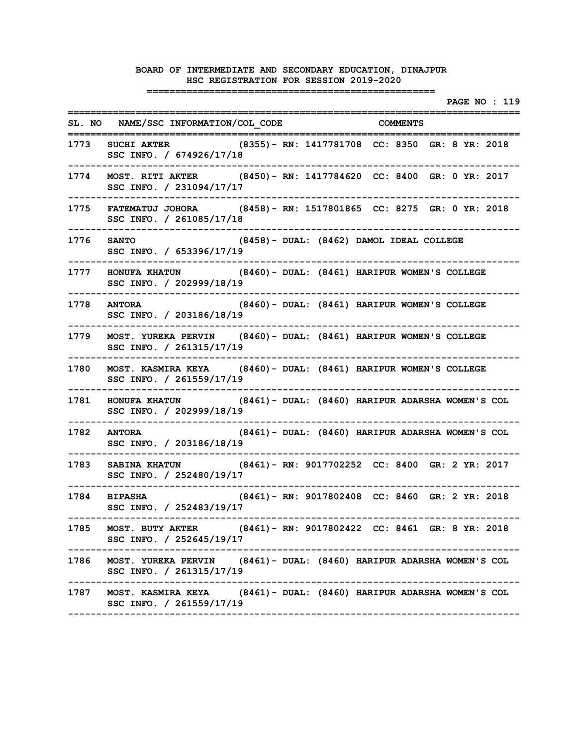**PAGE NO : 119 ================================================================================** SL. NO NAME/SSC INFORMATION/COL CODE COMMENTS **================================================================================ 1773 SUCHI AKTER (8355)- RN: 1417781708 CC: 8350 GR: 8 YR: 2018 SSC INFO. / 674926/17/18 -------------------------------------------------------------------------------- 1774 MOST. RITI AKTER (8450)- RN: 1417784620 CC: 8400 GR: 0 YR: 2017 SSC INFO. / 231094/17/17 -------------------------------------------------------------------------------- 1775 FATEMATUJ JOHORA (8458)- RN: 1517801865 CC: 8275 GR: 0 YR: 2018 SSC INFO. / 261085/17/18 -------------------------------------------------------------------------------- 1776 SANTO (8458)- DUAL: (8462) DAMOL IDEAL COLLEGE SSC INFO. / 653396/17/19 -------------------------------------------------------------------------------- 1777 HONUFA KHATUN (8460)- DUAL: (8461) HARIPUR WOMEN'S COLLEGE SSC INFO. / 202999/18/19 -------------------------------------------------------------------------------- 1778 ANTORA (8460)- DUAL: (8461) HARIPUR WOMEN'S COLLEGE SSC INFO. / 203186/18/19 -------------------------------------------------------------------------------- 1779 MOST. YUREKA PERVIN (8460)- DUAL: (8461) HARIPUR WOMEN'S COLLEGE SSC INFO. / 261315/17/19 -------------------------------------------------------------------------------- 1780 MOST. KASMIRA KEYA (8460)- DUAL: (8461) HARIPUR WOMEN'S COLLEGE SSC INFO. / 261559/17/19 -------------------------------------------------------------------------------- 1781 HONUFA KHATUN (8461)- DUAL: (8460) HARIPUR ADARSHA WOMEN'S COL SSC INFO. / 202999/18/19 -------------------------------------------------------------------------------- 1782 ANTORA (8461)- DUAL: (8460) HARIPUR ADARSHA WOMEN'S COL SSC INFO. / 203186/18/19 -------------------------------------------------------------------------------- 1783 SABINA KHATUN (8461)- RN: 9017702252 CC: 8400 GR: 2 YR: 2017 SSC INFO. / 252480/19/17 -------------------------------------------------------------------------------- 1784 BIPASHA (8461)- RN: 9017802408 CC: 8460 GR: 2 YR: 2018 SSC INFO. / 252483/19/17 -------------------------------------------------------------------------------- 1785 MOST. BUTY AKTER (8461)- RN: 9017802422 CC: 8461 GR: 8 YR: 2018 SSC INFO. / 252645/19/17 -------------------------------------------------------------------------------- 1786 MOST. YUREKA PERVIN (8461)- DUAL: (8460) HARIPUR ADARSHA WOMEN'S COL SSC INFO. / 261315/17/19 -------------------------------------------------------------------------------- 1787 MOST. KASMIRA KEYA (8461)- DUAL: (8460) HARIPUR ADARSHA WOMEN'S COL SSC INFO. / 261559/17/19 --------------------------------------------------------------------------------**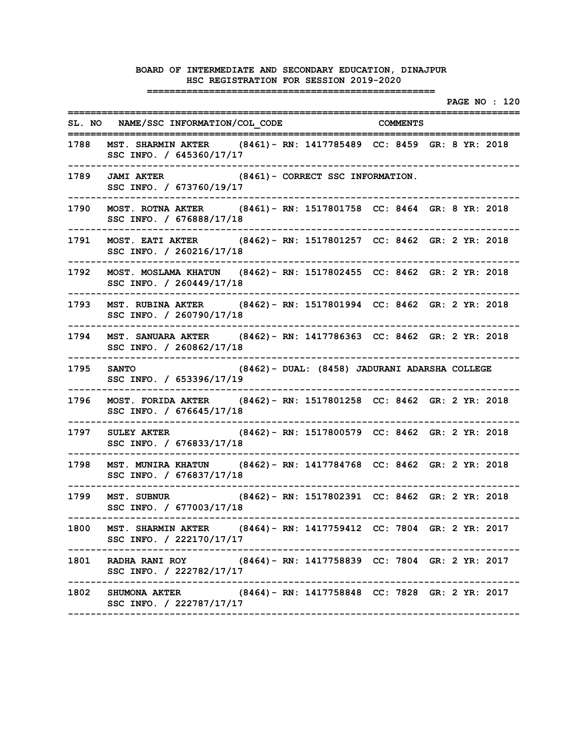|        |                                                                                                                  |                                                |  |  | <b>PAGE NO : 120</b> |
|--------|------------------------------------------------------------------------------------------------------------------|------------------------------------------------|--|--|----------------------|
|        | SL. NO NAME/SSC INFORMATION/COL CODE COMMENTS<br>===========                                                     |                                                |  |  |                      |
| 1788   | MST. SHARMIN AKTER (8461) - RN: 1417785489 CC: 8459 GR: 8 YR: 2018<br>SSC INFO. / 645360/17/17                   |                                                |  |  |                      |
| 1789   | JAMI AKTER (8461) - CORRECT SSC INFORMATION.<br>SSC INFO. / 673760/19/17                                         |                                                |  |  |                      |
| 1790   | MOST. ROTNA AKTER (8461) - RN: 1517801758 CC: 8464 GR: 8 YR: 2018<br>SSC INFO. / 676888/17/18                    |                                                |  |  |                      |
| 1791   | MOST. EATI AKTER (8462) - RN: 1517801257 CC: 8462 GR: 2 YR: 2018<br>SSC INFO. / 260216/17/18                     |                                                |  |  |                      |
| 1792   | MOST. MOSLAMA KHATUN (8462)- RN: 1517802455 CC: 8462 GR: 2 YR: 2018<br>SSC INFO. / 260449/17/18                  |                                                |  |  |                      |
| 1793   | MST. RUBINA AKTER (8462) - RN: 1517801994 CC: 8462 GR: 2 YR: 2018<br>SSC INFO. / 260790/17/18                    |                                                |  |  |                      |
| 1794   | MST. SANUARA AKTER (8462) - RN: 1417786363 CC: 8462 GR: 2 YR: 2018<br>SSC INFO. / 260862/17/18                   |                                                |  |  |                      |
| 1795 - | <b>SANTO</b><br>(8462)- DUAL: (8458) JADURANI ADARSHA COLLEGE<br>SSC INFO. / 653396/17/19                        |                                                |  |  |                      |
| 1796   | MOST. FORIDA AKTER (8462) - RN: 1517801258 CC: 8462 GR: 2 YR: 2018<br>SSC INFO. / 676645/17/18                   |                                                |  |  |                      |
| 1797 - | SULEY AKTER (8462) - RN: 1517800579 CC: 8462 GR: 2 YR: 2018<br>SSC INFO. / 676833/17/18                          |                                                |  |  |                      |
| 1798   | MST. MUNIRA KHATUN (8462) - RN: 1417784768 CC: 8462 GR: 2 YR: 2018<br>SSC INFO. / 676837/17/18                   |                                                |  |  |                      |
| 1799   | MST. SUBNUR<br>SSC INFO. / 677003/17/18                                                                          | (8462)- RN: 1517802391 CC: 8462 GR: 2 YR: 2018 |  |  |                      |
|        | 1800 MST. SHARMIN AKTER (8464) - RN: 1417759412 CC: 7804 GR: 2 YR: 2017<br>SSC INFO. / 222170/17/17              |                                                |  |  |                      |
| 1801   | ------------------<br>RADHA RANI ROY (8464) - RN: 1417758839 CC: 7804 GR: 2 YR: 2017<br>SSC INFO. / 222782/17/17 |                                                |  |  |                      |
|        | 1802 SHUMONA AKTER (8464) - RN: 1417758848 CC: 7828 GR: 2 YR: 2017<br>SSC INFO. / 222787/17/17                   |                                                |  |  |                      |
|        |                                                                                                                  |                                                |  |  |                      |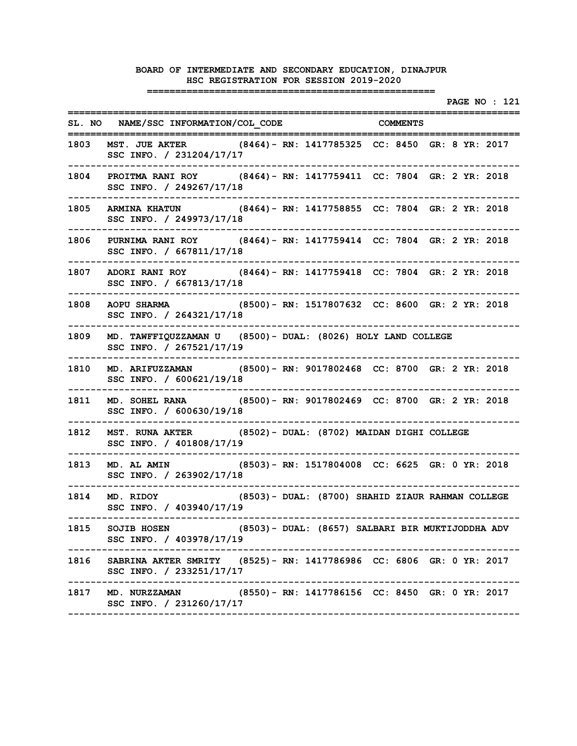**PAGE NO : 121 ================================================================================** SL. NO NAME/SSC INFORMATION/COL CODE COMMENTS **================================================================================ 1803 MST. JUE AKTER (8464)- RN: 1417785325 CC: 8450 GR: 8 YR: 2017 SSC INFO. / 231204/17/17 -------------------------------------------------------------------------------- 1804 PROITMA RANI ROY (8464)- RN: 1417759411 CC: 7804 GR: 2 YR: 2018 SSC INFO. / 249267/17/18 -------------------------------------------------------------------------------- 1805 ARMINA KHATUN (8464)- RN: 1417758855 CC: 7804 GR: 2 YR: 2018 SSC INFO. / 249973/17/18 -------------------------------------------------------------------------------- 1806 PURNIMA RANI ROY (8464)- RN: 1417759414 CC: 7804 GR: 2 YR: 2018 SSC INFO. / 667811/17/18 -------------------------------------------------------------------------------- 1807 ADORI RANI ROY (8464)- RN: 1417759418 CC: 7804 GR: 2 YR: 2018 SSC INFO. / 667813/17/18 -------------------------------------------------------------------------------- 1808 AOPU SHARMA (8500)- RN: 1517807632 CC: 8600 GR: 2 YR: 2018 SSC INFO. / 264321/17/18 -------------------------------------------------------------------------------- 1809 MD. TAWFFIQUZZAMAN U (8500)- DUAL: (8026) HOLY LAND COLLEGE SSC INFO. / 267521/17/19 -------------------------------------------------------------------------------- 1810 MD. ARIFUZZAMAN (8500)- RN: 9017802468 CC: 8700 GR: 2 YR: 2018 SSC INFO. / 600621/19/18 -------------------------------------------------------------------------------- 1811 MD. SOHEL RANA (8500)- RN: 9017802469 CC: 8700 GR: 2 YR: 2018 SSC INFO. / 600630/19/18 -------------------------------------------------------------------------------- 1812 MST. RUNA AKTER (8502)- DUAL: (8702) MAIDAN DIGHI COLLEGE SSC INFO. / 401808/17/19 -------------------------------------------------------------------------------- 1813 MD. AL AMIN (8503)- RN: 1517804008 CC: 6625 GR: 0 YR: 2018 SSC INFO. / 263902/17/18 -------------------------------------------------------------------------------- 1814 MD. RIDOY (8503)- DUAL: (8700) SHAHID ZIAUR RAHMAN COLLEGE SSC INFO. / 403940/17/19 -------------------------------------------------------------------------------- 1815 SOJIB HOSEN (8503)- DUAL: (8657) SALBARI BIR MUKTIJODDHA ADV SSC INFO. / 403978/17/19 -------------------------------------------------------------------------------- 1816 SABRINA AKTER SMRITY (8525)- RN: 1417786986 CC: 6806 GR: 0 YR: 2017 SSC INFO. / 233251/17/17 -------------------------------------------------------------------------------- 1817 MD. NURZZAMAN (8550)- RN: 1417786156 CC: 8450 GR: 0 YR: 2017 SSC INFO. / 231260/17/17 --------------------------------------------------------------------------------**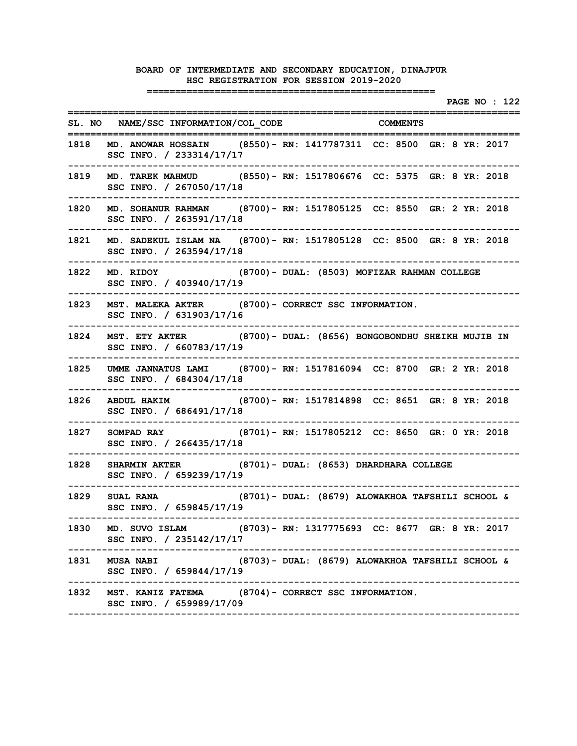**PAGE NO : 122 ================================================================================** SL. NO NAME/SSC INFORMATION/COL CODE COMMENTS **================================================================================ 1818 MD. ANOWAR HOSSAIN (8550)- RN: 1417787311 CC: 8500 GR: 8 YR: 2017 SSC INFO. / 233314/17/17 -------------------------------------------------------------------------------- 1819 MD. TAREK MAHMUD (8550)- RN: 1517806676 CC: 5375 GR: 8 YR: 2018 SSC INFO. / 267050/17/18 -------------------------------------------------------------------------------- 1820 MD. SOHANUR RAHMAN (8700)- RN: 1517805125 CC: 8550 GR: 2 YR: 2018 SSC INFO. / 263591/17/18 -------------------------------------------------------------------------------- 1821 MD. SADEKUL ISLAM NA (8700)- RN: 1517805128 CC: 8500 GR: 8 YR: 2018 SSC INFO. / 263594/17/18 -------------------------------------------------------------------------------- 1822 MD. RIDOY (8700)- DUAL: (8503) MOFIZAR RAHMAN COLLEGE SSC INFO. / 403940/17/19 -------------------------------------------------------------------------------- 1823 MST. MALEKA AKTER (8700)- CORRECT SSC INFORMATION. SSC INFO. / 631903/17/16 -------------------------------------------------------------------------------- 1824 MST. ETY AKTER (8700)- DUAL: (8656) BONGOBONDHU SHEIKH MUJIB IN SSC INFO. / 660783/17/19 -------------------------------------------------------------------------------- 1825 UMME JANNATUS LAMI (8700)- RN: 1517816094 CC: 8700 GR: 2 YR: 2018 SSC INFO. / 684304/17/18 -------------------------------------------------------------------------------- 1826 ABDUL HAKIM (8700)- RN: 1517814898 CC: 8651 GR: 8 YR: 2018 SSC INFO. / 686491/17/18 -------------------------------------------------------------------------------- 1827 SOMPAD RAY (8701)- RN: 1517805212 CC: 8650 GR: 0 YR: 2018 SSC INFO. / 266435/17/18 -------------------------------------------------------------------------------- 1828 SHARMIN AKTER (8701)- DUAL: (8653) DHARDHARA COLLEGE SSC INFO. / 659239/17/19 -------------------------------------------------------------------------------- 1829 SUAL RANA (8701)- DUAL: (8679) ALOWAKHOA TAFSHILI SCHOOL & SSC INFO. / 659845/17/19 -------------------------------------------------------------------------------- 1830 MD. SUVO ISLAM (8703)- RN: 1317775693 CC: 8677 GR: 8 YR: 2017 SSC INFO. / 235142/17/17 -------------------------------------------------------------------------------- 1831 MUSA NABI (8703)- DUAL: (8679) ALOWAKHOA TAFSHILI SCHOOL & SSC INFO. / 659844/17/19 -------------------------------------------------------------------------------- 1832 MST. KANIZ FATEMA (8704)- CORRECT SSC INFORMATION. SSC INFO. / 659989/17/09 --------------------------------------------------------------------------------**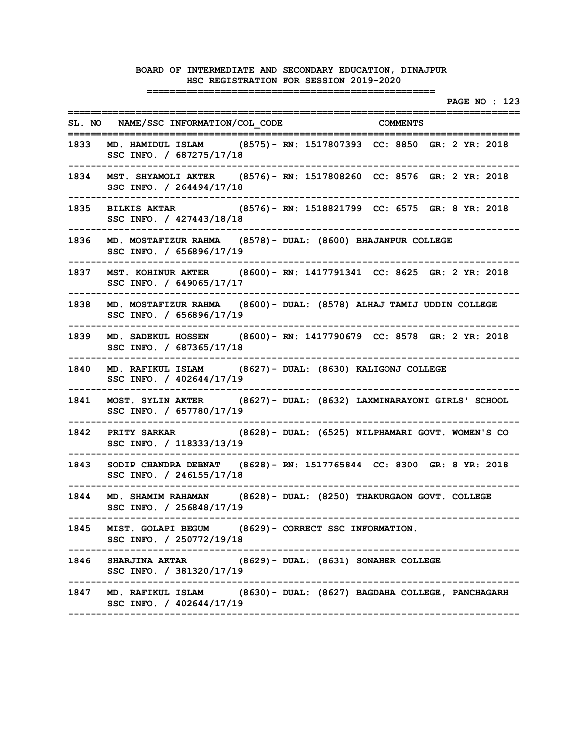|        |                                                                                                                           | <b>PAGE NO : 123</b>                                                    |
|--------|---------------------------------------------------------------------------------------------------------------------------|-------------------------------------------------------------------------|
|        | SL. NO    NAME/SSC INFORMATION/COL CODE                                                                                   | <b>COMMENTS</b>                                                         |
| 1833   | SSC INFO. / 687275/17/18                                                                                                  | MD. HAMIDUL ISLAM (8575) - RN: 1517807393 CC: 8850 GR: 2 YR: 2018       |
| 1834   | SSC INFO. / 264494/17/18                                                                                                  | MST. SHYAMOLI AKTER (8576) - RN: 1517808260 CC: 8576 GR: 2 YR: 2018     |
| 1835   | SSC INFO. / 427443/18/18                                                                                                  | BILKIS AKTAR (8576) - RN: 1518821799 CC: 6575 GR: 8 YR: 2018            |
| 1836   | SSC INFO. / 656896/17/19                                                                                                  | MD. MOSTAFIZUR RAHMA (8578) - DUAL: (8600) BHAJANPUR COLLEGE            |
| 1837 - | SSC INFO. / 649065/17/17                                                                                                  | MST. KOHINUR AKTER (8600) - RN: 1417791341 CC: 8625 GR: 2 YR: 2018      |
| 1838   | SSC INFO. / 656896/17/19                                                                                                  | MD. MOSTAFIZUR RAHMA (8600) - DUAL: (8578) ALHAJ TAMIJ UDDIN COLLEGE    |
| 1839   | SSC INFO. / 687365/17/18                                                                                                  | MD. SADEKUL HOSSEN (8600) - RN: 1417790679 CC: 8578 GR: 2 YR: 2018      |
| 1840   | SSC INFO. / 402644/17/19                                                                                                  | MD. RAFIKUL ISLAM (8627) - DUAL: (8630) KALIGONJ COLLEGE                |
| 1841   | SSC INFO. / 657780/17/19                                                                                                  | MOST. SYLIN AKTER (8627) - DUAL: (8632) LAXMINARAYONI GIRLS' SCHOOL     |
| 1842   | SSC INFO. / 118333/13/19                                                                                                  | PRITY SARKAR (8628) - DUAL: (6525) NILPHAMARI GOVT. WOMEN'S CO          |
| 1843   | SSC INFO. / 246155/17/18                                                                                                  | SODIP CHANDRA DEBNAT (8628) - RN: 1517765844 CC: 8300 GR: 8 YR: 2018    |
| 1844   | SSC INFO. / 256848/17/19                                                                                                  | MD. SHAMIM RAHAMAN (8628) - DUAL: (8250) THAKURGAON GOVT. COLLEGE       |
|        | 1845 MIST. GOLAPI BEGUM (8629) - CORRECT SSC INFORMATION.<br>SSC INFO. / 250772/19/18                                     |                                                                         |
|        | ---------------------------------<br>1846 SHARJINA AKTAR (8629)- DUAL: (8631) SONAHER COLLEGE<br>SSC INFO. / 381320/17/19 |                                                                         |
|        | ------------------------------------<br>SSC INFO. / 402644/17/19                                                          | 1847 MD. RAFIKUL ISLAM (8630)- DUAL: (8627) BAGDAHA COLLEGE, PANCHAGARH |
|        |                                                                                                                           |                                                                         |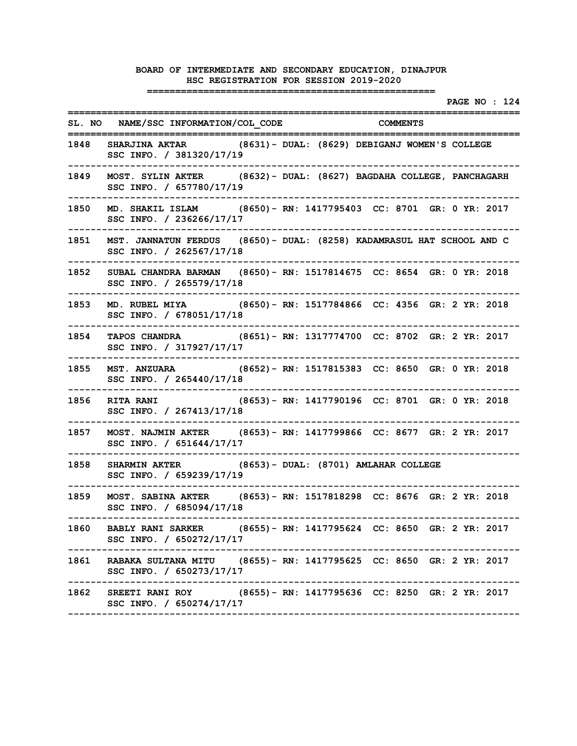|      |                                                                                                                            |  | ----------------------------------- |  |                 | PAGE NO : 124 |  |  |
|------|----------------------------------------------------------------------------------------------------------------------------|--|-------------------------------------|--|-----------------|---------------|--|--|
|      | SL. NO NAME/SSC INFORMATION/COL CODE<br>=============================                                                      |  | ---------------------               |  | <b>COMMENTS</b> |               |  |  |
| 1848 | SHARJINA AKTAR (8631) - DUAL: (8629) DEBIGANJ WOMEN'S COLLEGE<br>SSC INFO. / 381320/17/19                                  |  |                                     |  |                 |               |  |  |
| 1849 | MOST. SYLIN AKTER (8632) - DUAL: (8627) BAGDAHA COLLEGE, PANCHAGARH<br>SSC INFO. / 657780/17/19                            |  |                                     |  |                 |               |  |  |
| 1850 | MD. SHAKIL ISLAM (8650) - RN: 1417795403 CC: 8701 GR: 0 YR: 2017<br>SSC INFO. / 236266/17/17                               |  |                                     |  |                 |               |  |  |
| 1851 | MST. JANNATUN FERDUS (8650) - DUAL: (8258) KADAMRASUL HAT SCHOOL AND C<br>SSC INFO. / 262567/17/18                         |  |                                     |  |                 |               |  |  |
| 1852 | SUBAL CHANDRA BARMAN (8650) - RN: 1517814675 CC: 8654 GR: 0 YR: 2018<br>SSC INFO. / 265579/17/18                           |  |                                     |  |                 |               |  |  |
| 1853 | MD. RUBEL MIYA (8650) - RN: 1517784866 CC: 4356 GR: 2 YR: 2018<br>SSC INFO. / 678051/17/18                                 |  |                                     |  |                 |               |  |  |
|      | 1854 TAPOS CHANDRA (8651) - RN: 1317774700 CC: 8702 GR: 2 YR: 2017<br>SSC INFO. / 317927/17/17                             |  |                                     |  |                 |               |  |  |
|      | 1855 MST. ANZUARA (8652) - RN: 1517815383 CC: 8650 GR: 0 YR: 2018<br>SSC INFO. / 265440/17/18                              |  |                                     |  |                 |               |  |  |
|      | ----------------------------<br>1856 RITA RANI (8653) - RN: 1417790196 CC: 8701 GR: 0 YR: 2018<br>SSC INFO. / 267413/17/18 |  |                                     |  |                 |               |  |  |
| 1857 | MOST. NAJMIN AKTER (8653) - RN: 1417799866 CC: 8677 GR: 2 YR: 2017<br>SSC INFO. / 651644/17/17                             |  |                                     |  |                 |               |  |  |
| 1858 | SHARMIN AKTER (8653) - DUAL: (8701) AMLAHAR COLLEGE<br>SSC INFO. / 659239/17/19                                            |  |                                     |  |                 |               |  |  |
| 1859 | MOST. SABINA AKTER (8653) - RN: 1517818298 CC: 8676 GR: 2 YR: 2018<br>SSC INFO. / 685094/17/18                             |  |                                     |  |                 |               |  |  |
|      | 1860 BABLY RANI SARKER (8655) - RN: 1417795624 CC: 8650 GR: 2 YR: 2017<br>SSC INFO. / 650272/17/17                         |  |                                     |  |                 |               |  |  |
|      | 1861 RABAKA SULTANA MITU (8655) - RN: 1417795625 CC: 8650 GR: 2 YR: 2017<br>SSC INFO. / 650273/17/17                       |  |                                     |  |                 |               |  |  |
| 1862 | SREETI RANI ROY (8655) - RN: 1417795636 CC: 8250 GR: 2 YR: 2017<br>SSC INFO. / 650274/17/17                                |  |                                     |  |                 |               |  |  |
|      |                                                                                                                            |  |                                     |  |                 |               |  |  |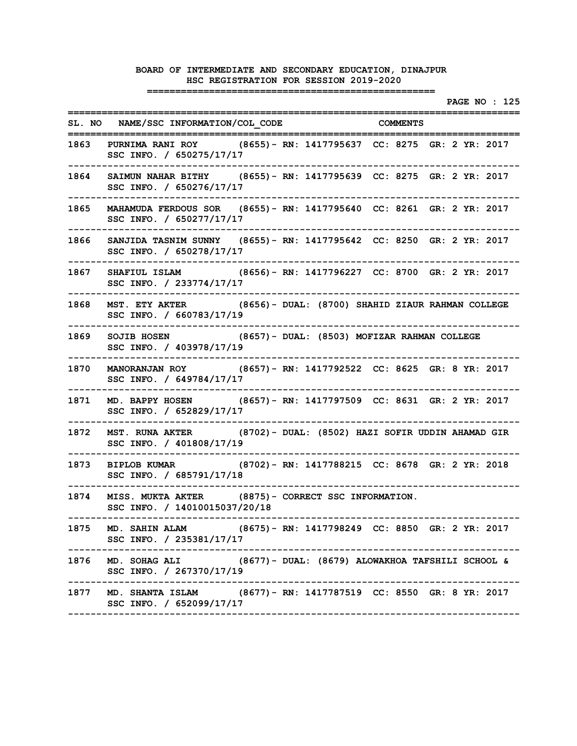|        |                                                                                                                                  |  |  |  |  |  | <b>PAGE NO : 125</b> |
|--------|----------------------------------------------------------------------------------------------------------------------------------|--|--|--|--|--|----------------------|
|        | SL. NO NAME/SSC INFORMATION/COL CODE COMMENTS                                                                                    |  |  |  |  |  |                      |
| 1863   | =============<br>PURNIMA RANI ROY (8655) - RN: 1417795637 CC: 8275 GR: 2 YR: 2017<br>SSC INFO. / 650275/17/17                    |  |  |  |  |  |                      |
| 1864   | SAIMUN NAHAR BITHY (8655) - RN: 1417795639 CC: 8275 GR: 2 YR: 2017<br>SSC INFO. / 650276/17/17                                   |  |  |  |  |  |                      |
| 1865   | MAHAMUDA FERDOUS SOR (8655) - RN: 1417795640 CC: 8261 GR: 2 YR: 2017<br>SSC INFO. / 650277/17/17                                 |  |  |  |  |  |                      |
| 1866   | SANJIDA TASNIM SUNNY (8655) - RN: 1417795642 CC: 8250 GR: 2 YR: 2017<br>SSC INFO. / 650278/17/17                                 |  |  |  |  |  |                      |
| 1867 - | SHAFIUL ISLAM (8656) - RN: 1417796227 CC: 8700 GR: 2 YR: 2017<br>SSC INFO. / 233774/17/17                                        |  |  |  |  |  |                      |
| 1868   | MST. ETY AKTER (8656) - DUAL: (8700) SHAHID ZIAUR RAHMAN COLLEGE<br>SSC INFO. / 660783/17/19                                     |  |  |  |  |  |                      |
| 1869   | SOJIB HOSEN (8657) - DUAL: (8503) MOFIZAR RAHMAN COLLEGE<br>SSC INFO. / 403978/17/19                                             |  |  |  |  |  |                      |
| 1870   | MANORANJAN ROY (8657) - RN: 1417792522 CC: 8625 GR: 8 YR: 2017<br>SSC INFO. / 649784/17/17                                       |  |  |  |  |  |                      |
| 1871   | MD. BAPPY HOSEN (8657) - RN: 1417797509 CC: 8631 GR: 2 YR: 2017<br>SSC INFO. / 652829/17/17                                      |  |  |  |  |  |                      |
| 1872   | MST. RUNA AKTER (8702) - DUAL: (8502) HAZI SOFIR UDDIN AHAMAD GIR<br>SSC INFO. / 401808/17/19                                    |  |  |  |  |  |                      |
| 1873   | (8702)– RN: 1417788215 CC: 8678 GR: 2 YR: 2018<br><b>BIPLOB KUMAR</b><br>SSC INFO. / 685791/17/18                                |  |  |  |  |  |                      |
| 1874   | MISS. MUKTA AKTER (8875) - CORRECT SSC INFORMATION.<br>SSC INFO. / 14010015037/20/18                                             |  |  |  |  |  |                      |
|        | 1875 MD. SAHIN ALAM (8675) - RN: 1417798249 CC: 8850 GR: 2 YR: 2017<br>SSC INFO. / 235381/17/17<br>----------------------------  |  |  |  |  |  |                      |
|        | 1876 MD. SOHAG ALI (8677) - DUAL: (8679) ALOWAKHOA TAFSHILI SCHOOL &<br>SSC INFO. / 267370/17/19                                 |  |  |  |  |  |                      |
|        | ----------------------------<br>1877 MD. SHANTA ISLAM (8677)- RN: 1417787519 CC: 8550 GR: 8 YR: 2017<br>SSC INFO. / 652099/17/17 |  |  |  |  |  |                      |
|        |                                                                                                                                  |  |  |  |  |  |                      |